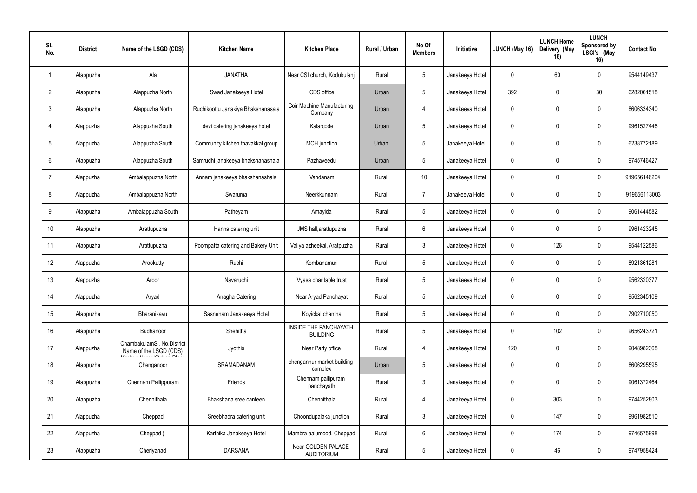| SI.<br>No.      | <b>District</b> | Name of the LSGD (CDS)                               | <b>Kitchen Name</b>                | <b>Kitchen Place</b>                         | Rural / Urban | No Of<br><b>Members</b> | Initiative      | <b>LUNCH (May 16)</b> | <b>LUNCH Home</b><br>Delivery (May<br>16) | <b>LUNCH</b><br>Sponsored by<br>LSGI's (May<br>16) | <b>Contact No</b> |
|-----------------|-----------------|------------------------------------------------------|------------------------------------|----------------------------------------------|---------------|-------------------------|-----------------|-----------------------|-------------------------------------------|----------------------------------------------------|-------------------|
| $\mathbf{1}$    | Alappuzha       | Ala                                                  | <b>JANATHA</b>                     | Near CSI church, Kodukulanji                 | Rural         | $5\phantom{.0}$         | Janakeeya Hotel | $\mathbf 0$           | 60                                        | $\mathbf 0$                                        | 9544149437        |
| $\overline{2}$  | Alappuzha       | Alappuzha North                                      | Swad Janakeeya Hotel               | CDS office                                   | Urban         | $5\phantom{.0}$         | Janakeeya Hotel | 392                   | $\Omega$                                  | 30                                                 | 6282061518        |
| $\mathfrak{Z}$  | Alappuzha       | Alappuzha North                                      | Ruchikoottu Janakiya Bhakshanasala | <b>Coir Machine Manufacturing</b><br>Company | Urban         | $\overline{4}$          | Janakeeya Hotel | $\mathbf 0$           | $\Omega$                                  | $\mathbf 0$                                        | 8606334340        |
| $\overline{4}$  | Alappuzha       | Alappuzha South                                      | devi catering janakeeya hotel      | Kalarcode                                    | Urban         | $5\phantom{.0}$         | Janakeeya Hotel | $\mathbf 0$           | $\Omega$                                  | $\mathbf 0$                                        | 9961527446        |
| $5\phantom{.0}$ | Alappuzha       | Alappuzha South                                      | Community kitchen thavakkal group  | MCH junction                                 | Urban         | $5\phantom{.0}$         | Janakeeya Hotel | $\mathbf 0$           | ∩                                         | $\mathbf 0$                                        | 6238772189        |
| 6               | Alappuzha       | Alappuzha South                                      | Samrudhi janakeeya bhakshanashala  | Pazhaveedu                                   | Urban         | $5\overline{)}$         | Janakeeya Hotel | $\mathbf 0$           |                                           | $\mathbf 0$                                        | 9745746427        |
| $\overline{7}$  | Alappuzha       | Ambalappuzha North                                   | Annam janakeeya bhakshanashala     | Vandanam                                     | Rural         | 10 <sup>°</sup>         | Janakeeya Hotel | $\pmb{0}$             | $\Omega$                                  | $\mathbf 0$                                        | 919656146204      |
| 8               | Alappuzha       | Ambalappuzha North                                   | Swaruma                            | Neerkkunnam                                  | Rural         | $\overline{7}$          | Janakeeya Hotel | $\mathbf 0$           | <sup>0</sup>                              | $\mathbf 0$                                        | 919656113003      |
| 9               | Alappuzha       | Ambalappuzha South                                   | Patheyam                           | Amayida                                      | Rural         | $5\overline{)}$         | Janakeeya Hotel | $\mathbf 0$           | $\Omega$                                  | $\mathbf 0$                                        | 9061444582        |
| 10              | Alappuzha       | Arattupuzha                                          | Hanna catering unit                | JMS hall, arattupuzha                        | Rural         | $6\overline{6}$         | Janakeeya Hotel | $\mathbf 0$           |                                           | $\mathbf 0$                                        | 9961423245        |
| 11              | Alappuzha       | Arattupuzha                                          | Poompatta catering and Bakery Unit | Valiya azheekal, Aratpuzha                   | Rural         | $\mathbf{3}$            | Janakeeya Hotel | $\mathbf 0$           | 126                                       | $\mathbf 0$                                        | 9544122586        |
| 12              | Alappuzha       | Arookutty                                            | Ruchi                              | Kombanamuri                                  | Rural         | $5\phantom{.0}$         | Janakeeya Hotel | $\mathbf 0$           | $\Omega$                                  | $\mathbf 0$                                        | 8921361281        |
| 13              | Alappuzha       | Aroor                                                | Navaruchi                          | Vyasa charitable trust                       | Rural         | $5\phantom{.0}$         | Janakeeya Hotel | $\mathbf 0$           | $\Omega$                                  | $\mathbf 0$                                        | 9562320377        |
| 14              | Alappuzha       | Aryad                                                | Anagha Catering                    | Near Aryad Panchayat                         | Rural         | $5\,$                   | Janakeeya Hotel | $\mathbf 0$           | $\mathbf 0$                               | $\mathbf 0$                                        | 9562345109        |
| 15              | Alappuzha       | Bharanikavu                                          | Sasneham Janakeeya Hotel           | Koyickal chantha                             | Rural         | $5\phantom{.0}$         | Janakeeya Hotel | $\mathbf 0$           | $\mathbf 0$                               | $\mathbf 0$                                        | 7902710050        |
| 16              | Alappuzha       | Budhanoor                                            | Snehitha                           | INSIDE THE PANCHAYATH<br><b>BUILDING</b>     | Rural         | $5\overline{)}$         | Janakeeya Hotel | $\mathbf 0$           | 102                                       | $\mathbf 0$                                        | 9656243721        |
| 17              | Alappuzha       | ChambakulamSI. No.District<br>Name of the LSGD (CDS) | Jyothis                            | Near Party office                            | Rural         | $\overline{4}$          | Janakeeya Hotel | 120                   | $\overline{0}$                            | $\mathbf 0$                                        | 9048982368        |
| 18              | Alappuzha       | Chenganoor                                           | SRAMADANAM                         | chengannur market building<br>complex        | Urban         | $5\phantom{.0}$         | Janakeeya Hotel | $\pmb{0}$             | $\mathbf 0$                               | $\mathbf 0$                                        | 8606295595        |
| 19              | Alappuzha       | Chennam Pallippuram                                  | Friends                            | Chennam pallipuram<br>panchayath             | Rural         | $\mathbf{3}$            | Janakeeya Hotel | $\pmb{0}$             | $\mathbf 0$                               | $\mathbf 0$                                        | 9061372464        |
| 20              | Alappuzha       | Chennithala                                          | Bhakshana sree canteen             | Chennithala                                  | Rural         | $\overline{4}$          | Janakeeya Hotel | $\mathbf 0$           | 303                                       | $\mathbf 0$                                        | 9744252803        |
| 21              | Alappuzha       | Cheppad                                              | Sreebhadra catering unit           | Choondupalaka junction                       | Rural         | $\mathbf{3}$            | Janakeeya Hotel | $\mathbf 0$           | 147                                       | $\mathbf 0$                                        | 9961982510        |
| 22              | Alappuzha       | Cheppad)                                             | Karthika Janakeeya Hotel           | Mambra aalumood, Cheppad                     | Rural         | $6\overline{6}$         | Janakeeya Hotel | $\mathbf 0$           | 174                                       | $\mathbf 0$                                        | 9746575998        |
| 23              | Alappuzha       | Cheriyanad                                           | <b>DARSANA</b>                     | Near GOLDEN PALACE<br><b>AUDITORIUM</b>      | Rural         | $5\phantom{.0}$         | Janakeeya Hotel | $\pmb{0}$             | 46                                        | $\mathbf 0$                                        | 9747958424        |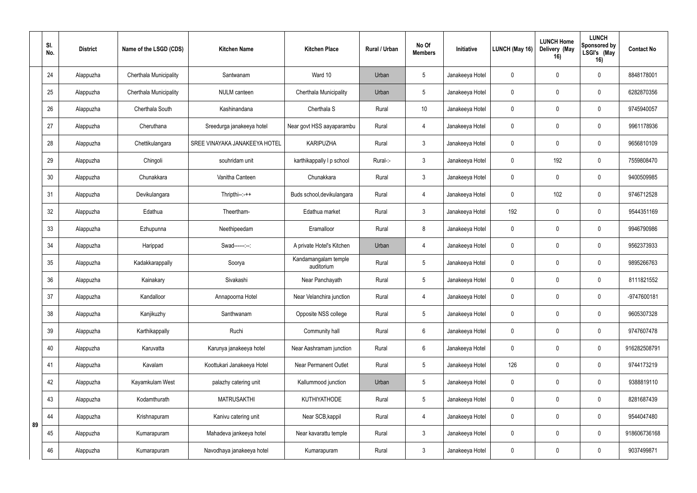|    | SI.<br>No. | <b>District</b> | Name of the LSGD (CDS)        | <b>Kitchen Name</b>           | <b>Kitchen Place</b>               | Rural / Urban | No Of<br><b>Members</b> | Initiative      | LUNCH (May 16) | <b>LUNCH Home</b><br>Delivery (May<br>16) | <b>LUNCH</b><br>Sponsored by<br>LSGI's (May<br>16) | <b>Contact No</b> |
|----|------------|-----------------|-------------------------------|-------------------------------|------------------------------------|---------------|-------------------------|-----------------|----------------|-------------------------------------------|----------------------------------------------------|-------------------|
|    | 24         | Alappuzha       | <b>Cherthala Municipality</b> | Santwanam                     | Ward 10                            | Urban         | $5\phantom{.0}$         | Janakeeya Hotel | $\mathbf 0$    | $\Omega$                                  | $\mathbf 0$                                        | 8848178001        |
|    | 25         | Alappuzha       | <b>Cherthala Municipality</b> | NULM canteen                  | Cherthala Municipality             | Urban         | $5\phantom{.0}$         | Janakeeya Hotel | $\mathbf 0$    | $\Omega$                                  | $\mathbf 0$                                        | 6282870356        |
|    | 26         | Alappuzha       | Cherthala South               | Kashinandana                  | Cherthala S                        | Rural         | 10                      | Janakeeya Hotel | $\mathbf 0$    | ∩                                         | $\mathbf 0$                                        | 9745940057        |
|    | 27         | Alappuzha       | Cheruthana                    | Sreedurga janakeeya hotel     | Near govt HSS aayaparambu          | Rural         | $\overline{4}$          | Janakeeya Hotel | $\mathbf 0$    | $\Omega$                                  | $\mathbf 0$                                        | 9961178936        |
|    | 28         | Alappuzha       | Chettikulangara               | SREE VINAYAKA JANAKEEYA HOTEL | <b>KARIPUZHA</b>                   | Rural         | $\mathbf{3}$            | Janakeeya Hotel | $\mathbf 0$    |                                           | $\mathbf 0$                                        | 9656810109        |
|    | 29         | Alappuzha       | Chingoli                      | souhridam unit                | karthikappally I p school          | Rural-:-      | $\mathbf{3}$            | Janakeeya Hotel | $\mathbf 0$    | 192                                       | $\mathbf 0$                                        | 7559808470        |
|    | 30         | Alappuzha       | Chunakkara                    | Vanitha Canteen               | Chunakkara                         | Rural         | $\mathbf{3}$            | Janakeeya Hotel | $\mathbf 0$    | $\Omega$                                  | $\mathbf 0$                                        | 9400509985        |
|    | 31         | Alappuzha       | Devikulangara                 | Thripthi--:-++                | Buds school, devikulangara         | Rural         | $\overline{4}$          | Janakeeya Hotel | $\mathbf 0$    | 102                                       | $\mathbf 0$                                        | 9746712528        |
|    | 32         | Alappuzha       | Edathua                       | Theertham-                    | Edathua market                     | Rural         | $\mathbf{3}$            | Janakeeya Hotel | 192            | $\Omega$                                  | $\mathbf 0$                                        | 9544351169        |
|    | 33         | Alappuzha       | Ezhupunna                     | Neethipeedam                  | Eramalloor                         | Rural         | 8                       | Janakeeya Hotel | $\mathbf 0$    | $\Omega$                                  | $\mathbf 0$                                        | 9946790986        |
|    | 34         | Alappuzha       | Harippad                      | Swad------:--:                | A private Hotel's Kitchen          | Urban         | $\overline{4}$          | Janakeeya Hotel | $\mathbf 0$    | $\Omega$                                  | $\mathbf 0$                                        | 9562373933        |
|    | 35         | Alappuzha       | Kadakkarappally               | Soorya                        | Kandamangalam temple<br>auditorium | Rural         | $5\phantom{.0}$         | Janakeeya Hotel | $\mathbf 0$    |                                           | $\mathbf 0$                                        | 9895266763        |
|    | 36         | Alappuzha       | Kainakary                     | Sivakashi                     | Near Panchayath                    | Rural         | $5\phantom{.0}$         | Janakeeya Hotel | $\mathbf 0$    | $\Omega$                                  | $\mathbf 0$                                        | 8111821552        |
|    | 37         | Alappuzha       | Kandalloor                    | Annapoorna Hotel              | Near Velanchira junction           | Rural         | $\overline{4}$          | Janakeeya Hotel | $\mathbf 0$    | $\overline{0}$                            | $\mathbf 0$                                        | -9747600181       |
|    | 38         | Alappuzha       | Kanjikuzhy                    | Santhwanam                    | Opposite NSS college               | Rural         | $5\phantom{.0}$         | Janakeeya Hotel | $\mathbf 0$    | $\mathbf 0$                               | $\mathbf 0$                                        | 9605307328        |
|    | 39         | Alappuzha       | Karthikappally                | Ruchi                         | Community hall                     | Rural         | $6\overline{6}$         | Janakeeya Hotel | $\pmb{0}$      | $\mathbf 0$                               | $\mathbf 0$                                        | 9747607478        |
|    | 40         | Alappuzha       | Karuvatta                     | Karunya janakeeya hotel       | Near Aashramam junction            | Rural         | $6\overline{6}$         | Janakeeya Hotel | $\mathbf 0$    | $\mathbf 0$                               | $\mathbf 0$                                        | 916282508791      |
|    | 41         | Alappuzha       | Kavalam                       | Koottukari Janakeeya Hotel    | <b>Near Permanent Outlet</b>       | Rural         | $5\phantom{.0}$         | Janakeeya Hotel | 126            | $\mathbf 0$                               | $\mathbf 0$                                        | 9744173219        |
|    | 42         | Alappuzha       | Kayamkulam West               | palazhy catering unit         | Kallummood junction                | Urban         | $5\phantom{.0}$         | Janakeeya Hotel | $\mathbf 0$    | $\Omega$                                  | $\mathbf 0$                                        | 9388819110        |
|    | 43         | Alappuzha       | Kodamthurath                  | <b>MATRUSAKTHI</b>            | KUTHIYATHODE                       | Rural         | $5\phantom{.0}$         | Janakeeya Hotel | $\pmb{0}$      | $\mathbf{0}$                              | $\mathbf 0$                                        | 8281687439        |
| 89 | 44         | Alappuzha       | Krishnapuram                  | Kanivu catering unit          | Near SCB, kappil                   | Rural         | $\overline{4}$          | Janakeeya Hotel | $\pmb{0}$      | $\mathbf 0$                               | $\mathbf 0$                                        | 9544047480        |
|    | 45         | Alappuzha       | Kumarapuram                   | Mahadeva jankeeya hotel       | Near kavarattu temple              | Rural         | $\mathbf{3}$            | Janakeeya Hotel | $\mathbf 0$    | $\mathbf 0$                               | $\mathbf 0$                                        | 918606736168      |
|    | 46         | Alappuzha       | Kumarapuram                   | Navodhaya janakeeya hotel     | Kumarapuram                        | Rural         | $\mathbf{3}$            | Janakeeya Hotel | $\pmb{0}$      | $\boldsymbol{0}$                          | $\mathbf 0$                                        | 9037499871        |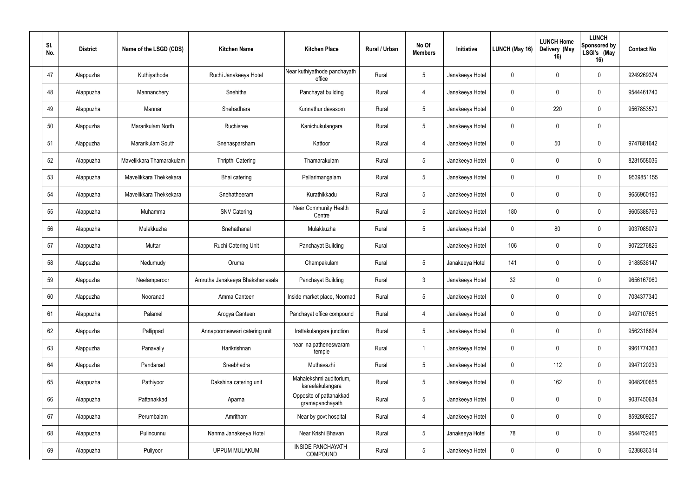| SI.<br>No. | <b>District</b> | Name of the LSGD (CDS)   | <b>Kitchen Name</b>             | <b>Kitchen Place</b>                        | Rural / Urban | No Of<br><b>Members</b> | Initiative      | LUNCH (May 16) | <b>LUNCH Home</b><br>Delivery (May<br>16) | <b>LUNCH</b><br>Sponsored by<br>LSGI's (May<br>16) | <b>Contact No</b> |
|------------|-----------------|--------------------------|---------------------------------|---------------------------------------------|---------------|-------------------------|-----------------|----------------|-------------------------------------------|----------------------------------------------------|-------------------|
| 47         | Alappuzha       | Kuthiyathode             | Ruchi Janakeeya Hotel           | Near kuthiyathode panchayath<br>office      | Rural         | $5\phantom{.0}$         | Janakeeya Hotel | $\mathbf 0$    | $\Omega$                                  | $\mathbf 0$                                        | 9249269374        |
| 48         | Alappuzha       | Mannanchery              | Snehitha                        | Panchayat building                          | Rural         | $\overline{4}$          | Janakeeya Hotel | $\pmb{0}$      | 0                                         | 0                                                  | 9544461740        |
| 49         | Alappuzha       | Mannar                   | Snehadhara                      | Kunnathur devasom                           | Rural         | $5\phantom{.0}$         | Janakeeya Hotel | $\mathbf 0$    | 220                                       | 0                                                  | 9567853570        |
| 50         | Alappuzha       | Mararikulam North        | Ruchisree                       | Kanichukulangara                            | Rural         | $5\phantom{.0}$         | Janakeeya Hotel | $\pmb{0}$      | $\theta$                                  | $\boldsymbol{0}$                                   |                   |
| 51         | Alappuzha       | Mararikulam South        | Snehasparsham                   | Kattoor                                     | Rural         | $\overline{4}$          | Janakeeya Hotel | $\mathbf 0$    | 50                                        | $\mathbf 0$                                        | 9747881642        |
| 52         | Alappuzha       | Mavelikkara Thamarakulam | Thripthi Catering               | Thamarakulam                                | Rural         | $5\phantom{.0}$         | Janakeeya Hotel | $\mathbf 0$    |                                           | $\mathbf 0$                                        | 8281558036        |
| 53         | Alappuzha       | Mavelikkara Thekkekara   | Bhai catering                   | Pallarimangalam                             | Rural         | $5\phantom{.0}$         | Janakeeya Hotel | $\pmb{0}$      | 0                                         | 0                                                  | 9539851155        |
| 54         | Alappuzha       | Mavelikkara Thekkekara   | Snehatheeram                    | Kurathikkadu                                | Rural         | $5\phantom{.0}$         | Janakeeya Hotel | $\mathbf 0$    | $\Omega$                                  | $\mathbf 0$                                        | 9656960190        |
| 55         | Alappuzha       | Muhamma                  | <b>SNV Catering</b>             | Near Community Health<br>Centre             | Rural         | $5\phantom{.0}$         | Janakeeya Hotel | 180            | 0                                         | $\mathbf 0$                                        | 9605388763        |
| 56         | Alappuzha       | Mulakkuzha               | Snehathanal                     | Mulakkuzha                                  | Rural         | $5\phantom{.0}$         | Janakeeya Hotel | $\mathbf 0$    | 80                                        | $\mathbf 0$                                        | 9037085079        |
| 57         | Alappuzha       | Muttar                   | Ruchi Catering Unit             | Panchayat Building                          | Rural         |                         | Janakeeya Hotel | 106            | $\boldsymbol{0}$                          | 0                                                  | 9072276826        |
| 58         | Alappuzha       | Nedumudy                 | Oruma                           | Champakulam                                 | Rural         | 5                       | Janakeeya Hotel | 141            | $\Omega$                                  | $\mathbf 0$                                        | 9188536147        |
| 59         | Alappuzha       | Neelamperoor             | Amrutha Janakeeya Bhakshanasala | Panchayat Building                          | Rural         | $\mathbf{3}$            | Janakeeya Hotel | 32             | 0                                         | $\mathbf 0$                                        | 9656167060        |
| 60         | Alappuzha       | Nooranad                 | Amma Canteen                    | Inside market place, Noornad                | Rural         | $5\,$                   | Janakeeya Hotel | $\pmb{0}$      | $\mathbf 0$                               | $\mathbf 0$                                        | 7034377340        |
| 61         | Alappuzha       | Palamel                  | Arogya Canteen                  | Panchayat office compound                   | Rural         | $\overline{4}$          | Janakeeya Hotel | $\pmb{0}$      | $\mathbf 0$                               | $\mathbf 0$                                        | 9497107651        |
| 62         | Alappuzha       | Pallippad                | Annapoorneswari catering unit   | Irattakulangara junction                    | Rural         | $5\,$                   | Janakeeya Hotel | $\pmb{0}$      | $\mathbf 0$                               | $\mathbf 0$                                        | 9562318624        |
| 63         | Alappuzha       | Panavally                | Harikrishnan                    | near nalpatheneswaram<br>temple             | Rural         | $\mathbf{1}$            | Janakeeya Hotel | $\pmb{0}$      | $\mathbf 0$                               | $\mathbf 0$                                        | 9961774363        |
| 64         | Alappuzha       | Pandanad                 | Sreebhadra                      | Muthavazhi                                  | Rural         | $5\,$                   | Janakeeya Hotel | $\pmb{0}$      | 112                                       | $\mathbf 0$                                        | 9947120239        |
| 65         | Alappuzha       | Pathiyoor                | Dakshina catering unit          | Mahalekshmi auditorium,<br>kareelakulangara | Rural         | $5\,$                   | Janakeeya Hotel | $\pmb{0}$      | 162                                       | $\mathbf 0$                                        | 9048200655        |
| 66         | Alappuzha       | Pattanakkad              | Aparna                          | Opposite of pattanakkad<br>gramapanchayath  | Rural         | $5\,$                   | Janakeeya Hotel | $\pmb{0}$      | $\mathbf 0$                               | $\overline{0}$                                     | 9037450634        |
| 67         | Alappuzha       | Perumbalam               | Amritham                        | Near by govt hospital                       | Rural         | $\overline{4}$          | Janakeeya Hotel | $\pmb{0}$      | 0                                         | $\mathbf 0$                                        | 8592809257        |
| 68         | Alappuzha       | Pulincunnu               | Nanma Janakeeya Hotel           | Near Krishi Bhavan                          | Rural         | $5\,$                   | Janakeeya Hotel | 78             | $\mathbf 0$                               | $\mathbf 0$                                        | 9544752465        |
| 69         | Alappuzha       | Puliyoor                 | <b>UPPUM MULAKUM</b>            | <b>INSIDE PANCHAYATH</b><br>COMPOUND        | Rural         | $\sqrt{5}$              | Janakeeya Hotel | $\pmb{0}$      | $\pmb{0}$                                 | $\mathbf 0$                                        | 6238836314        |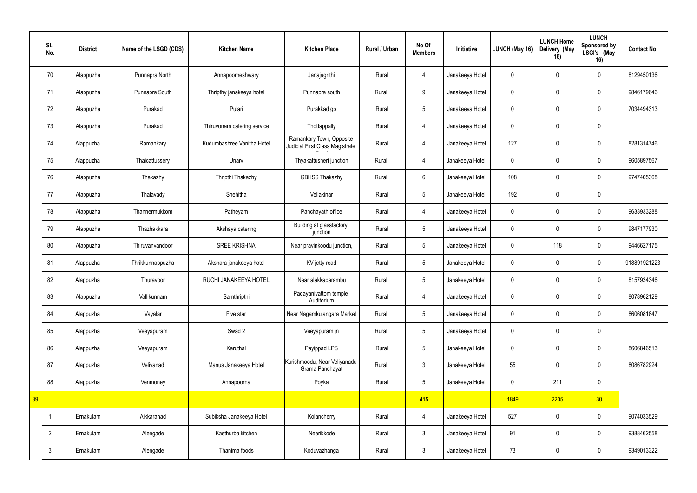| SI.<br>No.     | <b>District</b> | Name of the LSGD (CDS) | <b>Kitchen Name</b>         | <b>Kitchen Place</b>                                        | Rural / Urban | No Of<br><b>Members</b> | Initiative      | LUNCH (May 16) | <b>LUNCH Home</b><br>Delivery (May<br>16) | <b>LUNCH</b><br>Sponsored by<br>LSGI's (May<br>16) | <b>Contact No</b> |
|----------------|-----------------|------------------------|-----------------------------|-------------------------------------------------------------|---------------|-------------------------|-----------------|----------------|-------------------------------------------|----------------------------------------------------|-------------------|
| 70             | Alappuzha       | Punnapra North         | Annapoorneshwary            | Janajagrithi                                                | Rural         | $\overline{4}$          | Janakeeya Hotel | $\mathbf 0$    | $\Omega$                                  | $\mathbf 0$                                        | 8129450136        |
| 71             | Alappuzha       | Punnapra South         | Thripthy janakeeya hotel    | Punnapra south                                              | Rural         | 9                       | Janakeeya Hotel | $\mathbf 0$    | $\mathbf 0$                               | 0                                                  | 9846179646        |
| 72             | Alappuzha       | Purakad                | Pulari                      | Purakkad gp                                                 | Rural         | 5                       | Janakeeya Hotel | $\pmb{0}$      | $\Omega$                                  | $\mathbf 0$                                        | 7034494313        |
| 73             | Alappuzha       | Purakad                | Thiruvonam catering service | Thottappally                                                | Rural         | 4                       | Janakeeya Hotel | $\mathbf 0$    | $\mathbf{0}$                              | $\mathbf 0$                                        |                   |
| 74             | Alappuzha       | Ramankary              | Kudumbashree Vanitha Hotel  | Ramankary Town, Opposite<br>Judicial First Class Magistrate | Rural         | $\overline{4}$          | Janakeeya Hotel | 127            | $\Omega$                                  | $\mathbf 0$                                        | 8281314746        |
| 75             | Alappuzha       | Thaicattussery         | Unarv                       | Thyakattusheri junction                                     | Rural         | 4                       | Janakeeya Hotel | $\mathbf 0$    |                                           | $\mathbf 0$                                        | 9605897567        |
| 76             | Alappuzha       | Thakazhy               | Thripthi Thakazhy           | <b>GBHSS Thakazhy</b>                                       | Rural         | $6^{\circ}$             | Janakeeya Hotel | 108            | $\mathbf 0$                               | $\mathbf 0$                                        | 9747405368        |
| 77             | Alappuzha       | Thalavady              | Snehitha                    | Vellakinar                                                  | Rural         | 5                       | Janakeeya Hotel | 192            | $\mathbf 0$                               | $\mathbf 0$                                        |                   |
| 78             | Alappuzha       | Thannermukkom          | Patheyam                    | Panchayath office                                           | Rural         | 4                       | Janakeeya Hotel | $\pmb{0}$      | $\mathbf 0$                               | $\mathbf 0$                                        | 9633933288        |
| 79             | Alappuzha       | Thazhakkara            | Akshaya catering            | Building at glassfactory<br>junction                        | Rural         | 5                       | Janakeeya Hotel | $\mathbf 0$    |                                           | 0                                                  | 9847177930        |
| 80             | Alappuzha       | Thiruvanvandoor        | <b>SREE KRISHNA</b>         | Near pravinkoodu junction,                                  | Rural         | 5                       | Janakeeya Hotel | $\pmb{0}$      | 118                                       | $\mathbf 0$                                        | 9446627175        |
| 81             | Alappuzha       | Thrikkunnappuzha       | Akshara janakeeya hotel     | KV jetty road                                               | Rural         | 5                       | Janakeeya Hotel | $\mathbf 0$    | $\Omega$                                  | $\mathbf 0$                                        | 918891921223      |
| 82             | Alappuzha       | Thuravoor              | RUCHI JANAKEEYA HOTEL       | Near alakkaparambu                                          | Rural         | 5                       | Janakeeya Hotel | $\mathbf 0$    | $\Omega$                                  | 0                                                  | 8157934346        |
| 83             | Alappuzha       | Vallikunnam            | Samthripthi                 | Padayanivattom temple<br>Auditorium                         | Rural         | $\overline{4}$          | Janakeeya Hotel | $\mathbf 0$    | $\mathbf 0$                               | $\mathbf 0$                                        | 8078962129        |
| 84             | Alappuzha       | Vayalar                | Five star                   | Near Nagamkulangara Market                                  | Rural         | $5\phantom{.0}$         | Janakeeya Hotel | $\pmb{0}$      | $\pmb{0}$                                 | $\mathbf 0$                                        | 8606081847        |
| 85             | Alappuzha       | Veeyapuram             | Swad 2                      | Veeyapuram jn                                               | Rural         | $5\phantom{.0}$         | Janakeeya Hotel | $\pmb{0}$      | $\mathbf 0$                               | $\mathbf 0$                                        |                   |
| 86             | Alappuzha       | Veeyapuram             | Karuthal                    | Payippad LPS                                                | Rural         | $5\phantom{.0}$         | Janakeeya Hotel | $\pmb{0}$      | $\mathbf 0$                               | $\mathbf 0$                                        | 8606846513        |
| 87             | Alappuzha       | Veliyanad              | Manus Janakeeya Hotel       | Kurishmoodu, Near Veliyanadu<br>Grama Panchayat             | Rural         | $\mathfrak{Z}$          | Janakeeya Hotel | 55             | $\mathbf 0$                               | $\mathbf 0$                                        | 8086782924        |
| 88             | Alappuzha       | Venmoney               | Annapoorna                  | Poyka                                                       | Rural         | $5\phantom{.0}$         | Janakeeya Hotel | $\pmb{0}$      | 211                                       | $\mathbf 0$                                        |                   |
| 89             |                 |                        |                             |                                                             |               | 415                     |                 | 1849           | 2205                                      | 30 <sup>°</sup>                                    |                   |
| $\overline{1}$ | Ernakulam       | Aikkaranad             | Subiksha Janakeeya Hotel    | Kolancherry                                                 | Rural         | $\overline{4}$          | Janakeeya Hotel | 527            | $\mathbf 0$                               | $\mathbf 0$                                        | 9074033529        |
| $2^{\circ}$    | Ernakulam       | Alengade               | Kasthurba kitchen           | Neerikkode                                                  | Rural         | $\mathbf{3}$            | Janakeeya Hotel | 91             | $\overline{0}$                            | $\mathbf 0$                                        | 9388462558        |
| $\mathfrak{Z}$ | Ernakulam       | Alengade               | Thanima foods               | Koduvazhanga                                                | Rural         | $3\phantom{.0}$         | Janakeeya Hotel | 73             | $\mathbf 0$                               | $\mathbf 0$                                        | 9349013322        |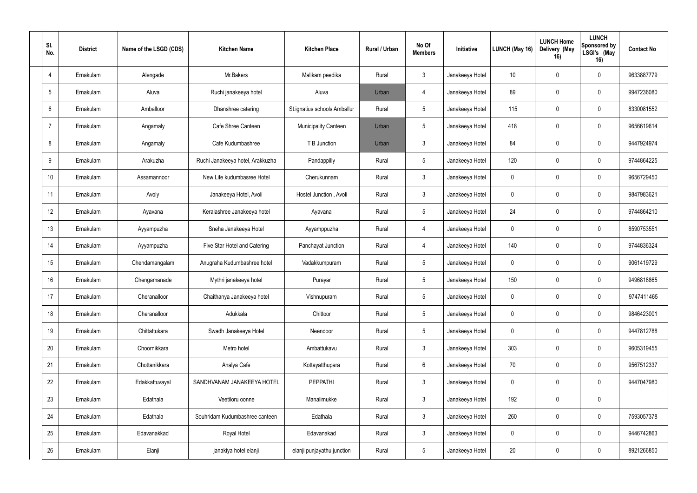| SI.<br>No.      | <b>District</b> | Name of the LSGD (CDS) | <b>Kitchen Name</b>              | <b>Kitchen Place</b>         | Rural / Urban | No Of<br><b>Members</b> | Initiative      | <b>LUNCH (May 16)</b> | <b>LUNCH Home</b><br>Delivery (May<br>16) | <b>LUNCH</b><br>Sponsored by<br>LSGI's (May<br>16) | <b>Contact No</b> |
|-----------------|-----------------|------------------------|----------------------------------|------------------------------|---------------|-------------------------|-----------------|-----------------------|-------------------------------------------|----------------------------------------------------|-------------------|
| $\overline{4}$  | Ernakulam       | Alengade               | Mr.Bakers                        | Malikam peedika              | Rural         | $\mathfrak{Z}$          | Janakeeya Hotel | 10                    | $\Omega$                                  | $\mathbf 0$                                        | 9633887779        |
| $5\phantom{.0}$ | Ernakulam       | Aluva                  | Ruchi janakeeya hotel            | Aluva                        | Urban         | $\overline{4}$          | Janakeeya Hotel | 89                    | $\theta$                                  | 0                                                  | 9947236080        |
| $6\,$           | Ernakulam       | Amballoor              | Dhanshree catering               | St.ignatius schools Amballur | Rural         | 5                       | Janakeeya Hotel | 115                   | $\Omega$                                  | 0                                                  | 8330081552        |
| $\overline{7}$  | Ernakulam       | Angamaly               | Cafe Shree Canteen               | Municipality Canteen         | Urban         | 5                       | Janakeeya Hotel | 418                   | $\mathbf 0$                               | $\mathbf 0$                                        | 9656619614        |
| 8               | Ernakulam       | Angamaly               | Cafe Kudumbashree                | T B Junction                 | Urban         | $\mathbf{3}$            | Janakeeya Hotel | 84                    | $\Omega$                                  | 0                                                  | 9447924974        |
| 9               | Ernakulam       | Arakuzha               | Ruchi Janakeeya hotel, Arakkuzha | Pandappilly                  | Rural         | $5\phantom{.0}$         | Janakeeya Hotel | 120                   | $\Omega$                                  | $\mathbf 0$                                        | 9744864225        |
| 10 <sup>°</sup> | Ernakulam       | Assamannoor            | New Life kudumbasree Hotel       | Cherukunnam                  | Rural         | $\mathbf{3}$            | Janakeeya Hotel | $\pmb{0}$             | $\Omega$                                  | $\mathbf 0$                                        | 9656729450        |
| 11              | Ernakulam       | Avoly                  | Janakeeya Hotel, Avoli           | Hostel Junction, Avoli       | Rural         | $\mathbf{3}$            | Janakeeya Hotel | $\mathbf 0$           | $\Omega$                                  | $\mathbf 0$                                        | 9847983621        |
| 12              | Ernakulam       | Ayavana                | Keralashree Janakeeya hotel      | Ayavana                      | Rural         | $5\phantom{.0}$         | Janakeeya Hotel | 24                    | 0                                         | $\mathbf 0$                                        | 9744864210        |
| 13              | Ernakulam       | Ayyampuzha             | Sneha Janakeeya Hotel            | Ayyamppuzha                  | Rural         | $\overline{4}$          | Janakeeya Hotel | $\mathbf 0$           | $\Omega$                                  | 0                                                  | 8590753551        |
| 14              | Ernakulam       | Ayyampuzha             | Five Star Hotel and Catering     | Panchayat Junction           | Rural         | $\overline{4}$          | Janakeeya Hotel | 140                   | $\mathbf 0$                               | $\mathbf 0$                                        | 9744836324        |
| 15              | Ernakulam       | Chendamangalam         | Anugraha Kudumbashree hotel      | Vadakkumpuram                | Rural         | 5                       | Janakeeya Hotel | $\mathbf 0$           | $\Omega$                                  | $\mathbf 0$                                        | 9061419729        |
| 16              | Ernakulam       | Chengamanade           | Mythri janakeeya hotel           | Purayar                      | Rural         | 5                       | Janakeeya Hotel | 150                   | $\Omega$                                  | $\mathbf 0$                                        | 9496818865        |
| 17              | Ernakulam       | Cheranalloor           | Chaithanya Janakeeya hotel       | Vishnupuram                  | Rural         | $5\,$                   | Janakeeya Hotel | $\pmb{0}$             | $\mathbf 0$                               | $\mathbf 0$                                        | 9747411465        |
| 18              | Ernakulam       | Cheranalloor           | Adukkala                         | Chittoor                     | Rural         | $5\,$                   | Janakeeya Hotel | $\pmb{0}$             | $\mathbf 0$                               | $\mathbf 0$                                        | 9846423001        |
| 19              | Ernakulam       | Chittattukara          | Swadh Janakeeya Hotel            | Neendoor                     | Rural         | $5\,$                   | Janakeeya Hotel | $\pmb{0}$             | $\mathbf 0$                               | $\mathbf 0$                                        | 9447812788        |
| 20              | Ernakulam       | Choornikkara           | Metro hotel                      | Ambattukavu                  | Rural         | $\mathfrak{Z}$          | Janakeeya Hotel | 303                   | $\mathbf 0$                               | $\mathbf 0$                                        | 9605319455        |
| 21              | Ernakulam       | Chottanikkara          | Ahalya Cafe                      | Kottayatthupara              | Rural         | $\boldsymbol{6}$        | Janakeeya Hotel | 70                    | $\mathbf 0$                               | $\mathbf 0$                                        | 9567512337        |
| 22              | Ernakulam       | Edakkattuvayal         | SANDHVANAM JANAKEEYA HOTEL       | PEPPATHI                     | Rural         | $\mathfrak{Z}$          | Janakeeya Hotel | $\pmb{0}$             | $\mathbf 0$                               | $\mathbf 0$                                        | 9447047980        |
| 23              | Ernakulam       | Edathala               | Veetiloru oonne                  | Manalimukke                  | Rural         | $\mathfrak{Z}$          | Janakeeya Hotel | 192                   | $\mathbf 0$                               | $\mathbf 0$                                        |                   |
| 24              | Ernakulam       | Edathala               | Souhridam Kudumbashree canteen   | Edathala                     | Rural         | $\mathfrak{Z}$          | Janakeeya Hotel | 260                   | $\mathbf 0$                               | $\mathbf 0$                                        | 7593057378        |
| 25              | Ernakulam       | Edavanakkad            | Royal Hotel                      | Edavanakad                   | Rural         | $\mathfrak{Z}$          | Janakeeya Hotel | $\pmb{0}$             | $\mathbf 0$                               | $\overline{0}$                                     | 9446742863        |
| 26              | Ernakulam       | Elanji                 | janakiya hotel elanji            | elanji punjayathu junction   | Rural         | $5\,$                   | Janakeeya Hotel | 20                    | $\pmb{0}$                                 | $\overline{0}$                                     | 8921266850        |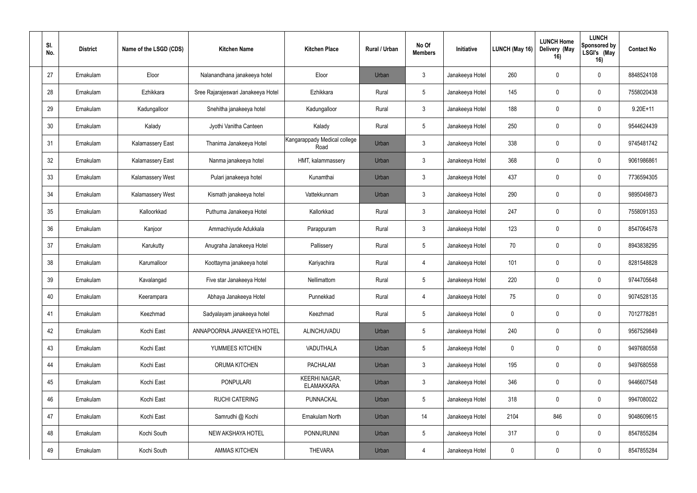| SI.<br>No. | <b>District</b> | Name of the LSGD (CDS) | <b>Kitchen Name</b>                | <b>Kitchen Place</b>                      | Rural / Urban | No Of<br><b>Members</b> | Initiative      | LUNCH (May 16) | <b>LUNCH Home</b><br>Delivery (May<br>16) | <b>LUNCH</b><br>Sponsored by<br>LSGI's (May<br>16) | <b>Contact No</b> |
|------------|-----------------|------------------------|------------------------------------|-------------------------------------------|---------------|-------------------------|-----------------|----------------|-------------------------------------------|----------------------------------------------------|-------------------|
| 27         | Ernakulam       | Eloor                  | Nalanandhana janakeeya hotel       | Eloor                                     | Urban         | $\mathbf{3}$            | Janakeeya Hotel | 260            | $\mathbf 0$                               | $\mathbf 0$                                        | 8848524108        |
| 28         | Ernakulam       | Ezhikkara              | Sree Rajarajeswari Janakeeya Hotel | Ezhikkara                                 | Rural         | $5\phantom{.0}$         | Janakeeya Hotel | 145            | $\mathbf 0$                               | $\mathbf 0$                                        | 7558020438        |
| 29         | Ernakulam       | Kadungalloor           | Snehitha janakeeya hotel           | Kadungalloor                              | Rural         | $\mathbf{3}$            | Janakeeya Hotel | 188            | $\mathbf 0$                               | $\overline{0}$                                     | $9.20E + 11$      |
| 30         | Ernakulam       | Kalady                 | Jyothi Vanitha Canteen             | Kalady                                    | Rural         | $5\overline{)}$         | Janakeeya Hotel | 250            | $\mathbf 0$                               | $\mathbf 0$                                        | 9544624439        |
| 31         | Ernakulam       | Kalamassery East       | Thanima Janakeeya Hotel            | Kangarappady Medical college<br>Road      | Urban         | $\mathbf{3}$            | Janakeeya Hotel | 338            | $\mathbf{0}$                              | $\mathbf 0$                                        | 9745481742        |
| 32         | Ernakulam       | Kalamassery East       | Nanma janakeeya hotel              | HMT, kalammassery                         | Urban         | $\mathbf{3}$            | Janakeeya Hotel | 368            | $\Omega$                                  | $\mathbf 0$                                        | 9061986861        |
| 33         | Ernakulam       | Kalamassery West       | Pulari janakeeya hotel             | Kunamthai                                 | Urban         | $\mathbf{3}$            | Janakeeya Hotel | 437            | $\mathbf 0$                               | $\mathbf 0$                                        | 7736594305        |
| 34         | Ernakulam       | Kalamassery West       | Kismath janakeeya hotel            | Vattekkunnam                              | Urban         | $\mathbf{3}$            | Janakeeya Hotel | 290            | $\mathbf 0$                               | $\mathbf 0$                                        | 9895049873        |
| 35         | Ernakulam       | Kalloorkkad            | Puthuma Janakeeya Hotel            | Kallorkkad                                | Rural         | $\mathbf{3}$            | Janakeeya Hotel | 247            | $\mathbf 0$                               | $\mathbf 0$                                        | 7558091353        |
| 36         | Ernakulam       | Kanjoor                | Ammachiyude Adukkala               | Parappuram                                | Rural         | $\mathbf{3}$            | Janakeeya Hotel | 123            | $\mathbf 0$                               | 0                                                  | 8547064578        |
| 37         | Ernakulam       | Karukutty              | Anugraha Janakeeya Hotel           | Pallissery                                | Rural         | $5\phantom{.0}$         | Janakeeya Hotel | 70             | $\mathbf 0$                               | $\mathbf 0$                                        | 8943838295        |
| 38         | Ernakulam       | Karumalloor            | Koottayma janakeeya hotel          | Kariyachira                               | Rural         | $\overline{4}$          | Janakeeya Hotel | 101            | $\Omega$                                  | $\mathbf 0$                                        | 8281548828        |
| 39         | Ernakulam       | Kavalangad             | Five star Janakeeya Hotel          | Nellimattom                               | Rural         | $\overline{5}$          | Janakeeya Hotel | 220            | $\mathbf 0$                               | $\mathbf 0$                                        | 9744705648        |
| 40         | Ernakulam       | Keerampara             | Abhaya Janakeeya Hotel             | Punnekkad                                 | Rural         | $\overline{4}$          | Janakeeya Hotel | 75             | $\mathbf 0$                               | $\mathbf 0$                                        | 9074528135        |
| 41         | Ernakulam       | Keezhmad               | Sadyalayam janakeeya hotel         | Keezhmad                                  | Rural         | $5\phantom{.0}$         | Janakeeya Hotel | $\pmb{0}$      | $\mathbf 0$                               | $\mathbf 0$                                        | 7012778281        |
| 42         | Ernakulam       | Kochi East             | ANNAPOORNA JANAKEEYA HOTEL         | ALINCHUVADU                               | Urban         | $5\overline{)}$         | Janakeeya Hotel | 240            | $\mathbf 0$                               | $\mathbf 0$                                        | 9567529849        |
| 43         | Ernakulam       | Kochi East             | YUMMEES KITCHEN                    | VADUTHALA                                 | Urban         | $5\phantom{.0}$         | Janakeeya Hotel | $\pmb{0}$      | $\mathbf 0$                               | $\overline{0}$                                     | 9497680558        |
| 44         | Ernakulam       | Kochi East             | ORUMA KITCHEN                      | <b>PACHALAM</b>                           | Urban         | $\mathfrak{Z}$          | Janakeeya Hotel | 195            | $\mathbf 0$                               | $\mathbf 0$                                        | 9497680558        |
| 45         | Ernakulam       | Kochi East             | <b>PONPULARI</b>                   | <b>KEERHI NAGAR,</b><br><b>ELAMAKKARA</b> | Urban         | $\mathbf{3}$            | Janakeeya Hotel | 346            | $\mathbf 0$                               | $\mathbf 0$                                        | 9446607548        |
| 46         | Ernakulam       | Kochi East             | <b>RUCHI CATERING</b>              | PUNNACKAL                                 | Urban         | $5\phantom{.0}$         | Janakeeya Hotel | 318            | $\mathbf 0$                               | $\mathbf 0$                                        | 9947080022        |
| 47         | Ernakulam       | Kochi East             | Samrudhi @ Kochi                   | Ernakulam North                           | Urban         | 14                      | Janakeeya Hotel | 2104           | 846                                       | $\mathbf 0$                                        | 9048609615        |
| 48         | Ernakulam       | Kochi South            | NEW AKSHAYA HOTEL                  | PONNURUNNI                                | Urban         | $\sqrt{5}$              | Janakeeya Hotel | 317            | $\mathbf 0$                               | $\mathbf 0$                                        | 8547855284        |
| 49         | Ernakulam       | Kochi South            | <b>AMMAS KITCHEN</b>               | <b>THEVARA</b>                            | Urban         | $\overline{4}$          | Janakeeya Hotel | $\pmb{0}$      | $\mathbf 0$                               | $\mathbf 0$                                        | 8547855284        |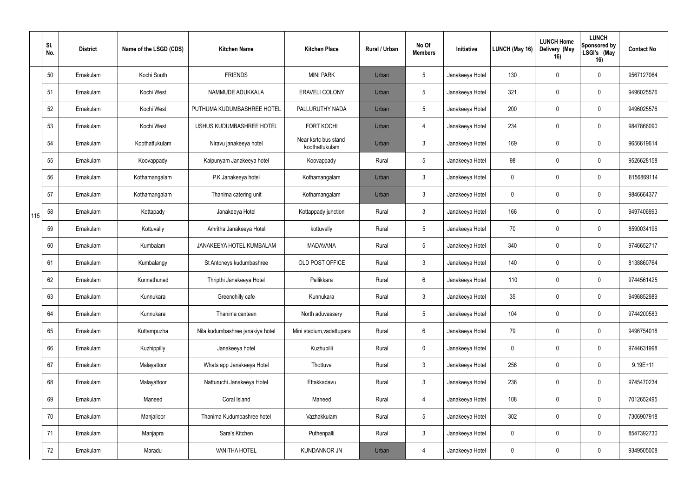|     | SI.<br>No. | <b>District</b> | Name of the LSGD (CDS) | <b>Kitchen Name</b>              | <b>Kitchen Place</b>                   | Rural / Urban | No Of<br><b>Members</b> | Initiative      | LUNCH (May 16) | <b>LUNCH Home</b><br>Delivery (May<br>16) | <b>LUNCH</b><br>Sponsored by<br>LSGI's (May<br>16) | <b>Contact No</b> |
|-----|------------|-----------------|------------------------|----------------------------------|----------------------------------------|---------------|-------------------------|-----------------|----------------|-------------------------------------------|----------------------------------------------------|-------------------|
|     | 50         | Ernakulam       | Kochi South            | <b>FRIENDS</b>                   | <b>MINI PARK</b>                       | Urban         | $5\overline{)}$         | Janakeeya Hotel | 130            |                                           | $\mathbf 0$                                        | 9567127064        |
|     | 51         | Ernakulam       | Kochi West             | NAMMUDE ADUKKALA                 | <b>ERAVELI COLONY</b>                  | Urban         | $5\phantom{.0}$         | Janakeeya Hotel | 321            | $\Omega$                                  | $\mathbf 0$                                        | 9496025576        |
|     | 52         | Ernakulam       | Kochi West             | PUTHUMA KUDUMBASHREE HOTEL       | PALLURUTHY NADA                        | Urban         | $5\phantom{.0}$         | Janakeeya Hotel | 200            | $\Omega$                                  | $\mathbf 0$                                        | 9496025576        |
|     | 53         | Ernakulam       | Kochi West             | USHUS KUDUMBASHREE HOTEL         | <b>FORT KOCHI</b>                      | Urban         | $\overline{4}$          | Janakeeya Hotel | 234            | $\Omega$                                  | $\mathbf 0$                                        | 9847866090        |
|     | 54         | Ernakulam       | Koothattukulam         | Niravu janakeeya hotel           | Near ksrtc bus stand<br>koothattukulam | Urban         | $\mathbf{3}$            | Janakeeya Hotel | 169            | $\Omega$                                  | $\mathbf 0$                                        | 9656619614        |
|     | 55         | Ernakulam       | Koovappady             | Kaipunyam Janakeeya hotel        | Koovappady                             | Rural         | $5\phantom{.0}$         | Janakeeya Hotel | 98             |                                           | $\mathbf 0$                                        | 9526628158        |
|     | 56         | Ernakulam       | Kothamangalam          | P.K Janakeeya hotel              | Kothamangalam                          | Urban         | $\mathbf{3}$            | Janakeeya Hotel | $\mathbf 0$    | $\Omega$                                  | $\mathbf 0$                                        | 8156869114        |
|     | 57         | Ernakulam       | Kothamangalam          | Thanima catering unit            | Kothamangalam                          | Urban         | $\mathbf{3}$            | Janakeeya Hotel | $\mathbf 0$    |                                           | $\mathbf 0$                                        | 9846664377        |
| 115 | 58         | Ernakulam       | Kottapady              | Janakeeya Hotel                  | Kottappady junction                    | Rural         | $\mathbf{3}$            | Janakeeya Hotel | 166            | $\Omega$                                  | $\mathbf 0$                                        | 9497406993        |
|     | 59         | Ernakulam       | Kottuvally             | Amritha Janakeeya Hotel          | kottuvally                             | Rural         | $5\phantom{.0}$         | Janakeeya Hotel | 70             |                                           | $\mathbf 0$                                        | 8590034196        |
|     | 60         | Ernakulam       | Kumbalam               | JANAKEEYA HOTEL KUMBALAM         | <b>MADAVANA</b>                        | Rural         | $5\phantom{.0}$         | Janakeeya Hotel | 340            | $\Omega$                                  | $\mathbf 0$                                        | 9746652717        |
|     | 61         | Ernakulam       | Kumbalangy             | St Antoneys kudumbashree         | OLD POST OFFICE                        | Rural         | $\mathbf{3}$            | Janakeeya Hotel | 140            | $\Omega$                                  | $\mathbf 0$                                        | 8138860764        |
|     | 62         | Ernakulam       | Kunnathunad            | Thripthi Janakeeya Hotel         | Pallikkara                             | Rural         | $6\overline{6}$         | Janakeeya Hotel | 110            | $\Omega$                                  | $\mathbf 0$                                        | 9744561425        |
|     | 63         | Ernakulam       | Kunnukara              | Greenchilly cafe                 | Kunnukara                              | Rural         | $\mathbf{3}$            | Janakeeya Hotel | 35             | $\overline{0}$                            | $\mathbf 0$                                        | 9496852989        |
|     | 64         | Ernakulam       | Kunnukara              | Thanima canteen                  | North aduvassery                       | Rural         | $5\overline{)}$         | Janakeeya Hotel | 104            | 0                                         | $\mathbf 0$                                        | 9744200583        |
|     | 65         | Ernakulam       | Kuttampuzha            | Nila kudumbashree janakiya hotel | Mini stadium, vadattupara              | Rural         | $6\overline{6}$         | Janakeeya Hotel | 79             | 0                                         | $\mathbf 0$                                        | 9496754018        |
|     | 66         | Ernakulam       | Kuzhippilly            | Janakeeya hotel                  | Kuzhupilli                             | Rural         | $\overline{0}$          | Janakeeya Hotel | $\mathbf 0$    | $\mathbf 0$                               | $\mathbf 0$                                        | 9744631998        |
|     | 67         | Ernakulam       | Malayattoor            | Whats app Janakeeya Hotel        | Thottuva                               | Rural         | $\mathbf{3}$            | Janakeeya Hotel | 256            | $\mathbf 0$                               | $\mathbf 0$                                        | $9.19E + 11$      |
|     | 68         | Ernakulam       | Malayattoor            | Natturuchi Janakeeya Hotel       | Ettakkadavu                            | Rural         | $\mathbf{3}$            | Janakeeya Hotel | 236            | 0                                         | $\mathbf 0$                                        | 9745470234        |
|     | 69         | Ernakulam       | Maneed                 | Coral Island                     | Maneed                                 | Rural         | $\overline{4}$          | Janakeeya Hotel | 108            | $\mathbf 0$                               | $\mathbf 0$                                        | 7012652495        |
|     | 70         | Ernakulam       | Manjalloor             | Thanima Kudumbashree hotel       | Vazhakkulam                            | Rural         | $5\phantom{.0}$         | Janakeeya Hotel | 302            | 0                                         | $\mathbf 0$                                        | 7306907918        |
|     | 71         | Ernakulam       | Manjapra               | Sara's Kitchen                   | Puthenpalli                            | Rural         | $\mathbf{3}$            | Janakeeya Hotel | $\mathbf 0$    | $\mathbf 0$                               | $\mathbf 0$                                        | 8547392730        |
|     | 72         | Ernakulam       | Maradu                 | <b>VANITHA HOTEL</b>             | <b>KUNDANNOR JN</b>                    | Urban         | $\overline{4}$          | Janakeeya Hotel | $\pmb{0}$      | $\boldsymbol{0}$                          | $\mathbf 0$                                        | 9349505008        |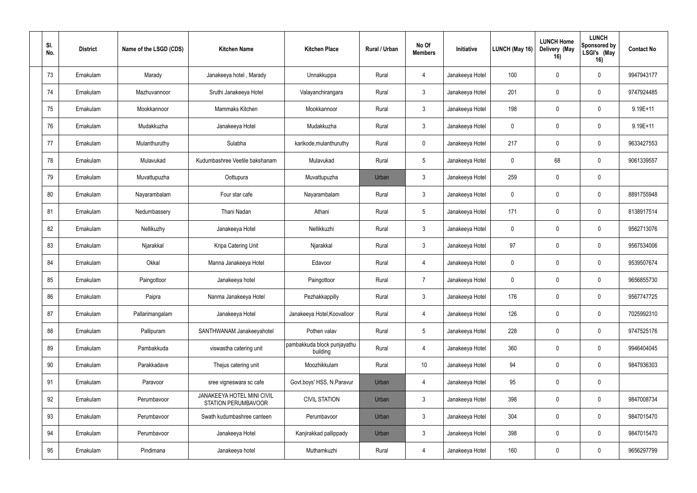| SI.<br>No. | <b>District</b> | Name of the LSGD (CDS) | <b>Kitchen Name</b>                                      | <b>Kitchen Place</b>                    | Rural / Urban | No Of<br><b>Members</b> | Initiative      | LUNCH (May 16) | <b>LUNCH Home</b><br>Delivery (May<br>16) | <b>LUNCH</b><br>Sponsored by<br>LSGI's (May<br>16) | <b>Contact No</b> |
|------------|-----------------|------------------------|----------------------------------------------------------|-----------------------------------------|---------------|-------------------------|-----------------|----------------|-------------------------------------------|----------------------------------------------------|-------------------|
| 73         | Ernakulam       | Marady                 | Janakeeya hotel, Marady                                  | Unnakkuppa                              | Rural         | 4                       | Janakeeya Hotel | 100            | $\Omega$                                  | $\mathbf 0$                                        | 9947943177        |
| 74         | Ernakulam       | Mazhuvannoor           | Sruthi Janakeeya Hotel                                   | Valayanchirangara                       | Rural         | $\mathbf{3}$            | Janakeeya Hotel | 201            | $\mathbf 0$                               | $\mathbf 0$                                        | 9747924485        |
| 75         | Ernakulam       | Mookkannoor            | Mammaks Kitchen                                          | Mookkannoor                             | Rural         | $\mathbf{3}$            | Janakeeya Hotel | 198            | $\Omega$                                  | 0                                                  | $9.19E + 11$      |
| 76         | Ernakulam       | Mudakkuzha             | Janakeeya Hotel                                          | Mudakkuzha                              | Rural         | $\mathfrak{Z}$          | Janakeeya Hotel | $\mathbf 0$    | $\mathbf 0$                               | $\mathbf 0$                                        | $9.19E + 11$      |
| 77         | Ernakulam       | Mulanthuruthy          | Sulabha                                                  | karikode, mulanthuruthy                 | Rural         | $\mathbf 0$             | Janakeeya Hotel | 217            | $\theta$                                  | $\mathbf 0$                                        | 9633427553        |
| 78         | Ernakulam       | Mulavukad              | Kudumbashree Veetile bakshanam                           | Mulavukad                               | Rural         | $5\phantom{.0}$         | Janakeeya Hotel | $\pmb{0}$      | 68                                        | $\mathbf 0$                                        | 9061339557        |
| 79         | Ernakulam       | Muvattupuzha           | Oottupura                                                | Muvattupuzha                            | Urban         | $\mathbf{3}$            | Janakeeya Hotel | 259            | $\mathbf 0$                               | $\mathbf 0$                                        |                   |
| 80         | Ernakulam       | Nayarambalam           | Four star cafe                                           | Nayarambalam                            | Rural         | $\mathbf{3}$            | Janakeeya Hotel | $\mathbf 0$    | $\Omega$                                  | $\mathbf 0$                                        | 8891755948        |
| 81         | Ernakulam       | Nedumbassery           | Thani Nadan                                              | Athani                                  | Rural         | $5\phantom{.0}$         | Janakeeya Hotel | 171            | $\mathbf 0$                               | 0                                                  | 8138917514        |
| 82         | Ernakulam       | Nellikuzhy             | Janakeeya Hotel                                          | Nellikkuzhi                             | Rural         | $\mathbf{3}$            | Janakeeya Hotel | $\mathbf 0$    | $\Omega$                                  | 0                                                  | 9562713076        |
| 83         | Ernakulam       | Njarakkal              | Kripa Catering Unit                                      | Njarakkal                               | Rural         | $\mathbf{3}$            | Janakeeya Hotel | 97             | $\mathbf 0$                               | $\mathbf 0$                                        | 9567534006        |
| 84         | Ernakulam       | Okkal                  | Manna Janakeeya Hotel                                    | Edavoor                                 | Rural         | 4                       | Janakeeya Hotel | $\mathbf 0$    | $\Omega$                                  | $\mathbf 0$                                        | 9539507674        |
| 85         | Ernakulam       | Paingottoor            | Janakeeya hotel                                          | Paingottoor                             | Rural         | $\overline{7}$          | Janakeeya Hotel | $\mathbf 0$    | $\Omega$                                  | $\mathbf 0$                                        | 9656855730        |
| 86         | Ernakulam       | Paipra                 | Nanma Janakeeya Hotel                                    | Pezhakkappilly                          | Rural         | $\mathbf{3}$            | Janakeeya Hotel | 176            | $\mathbf 0$                               | $\mathbf 0$                                        | 9567747725        |
| 87         | Ernakulam       | Pallarimangalam        | Janakeeya Hotel                                          | Janakeeya Hotel, Koovalloor             | Rural         | $\overline{4}$          | Janakeeya Hotel | 126            | $\mathbf 0$                               | $\mathbf 0$                                        | 7025992310        |
| 88         | Ernakulam       | Pallipuram             | SANTHWANAM Janakeeyahotel                                | Pothen valav                            | Rural         | $5\,$                   | Janakeeya Hotel | 228            | $\mathbf 0$                               | $\mathbf 0$                                        | 9747525176        |
| 89         | Ernakulam       | Pambakkuda             | viswastha catering unit                                  | pambakkuda block punjayathu<br>building | Rural         | $\overline{4}$          | Janakeeya Hotel | 360            | $\mathbf 0$                               | $\mathbf 0$                                        | 9946404045        |
| 90         | Ernakulam       | Parakkadave            | Thejus catering unit                                     | Moozhikkulam                            | Rural         | 10 <sup>°</sup>         | Janakeeya Hotel | 94             | $\mathbf 0$                               | $\mathbf 0$                                        | 9847936303        |
| 91         | Ernakulam       | Paravoor               | sree vigneswara sc cafe                                  | Govt.boys' HSS, N.Paravur               | Urban         | $\overline{4}$          | Janakeeya Hotel | 95             | $\mathbf 0$                               | $\mathbf 0$                                        |                   |
| 92         | Ernakulam       | Perumbavoor            | JANAKEEYA HOTEL MINI CIVIL<br><b>STATION PERUMBAVOOR</b> | <b>CIVIL STATION</b>                    | Urban         | $\mathfrak{Z}$          | Janakeeya Hotel | 398            | $\mathbf 0$                               | $\mathbf 0$                                        | 9847008734        |
| 93         | Ernakulam       | Perumbavoor            | Swath kudumbashree canteen                               | Perumbavoor                             | Urban         | $\mathfrak{Z}$          | Janakeeya Hotel | 304            | $\mathbf 0$                               | $\mathbf 0$                                        | 9847015470        |
| 94         | Ernakulam       | Perumbavoor            | Janakeeya Hotel                                          | Kanjirakkad pallippady                  | Urban         | $\mathfrak{Z}$          | Janakeeya Hotel | 398            | $\mathbf 0$                               | $\mathbf 0$                                        | 9847015470        |
| 95         | Ernakulam       | Pindimana              | Janakeeya hotel                                          | Muthamkuzhi                             | Rural         | $\overline{4}$          | Janakeeya Hotel | 160            | $\pmb{0}$                                 | $\mathbf 0$                                        | 9656297799        |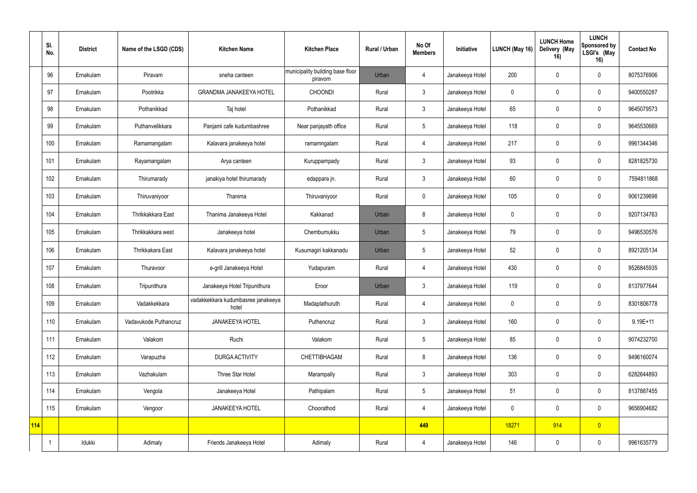|     | SI.<br>No. | <b>District</b> | Name of the LSGD (CDS) | <b>Kitchen Name</b>                         | <b>Kitchen Place</b>                        | Rural / Urban | No Of<br><b>Members</b> | Initiative      | LUNCH (May 16) | <b>LUNCH Home</b><br>Delivery (May<br>16) | <b>LUNCH</b><br>Sponsored by<br>LSGI's (May<br>16) | <b>Contact No</b> |
|-----|------------|-----------------|------------------------|---------------------------------------------|---------------------------------------------|---------------|-------------------------|-----------------|----------------|-------------------------------------------|----------------------------------------------------|-------------------|
|     | 96         | Ernakulam       | Piravam                | sneha canteen                               | municipality building base floor<br>piravom | Urban         | $\overline{4}$          | Janakeeya Hotel | 200            | $\mathbf 0$                               | $\mathbf 0$                                        | 8075376906        |
|     | 97         | Ernakulam       | Pootrikka              | <b>GRANDMA JANAKEEYA HOTEL</b>              | <b>CHOONDI</b>                              | Rural         | $\mathbf{3}$            | Janakeeya Hotel | $\mathbf 0$    | 0                                         | $\mathbf 0$                                        | 9400550287        |
|     | 98         | Ernakulam       | Pothanikkad            | Taj hotel                                   | Pothanikkad                                 | Rural         | $\mathfrak{Z}$          | Janakeeya Hotel | 65             |                                           | $\mathbf 0$                                        | 9645079573        |
|     | 99         | Ernakulam       | Puthanvelikkara        | Panjami cafe kudumbashree                   | Near panjayath office                       | Rural         | 5                       | Janakeeya Hotel | 118            | $\mathbf 0$                               | $\mathbf 0$                                        | 9645530669        |
|     | 100        | Ernakulam       | Ramamangalam           | Kalavara janakeeya hotel                    | ramamngalam                                 | Rural         | $\overline{4}$          | Janakeeya Hotel | 217            | $\Omega$                                  | $\mathbf 0$                                        | 9961344346        |
|     | 101        | Ernakulam       | Rayamangalam           | Arya canteen                                | Kuruppampady                                | Rural         | $\mathbf{3}$            | Janakeeya Hotel | 93             | $\Omega$                                  | $\mathbf 0$                                        | 8281825730        |
|     | 102        | Ernakulam       | Thirumarady            | janakiya hotel thirumarady                  | edappara jn.                                | Rural         | $\mathbf{3}$            | Janakeeya Hotel | 60             | $\Omega$                                  | $\mathbf 0$                                        | 7594811868        |
|     | 103        | Ernakulam       | Thiruvaniyoor          | Thanima                                     | Thiruvaniyoor                               | Rural         | $\mathbf 0$             | Janakeeya Hotel | 105            | $\mathbf 0$                               | $\mathbf 0$                                        | 9061239698        |
|     | 104        | Ernakulam       | Thrikkakkara East      | Thanima Janakeeya Hotel                     | Kakkanad                                    | Urban         | 8                       | Janakeeya Hotel | $\mathbf 0$    |                                           | $\mathbf 0$                                        | 9207134763        |
|     | 105        | Ernakulam       | Thrikkakkara west      | Janakeeya hotel                             | Chembumukku                                 | Urban         | 5                       | Janakeeya Hotel | 79             | $\Omega$                                  | $\mathbf 0$                                        | 9496530576        |
|     | 106        | Ernakulam       | Thrikkakara East       | Kalavara janakeeya hotel                    | Kusumagiri kakkanadu                        | Urban         | $5\overline{)}$         | Janakeeya Hotel | 52             |                                           | $\mathbf 0$                                        | 8921205134        |
|     | 107        | Ernakulam       | Thuravoor              | e-grill Janakeeya Hotel                     | Yudapuram                                   | Rural         | 4                       | Janakeeya Hotel | 430            | 0                                         | $\mathbf 0$                                        | 9526845935        |
|     | 108        | Ernakulam       | Tripunithura           | Janakeeya Hotel Tripunithura                | Eroor                                       | Urban         | 3                       | Janakeeya Hotel | 119            | 0                                         | $\mathbf 0$                                        | 8137977644        |
|     | 109        | Ernakulam       | Vadakkekkara           | vadakkekkara kudumbasree janakeeya<br>hotel | Madaplathuruth                              | Rural         | $\overline{4}$          | Janakeeya Hotel | $\mathbf 0$    | $\mathbf{0}$                              | $\mathbf 0$                                        | 8301806778        |
|     | 110        | Ernakulam       | Vadavukode Puthancruz  | JANAKEEYA HOTEL                             | Puthencruz                                  | Rural         | $3\phantom{a}$          | Janakeeya Hotel | 160            | $\mathbf 0$                               | $\mathbf 0$                                        | $9.19E + 11$      |
|     | 111        | Ernakulam       | Valakom                | Ruchi                                       | Valakom                                     | Rural         | $5\phantom{.0}$         | Janakeeya Hotel | 85             | 0                                         | $\mathbf 0$                                        | 9074232700        |
|     | 112        | Ernakulam       | Varapuzha              | DURGA ACTIVITY                              | CHETTIBHAGAM                                | Rural         | 8                       | Janakeeya Hotel | 136            | $\mathbf 0$                               | $\mathbf 0$                                        | 9496160074        |
|     | 113        | Ernakulam       | Vazhakulam             | Three Star Hotel                            | Marampally                                  | Rural         | $3\phantom{a}$          | Janakeeya Hotel | 303            | $\mathbf 0$                               | $\mathbf 0$                                        | 6282644893        |
|     | 114        | Ernakulam       | Vengola                | Janakeeya Hotel                             | Pathipalam                                  | Rural         | $5\phantom{.0}$         | Janakeeya Hotel | 51             | $\boldsymbol{0}$                          | $\mathbf 0$                                        | 8137887455        |
|     | 115        | Ernakulam       | Vengoor                | <b>JANAKEEYA HOTEL</b>                      | Choorathod                                  | Rural         | $\overline{4}$          | Janakeeya Hotel | $\mathbf 0$    | $\mathbf 0$                               | $\mathbf 0$                                        | 9656904682        |
| 114 |            |                 |                        |                                             |                                             |               | 449                     |                 | 18271          | 914                                       | $\overline{0}$                                     |                   |
|     |            | Idukki          | Adimaly                | Friends Janakeeya Hotel                     | Adimaly                                     | Rural         | $\overline{4}$          | Janakeeya Hotel | 146            | $\pmb{0}$                                 | $\mathbf 0$                                        | 9961635779        |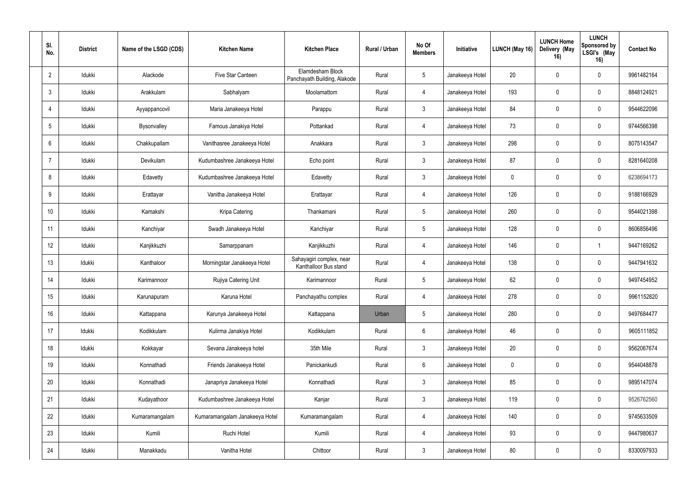| SI.<br>No.     | <b>District</b> | Name of the LSGD (CDS) | <b>Kitchen Name</b>            | <b>Kitchen Place</b>                              | Rural / Urban | No Of<br><b>Members</b> | Initiative      | LUNCH (May 16) | <b>LUNCH Home</b><br>Delivery (May<br>16) | <b>LUNCH</b><br>Sponsored by<br>LSGI's (May<br>16) | <b>Contact No</b> |
|----------------|-----------------|------------------------|--------------------------------|---------------------------------------------------|---------------|-------------------------|-----------------|----------------|-------------------------------------------|----------------------------------------------------|-------------------|
| $\overline{2}$ | Idukki          | Alackode               | Five Star Canteen              | Elamdesham Block<br>Panchayath Building, Alakode  | Rural         | $5\phantom{.0}$         | Janakeeya Hotel | 20             | $\Omega$                                  | 0                                                  | 9961482164        |
| 3              | Idukki          | Arakkulam              | Sabhalyam                      | Moolamattom                                       | Rural         | $\overline{4}$          | Janakeeya Hotel | 193            | $\mathbf 0$                               | $\mathbf 0$                                        | 8848124921        |
| $\overline{4}$ | Idukki          | Ayyappancovil          | Maria Janakeeya Hotel          | Parappu                                           | Rural         | $\mathbf{3}$            | Janakeeya Hotel | 84             | $\Omega$                                  | $\mathbf 0$                                        | 9544622096        |
| 5              | Idukki          | Bysonvalley            | Famous Janakiya Hotel          | Pottankad                                         | Rural         | $\overline{4}$          | Janakeeya Hotel | 73             | $\Omega$                                  | $\mathbf 0$                                        | 9744566398        |
| 6              | Idukki          | Chakkupallam           | Vanithasree Janakeeya Hotel    | Anakkara                                          | Rural         | $\mathbf{3}$            | Janakeeya Hotel | 298            | $\Omega$                                  | $\mathbf 0$                                        | 8075143547        |
| $\overline{7}$ | Idukki          | Devikulam              | Kudumbashree Janakeeya Hotel   | Echo point                                        | Rural         | $\mathbf{3}$            | Janakeeya Hotel | 87             | $\Omega$                                  | $\mathbf 0$                                        | 8281640208        |
| 8              | Idukki          | Edavetty               | Kudumbashree Janakeeya Hotel   | Edavetty                                          | Rural         | $\mathbf{3}$            | Janakeeya Hotel | $\mathbf 0$    | $\mathbf 0$                               | $\mathbf 0$                                        | 6238694173        |
| 9              | Idukki          | Erattayar              | Vanitha Janakeeya Hotel        | Erattayar                                         | Rural         | $\overline{4}$          | Janakeeya Hotel | 126            | $\Omega$                                  | $\mathbf 0$                                        | 9188166929        |
| 10             | ldukki          | Kamakshi               | Kripa Catering                 | Thankamani                                        | Rural         | $5\phantom{.0}$         | Janakeeya Hotel | 260            | $\mathbf{0}$                              | $\mathbf 0$                                        | 9544021398        |
| 11             | Idukki          | Kanchiyar              | Swadh Janakeeya Hotel          | Kanchiyar                                         | Rural         | $5\phantom{.0}$         | Janakeeya Hotel | 128            | $\Omega$                                  | 0                                                  | 8606856496        |
| 12             | Idukki          | Kanjikkuzhi            | Samarppanam                    | Kanjikkuzhi                                       | Rural         | $\overline{4}$          | Janakeeya Hotel | 146            | $\mathbf 0$                               |                                                    | 9447169262        |
| 13             | Idukki          | Kanthaloor             | Morningstar Janakeeya Hotel    | Sahayagiri complex, near<br>Kanthalloor Bus stand | Rural         | $\overline{4}$          | Janakeeya Hotel | 138            | $\Omega$                                  | 0                                                  | 9447941632        |
| 14             | Idukki          | Karimannoor            | Rujiya Catering Unit           | Karimannoor                                       | Rural         | $5\phantom{.0}$         | Janakeeya Hotel | 62             | $\Omega$                                  | $\mathbf 0$                                        | 9497454952        |
| 15             | Idukki          | Karunapuram            | Karuna Hotel                   | Panchayathu complex                               | Rural         | 4                       | Janakeeya Hotel | 278            | $\mathbf 0$                               | $\mathbf 0$                                        | 9961152820        |
| 16             | Idukki          | Kattappana             | Karunya Janakeeya Hotel        | Kattappana                                        | Urban         | $5\overline{)}$         | Janakeeya Hotel | 280            | $\mathbf 0$                               | $\mathbf 0$                                        | 9497684477        |
| 17             | Idukki          | Kodikkulam             | Kulirma Janakiya Hotel         | Kodikkulam                                        | Rural         | $6\phantom{.}6$         | Janakeeya Hotel | 46             | $\mathbf 0$                               | $\mathbf 0$                                        | 9605111852        |
| 18             | Idukki          | Kokkayar               | Sevana Janakeeya hotel         | 35th Mile                                         | Rural         | 3 <sup>1</sup>          | Janakeeya Hotel | 20             | $\mathbf 0$                               | $\mathbf 0$                                        | 9562067674        |
| 19             | Idukki          | Konnathadi             | Friends Janakeeya Hotel        | Panickankudi                                      | Rural         | $6\phantom{.}6$         | Janakeeya Hotel | $\pmb{0}$      | $\mathbf 0$                               | $\mathbf 0$                                        | 9544048878        |
| 20             | Idukki          | Konnathadi             | Janapriya Janakeeya Hotel      | Konnathadi                                        | Rural         | 3 <sup>1</sup>          | Janakeeya Hotel | 85             | $\mathbf 0$                               | $\mathbf 0$                                        | 9895147074        |
| 21             | Idukki          | Kudayathoor            | Kudumbashree Janakeeya Hotel   | Kanjar                                            | Rural         | $\mathbf{3}$            | Janakeeya Hotel | 119            | $\mathbf 0$                               | $\mathbf 0$                                        | 9526762560        |
| 22             | Idukki          | Kumaramangalam         | Kumaramangalam Janakeeya Hotel | Kumaramangalam                                    | Rural         | $\overline{4}$          | Janakeeya Hotel | 140            | $\mathbf 0$                               | $\mathbf 0$                                        | 9745633509        |
| 23             | Idukki          | Kumili                 | Ruchi Hotel                    | Kumili                                            | Rural         | $\overline{4}$          | Janakeeya Hotel | 93             | $\mathbf 0$                               | $\mathbf 0$                                        | 9447980637        |
| 24             | Idukki          | Manakkadu              | Vanitha Hotel                  | Chittoor                                          | Rural         | $\mathbf{3}$            | Janakeeya Hotel | $80\,$         | $\mathbf 0$                               | $\mathbf 0$                                        | 8330097933        |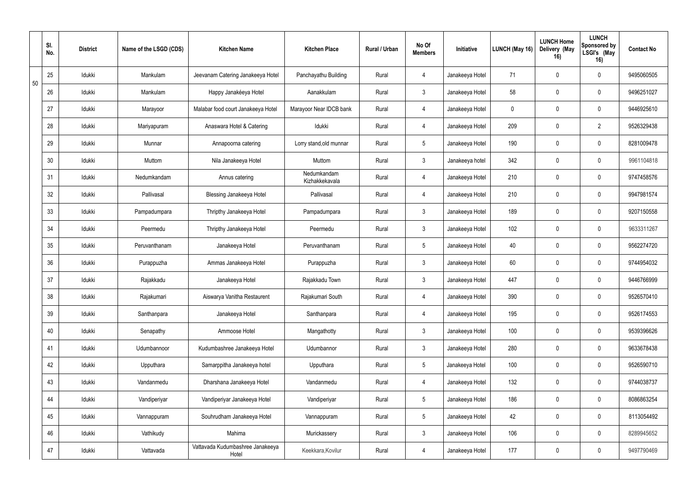|    | SI.<br>No. | <b>District</b> | Name of the LSGD (CDS) | <b>Kitchen Name</b>                       | <b>Kitchen Place</b>          | Rural / Urban | No Of<br><b>Members</b> | Initiative      | <b>LUNCH (May 16)</b> | <b>LUNCH Home</b><br>Delivery (May<br>16) | <b>LUNCH</b><br>Sponsored by<br>LSGI's (May<br>16) | <b>Contact No</b> |
|----|------------|-----------------|------------------------|-------------------------------------------|-------------------------------|---------------|-------------------------|-----------------|-----------------------|-------------------------------------------|----------------------------------------------------|-------------------|
| 50 | 25         | Idukki          | Mankulam               | Jeevanam Catering Janakeeya Hotel         | Panchayathu Building          | Rural         | $\overline{4}$          | Janakeeya Hotel | 71                    |                                           | $\mathbf 0$                                        | 9495060505        |
|    | 26         | Idukki          | Mankulam               | Happy Janakéeya Hotel                     | Aanakkulam                    | Rural         | $\mathbf{3}$            | Janakeeya Hotel | 58                    | $\overline{0}$                            | $\mathbf 0$                                        | 9496251027        |
|    | 27         | Idukki          | Marayoor               | Malabar food court Janakeeya Hotel        | Marayoor Near IDCB bank       | Rural         | $\overline{4}$          | Janakeeya Hotel | $\mathbf 0$           | $\Omega$                                  | $\mathbf 0$                                        | 9446925610        |
|    | 28         | Idukki          | Mariyapuram            | Anaswara Hotel & Catering                 | Idukki                        | Rural         | $\overline{4}$          | Janakeeya Hotel | 209                   | $\Omega$                                  | $\overline{2}$                                     | 9526329438        |
|    | 29         | Idukki          | Munnar                 | Annapoorna catering                       | Lorry stand, old munnar       | Rural         | $5\overline{)}$         | Janakeeya Hotel | 190                   | $\Omega$                                  | $\mathbf 0$                                        | 8281009478        |
|    | 30         | Idukki          | Muttom                 | Nila Janakeeya Hotel                      | Muttom                        | Rural         | $\mathbf{3}$            | Janakeeya hotel | 342                   | $\Omega$                                  | $\mathbf 0$                                        | 9961104818        |
|    | 31         | Idukki          | Nedumkandam            | Annus catering                            | Nedumkandam<br>Kizhakkekavala | Rural         | $\overline{4}$          | Janakeeya Hotel | 210                   | $\mathbf 0$                               | $\mathbf 0$                                        | 9747458576        |
|    | 32         | Idukki          | Pallivasal             | <b>Blessing Janakeeya Hotel</b>           | Pallivasal                    | Rural         | $\overline{4}$          | Janakeeya Hotel | 210                   | $\Omega$                                  | $\mathbf 0$                                        | 9947981574        |
|    | 33         | Idukki          | Pampadumpara           | Thripthy Janakeeya Hotel                  | Pampadumpara                  | Rural         | $\mathbf{3}$            | Janakeeya Hotel | 189                   | $\mathbf 0$                               | $\mathbf 0$                                        | 9207150558        |
|    | 34         | Idukki          | Peermedu               | Thripthy Janakeeya Hotel                  | Peermedu                      | Rural         | $\mathbf{3}$            | Janakeeya Hotel | 102                   | $\Omega$                                  | $\mathbf 0$                                        | 9633311267        |
|    | 35         | Idukki          | Peruvanthanam          | Janakeeya Hotel                           | Peruvanthanam                 | Rural         | $5\overline{)}$         | Janakeeya Hotel | 40                    | $\Omega$                                  | $\mathbf 0$                                        | 9562274720        |
|    | 36         | Idukki          | Purappuzha             | Ammas Janakeeya Hotel                     | Purappuzha                    | Rural         | $\mathbf{3}$            | Janakeeya Hotel | 60                    | $\Omega$                                  | $\mathbf 0$                                        | 9744954032        |
|    | 37         | Idukki          | Rajakkadu              | Janakeeya Hotel                           | Rajakkadu Town                | Rural         | $\mathbf{3}$            | Janakeeya Hotel | 447                   | $\mathbf 0$                               | $\mathbf 0$                                        | 9446766999        |
|    | 38         | Idukki          | Rajakumari             | Aiswarya Vanitha Restaurent               | Rajakumari South              | Rural         | $\overline{4}$          | Janakeeya Hotel | 390                   | $\overline{0}$                            | $\mathbf 0$                                        | 9526570410        |
|    | 39         | Idukki          | Santhanpara            | Janakeeya Hotel                           | Santhanpara                   | Rural         | $\overline{4}$          | Janakeeya Hotel | 195                   | $\mathbf 0$                               | $\mathbf 0$                                        | 9526174553        |
|    | 40         | Idukki          | Senapathy              | Ammoose Hotel                             | Mangathotty                   | Rural         | $\mathbf{3}$            | Janakeeya Hotel | 100                   | $\mathbf 0$                               | $\mathbf 0$                                        | 9539396626        |
|    | 41         | Idukki          | Udumbannoor            | Kudumbashree Janakeeya Hotel              | Udumbannor                    | Rural         | $3\overline{3}$         | Janakeeya Hotel | 280                   | $\mathbf 0$                               | $\mathbf 0$                                        | 9633678438        |
|    | 42         | Idukki          | Upputhara              | Samarppitha Janakeeya hotel               | Upputhara                     | Rural         | $5\phantom{.0}$         | Janakeeya Hotel | 100                   | $\mathbf 0$                               | $\mathbf 0$                                        | 9526590710        |
|    | 43         | Idukki          | Vandanmedu             | Dharshana Janakeeya Hotel                 | Vandanmedu                    | Rural         | $\overline{4}$          | Janakeeya Hotel | 132                   | $\mathbf 0$                               | $\mathbf 0$                                        | 9744038737        |
|    | 44         | Idukki          | Vandiperiyar           | Vandiperiyar Janakeeya Hotel              | Vandiperiyar                  | Rural         | $5\phantom{.0}$         | Janakeeya Hotel | 186                   | $\mathbf 0$                               | $\mathbf 0$                                        | 8086863254        |
|    | 45         | Idukki          | Vannappuram            | Souhrudham Janakeeya Hotel                | Vannappuram                   | Rural         | $5\overline{)}$         | Janakeeya Hotel | 42                    | $\mathbf 0$                               | $\mathbf 0$                                        | 8113054492        |
|    | 46         | Idukki          | Vathikudy              | Mahima                                    | Murickassery                  | Rural         | $\mathbf{3}$            | Janakeeya Hotel | 106                   | $\mathbf 0$                               | $\mathbf 0$                                        | 8289945652        |
|    | 47         | Idukki          | Vattavada              | Vattavada Kudumbashree Janakeeya<br>Hotel | Keekkara, Kovilur             | Rural         | $\overline{4}$          | Janakeeya Hotel | 177                   | $\pmb{0}$                                 | $\mathbf 0$                                        | 9497790469        |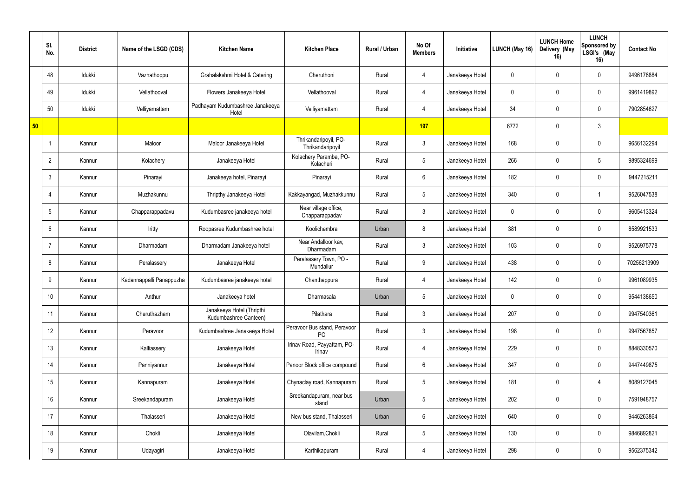|    | SI.<br>No.      | <b>District</b> | Name of the LSGD (CDS)   | <b>Kitchen Name</b>                                | <b>Kitchen Place</b>                      | Rural / Urban | No Of<br><b>Members</b> | Initiative      | LUNCH (May 16) | <b>LUNCH Home</b><br>Delivery (May<br>16) | <b>LUNCH</b><br>Sponsored by<br>LSGI's (May<br>16) | <b>Contact No</b> |
|----|-----------------|-----------------|--------------------------|----------------------------------------------------|-------------------------------------------|---------------|-------------------------|-----------------|----------------|-------------------------------------------|----------------------------------------------------|-------------------|
|    | 48              | Idukki          | Vazhathoppu              | Grahalakshmi Hotel & Catering                      | Cheruthoni                                | Rural         | $\overline{4}$          | Janakeeya Hotel | $\mathbf 0$    |                                           | $\mathbf 0$                                        | 9496178884        |
|    | 49              | Idukki          | Vellathooval             | Flowers Janakeeya Hotel                            | Vellathooval                              | Rural         | $\overline{4}$          | Janakeeya Hotel | $\mathbf 0$    | $\Omega$                                  | 0                                                  | 9961419892        |
|    | 50              | Idukki          | Velliyamattam            | Padhayam Kudumbashree Janakeeya<br>Hotel           | Velliyamattam                             | Rural         | $\overline{4}$          | Janakeeya Hotel | 34             | $\Omega$                                  | 0                                                  | 7902854627        |
| 50 |                 |                 |                          |                                                    |                                           |               | 197                     |                 | 6772           | $\Omega$                                  | 3                                                  |                   |
|    |                 | Kannur          | Maloor                   | Maloor Janakeeya Hotel                             | Thrikandaripoyil, PO-<br>Thrikandaripoyil | Rural         | $\mathbf{3}$            | Janakeeya Hotel | 168            |                                           | 0                                                  | 9656132294        |
|    | $\overline{2}$  | Kannur          | Kolachery                | Janakeeya Hotel                                    | Kolachery Paramba, PO-<br>Kolacheri       | Rural         | $5\overline{)}$         | Janakeeya Hotel | 266            | $\Omega$                                  | 5                                                  | 9895324699        |
|    | 3               | Kannur          | Pinarayi                 | Janakeeya hotel, Pinarayi                          | Pinarayi                                  | Rural         | 6                       | Janakeeya Hotel | 182            | $\mathbf{0}$                              | $\mathbf 0$                                        | 9447215211        |
|    | -4              | Kannur          | Muzhakunnu               | Thripthy Janakeeya Hotel                           | Kakkayangad, Muzhakkunnu                  | Rural         | 5                       | Janakeeya Hotel | 340            | $\Omega$                                  | -1                                                 | 9526047538        |
|    | -5              | Kannur          | Chapparappadavu          | Kudumbasree janakeeya hotel                        | Near village office,<br>Chapparappadav    | Rural         | $\mathbf{3}$            | Janakeeya Hotel | $\mathbf 0$    | $\Omega$                                  | 0                                                  | 9605413324        |
|    | 6               | Kannur          | Iritty                   | Roopasree Kudumbashree hotel                       | Koolichembra                              | Urban         | 8                       | Janakeeya Hotel | 381            |                                           | 0                                                  | 8589921533        |
|    | $\overline{7}$  | Kannur          | Dharmadam                | Dharmadam Janakeeya hotel                          | Near Andalloor kav,<br>Dharmadam          | Rural         | $\mathbf{3}$            | Janakeeya Hotel | 103            | $\Omega$                                  | $\mathbf 0$                                        | 9526975778        |
|    | 8               | Kannur          | Peralassery              | Janakeeya Hotel                                    | Peralassery Town, PO -<br>Mundallur       | Rural         | 9                       | Janakeeya Hotel | 438            |                                           | $\mathbf 0$                                        | 70256213909       |
|    | 9               | Kannur          | Kadannappalli Panappuzha | Kudumbasree janakeeya hotel                        | Chanthappura                              | Rural         | $\overline{4}$          | Janakeeya Hotel | 142            | $\Omega$                                  | 0                                                  | 9961089935        |
|    | 10 <sup>°</sup> | Kannur          | Anthur                   | Janakeeya hotel                                    | Dharmasala                                | Urban         | $5\phantom{.0}$         | Janakeeya Hotel | $\mathbf 0$    | $\mathbf 0$                               | 0                                                  | 9544138650        |
|    | 11              | Kannur          | Cheruthazham             | Janakeeya Hotel (Thripthi<br>Kudumbashree Canteen) | Pilathara                                 | Rural         | 3 <sup>1</sup>          | Janakeeya Hotel | 207            | $\mathbf 0$                               | $\mathbf 0$                                        | 9947540361        |
|    | 12              | Kannur          | Peravoor                 | Kudumbashree Janakeeya Hotel                       | Peravoor Bus stand, Peravoor<br>PO        | Rural         | $\mathbf{3}$            | Janakeeya Hotel | 198            | $\mathbf 0$                               | $\mathbf 0$                                        | 9947567857        |
|    | 13              | Kannur          | Kalliassery              | Janakeeya Hotel                                    | Irinav Road, Payyattam, PO-<br>Irinav     | Rural         | $\overline{4}$          | Janakeeya Hotel | 229            | $\mathbf 0$                               | $\mathbf 0$                                        | 8848330570        |
|    | 14              | Kannur          | Panniyannur              | Janakeeya Hotel                                    | Panoor Block office compound              | Rural         | $6\overline{6}$         | Janakeeya Hotel | 347            | $\mathbf 0$                               | $\mathbf 0$                                        | 9447449875        |
|    | 15              | Kannur          | Kannapuram               | Janakeeya Hotel                                    | Chynaclay road, Kannapuram                | Rural         | $5\overline{)}$         | Janakeeya Hotel | 181            | $\mathbf 0$                               | 4                                                  | 8089127045        |
|    | 16              | Kannur          | Sreekandapuram           | Janakeeya Hotel                                    | Sreekandapuram, near bus<br>stand         | Urban         | $5\phantom{.0}$         | Janakeeya Hotel | 202            | $\mathbf 0$                               | $\mathbf 0$                                        | 7591948757        |
|    | 17              | Kannur          | Thalasseri               | Janakeeya Hotel                                    | New bus stand, Thalasseri                 | Urban         | 6                       | Janakeeya Hotel | 640            | $\mathbf 0$                               | $\mathbf 0$                                        | 9446263864        |
|    | 18              | Kannur          | Chokli                   | Janakeeya Hotel                                    | Olavilam, Chokli                          | Rural         | $5\overline{)}$         | Janakeeya Hotel | 130            | $\mathbf 0$                               | $\mathbf 0$                                        | 9846892821        |
|    | 19              | Kannur          | Udayagiri                | Janakeeya Hotel                                    | Karthikapuram                             | Rural         | $\overline{4}$          | Janakeeya Hotel | 298            | 0                                         | $\mathbf 0$                                        | 9562375342        |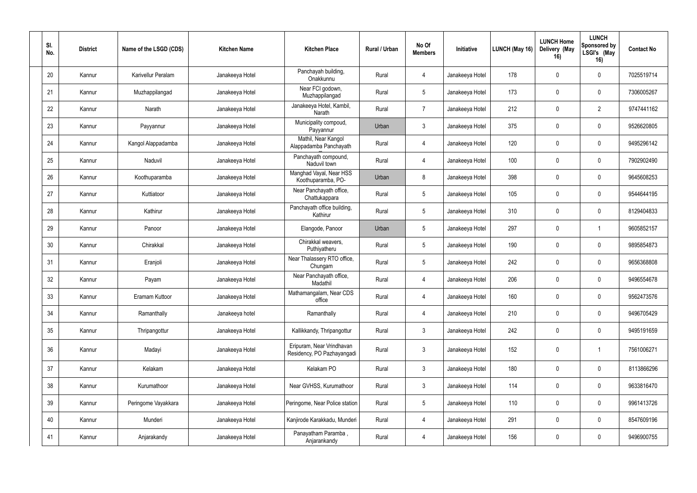| SI.<br>No. | <b>District</b> | Name of the LSGD (CDS) | <b>Kitchen Name</b> | <b>Kitchen Place</b>                                    | Rural / Urban | No Of<br><b>Members</b> | Initiative      | LUNCH (May 16) | <b>LUNCH Home</b><br>Delivery (May<br>16) | <b>LUNCH</b><br>Sponsored by<br>LSGI's (May<br>16) | <b>Contact No</b> |
|------------|-----------------|------------------------|---------------------|---------------------------------------------------------|---------------|-------------------------|-----------------|----------------|-------------------------------------------|----------------------------------------------------|-------------------|
| 20         | Kannur          | Karivellur Peralam     | Janakeeya Hotel     | Panchayah building,<br>Onakkunnu                        | Rural         | $\overline{4}$          | Janakeeya Hotel | 178            | $\mathbf 0$                               | $\mathbf 0$                                        | 7025519714        |
| 21         | Kannur          | Muzhappilangad         | Janakeeya Hotel     | Near FCI godown,<br>Muzhappilangad                      | Rural         | $5\phantom{.0}$         | Janakeeya Hotel | 173            | $\mathbf 0$                               | $\mathbf 0$                                        | 7306005267        |
| 22         | Kannur          | Narath                 | Janakeeya Hotel     | Janakeeya Hotel, Kambil<br>Narath                       | Rural         | $\overline{7}$          | Janakeeya Hotel | 212            | $\mathbf 0$                               | $\overline{2}$                                     | 9747441162        |
| 23         | Kannur          | Payyannur              | Janakeeya Hotel     | Municipality compoud,<br>Payyannur                      | Urban         | $\mathbf{3}$            | Janakeeya Hotel | 375            | $\mathbf 0$                               | $\mathbf 0$                                        | 9526620805        |
| 24         | Kannur          | Kangol Alappadamba     | Janakeeya Hotel     | Mathil, Near Kangol<br>Alappadamba Panchayath           | Rural         | $\overline{4}$          | Janakeeya Hotel | 120            | $\mathbf 0$                               | $\overline{0}$                                     | 9495296142        |
| 25         | Kannur          | Naduvil                | Janakeeya Hotel     | Panchayath compound,<br>Naduvil town                    | Rural         | $\overline{4}$          | Janakeeya Hotel | 100            | $\Omega$                                  | $\mathbf 0$                                        | 7902902490        |
| 26         | Kannur          | Koothuparamba          | Janakeeya Hotel     | Manghad Vayal, Near HSS<br>Koothuparamba, PO-           | Urban         | 8                       | Janakeeya Hotel | 398            | $\mathbf 0$                               | $\mathbf 0$                                        | 9645608253        |
| 27         | Kannur          | Kuttiatoor             | Janakeeya Hotel     | Near Panchayath office,<br>Chattukappara                | Rural         | $5\overline{)}$         | Janakeeya Hotel | 105            | $\mathbf 0$                               | $\mathbf 0$                                        | 9544644195        |
| 28         | Kannur          | Kathirur               | Janakeeya Hotel     | Panchayath office building,<br>Kathirur                 | Rural         | $\overline{5}$          | Janakeeya Hotel | 310            | $\mathbf 0$                               | $\mathbf 0$                                        | 8129404833        |
| 29         | Kannur          | Panoor                 | Janakeeya Hotel     | Elangode, Panoor                                        | Urban         | $\sqrt{5}$              | Janakeeya Hotel | 297            | $\mathbf 0$                               |                                                    | 9605852157        |
| 30         | Kannur          | Chirakkal              | Janakeeya Hotel     | Chirakkal weavers,<br>Puthiyatheru                      | Rural         | $5\phantom{.0}$         | Janakeeya Hotel | 190            | $\mathbf 0$                               | $\mathbf 0$                                        | 9895854873        |
| 31         | Kannur          | Eranjoli               | Janakeeya Hotel     | Near Thalassery RTO office,<br>Chungam                  | Rural         | $5\overline{)}$         | Janakeeya Hotel | 242            | $\mathbf{0}$                              | $\mathbf 0$                                        | 9656368808        |
| 32         | Kannur          | Payam                  | Janakeeya Hotel     | Near Panchayath office,<br>Madathil                     | Rural         | $\overline{4}$          | Janakeeya Hotel | 206            | $\mathbf 0$                               | $\mathbf 0$                                        | 9496554678        |
| 33         | Kannur          | Eramam Kuttoor         | Janakeeya Hotel     | Mathamangalam, Near CDS<br>office                       | Rural         | 4                       | Janakeeya Hotel | 160            | $\mathbf 0$                               | $\mathbf 0$                                        | 9562473576        |
| 34         | Kannur          | Ramanthally            | Janakeeya hotel     | Ramanthally                                             | Rural         | $\overline{4}$          | Janakeeya Hotel | 210            | $\mathbf 0$                               | $\mathbf 0$                                        | 9496705429        |
| 35         | Kannur          | Thripangottur          | Janakeeya Hotel     | Kallikkandy, Thripangottur                              | Rural         | $\mathbf{3}$            | Janakeeya Hotel | 242            | $\mathbf 0$                               | $\mathbf 0$                                        | 9495191659        |
| 36         | Kannur          | Madayi                 | Janakeeya Hotel     | Eripuram, Near Vrindhavan<br>Residency, PO Pazhayangadi | Rural         | $\mathfrak{Z}$          | Janakeeya Hotel | 152            | $\mathbf 0$                               |                                                    | 7561006271        |
| 37         | Kannur          | Kelakam                | Janakeeya Hotel     | Kelakam PO                                              | Rural         | $\mathbf{3}$            | Janakeeya Hotel | 180            | $\mathbf 0$                               | $\overline{0}$                                     | 8113866296        |
| 38         | Kannur          | Kurumathoor            | Janakeeya Hotel     | Near GVHSS, Kurumathoor                                 | Rural         | $\mathbf{3}$            | Janakeeya Hotel | 114            | $\mathbf 0$                               | $\mathbf 0$                                        | 9633816470        |
| 39         | Kannur          | Peringome Vayakkara    | Janakeeya Hotel     | Peringome, Near Police station                          | Rural         | $5\overline{)}$         | Janakeeya Hotel | 110            | $\mathbf 0$                               | $\overline{0}$                                     | 9961413726        |
| 40         | Kannur          | Munderi                | Janakeeya Hotel     | Kanjirode Karakkadu, Munderi                            | Rural         | $\overline{4}$          | Janakeeya Hotel | 291            | $\mathbf 0$                               | $\mathbf 0$                                        | 8547609196        |
| 41         | Kannur          | Anjarakandy            | Janakeeya Hotel     | Panayatham Paramba,<br>Anjarankandy                     | Rural         | $\overline{4}$          | Janakeeya Hotel | 156            | $\mathbf 0$                               | $\mathbf 0$                                        | 9496900755        |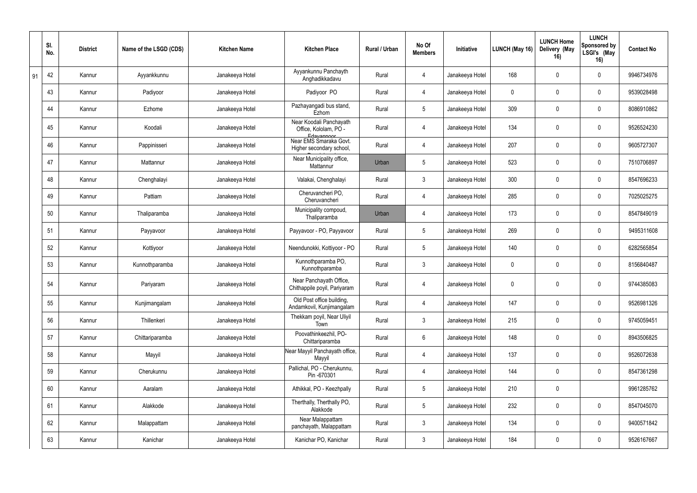|    | SI.<br>No. | <b>District</b> | Name of the LSGD (CDS) | <b>Kitchen Name</b> | <b>Kitchen Place</b>                                           | Rural / Urban | No Of<br><b>Members</b> | Initiative      | <b>LUNCH (May 16)</b> | <b>LUNCH Home</b><br>Delivery (May<br>16) | <b>LUNCH</b><br>Sponsored by<br>LSGI's (May<br>16) | <b>Contact No</b> |
|----|------------|-----------------|------------------------|---------------------|----------------------------------------------------------------|---------------|-------------------------|-----------------|-----------------------|-------------------------------------------|----------------------------------------------------|-------------------|
| 91 | 42         | Kannur          | Ayyankkunnu            | Janakeeya Hotel     | Ayyankunnu Panchayth<br>Anghadikkadavu                         | Rural         | 4                       | Janakeeya Hotel | 168                   | $\Omega$                                  | $\mathbf 0$                                        | 9946734976        |
|    | 43         | Kannur          | Padiyoor               | Janakeeya Hotel     | Padiyoor PO                                                    | Rural         | 4                       | Janakeeya Hotel | $\mathbf 0$           | $\Omega$                                  | $\mathbf 0$                                        | 9539028498        |
|    | 44         | Kannur          | Ezhome                 | Janakeeya Hotel     | Pazhayangadi bus stand,<br>Ezhom                               | Rural         | $\sqrt{5}$              | Janakeeya Hotel | 309                   | $\Omega$                                  | $\mathbf 0$                                        | 8086910862        |
|    | 45         | Kannur          | Koodali                | Janakeeya Hotel     | Near Koodali Panchayath<br>Office, Kololam, PO -<br>Edavannoor | Rural         | $\overline{4}$          | Janakeeya Hotel | 134                   | $\mathbf{0}$                              | $\mathbf 0$                                        | 9526524230        |
|    | 46         | Kannur          | Pappinisseri           | Janakeeya Hotel     | Near EMS Smaraka Govt.<br>Higher secondary school,             | Rural         | 4                       | Janakeeya Hotel | 207                   | $\Omega$                                  | $\mathbf 0$                                        | 9605727307        |
|    | 47         | Kannur          | Mattannur              | Janakeeya Hotel     | Near Municipality office,<br>Mattannur                         | Urban         | $5\phantom{.0}$         | Janakeeya Hotel | 523                   | $\Omega$                                  | $\mathbf 0$                                        | 7510706897        |
|    | 48         | Kannur          | Chenghalayi            | Janakeeya Hotel     | Valakai, Chenghalayi                                           | Rural         | $\mathbf{3}$            | Janakeeya Hotel | 300                   |                                           | $\mathbf 0$                                        | 8547696233        |
|    | 49         | Kannur          | Pattiam                | Janakeeya Hotel     | Cheruvancheri PO,<br>Cheruvancheri                             | Rural         | $\overline{4}$          | Janakeeya Hotel | 285                   | $\Omega$                                  | $\mathbf 0$                                        | 7025025275        |
|    | 50         | Kannur          | Thaliparamba           | Janakeeya Hotel     | Municipality compoud,<br>Thaliparamba                          | Urban         | $\overline{4}$          | Janakeeya Hotel | 173                   |                                           | $\mathbf 0$                                        | 8547849019        |
|    | 51         | Kannur          | Payyavoor              | Janakeeya Hotel     | Payyavoor - PO, Payyavoor                                      | Rural         | $5\phantom{.0}$         | Janakeeya Hotel | 269                   | $\Omega$                                  | $\mathbf 0$                                        | 9495311608        |
|    | 52         | Kannur          | Kottiyoor              | Janakeeya Hotel     | Neendunokki, Kottiyoor - PO                                    | Rural         | $5\phantom{.0}$         | Janakeeya Hotel | 140                   | $\Omega$                                  | $\mathbf 0$                                        | 6282565854        |
|    | 53         | Kannur          | Kunnothparamba         | Janakeeya Hotel     | Kunnothparamba PO,<br>Kunnothparamba                           | Rural         | $\mathbf{3}$            | Janakeeya Hotel | $\mathbf 0$           | $\Omega$                                  | $\mathbf 0$                                        | 8156840487        |
|    | 54         | Kannur          | Pariyaram              | Janakeeya Hotel     | Near Panchayath Office,<br>Chithappile poyil, Pariyaram        | Rural         | $\overline{4}$          | Janakeeya Hotel | $\mathbf 0$           | $\Omega$                                  | $\mathbf 0$                                        | 9744385083        |
|    | 55         | Kannur          | Kunjimangalam          | Janakeeya Hotel     | Old Post office building,<br>Andamkovil, Kunjimangalam         | Rural         | $\overline{4}$          | Janakeeya Hotel | 147                   | $\mathbf 0$                               | $\mathbf 0$                                        | 9526981326        |
|    | 56         | Kannur          | Thillenkeri            | Janakeeya Hotel     | Thekkam poyil, Near Uliyil<br>Town                             | Rural         | $\mathbf{3}$            | Janakeeya Hotel | 215                   | $\overline{0}$                            | $\mathbf 0$                                        | 9745059451        |
|    | 57         | Kannur          | Chittariparamba        | Janakeeya Hotel     | Poovathinkeezhil, PO-<br>Chittariparamba                       | Rural         | $6\overline{6}$         | Janakeeya Hotel | 148                   | $\mathbf 0$                               | $\mathbf 0$                                        | 8943506825        |
|    | 58         | Kannur          | Mayyil                 | Janakeeya Hotel     | Near Mayyil Panchayath office,<br>Mayyil                       | Rural         | $\overline{4}$          | Janakeeya Hotel | 137                   | $\mathbf 0$                               | $\mathbf 0$                                        | 9526072638        |
|    | 59         | Kannur          | Cherukunnu             | Janakeeya Hotel     | Pallichal, PO - Cherukunnu,<br>Pin -670301                     | Rural         | $\overline{4}$          | Janakeeya Hotel | 144                   | $\mathbf 0$                               | $\mathbf 0$                                        | 8547361298        |
|    | 60         | Kannur          | Aaralam                | Janakeeya Hotel     | Athikkal, PO - Keezhpally                                      | Rural         | $5\phantom{.0}$         | Janakeeya Hotel | 210                   | $\mathbf 0$                               |                                                    | 9961285762        |
|    | 61         | Kannur          | Alakkode               | Janakeeya Hotel     | Therthally, Therthally PO,<br>Alakkode                         | Rural         | $5\phantom{.0}$         | Janakeeya Hotel | 232                   | $\mathbf 0$                               | $\mathbf 0$                                        | 8547045070        |
|    | 62         | Kannur          | Malappattam            | Janakeeya Hotel     | Near Malappattam<br>panchayath, Malappattam                    | Rural         | $\mathbf{3}$            | Janakeeya Hotel | 134                   | 0                                         | $\mathbf 0$                                        | 9400571842        |
|    | 63         | Kannur          | Kanichar               | Janakeeya Hotel     | Kanichar PO, Kanichar                                          | Rural         | $\mathbf{3}$            | Janakeeya Hotel | 184                   | $\mathbf 0$                               | $\mathbf 0$                                        | 9526167667        |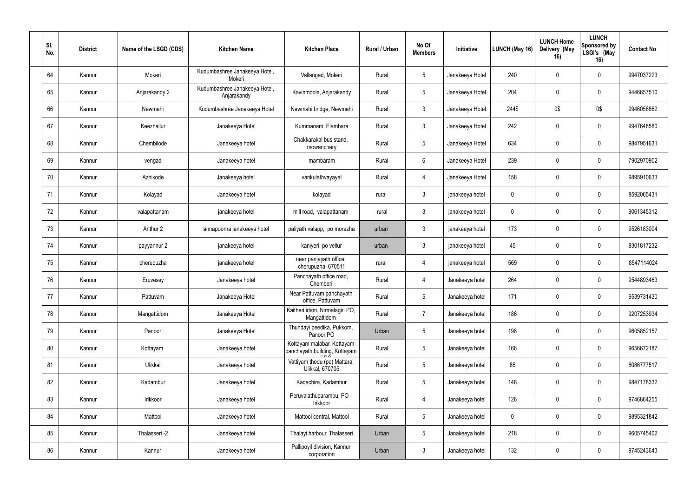| SI.<br>No. | <b>District</b> | Name of the LSGD (CDS) | <b>Kitchen Name</b>                          | <b>Kitchen Place</b>                                        | Rural / Urban | No Of<br><b>Members</b> | Initiative      | LUNCH (May 16) | <b>LUNCH Home</b><br>Delivery (May<br>16) | <b>LUNCH</b><br>Sponsored by<br>LSGI's (May<br>16) | <b>Contact No</b> |
|------------|-----------------|------------------------|----------------------------------------------|-------------------------------------------------------------|---------------|-------------------------|-----------------|----------------|-------------------------------------------|----------------------------------------------------|-------------------|
| 64         | Kannur          | Mokeri                 | Kudumbashree Janakeeya Hotel,<br>Mokeri      | Vallangad, Mokeri                                           | Rural         | $5\phantom{.0}$         | Janakeeya Hotel | 240            | $\Omega$                                  | $\mathbf 0$                                        | 9947037223        |
| 65         | Kannur          | Anjarakandy 2          | Kudumbashree Janakeeya Hotel,<br>Anjarakandy | Kavinmoola, Anjarakandy                                     | Rural         | 5 <sub>5</sub>          | Janakeeya Hotel | 204            | $\mathbf 0$                               | $\mathbf 0$                                        | 9446657510        |
| 66         | Kannur          | Newmahi                | Kudumbashree Janakeeya Hotel                 | Newmahi bridge, Newmahi                                     | Rural         | $\mathfrak{Z}$          | Janakeeya Hotel | 244\$          | 0\$                                       | 0\$                                                | 9946056862        |
| 67         | Kannur          | Keezhallur             | Janakeeya Hotel                              | Kummanam, Elambara                                          | Rural         | $\mathbf{3}$            | Janakeeya Hotel | 242            | $\mathbf 0$                               | $\mathbf 0$                                        | 9947648580        |
| 68         | Kannur          | Chembilode             | Janakeeya hotel                              | Chakkarakal bus stand,<br>mowanchery                        | Rural         | $5\phantom{.0}$         | Janakeeya Hotel | 634            | $\Omega$                                  | $\mathbf 0$                                        | 9847951631        |
| 69         | Kannur          | vengad                 | Janakeeya hotel                              | mambaram                                                    | Rural         | 6 <sup>1</sup>          | Janakeeya Hotel | 239            |                                           | $\mathbf 0$                                        | 7902970902        |
| 70         | Kannur          | Azhikode               | Janakeeya hotel                              | vankulathvayayal                                            | Rural         | 4                       | Janakeeya Hotel | 158            | $\mathbf 0$                               | $\mathbf 0$                                        | 9895910633        |
| 71         | Kannur          | Kolayad                | Janakeeya hotel                              | kolayad                                                     | rural         | $\mathbf{3}$            | janakeeya hotel | $\mathbf 0$    | 0                                         | $\mathbf 0$                                        | 8592065431        |
| 72         | Kannur          | valapattanam           | janakeeya hotel                              | mill road, valapattanam                                     | rural         | $\mathbf{3}$            | janakeeya hotel | $\pmb{0}$      |                                           | $\mathbf 0$                                        | 9061345312        |
| 73         | Kannur          | Anthur 2               | annapoorna janakeeya hotel                   | paliyath valapp, po morazha                                 | urban         | 3                       | janakeeya hotel | 173            |                                           | $\mathbf 0$                                        | 9526183004        |
| 74         | Kannur          | payyannur 2            | janakeeya hotel                              | kaniyeri, po vellur                                         | urban         | $\mathfrak{Z}$          | janakeeya hotel | 45             | $\mathbf 0$                               | $\mathbf 0$                                        | 8301817232        |
| 75         | Kannur          | cherupuzha             | janakeeya hotel                              | near panjayath office,<br>cherupuzha, 670511                | rural         | $\overline{4}$          | janakeeya hotel | 569            |                                           | $\mathbf 0$                                        | 8547114024        |
| 76         | Kannur          | Eruvessy               | Janakeeya hotel                              | Panchayath office road,<br>Chemberi                         | Rural         | $\overline{4}$          | Janakeeya hotel | 264            | $\mathbf 0$                               | $\mathbf 0$                                        | 9544893463        |
| 77         | Kannur          | Pattuvam               | Janakeeya Hotel                              | Near Pattuvam panchayath<br>office, Pattuvam                | Rural         | $5\phantom{.0}$         | Janakeeya hotel | 171            | $\mathbf 0$                               | $\mathbf 0$                                        | 9539731430        |
| 78         | Kannur          | Mangattidom            | Janakeeya Hotel                              | Kaitheri idam, Nirmalagiri PO,<br>Mangattidom               | Rural         | $\overline{7}$          | Janakeeya hotel | 186            | $\pmb{0}$                                 | $\mathbf 0$                                        | 9207253934        |
| 79         | Kannur          | Panoor                 | Janakeeya Hotel                              | Thundayi peedika, Pukkom,<br>Panoor PO                      | Urban         | $5\phantom{.0}$         | Janakeeya hotel | 198            | $\mathbf 0$                               | $\mathbf 0$                                        | 9605852157        |
| 80         | Kannur          | Kottayam               | Janakeeya hotel                              | Kottayam malabar, Kottayam<br>panchayath building, Kottayam | Rural         | $5\phantom{.0}$         | Janakeeya hotel | 166            | $\boldsymbol{0}$                          | $\mathbf 0$                                        | 9656672187        |
| 81         | Kannur          | Ulikkal                | Janakeeya hotel                              | Vattiyam thodu (po) Mattara,<br>Ulikkal, 670705             | Rural         | $5\phantom{.0}$         | Janakeeya hotel | 85             | $\mathbf 0$                               | $\mathbf 0$                                        | 8086777517        |
| 82         | Kannur          | Kadambur               | Janakeeya hotel                              | Kadachira, Kadambur                                         | Rural         | $5\phantom{.0}$         | Janakeeya hotel | 148            | $\mathbf 0$                               | $\mathbf 0$                                        | 9847178332        |
| 83         | Kannur          | Irikkoor               | Janakeeya hotel                              | Peruvalathuparambu, PO -<br>Irikkoor                        | Rural         | $\overline{4}$          | Janakeeya hotel | 126            | $\mathbf 0$                               | $\mathbf 0$                                        | 9746864255        |
| 84         | Kannur          | Mattool                | Janakeeya hotel                              | Mattool central, Mattool                                    | Rural         | $5\phantom{.0}$         | Janakeeya hotel | $\pmb{0}$      | $\mathbf 0$                               | $\mathbf 0$                                        | 9895321842        |
| 85         | Kannur          | Thalasseri -2          | Janakeeya hotel                              | Thalayi harbour, Thalasseri                                 | Urban         | $5\phantom{.0}$         | Janakeeya hotel | 218            | $\boldsymbol{0}$                          | $\mathbf 0$                                        | 9605745402        |
| 86         | Kannur          | Kannur                 | Janakeeya hotel                              | Pallipoyil division, Kannur<br>corporation                  | Urban         | $\mathfrak{Z}$          | Janakeeya hotel | 132            | 0                                         | $\mathbf 0$                                        | 9745243643        |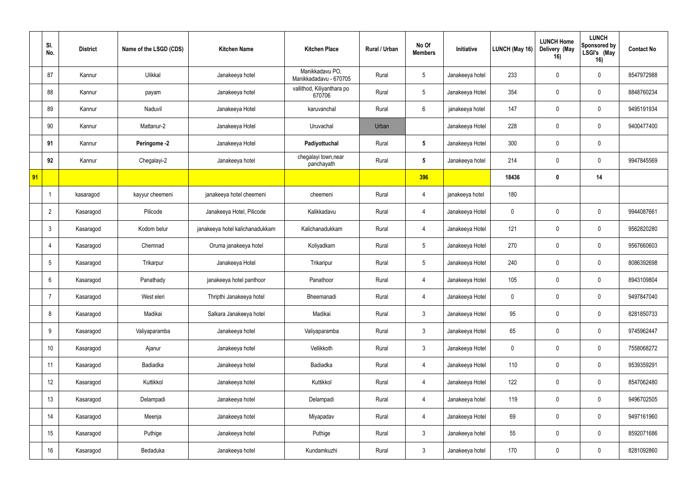|    | SI.<br>No.       | <b>District</b> | Name of the LSGD (CDS) | <b>Kitchen Name</b>             | <b>Kitchen Place</b>                      | Rural / Urban | No Of<br><b>Members</b> | Initiative      | LUNCH (May 16)   | <b>LUNCH Home</b><br>Delivery (May<br>16) | <b>LUNCH</b><br>Sponsored by<br>LSGI's (May<br>16) | <b>Contact No</b> |
|----|------------------|-----------------|------------------------|---------------------------------|-------------------------------------------|---------------|-------------------------|-----------------|------------------|-------------------------------------------|----------------------------------------------------|-------------------|
|    | 87               | Kannur          | Ulikkal                | Janakeeya hotel                 | Manikkadavu PO,<br>Manikkadadavu - 670705 | Rural         | $5\overline{)}$         | Janakeeya hotel | 233              | $\mathbf{0}$                              | $\mathbf 0$                                        | 8547972988        |
|    | 88               | Kannur          | payam                  | Janakeeya hotel                 | vallithod, Kiliyanthara po<br>670706      | Rural         | $5\phantom{.0}$         | Janakeeya Hotel | 354              | $\mathbf 0$                               | 0                                                  | 8848760234        |
|    | 89               | Kannur          | Naduvil                | Janakeeya Hotel                 | karuvanchal                               | Rural         | 6                       | janakeeya hotel | 147              | 0                                         | $\mathbf 0$                                        | 9495191934        |
|    | 90               | Kannur          | Mattanur-2             | Janakeeya Hotel                 | Uruvachal                                 | Urban         |                         | Janakeeya Hotel | 228              | $\mathbf{0}$                              | $\mathbf 0$                                        | 9400477400        |
|    | 91               | Kannur          | Peringome -2           | Janakeeya Hotel                 | Padiyottuchal                             | Rural         | $5\phantom{.0}$         | Janakeeya Hotel | 300              | 0                                         | $\mathbf 0$                                        |                   |
|    | 92               | Kannur          | Chegalayi-2            | Janakeeya hotel                 | chegalayi town, near<br>panchayath        | Rural         | $5\phantom{.0}$         | Janakeeya hotel | 214              | 0                                         | 0                                                  | 9947845569        |
| 91 |                  |                 |                        |                                 |                                           |               | 396                     |                 | 18436            | 0                                         | 14                                                 |                   |
|    |                  | kasaragod       | kayyur cheemeni        | janakeeya hotel cheemeni        | cheemeni                                  | Rural         | 4                       | janakeeya hotel | 180              |                                           |                                                    |                   |
|    | $\overline{2}$   | Kasaragod       | Pilicode               | Janakeeya Hotel, Pilicode       | Kalikkadavu                               | Rural         | $\overline{4}$          | Janakeeya Hotel | $\boldsymbol{0}$ | 0                                         | $\mathbf 0$                                        | 9944087661        |
|    | $\mathbf{3}$     | Kasaragod       | Kodom belur            | janakeeya hotel kalichanadukkam | Kalichanadukkam                           | Rural         | 4                       | Janakeeya Hotel | 121              | 0                                         | 0                                                  | 9562820280        |
|    | 4                | Kasaragod       | Chemnad                | Oruma janakeeya hotel           | Koliyadkam                                | Rural         | $5\phantom{.0}$         | Janakeeya Hotel | 270              | 0                                         | $\mathbf 0$                                        | 9567660603        |
|    | $5\phantom{.0}$  | Kasaragod       | Trikarpur              | Janakeeya Hotel                 | Trikaripur                                | Rural         | $5\phantom{.0}$         | Janakeeya Hotel | 240              | 0                                         | $\mathbf 0$                                        | 8086392698        |
|    | 6                | Kasaragod       | Panathady              | janakeeya hotel panthoor        | Panathoor                                 | Rural         | $\overline{4}$          | Janakeeya Hotel | 105              | 0                                         | 0                                                  | 8943109804        |
|    | $\overline{7}$   | Kasaragod       | West eleri             | Thripthi Janakeeya hotel        | Bheemanadi                                | Rural         | $\overline{4}$          | Janakeeya Hotel | $\mathbf 0$      | $\pmb{0}$                                 | $\mathbf 0$                                        | 9497847040        |
|    | 8                | Kasaragod       | Madikai                | Salkara Janakeeya hotel         | Madikai                                   | Rural         | 3 <sup>1</sup>          | Janakeeya Hotel | 95               | $\mathbf 0$                               | $\mathbf 0$                                        | 8281850733        |
|    | 9                | Kasaragod       | Valiyaparamba          | Janakeeya hotel                 | Valiyaparamba                             | Rural         | 3 <sup>1</sup>          | Janakeeya Hotel | 65               | $\pmb{0}$                                 | $\mathbf 0$                                        | 9745962447        |
|    | 10               | Kasaragod       | Ajanur                 | Janakeeya hotel                 | Vellikkoth                                | Rural         | 3 <sup>1</sup>          | Janakeeya Hotel | $\pmb{0}$        | 0                                         | $\mathbf 0$                                        | 7558068272        |
|    | 11               | Kasaragod       | Badiadka               | Janakeeya hotel                 | Badiadka                                  | Rural         | $\overline{4}$          | Janakeeya Hotel | 110              | $\mathbf 0$                               | $\mathbf 0$                                        | 9539359291        |
|    | 12               | Kasaragod       | Kuttikkol              | Janakeeya hotel                 | Kuttikkol                                 | Rural         | $\overline{4}$          | Janakeeya Hotel | 122              | $\mathbf 0$                               | $\mathbf 0$                                        | 8547062480        |
|    | 13               | Kasaragod       | Delampadi              | Janakeeya hotel                 | Delampadi                                 | Rural         | $\overline{4}$          | Janakeeya hotel | 119              | $\mathbf 0$                               | $\mathbf 0$                                        | 9496702505        |
|    | 14               | Kasaragod       | Meenja                 | Janakeeya hotel                 | Miyapadav                                 | Rural         | $\overline{4}$          | Janakeeya Hotel | 69               | 0                                         | $\mathbf 0$                                        | 9497161960        |
|    | 15 <sub>15</sub> | Kasaragod       | Puthige                | Janakeeya hotel                 | Puthige                                   | Rural         | 3 <sup>1</sup>          | Janakeeya hotel | 55               | $\mathbf 0$                               | $\bf{0}$                                           | 8592071686        |
|    | 16 <sup>°</sup>  | Kasaragod       | Bedaduka               | Janakeeya hotel                 | Kundamkuzhi                               | Rural         | $\mathfrak{Z}$          | Janakeeya hotel | 170              | 0                                         | $\bf{0}$                                           | 8281092860        |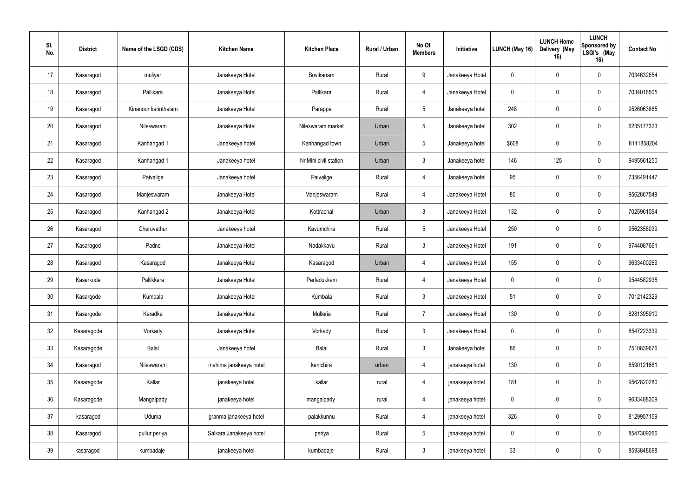| SI.<br>No.      | <b>District</b> | Name of the LSGD (CDS) | <b>Kitchen Name</b>     | <b>Kitchen Place</b>  | Rural / Urban | No Of<br><b>Members</b> | Initiative      | LUNCH (May 16) | <b>LUNCH Home</b><br>Delivery (May<br>16) | <b>LUNCH</b><br>Sponsored by<br>LSGI's (May<br>16) | <b>Contact No</b> |
|-----------------|-----------------|------------------------|-------------------------|-----------------------|---------------|-------------------------|-----------------|----------------|-------------------------------------------|----------------------------------------------------|-------------------|
| 17              | Kasaragod       | muliyar                | Janakeeya Hotel         | Bovikanam             | Rural         | 9                       | Janakeeya Hotel | $\mathbf 0$    | 0                                         | $\mathbf 0$                                        | 7034632654        |
| 18              | Kasaragod       | Pallikara              | Janakeeya Hotel         | Pallikara             | Rural         | 4                       | Janakeeya Hotel | 0              | 0                                         | 0                                                  | 7034016505        |
| 19              | Kasaragod       | Kinanoor karinthalam   | Janakeeya Hotel         | Parappa               | Rural         | 5 <sup>5</sup>          | Janakeeya hotel | 248            | 0                                         | $\mathbf 0$                                        | 9526063885        |
| 20              | Kasaragod       | Nileswaram             | Janakeeya Hotel         | Nileswaram market     | Urban         | $5\overline{)}$         | Janakeeya hotel | 302            | $\mathbf{0}$                              | $\mathbf 0$                                        | 6235177323        |
| 21              | Kasaragod       | Kanhangad 1            | Janakeeya hotel         | Kanhangad town        | Urban         | $5\overline{)}$         | Janakeeya hotel | \$608          | $\theta$                                  | $\mathbf 0$                                        | 8111858204        |
| 22              | Kasaragod       | Kanhangad 1            | Janakeeya hotel         | Nr.Mini civil station | Urban         | 3 <sup>1</sup>          | Janakeeya hotel | 146            | 125                                       | 0                                                  | 9495561250        |
| 23              | Kasaragod       | Paivalige              | Janakeeya hotel         | Paivalige             | Rural         | 4                       | Janakeeya hotel | 95             | $\mathbf 0$                               | 0                                                  | 7356491447        |
| 24              | Kasaragod       | Manjeswaram            | Janakeeya Hotel         | Manjeswaram           | Rural         | 4                       | Janakeeya Hotel | 85             | 0                                         | $\mathbf 0$                                        | 9562867549        |
| 25              | Kasaragod       | Kanhangad 2            | Janakeeya Hotel         | Kottrachal            | Urban         | 3 <sup>1</sup>          | Janakeeya Hotel | 132            | 0                                         | $\mathbf 0$                                        | 7025961094        |
| 26              | Kasaragod       | Cheruvathur            | Janakeeya hotel         | Kavumchira            | Rural         | 5 <sup>5</sup>          | Janakeeya Hotel | 250            | 0                                         | 0                                                  | 9562358039        |
| 27              | Kasaragod       | Padne                  | Janakeeya Hotel         | Nadakkavu             | Rural         | $\mathbf{3}$            | Janakeeya Hotel | 191            | $\mathbf 0$                               | $\mathbf 0$                                        | 9744087661        |
| 28              | Kasaragod       | Kasaragod              | Janakeeya Hotel         | Kasaragod             | Urban         | 4                       | Janakeeya Hotel | 155            | $\theta$                                  | $\mathbf 0$                                        | 9633400269        |
| 29              | Kasarkode       | Pallikkara             | Janakeeya Hotel         | Perladukkam           | Rural         | $\overline{4}$          | Janakeeya Hotel | $\mathbf 0$    | 0                                         | 0                                                  | 9544582935        |
| 30 <sub>o</sub> | Kasargode       | Kumbala                | Janakeeya Hotel         | Kumbala               | Rural         | $3\phantom{.0}$         | Janakeeya Hotel | 51             | $\pmb{0}$                                 | $\mathbf 0$                                        | 7012142329        |
| 31              | Kasargode       | Karadka                | Janakeeya Hotel         | Mulleria              | Rural         | $7\overline{ }$         | Janakeeya Hotel | 130            | $\mathbf 0$                               | $\bf{0}$                                           | 8281395910        |
| 32              | Kasaragode      | Vorkady                | Janakeeya Hotel         | Vorkady               | Rural         | 3 <sup>1</sup>          | Janakeeya Hotel | $\pmb{0}$      | $\mathbf 0$                               | $\mathbf 0$                                        | 8547223339        |
| 33              | Kasaragode      | Balal                  | Janakeeya hotel         | Balal                 | Rural         | $\mathbf{3}$            | Janakeeya hotel | 86             | $\mathbf 0$                               | $\mathbf 0$                                        | 7510839676        |
| 34              | Kasaragod       | Nileswaram             | mahima janakeeya hotel  | kanichira             | urban         | $\overline{4}$          | janakeeya hotel | 130            | $\mathbf 0$                               | $\mathbf 0$                                        | 8590121681        |
| 35              | Kasaragode      | Kallar                 | janakeeya hotel         | kallar                | rural         | $\overline{4}$          | janakeeya hotel | 181            | $\mathbf 0$                               | $\mathbf 0$                                        | 9562820280        |
| 36              | Kasaragode      | Mangalpady             | janakeeya hotel         | mangalpady            | rural         | $\overline{4}$          | janakeeya hotel | $\mathbf 0$    | $\mathbf 0$                               | $\mathbf 0$                                        | 9633488309        |
| 37              | kasaragod       | Uduma                  | granma janakeeya hotel  | palakkunnu            | Rural         | 4                       | janakeeya hotel | 326            | $\mathbf 0$                               | $\mathbf 0$                                        | 8129957159        |
| 38              | Kasaragod       | pullur periya          | Salkara Janakeeya hotel | periya                | Rural         | $5\phantom{.0}$         | janakeeya hotel | $\mathbf 0$    | $\overline{0}$                            | $\bf{0}$                                           | 8547309266        |
| 39              | kasaragod       | kumbadaje              | janakeeya hotel         | kumbadaje             | Rural         | $\mathfrak{Z}$          | janakeeya hotel | 33             | 0                                         | $\bf{0}$                                           | 8593848698        |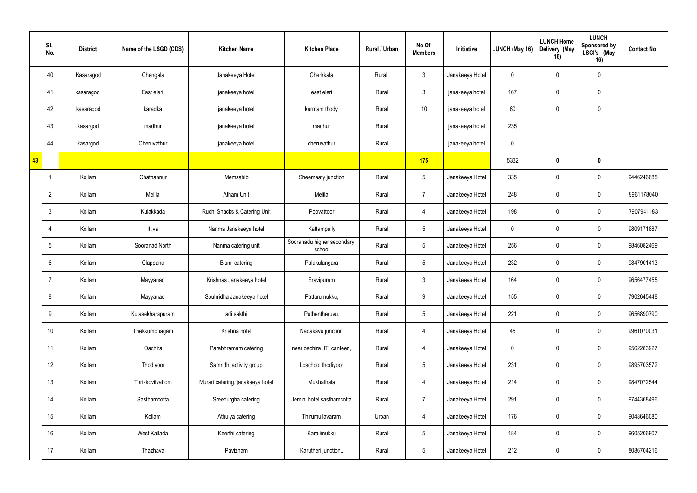| SI.<br>No.      | <b>District</b> | Name of the LSGD (CDS) | <b>Kitchen Name</b>              | <b>Kitchen Place</b>                 | Rural / Urban | No Of<br><b>Members</b> | Initiative      | LUNCH (May 16) | <b>LUNCH Home</b><br>Delivery (May<br>16) | <b>LUNCH</b><br>Sponsored by<br>LSGI's (May<br>16) | <b>Contact No</b> |
|-----------------|-----------------|------------------------|----------------------------------|--------------------------------------|---------------|-------------------------|-----------------|----------------|-------------------------------------------|----------------------------------------------------|-------------------|
| 40              | Kasaragod       | Chengala               | Janakeeya Hotel                  | Cherkkala                            | Rural         | $\mathbf{3}$            | Janakeeya Hotel | $\pmb{0}$      | $\mathbf 0$                               | $\boldsymbol{0}$                                   |                   |
| 41              | kasaragod       | East eleri             | janakeeya hotel                  | east eleri                           | Rural         | $\mathbf{3}$            | janakeeya hotel | 167            | $\mathbf 0$                               | $\boldsymbol{0}$                                   |                   |
| 42              | kasaragod       | karadka                | janakeeya hotel                  | karmam thody                         | Rural         | 10 <sup>°</sup>         | janakeeya hotel | 60             | $\mathbf 0$                               | $\mathbf 0$                                        |                   |
| 43              | kasargod        | madhur                 | janakeeya hotel                  | madhur                               | Rural         |                         | janakeeya hotel | 235            |                                           |                                                    |                   |
| 44              | kasargod        | Cheruvathur            | janakeeya hotel                  | cheruvathur                          | Rural         |                         | janakeeya hotel | $\pmb{0}$      |                                           |                                                    |                   |
| 43              |                 |                        |                                  |                                      |               | 175                     |                 | 5332           | $\mathbf{0}$                              | $\mathbf 0$                                        |                   |
| -1              | Kollam          | Chathannur             | Memsahib                         | Sheemaaty junction                   | Rural         | $5\phantom{.0}$         | Janakeeya Hotel | 335            | $\mathbf 0$                               | $\mathbf 0$                                        | 9446246685        |
| $\overline{2}$  | Kollam          | Melila                 | <b>Atham Unit</b>                | Melila                               | Rural         | $\overline{7}$          | Janakeeya Hotel | 248            | $\Omega$                                  | $\mathbf 0$                                        | 9961178040        |
| $\mathbf{3}$    | Kollam          | Kulakkada              | Ruchi Snacks & Catering Unit     | Poovattoor                           | Rural         | $\overline{4}$          | Janakeeya Hotel | 198            | $\mathbf 0$                               | $\mathbf 0$                                        | 7907941183        |
| 4               | Kollam          | Ittiva                 | Nanma Janakeeya hotel            | Kattampally                          | Rural         | $5\phantom{.0}$         | Janakeeya Hotel | $\pmb{0}$      | $\Omega$                                  | $\boldsymbol{0}$                                   | 9809171887        |
| $5\phantom{.0}$ | Kollam          | Sooranad North         | Nanma catering unit              | Sooranadu higher secondary<br>school | Rural         | $5\overline{)}$         | Janakeeya Hotel | 256            | $\mathbf 0$                               | $\mathbf 0$                                        | 9846082469        |
| 6               | Kollam          | Clappana               | Bismi catering                   | Palakulangara                        | Rural         | $5\phantom{.0}$         | Janakeeya Hotel | 232            | $\mathbf{0}$                              | $\mathbf 0$                                        | 9847901413        |
| $\overline{7}$  | Kollam          | Mayyanad               | Krishnas Janakeeya hotel         | Eravipuram                           | Rural         | $3\overline{3}$         | Janakeeya Hotel | 164            | $\mathbf 0$                               | $\mathbf 0$                                        | 9656477455        |
| 8               | Kollam          | Mayyanad               | Souhridha Janakeeya hotel        | Pattarumukku,                        | Rural         | 9                       | Janakeeya Hotel | 155            | $\mathbf 0$                               | $\mathbf 0$                                        | 7902645448        |
| $9\,$           | Kollam          | Kulasekharapuram       | adi sakthi                       | Puthentheruvu.                       | Rural         | $5\overline{)}$         | Janakeeya Hotel | 221            | $\mathbf 0$                               | $\mathbf 0$                                        | 9656890790        |
| 10 <sup>°</sup> | Kollam          | Thekkumbhagam          | Krishna hotel                    | Nadakavu junction                    | Rural         | $\overline{4}$          | Janakeeya Hotel | 45             | $\mathbf 0$                               | $\bf{0}$                                           | 9961070031        |
| 11              | Kollam          | Oachira                | Parabhramam catering             | near oachira , ITI canteen,          | Rural         | $\overline{4}$          | Janakeeya Hotel | $\pmb{0}$      | $\mathbf 0$                               | $\bf{0}$                                           | 9562283927        |
| 12              | Kollam          | Thodiyoor              | Samridhi activity group          | Lpschool thodiyoor                   | Rural         | $5\phantom{.0}$         | Janakeeya Hotel | 231            | $\mathbf 0$                               | $\mathbf 0$                                        | 9895703572        |
| 13              | Kollam          | Thrikkovilvattom       | Murari catering, janakeeya hotel | Mukhathala                           | Rural         | $\overline{4}$          | Janakeeya Hotel | 214            | $\mathbf 0$                               | $\mathbf 0$                                        | 9847072544        |
| 14              | Kollam          | Sasthamcotta           | Sreedurgha catering              | Jemini hotel sasthamcotta            | Rural         | $\overline{7}$          | Janakeeya Hotel | 291            | $\mathbf 0$                               | $\mathbf 0$                                        | 9744368496        |
| 15              | Kollam          | Kollam                 | Athulya catering                 | Thirumullavaram                      | Urban         | $\overline{4}$          | Janakeeya Hotel | 176            | $\mathbf 0$                               | $\mathbf 0$                                        | 9048646080        |
| 16              | Kollam          | West Kallada           | Keerthi catering                 | Karalimukku                          | Rural         | $5\phantom{.0}$         | Janakeeya Hotel | 184            | $\mathbf 0$                               | $\overline{0}$                                     | 9605206907        |
| 17              | Kollam          | Thazhava               | Pavizham                         | Karutheri junction                   | Rural         | $5\phantom{.0}$         | Janakeeya Hotel | 212            | $\boldsymbol{0}$                          | $\overline{0}$                                     | 8086704216        |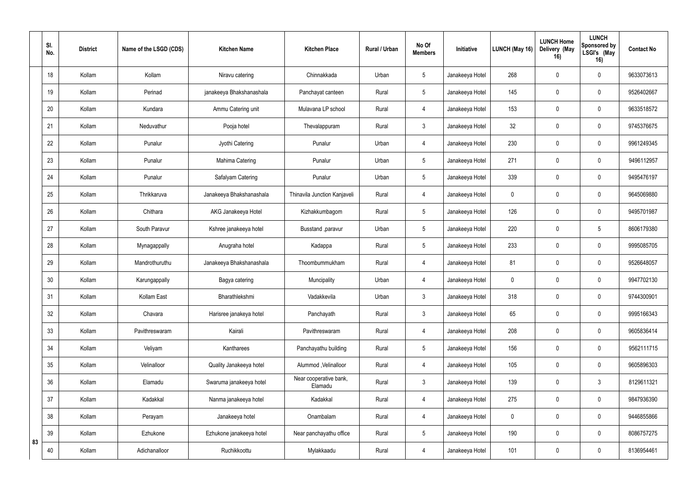|    | SI.<br>No. | <b>District</b> | Name of the LSGD (CDS) | <b>Kitchen Name</b>      | <b>Kitchen Place</b>              | Rural / Urban | No Of<br><b>Members</b> | Initiative      | LUNCH (May 16) | <b>LUNCH Home</b><br>Delivery (May<br>16) | <b>LUNCH</b><br>Sponsored by<br>LSGI's (May<br>16) | <b>Contact No</b> |
|----|------------|-----------------|------------------------|--------------------------|-----------------------------------|---------------|-------------------------|-----------------|----------------|-------------------------------------------|----------------------------------------------------|-------------------|
|    | 18         | Kollam          | Kollam                 | Niravu catering          | Chinnakkada                       | Urban         | $5\phantom{.0}$         | Janakeeya Hotel | 268            | $\Omega$                                  | $\mathbf 0$                                        | 9633073613        |
|    | 19         | Kollam          | Perinad                | janakeeya Bhakshanashala | Panchayat canteen                 | Rural         | $5\phantom{.0}$         | Janakeeya Hotel | 145            | $\mathbf 0$                               | $\mathbf 0$                                        | 9526402667        |
|    | 20         | Kollam          | Kundara                | Ammu Catering unit       | Mulavana LP school                | Rural         | $\overline{4}$          | Janakeeya Hotel | 153            | $\Omega$                                  | $\mathbf 0$                                        | 9633518572        |
|    | 21         | Kollam          | Neduvathur             | Pooja hotel              | Thevalappuram                     | Rural         | $\mathbf{3}$            | Janakeeya Hotel | 32             | $\Omega$                                  | $\mathbf 0$                                        | 9745376675        |
|    | 22         | Kollam          | Punalur                | Jyothi Catering          | Punalur                           | Urban         | $\overline{4}$          | Janakeeya Hotel | 230            | $\Omega$                                  | $\mathbf 0$                                        | 9961249345        |
|    | 23         | Kollam          | Punalur                | Mahima Catering          | Punalur                           | Urban         | $5\phantom{.0}$         | Janakeeya Hotel | 271            | $\Omega$                                  | $\mathbf 0$                                        | 9496112957        |
|    | 24         | Kollam          | Punalur                | Safalyam Catering        | Punalur                           | Urban         | $5\phantom{.0}$         | Janakeeya Hotel | 339            | $\mathbf 0$                               | $\mathbf 0$                                        | 9495476197        |
|    | 25         | Kollam          | Thrikkaruva            | Janakeeya Bhakshanashala | Thinavila Junction Kanjaveli      | Rural         | $\overline{4}$          | Janakeeya Hotel | $\mathbf 0$    | $\Omega$                                  | $\mathbf 0$                                        | 9645069880        |
|    | 26         | Kollam          | Chithara               | AKG Janakeeya Hotel      | Kizhakkumbagom                    | Rural         | $5\phantom{.0}$         | Janakeeya Hotel | 126            | 0                                         | $\mathbf 0$                                        | 9495701987        |
|    | 27         | Kollam          | South Paravur          | Kshree janakeeya hotel   | Busstand , paravur                | Urban         | $5\phantom{.0}$         | Janakeeya Hotel | 220            | $\Omega$                                  | 5                                                  | 8606179380        |
|    | 28         | Kollam          | Mynagappally           | Anugraha hotel           | Kadappa                           | Rural         | $5\phantom{.0}$         | Janakeeya Hotel | 233            | $\mathbf 0$                               | $\mathbf 0$                                        | 9995085705        |
|    | 29         | Kollam          | Mandrothuruthu         | Janakeeya Bhakshanashala | Thoombummukham                    | Rural         | $\overline{4}$          | Janakeeya Hotel | 81             | $\Omega$                                  | $\mathbf 0$                                        | 9526648057        |
|    | 30         | Kollam          | Karungappally          | Bagya catering           | Muncipality                       | Urban         | 4                       | Janakeeya Hotel | $\mathbf 0$    | $\Omega$                                  | $\mathbf 0$                                        | 9947702130        |
|    | 31         | Kollam          | Kollam East            | Bharathlekshmi           | Vadakkevila                       | Urban         | $\mathbf{3}$            | Janakeeya Hotel | 318            | $\mathbf 0$                               | $\mathbf 0$                                        | 9744300901        |
|    | 32         | Kollam          | Chavara                | Harisree janakeya hotel  | Panchayath                        | Rural         | $3\overline{3}$         | Janakeeya Hotel | 65             | $\mathbf 0$                               | $\mathbf 0$                                        | 9995166343        |
|    | 33         | Kollam          | Pavithreswaram         | Kairali                  | Pavithreswaram                    | Rural         | $\overline{4}$          | Janakeeya Hotel | 208            | $\mathbf 0$                               | $\mathbf 0$                                        | 9605836414        |
|    | 34         | Kollam          | Veliyam                | Kantharees               | Panchayathu building              | Rural         | $5\phantom{.0}$         | Janakeeya Hotel | 156            | $\mathbf 0$                               | $\mathbf 0$                                        | 9562111715        |
|    | 35         | Kollam          | Velinalloor            | Quality Janakeeya hotel  | Alummod, Velinalloor              | Rural         | $\overline{4}$          | Janakeeya Hotel | 105            | $\mathbf 0$                               | $\mathbf 0$                                        | 9605896303        |
|    | 36         | Kollam          | Elamadu                | Swaruma janakeeya hotel  | Near cooperative bank,<br>Elamadu | Rural         | $\mathbf{3}$            | Janakeeya Hotel | 139            | $\mathbf 0$                               | 3 <sup>1</sup>                                     | 8129611321        |
|    | 37         | Kollam          | Kadakkal               | Nanma janakeeya hotel    | Kadakkal                          | Rural         | $\overline{4}$          | Janakeeya Hotel | 275            | $\mathbf 0$                               | $\mathbf 0$                                        | 9847936390        |
|    | 38         | Kollam          | Perayam                | Janakeeya hotel          | Onambalam                         | Rural         | $\overline{4}$          | Janakeeya Hotel | $\mathbf 0$    | $\mathbf 0$                               | $\mathbf 0$                                        | 9446855866        |
| 83 | 39         | Kollam          | Ezhukone               | Ezhukone janakeeya hotel | Near panchayathu office           | Rural         | $5\phantom{.0}$         | Janakeeya Hotel | 190            | $\mathbf 0$                               | $\mathbf 0$                                        | 8086757275        |
|    | 40         | Kollam          | Adichanalloor          | Ruchikkoottu             | Mylakkaadu                        | Rural         | $\overline{4}$          | Janakeeya Hotel | 101            | $\bf{0}$                                  | $\mathbf 0$                                        | 8136954461        |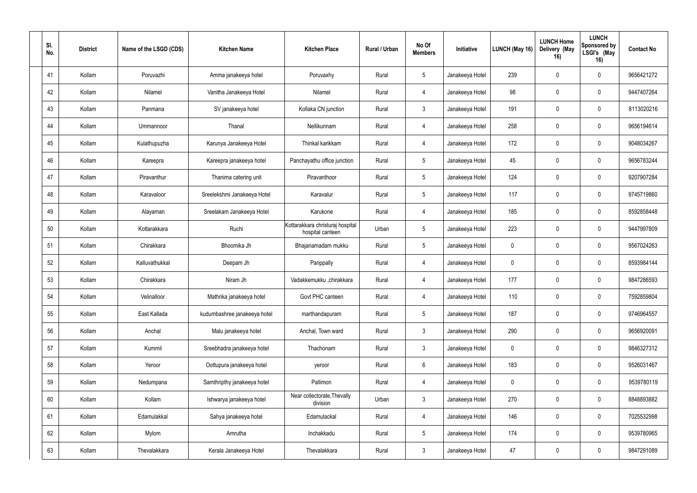| SI.<br>No. | <b>District</b> | Name of the LSGD (CDS) | <b>Kitchen Name</b>          | <b>Kitchen Place</b>                                 | Rural / Urban | No Of<br><b>Members</b> | Initiative      | LUNCH (May 16)   | <b>LUNCH Home</b><br>Delivery (May<br>16) | <b>LUNCH</b><br>Sponsored by<br>LSGI's (May<br>16) | <b>Contact No</b> |
|------------|-----------------|------------------------|------------------------------|------------------------------------------------------|---------------|-------------------------|-----------------|------------------|-------------------------------------------|----------------------------------------------------|-------------------|
| 41         | Kollam          | Poruvazhi              | Amma janakeeya hotel         | Poruvaxhy                                            | Rural         | $5\overline{)}$         | Janakeeya Hotel | 239              | $\mathbf 0$                               | $\mathbf 0$                                        | 9656421272        |
| 42         | Kollam          | Nilamel                | Vanitha Janakeeya Hotel      | Nilamel                                              | Rural         | 4                       | Janakeeya Hotel | 98               | $\mathbf 0$                               | $\mathbf 0$                                        | 9447407264        |
| 43         | Kollam          | Panmana                | SV janakeeya hotel           | Kollaka CN junction                                  | Rural         | $\mathbf{3}$            | Janakeeya Hotel | 191              | $\mathbf 0$                               | $\overline{0}$                                     | 8113020216        |
| 44         | Kollam          | Ummannoor              | Thanal                       | Nellikunnam                                          | Rural         | $\overline{4}$          | Janakeeya Hotel | 258              | $\mathbf 0$                               | $\mathbf 0$                                        | 9656194614        |
| 45         | Kollam          | Kulathupuzha           | Karunya Janakeeya Hotel      | Thinkal karikkam                                     | Rural         | $\overline{4}$          | Janakeeya Hotel | 172              | $\mathbf{0}$                              | $\mathbf 0$                                        | 9048034267        |
| 46         | Kollam          | Kareepra               | Kareepra janakeeya hotel     | Panchayathu office junction                          | Rural         | $5\overline{)}$         | Janakeeya Hotel | 45               | $\Omega$                                  | $\mathbf 0$                                        | 9656783244        |
| 47         | Kollam          | Piravanthur            | Thanima catering unit        | Piravanthoor                                         | Rural         | $5\overline{)}$         | Janakeeya Hotel | 124              | $\mathbf 0$                               | $\overline{0}$                                     | 9207907284        |
| 48         | Kollam          | Karavaloor             | Sreelekshmi Janakeeya Hotel  | Karavalur                                            | Rural         | $5\overline{)}$         | Janakeeya Hotel | 117              | $\mathbf 0$                               | $\mathbf 0$                                        | 9745719860        |
| 49         | Kollam          | Alayaman               | Sreelakam Janakeeya Hotel    | Karukone                                             | Rural         | $\overline{4}$          | Janakeeya Hotel | 185              | $\mathbf 0$                               | $\mathbf 0$                                        | 8592858448        |
| 50         | Kollam          | Kottarakkara           | Ruchi                        | Kottarakkara christuraj hospital<br>hospital canteen | Urban         | $5\phantom{.0}$         | Janakeeya Hotel | 223              | $\mathbf 0$                               | 0                                                  | 9447997809        |
| 51         | Kollam          | Chirakkara             | Bhoomika Jh                  | Bhajanamadam mukku                                   | Rural         | $5\overline{)}$         | Janakeeya Hotel | $\boldsymbol{0}$ | $\mathbf 0$                               | $\mathbf 0$                                        | 9567024263        |
| 52         | Kollam          | Kalluvathukkal         | Deepam Jh                    | Parippally                                           | Rural         | $\overline{4}$          | Janakeeya Hotel | $\mathbf 0$      | $\Omega$                                  | $\mathbf 0$                                        | 8593984144        |
| 53         | Kollam          | Chirakkara             | Niram Jh                     | Vadakkemukku ,chirakkara                             | Rural         | 4                       | Janakeeya Hotel | 177              | $\mathbf 0$                               | $\mathbf 0$                                        | 9847286593        |
| 54         | Kollam          | Velinalloor            | Mathrika janakeeya hotel     | Govt PHC canteen                                     | Rural         | 4                       | Janakeeya Hotel | 110              | $\mathbf 0$                               | $\mathbf 0$                                        | 7592859804        |
| 55         | Kollam          | East Kallada           | kudumbashree janakeeya hotel | marthandapuram                                       | Rural         | $5\overline{)}$         | Janakeeya Hotel | 187              | $\mathbf 0$                               | $\mathbf 0$                                        | 9746964557        |
| 56         | Kollam          | Anchal                 | Malu janakeeya hotel         | Anchal, Town ward                                    | Rural         | 3 <sup>1</sup>          | Janakeeya Hotel | 290              | $\mathbf 0$                               | $\mathbf 0$                                        | 9656920091        |
| 57         | Kollam          | Kummil                 | Sreebhadra janakeeya hotel   | Thachonam                                            | Rural         | 3 <sup>1</sup>          | Janakeeya Hotel | $\mathbf 0$      | $\mathbf 0$                               | $\mathbf 0$                                        | 9846327312        |
| 58         | Kollam          | Yeroor                 | Oottupura janakeeya hotel    | yeroor                                               | Rural         | $6\phantom{.}6$         | Janakeeya Hotel | 183              | $\mathbf 0$                               | $\mathbf 0$                                        | 9526031467        |
| 59         | Kollam          | Nedumpana              | Samthripthy janakeeya hotel  | Pallimon                                             | Rural         | $\overline{4}$          | Janakeeya Hotel | $\pmb{0}$        | $\mathbf 0$                               | $\mathbf 0$                                        | 9539780119        |
| 60         | Kollam          | Kollam                 | Ishwarya janakeeya hotel     | Near collectorate, Thevally<br>division              | Urban         | $\mathbf{3}$            | Janakeeya Hotel | 270              | $\mathbf 0$                               | $\mathbf 0$                                        | 8848893882        |
| 61         | Kollam          | Edamulakkal            | Sahya janakeeya hotel        | Edamulackal                                          | Rural         | $\overline{4}$          | Janakeeya Hotel | 146              | $\mathbf 0$                               | $\mathbf 0$                                        | 7025532998        |
| 62         | Kollam          | Mylom                  | Amrutha                      | Inchakkadu                                           | Rural         | $5\phantom{.0}$         | Janakeeya Hotel | 174              | $\mathbf 0$                               | $\mathbf 0$                                        | 9539780965        |
| 63         | Kollam          | Thevalakkara           | Kerala Janakeeya Hotel       | Thevalakkara                                         | Rural         | $\mathbf{3}$            | Janakeeya Hotel | 47               | $\mathbf 0$                               | $\mathbf 0$                                        | 9847291089        |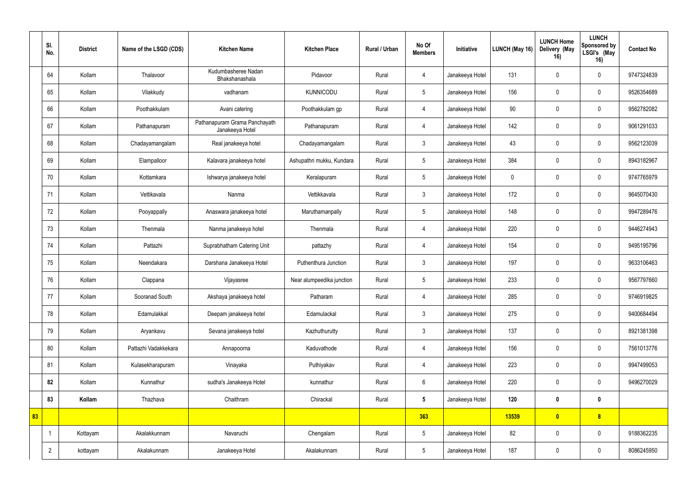|    | SI.<br>No.     | <b>District</b> | Name of the LSGD (CDS) | <b>Kitchen Name</b>                              | <b>Kitchen Place</b>      | Rural / Urban | No Of<br><b>Members</b> | Initiative      | LUNCH (May 16) | <b>LUNCH Home</b><br>Delivery (May<br>16) | <b>LUNCH</b><br>Sponsored by<br>LSGI's (May<br>16) | <b>Contact No</b> |
|----|----------------|-----------------|------------------------|--------------------------------------------------|---------------------------|---------------|-------------------------|-----------------|----------------|-------------------------------------------|----------------------------------------------------|-------------------|
|    | 64             | Kollam          | Thalavoor              | Kudumbasheree Nadan<br>Bhakshanashala            | Pidavoor                  | Rural         | $\overline{4}$          | Janakeeya Hotel | 131            | $\Omega$                                  | $\mathbf 0$                                        | 9747324839        |
|    | 65             | Kollam          | Vilakkudy              | vadhanam                                         | <b>KUNNICODU</b>          | Rural         | 5 <sup>5</sup>          | Janakeeya Hotel | 156            | $\Omega$                                  | $\mathbf 0$                                        | 9526354689        |
|    | 66             | Kollam          | Poothakkulam           | Avani catering                                   | Poothakkulam gp           | Rural         | 4                       | Janakeeya Hotel | 90             |                                           | $\mathbf 0$                                        | 9562782082        |
|    | 67             | Kollam          | Pathanapuram           | Pathanapuram Grama Panchayath<br>Janakeeya Hotel | Pathanapuram              | Rural         | 4                       | Janakeeya Hotel | 142            | $\Omega$                                  | $\mathbf 0$                                        | 9061291033        |
|    | 68             | Kollam          | Chadayamangalam        | Real janakeeya hotel                             | Chadayamangalam           | Rural         | $\mathbf{3}$            | Janakeeya Hotel | 43             | $\Omega$                                  | $\mathbf 0$                                        | 9562123039        |
|    | 69             | Kollam          | Elampalloor            | Kalavara janakeeya hotel                         | Ashupathri mukku, Kundara | Rural         | $5\phantom{.0}$         | Janakeeya Hotel | 384            | $\Omega$                                  | $\mathbf 0$                                        | 8943182967        |
|    | 70             | Kollam          | Kottamkara             | Ishwarya janakeeya hotel                         | Keralapuram               | Rural         | 5                       | Janakeeya Hotel | $\mathbf 0$    | $\Omega$                                  | $\mathbf 0$                                        | 9747765979        |
|    | 71             | Kollam          | Vettikavala            | Nanma                                            | Vettikkavala              | Rural         | $\mathbf{3}$            | Janakeeya Hotel | 172            | $\Omega$                                  | $\mathbf 0$                                        | 9645070430        |
|    | 72             | Kollam          | Pooyappally            | Anaswara janakeeya hotel                         | Maruthamanpally           | Rural         | 5 <sup>5</sup>          | Janakeeya Hotel | 148            | $\mathbf 0$                               | $\mathbf 0$                                        | 9947289476        |
|    | 73             | Kollam          | Thenmala               | Nanma janakeeya hotel                            | Thenmala                  | Rural         | 4                       | Janakeeya Hotel | 220            |                                           | $\mathbf 0$                                        | 9446274943        |
|    | 74             | Kollam          | Pattazhi               | Suprabhatham Catering Unit                       | pattazhy                  | Rural         | 4                       | Janakeeya Hotel | 154            | 0                                         | $\mathbf 0$                                        | 9495195796        |
|    | 75             | Kollam          | Neendakara             | Darshana Janakeeya Hotel                         | Puthenthura Junction      | Rural         | $\mathbf{3}$            | Janakeeya Hotel | 197            | $\Omega$                                  | $\mathbf 0$                                        | 9633106463        |
|    | 76             | Kollam          | Clappana               | Vijayasree                                       | Near alumpeedika junction | Rural         | 5 <sub>5</sub>          | Janakeeya Hotel | 233            | $\Omega$                                  | $\mathbf 0$                                        | 9567797660        |
|    | 77             | Kollam          | Sooranad South         | Akshaya janakeeya hotel                          | Patharam                  | Rural         | $\overline{4}$          | Janakeeya Hotel | 285            | $\mathbf 0$                               | $\mathbf 0$                                        | 9746919825        |
|    | 78             | Kollam          | Edamulakkal            | Deepam janakeeya hotel                           | Edamulackal               | Rural         | 3 <sup>1</sup>          | Janakeeya Hotel | 275            | $\mathbf 0$                               | $\mathbf 0$                                        | 9400684494        |
|    | 79             | Kollam          | Aryankavu              | Sevana janakeeya hotel                           | Kazhuthurutty             | Rural         | 3 <sup>1</sup>          | Janakeeya Hotel | 137            | $\boldsymbol{0}$                          | $\mathbf 0$                                        | 8921381398        |
|    | 80             | Kollam          | Pattazhi Vadakkekara   | Annapoorna                                       | Kaduvathode               | Rural         | $\overline{4}$          | Janakeeya Hotel | 156            | $\pmb{0}$                                 | $\mathbf 0$                                        | 7561013776        |
|    | 81             | Kollam          | Kulasekharapuram       | Vinayaka                                         | Puthiyakav                | Rural         | $\overline{4}$          | Janakeeya Hotel | 223            | $\mathbf 0$                               | $\mathbf 0$                                        | 9947499053        |
|    | 82             | Kollam          | Kunnathur              | sudha's Janakeeya Hotel                          | kunnathur                 | Rural         | $6\phantom{.0}$         | Janakeeya Hotel | 220            | $\pmb{0}$                                 | $\mathbf 0$                                        | 9496270029        |
|    | 83             | Kollam          | Thazhava               | Chaithram                                        | Chirackal                 | Rural         | 5 <sub>5</sub>          | Janakeeya Hotel | 120            | $\bf{0}$                                  | $\mathbf 0$                                        |                   |
| 83 |                |                 |                        |                                                  |                           |               | 363                     |                 | 13539          | $\bullet$                                 | 8 <sub>o</sub>                                     |                   |
|    | $\overline{1}$ | Kottayam        | Akalakkunnam           | Navaruchi                                        | Chengalam                 | Rural         | $5\phantom{.0}$         | Janakeeya Hotel | 82             | $\mathbf 0$                               | $\mathbf 0$                                        | 9188362235        |
|    | $\overline{2}$ | kottayam        | Akalakunnam            | Janakeeya Hotel                                  | Akalakunnam               | Rural         | 5 <sub>5</sub>          | Janakeeya Hotel | 187            | $\pmb{0}$                                 | $\mathbf 0$                                        | 8086245950        |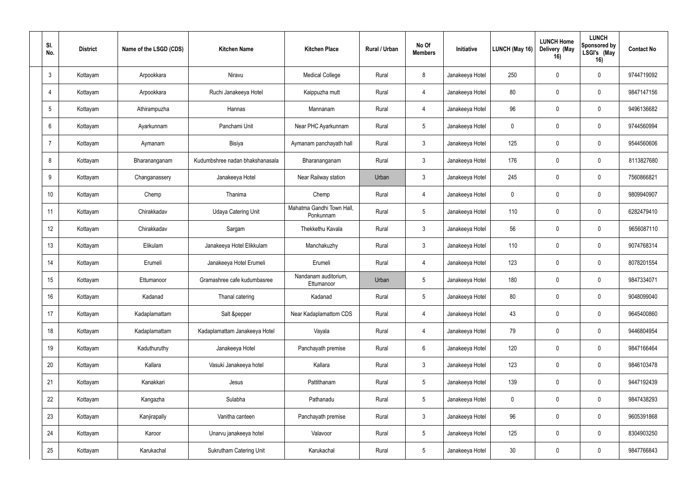| SI.<br>No.      | <b>District</b> | Name of the LSGD (CDS) | <b>Kitchen Name</b>             | <b>Kitchen Place</b>                   | Rural / Urban | No Of<br><b>Members</b> | Initiative      | <b>LUNCH (May 16)</b> | <b>LUNCH Home</b><br>Delivery (May<br>16) | <b>LUNCH</b><br>Sponsored by<br>LSGI's (May<br>16) | <b>Contact No</b> |
|-----------------|-----------------|------------------------|---------------------------------|----------------------------------------|---------------|-------------------------|-----------------|-----------------------|-------------------------------------------|----------------------------------------------------|-------------------|
| $\mathbf{3}$    | Kottayam        | Arpookkara             | Niravu                          | <b>Medical College</b>                 | Rural         | 8                       | Janakeeya Hotel | 250                   | $\Omega$                                  | $\mathbf 0$                                        | 9744719092        |
| $\overline{4}$  | Kottayam        | Arpookkara             | Ruchi Janakeeya Hotel           | Kaippuzha mutt                         | Rural         | $\overline{4}$          | Janakeeya Hotel | 80                    | $\mathbf 0$                               | 0                                                  | 9847147156        |
| $5\phantom{.0}$ | Kottayam        | Athirampuzha           | Hannas                          | Mannanam                               | Rural         | $\overline{4}$          | Janakeeya Hotel | 96                    | $\Omega$                                  | 0                                                  | 9496136682        |
| 6               | Kottayam        | Ayarkunnam             | Panchami Unit                   | Near PHC Ayarkunnam                    | Rural         | 5                       | Janakeeya Hotel | $\mathbf 0$           | $\Omega$                                  | $\mathbf 0$                                        | 9744560994        |
| $\overline{7}$  | Kottayam        | Aymanam                | Bisiya                          | Aymanam panchayath hall                | Rural         | $\mathbf{3}$            | Janakeeya Hotel | 125                   | $\Omega$                                  | $\mathbf 0$                                        | 9544560606        |
| 8               | Kottayam        | Bharananganam          | Kudumbshree nadan bhakshanasala | Bharananganam                          | Rural         | 3                       | Janakeeya Hotel | 176                   | $\Omega$                                  | $\mathbf 0$                                        | 8113827680        |
| 9               | Kottayam        | Changanassery          | Janakeeya Hotel                 | Near Railway station                   | Urban         | $\mathbf{3}$            | Janakeeya Hotel | 245                   | $\theta$                                  | $\mathbf 0$                                        | 7560866821        |
| 10 <sup>°</sup> | Kottayam        | Chemp                  | Thanima                         | Chemp                                  | Rural         | 4                       | Janakeeya Hotel | $\mathbf 0$           | $\Omega$                                  | $\mathbf 0$                                        | 9809940907        |
| 11              | Kottayam        | Chirakkadav            | <b>Udaya Catering Unit</b>      | Mahatma Gandhi Town Hall,<br>Ponkunnam | Rural         | $5\phantom{.0}$         | Janakeeya Hotel | 110                   | $\mathbf 0$                               | $\mathbf 0$                                        | 6282479410        |
| 12 <sup>°</sup> | Kottayam        | Chirakkadav            | Sargam                          | Thekkethu Kavala                       | Rural         | 3                       | Janakeeya Hotel | 56                    | 0                                         | $\mathbf 0$                                        | 9656087110        |
| 13              | Kottayam        | Elikulam               | Janakeeya Hotel Elikkulam       | Manchakuzhy                            | Rural         | $\mathbf{3}$            | Janakeeya Hotel | 110                   | 0                                         | $\boldsymbol{0}$                                   | 9074768314        |
| 14              | Kottayam        | Erumeli                | Janakeeya Hotel Erumeli         | Erumeli                                | Rural         | 4                       | Janakeeya Hotel | 123                   | $\Omega$                                  | $\mathbf 0$                                        | 8078201554        |
| 15              | Kottayam        | Ettumanoor             | Gramashree cafe kudumbasree     | Nandanam auditorium,<br>Ettumanoor     | Urban         | 5                       | Janakeeya Hotel | 180                   | 0                                         | $\mathbf 0$                                        | 9847334071        |
| 16 <sup>°</sup> | Kottayam        | Kadanad                | Thanal catering                 | Kadanad                                | Rural         | $5\,$                   | Janakeeya Hotel | 80                    | $\pmb{0}$                                 | $\mathbf 0$                                        | 9048099040        |
| 17              | Kottayam        | Kadaplamattam          | Salt &pepper                    | Near Kadaplamattom CDS                 | Rural         | $\overline{4}$          | Janakeeya Hotel | 43                    | $\mathbf 0$                               | $\mathbf 0$                                        | 9645400860        |
| 18              | Kottayam        | Kadaplamattam          | Kadaplamattam Janakeeya Hotel   | Vayala                                 | Rural         | 4                       | Janakeeya Hotel | 79                    | $\mathbf 0$                               | $\mathbf 0$                                        | 9446804954        |
| 19              | Kottayam        | Kaduthuruthy           | Janakeeya Hotel                 | Panchayath premise                     | Rural         | $6\,$                   | Janakeeya Hotel | 120                   | $\mathbf 0$                               | $\mathbf 0$                                        | 9847166464        |
| 20              | Kottayam        | Kallara                | Vasuki Janakeeya hotel          | Kallara                                | Rural         | $\mathbf{3}$            | Janakeeya Hotel | 123                   | $\mathbf 0$                               | $\mathbf 0$                                        | 9846103478        |
| 21              | Kottayam        | Kanakkari              | Jesus                           | Pattithanam                            | Rural         | $5\,$                   | Janakeeya Hotel | 139                   | $\mathbf 0$                               | $\mathbf 0$                                        | 9447192439        |
| 22              | Kottayam        | Kangazha               | Sulabha                         | Pathanadu                              | Rural         | $5\,$                   | Janakeeya Hotel | $\mathbf 0$           | $\pmb{0}$                                 | $\mathbf 0$                                        | 9847438293        |
| 23              | Kottayam        | Kanjirapally           | Vanitha canteen                 | Panchayath premise                     | Rural         | $\mathbf{3}$            | Janakeeya Hotel | 96                    | $\mathbf 0$                               | $\mathbf 0$                                        | 9605391868        |
| 24              | Kottayam        | Karoor                 | Unarvu janakeeya hotel          | Valavoor                               | Rural         | $\sqrt{5}$              | Janakeeya Hotel | 125                   | $\mathbf 0$                               | $\mathbf 0$                                        | 8304903250        |
| 25              | Kottayam        | Karukachal             | <b>Sukrutham Catering Unit</b>  | Karukachal                             | Rural         | $\sqrt{5}$              | Janakeeya Hotel | $30\,$                | 0                                         | $\mathbf 0$                                        | 9847766843        |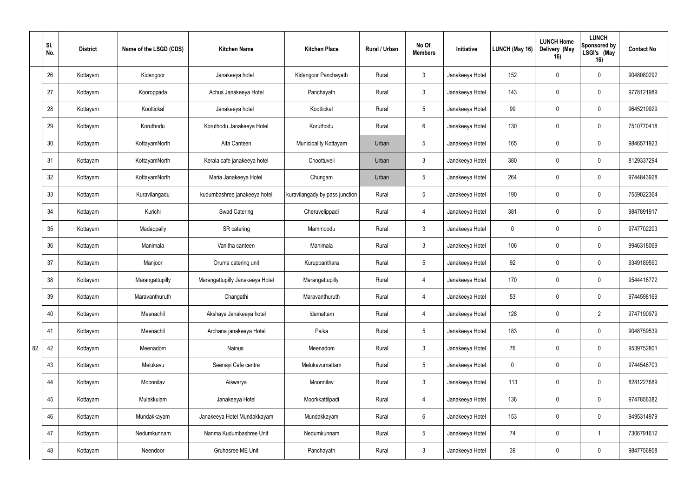|    | SI.<br>No. | <b>District</b> | Name of the LSGD (CDS) | <b>Kitchen Name</b>             | <b>Kitchen Place</b>           | Rural / Urban | No Of<br><b>Members</b> | Initiative      | LUNCH (May 16) | <b>LUNCH Home</b><br>Delivery (May<br>16) | <b>LUNCH</b><br>Sponsored by<br>LSGI's (May<br>16) | <b>Contact No</b> |
|----|------------|-----------------|------------------------|---------------------------------|--------------------------------|---------------|-------------------------|-----------------|----------------|-------------------------------------------|----------------------------------------------------|-------------------|
|    | 26         | Kottayam        | Kidangoor              | Janakeeya hotel                 | Kidangoor Panchayath           | Rural         | $\mathbf{3}$            | Janakeeya Hotel | 152            |                                           | $\mathbf 0$                                        | 9048080292        |
|    | 27         | Kottayam        | Kooroppada             | Achus Janakeeya Hotel           | Panchayath                     | Rural         | $\mathbf{3}$            | Janakeeya Hotel | 143            | $\overline{0}$                            | $\mathbf 0$                                        | 9778121989        |
|    | 28         | Kottayam        | Koottickal             | Janakeeya hotel                 | Koottickal                     | Rural         | $5\overline{)}$         | Janakeeya Hotel | 99             | $\Omega$                                  | $\mathbf 0$                                        | 9645219929        |
|    | 29         | Kottayam        | Koruthodu              | Koruthodu Janakeeya Hotel       | Koruthodu                      | Rural         | $6\overline{6}$         | Janakeeya Hotel | 130            | $\Omega$                                  | $\mathbf 0$                                        | 7510770418        |
|    | 30         | Kottayam        | KottayamNorth          | Alfa Canteen                    | Municipality Kottayam          | Urban         | $5\overline{)}$         | Janakeeya Hotel | 165            | $\Omega$                                  | $\mathbf 0$                                        | 9846571923        |
|    | 31         | Kottayam        | KottayamNorth          | Kerala cafe janakeeya hotel     | Choottuveli                    | Urban         | $\mathbf{3}$            | Janakeeya Hotel | 380            | $\Omega$                                  | $\mathbf 0$                                        | 8129337294        |
|    | 32         | Kottayam        | KottayamNorth          | Maria Janakeeya Hotel           | Chungam                        | Urban         | $5\phantom{.0}$         | Janakeeya Hotel | 264            | $\mathbf 0$                               | $\mathbf 0$                                        | 9744843928        |
|    | 33         | Kottayam        | Kuravilangadu          | kudumbashree janakeeya hotel    | kuravilangady by pass junction | Rural         | $5\phantom{.0}$         | Janakeeya Hotel | 190            |                                           | $\mathbf 0$                                        | 7559022364        |
|    | 34         | Kottayam        | Kurichi                | <b>Swad Catering</b>            | Cheruvelippadi                 | Rural         | $\overline{4}$          | Janakeeya Hotel | 381            | $\Omega$                                  | $\mathbf 0$                                        | 9847891917        |
|    | 35         | Kottayam        | Madappally             | SR catering                     | Mammoodu                       | Rural         | $\mathbf{3}$            | Janakeeya Hotel | $\mathbf 0$    |                                           | $\mathbf 0$                                        | 9747702203        |
|    | 36         | Kottayam        | Manimala               | Vanitha canteen                 | Manimala                       | Rural         | $\mathbf{3}$            | Janakeeya Hotel | 106            | $\Omega$                                  | $\mathbf 0$                                        | 9946318069        |
|    | 37         | Kottayam        | Manjoor                | Oruma catering unit             | Kuruppanthara                  | Rural         | $5\overline{)}$         | Janakeeya Hotel | 92             | $\Omega$                                  | $\mathbf 0$                                        | 9349189590        |
|    | 38         | Kottayam        | Marangattupilly        | Marangattupilly Janakeeya Hotel | Marangattupilly                | Rural         | 4                       | Janakeeya Hotel | 170            | $\Omega$                                  | $\mathbf 0$                                        | 9544416772        |
|    | 39         | Kottayam        | Maravanthuruth         | Changathi                       | Maravanthuruth                 | Rural         | $\overline{4}$          | Janakeeya Hotel | 53             | $\overline{0}$                            | $\mathbf 0$                                        | 9744598169        |
|    | 40         | Kottayam        | Meenachil              | Akshaya Janakeeya hotel         | Idamattam                      | Rural         | $\overline{4}$          | Janakeeya Hotel | 128            | $\overline{0}$                            | $2^{\circ}$                                        | 9747190979        |
|    | 41         | Kottayam        | Meenachil              | Archana janakeeya Hotel         | Paika                          | Rural         | $5\overline{)}$         | Janakeeya Hotel | 183            | $\overline{0}$                            | $\mathbf 0$                                        | 9048759539        |
| 82 | 42         | Kottayam        | Meenadom               | Nainus                          | Meenadom                       | Rural         | $\mathbf{3}$            | Janakeeya Hotel | 76             | $\mathbf 0$                               | $\mathbf 0$                                        | 9539752801        |
|    | 43         | Kottayam        | Melukavu               | Seenayi Cafe centre             | Melukavumattam                 | Rural         | $5\phantom{.0}$         | Janakeeya Hotel | $\mathbf 0$    | $\mathbf 0$                               | $\mathbf 0$                                        | 9744546703        |
|    | 44         | Kottayam        | Moonnilav              | Aiswarya                        | Moonnilav                      | Rural         | $\mathbf{3}$            | Janakeeya Hotel | 113            | 0                                         | $\mathbf 0$                                        | 8281227689        |
|    | 45         | Kottayam        | Mulakkulam             | Janakeeya Hotel                 | Moorkkattilpadi                | Rural         | $\overline{4}$          | Janakeeya Hotel | 136            | $\mathbf 0$                               | $\mathbf 0$                                        | 9747856382        |
|    | 46         | Kottayam        | Mundakkayam            | Janakeeya Hotel Mundakkayam     | Mundakkayam                    | Rural         | $6\overline{6}$         | Janakeeya Hotel | 153            | $\overline{0}$                            | $\mathbf 0$                                        | 9495314979        |
|    | 47         | Kottayam        | Nedumkunnam            | Nanma Kudumbashree Unit         | Nedumkunnam                    | Rural         | $5\overline{)}$         | Janakeeya Hotel | 74             | $\mathbf 0$                               | -1                                                 | 7306791612        |
|    | 48         | Kottayam        | Neendoor               | Gruhasree ME Unit               | Panchayath                     | Rural         | $\mathbf{3}$            | Janakeeya Hotel | 39             | $\boldsymbol{0}$                          | $\mathbf 0$                                        | 9847756958        |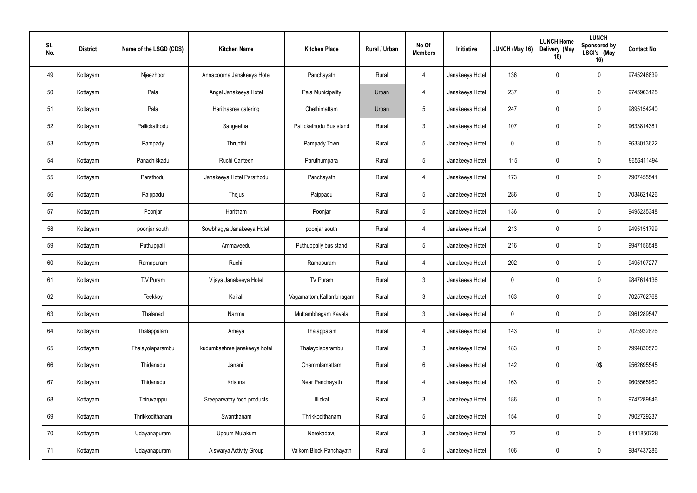| SI.<br>No. | <b>District</b> | Name of the LSGD (CDS) | <b>Kitchen Name</b>          | <b>Kitchen Place</b>     | Rural / Urban | No Of<br><b>Members</b> | Initiative      | LUNCH (May 16) | <b>LUNCH Home</b><br>Delivery (May<br>16) | <b>LUNCH</b><br>Sponsored by<br>LSGI's (May<br>16) | <b>Contact No</b> |
|------------|-----------------|------------------------|------------------------------|--------------------------|---------------|-------------------------|-----------------|----------------|-------------------------------------------|----------------------------------------------------|-------------------|
| 49         | Kottayam        | Njeezhoor              | Annapoorna Janakeeya Hotel   | Panchayath               | Rural         | 4                       | Janakeeya Hotel | 136            | $\mathbf 0$                               | $\mathbf 0$                                        | 9745246839        |
| 50         | Kottayam        | Pala                   | Angel Janakeeya Hotel        | Pala Municipality        | Urban         | $\overline{4}$          | Janakeeya Hotel | 237            | $\mathbf 0$                               | $\mathbf 0$                                        | 9745963125        |
| 51         | Kottayam        | Pala                   | Harithasree catering         | Chethimattam             | Urban         | $5\phantom{.0}$         | Janakeeya Hotel | 247            | $\mathbf 0$                               | $\mathbf 0$                                        | 9895154240        |
| 52         | Kottayam        | Pallickathodu          | Sangeetha                    | Pallickathodu Bus stand  | Rural         | $\mathfrak{Z}$          | Janakeeya Hotel | 107            | $\mathbf 0$                               | $\mathbf 0$                                        | 9633814381        |
| 53         | Kottayam        | Pampady                | Thrupthi                     | Pampady Town             | Rural         | $5\phantom{.0}$         | Janakeeya Hotel | $\pmb{0}$      | $\theta$                                  | $\mathbf 0$                                        | 9633013622        |
| 54         | Kottayam        | Panachikkadu           | Ruchi Canteen                | Paruthumpara             | Rural         | $5\phantom{.0}$         | Janakeeya Hotel | 115            | $\Omega$                                  | $\mathbf 0$                                        | 9656411494        |
| 55         | Kottayam        | Parathodu              | Janakeeya Hotel Parathodu    | Panchayath               | Rural         | 4                       | Janakeeya Hotel | 173            | $\mathbf 0$                               | $\mathbf 0$                                        | 7907455541        |
| 56         | Kottayam        | Paippadu               | Thejus                       | Paippadu                 | Rural         | $5\overline{)}$         | Janakeeya Hotel | 286            | $\mathbf 0$                               | $\mathbf 0$                                        | 7034621426        |
| 57         | Kottayam        | Poonjar                | Haritham                     | Poonjar                  | Rural         | $5\,$                   | Janakeeya Hotel | 136            | $\mathbf 0$                               | $\mathbf 0$                                        | 9495235348        |
| 58         | Kottayam        | poonjar south          | Sowbhagya Janakeeya Hotel    | poonjar south            | Rural         | 4                       | Janakeeya Hotel | 213            | $\mathbf 0$                               | $\boldsymbol{0}$                                   | 9495151799        |
| 59         | Kottayam        | Puthuppalli            | Ammaveedu                    | Puthuppally bus stand    | Rural         | $5\overline{)}$         | Janakeeya Hotel | 216            | $\mathbf 0$                               | $\mathbf 0$                                        | 9947156548        |
| 60         | Kottayam        | Ramapuram              | Ruchi                        | Ramapuram                | Rural         | $\overline{4}$          | Janakeeya Hotel | 202            | $\mathbf 0$                               | $\mathbf 0$                                        | 9495107277        |
| 61         | Kottayam        | T.V.Puram              | Vijaya Janakeeya Hotel       | TV Puram                 | Rural         | $\mathbf{3}$            | Janakeeya Hotel | $\mathbf 0$    | $\mathbf 0$                               | $\mathbf 0$                                        | 9847614136        |
| 62         | Kottayam        | Teekkoy                | Kairali                      | Vagamattom, Kallambhagam | Rural         | $\mathfrak{Z}$          | Janakeeya Hotel | 163            | $\mathbf 0$                               | $\mathbf 0$                                        | 7025702768        |
| 63         | Kottayam        | Thalanad               | Nanma                        | Muttambhagam Kavala      | Rural         | $\mathfrak{Z}$          | Janakeeya Hotel | $\pmb{0}$      | $\mathbf 0$                               | $\mathbf 0$                                        | 9961289547        |
| 64         | Kottayam        | Thalappalam            | Ameya                        | Thalappalam              | Rural         | $\overline{4}$          | Janakeeya Hotel | 143            | $\mathbf 0$                               | $\mathbf 0$                                        | 7025932626        |
| 65         | Kottayam        | Thalayolaparambu       | kudumbashree janakeeya hotel | Thalayolaparambu         | Rural         | $\mathfrak{Z}$          | Janakeeya Hotel | 183            | $\mathbf 0$                               | $\mathbf 0$                                        | 7994830570        |
| 66         | Kottayam        | Thidanadu              | Janani                       | Chemmlamattam            | Rural         | $6\,$                   | Janakeeya Hotel | 142            | $\mathbf 0$                               | 0\$                                                | 9562695545        |
| 67         | Kottayam        | Thidanadu              | Krishna                      | Near Panchayath          | Rural         | $\overline{4}$          | Janakeeya Hotel | 163            | $\mathbf 0$                               | $\mathbf 0$                                        | 9605565960        |
| 68         | Kottayam        | Thiruvarppu            | Sreeparvathy food products   | Illickal                 | Rural         | $\mathfrak{Z}$          | Janakeeya Hotel | 186            | $\mathbf 0$                               | $\mathbf 0$                                        | 9747289846        |
| 69         | Kottayam        | Thrikkodithanam        | Swanthanam                   | Thrikkodithanam          | Rural         | $5\,$                   | Janakeeya Hotel | 154            | $\mathbf 0$                               | $\mathbf 0$                                        | 7902729237        |
| $70\,$     | Kottayam        | Udayanapuram           | Uppum Mulakum                | Nerekadavu               | Rural         | $\mathfrak{Z}$          | Janakeeya Hotel | 72             | $\mathbf 0$                               | $\mathbf 0$                                        | 8111850728        |
| 71         | Kottayam        | Udayanapuram           | Aiswarya Activity Group      | Vaikom Block Panchayath  | Rural         | $\sqrt{5}$              | Janakeeya Hotel | 106            | $\pmb{0}$                                 | $\mathbf 0$                                        | 9847437286        |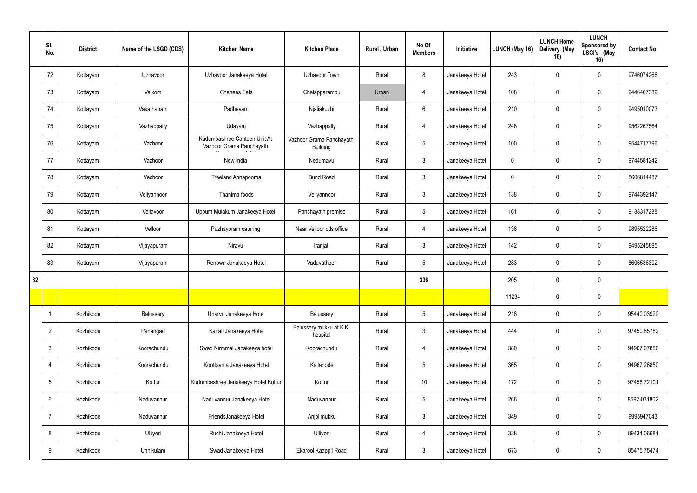|    | SI.<br>No.      | <b>District</b> | Name of the LSGD (CDS) | <b>Kitchen Name</b>                                      | <b>Kitchen Place</b>                        | Rural / Urban | No Of<br><b>Members</b> | Initiative      | <b>LUNCH (May 16)</b> | <b>LUNCH Home</b><br>Delivery (May<br>16) | <b>LUNCH</b><br>Sponsored by<br>LSGI's (May<br>16) | <b>Contact No</b> |
|----|-----------------|-----------------|------------------------|----------------------------------------------------------|---------------------------------------------|---------------|-------------------------|-----------------|-----------------------|-------------------------------------------|----------------------------------------------------|-------------------|
|    | 72              | Kottayam        | Uzhavoor               | Uzhavoor Janakeeya Hotel                                 | Uzhavoor Town                               | Rural         | 8                       | Janakeeya Hotel | 243                   | $\Omega$                                  | $\mathbf 0$                                        | 9746074266        |
|    | 73              | Kottayam        | Vaikom                 | <b>Chanees Eats</b>                                      | Chalapparambu                               | Urban         | 4                       | Janakeeya Hotel | 108                   | $\mathbf 0$                               | $\mathbf 0$                                        | 9446467389        |
|    | 74              | Kottayam        | Vakathanam             | Padheyam                                                 | Njaliakuzhi                                 | Rural         | $6\overline{6}$         | Janakeeya Hotel | 210                   | $\Omega$                                  | $\mathbf 0$                                        | 9495010073        |
|    | 75              | Kottayam        | Vazhappally            | Udayam                                                   | Vazhappally                                 | Rural         | 4                       | Janakeeya Hotel | 246                   | $\Omega$                                  | $\mathbf 0$                                        | 9562267564        |
|    | 76              | Kottayam        | Vazhoor                | Kudumbashree Canteen Unit At<br>Vazhoor Grama Panchayath | Vazhoor Grama Panchayath<br><b>Building</b> | Rural         | $5\phantom{.0}$         | Janakeeya Hotel | 100                   | $\Omega$                                  | $\mathbf 0$                                        | 9544717796        |
|    | 77              | Kottayam        | Vazhoor                | New India                                                | Nedumavu                                    | Rural         | $\mathbf{3}$            | Janakeeya Hotel | $\mathbf 0$           | $\Omega$                                  | $\mathbf 0$                                        | 9744581242        |
|    | 78              | Kottayam        | Vechoor                | Treeland Annapoorna                                      | <b>Bund Road</b>                            | Rural         | $\mathbf{3}$            | Janakeeya Hotel | $\mathbf 0$           | $\Omega$                                  | $\mathbf 0$                                        | 8606814487        |
|    | 79              | Kottayam        | Veliyannoor            | Thanima foods                                            | Veliyannoor                                 | Rural         | $\mathbf{3}$            | Janakeeya Hotel | 138                   | $\Omega$                                  | $\mathbf 0$                                        | 9744392147        |
|    | 80              | Kottayam        | Vellavoor              | Uppum Mulakum Janakeeya Hotel                            | Panchayath premise                          | Rural         | $5\overline{)}$         | Janakeeya Hotel | 161                   | 0                                         | $\mathbf 0$                                        | 9188317288        |
|    | 81              | Kottayam        | Velloor                | Puzhayoram catering                                      | Near Velloor cds office                     | Rural         | 4                       | Janakeeya Hotel | 136                   |                                           | $\mathbf 0$                                        | 9895522286        |
|    | 82              | Kottayam        | Vijayapuram            | Niravu                                                   | Iranjal                                     | Rural         | $\mathbf{3}$            | Janakeeya Hotel | 142                   | $\mathbf 0$                               | $\mathbf 0$                                        | 9495245895        |
|    | 83              | Kottayam        | Vijayapuram            | Renown Janakeeya Hotel                                   | Vadavathoor                                 | Rural         | $5\phantom{.0}$         | Janakeeya Hotel | 283                   | $\Omega$                                  | $\mathbf 0$                                        | 8606536302        |
| 82 |                 |                 |                        |                                                          |                                             |               | 336                     |                 | 205                   | 0                                         | $\mathbf 0$                                        |                   |
|    |                 |                 |                        |                                                          |                                             |               |                         |                 | 11234                 | $\mathbf 0$                               | $\mathbf 0$                                        |                   |
|    | $\overline{1}$  | Kozhikode       | Balussery              | Unarvu Janakeeya Hotel                                   | Balussery                                   | Rural         | $5\overline{)}$         | Janakeeya Hotel | 218                   | $\mathbf 0$                               | $\mathbf 0$                                        | 95440 03929       |
|    | $\overline{2}$  | Kozhikode       | Panangad               | Kairali Janakeeya Hotel                                  | Balussery mukku at KK<br>hospital           | Rural         | $\mathbf{3}$            | Janakeeya Hotel | 444                   | $\mathbf 0$                               | $\mathbf 0$                                        | 97450 85782       |
|    | $\mathfrak{Z}$  | Kozhikode       | Koorachundu            | Swad Nirmmal Janakeeya hotel                             | Koorachundu                                 | Rural         | 4                       | Janakeeya Hotel | 380                   | $\mathbf 0$                               | $\mathbf 0$                                        | 94967 07886       |
|    | $\overline{4}$  | Kozhikode       | Koorachundu            | Koottayma Janakeeya Hotel                                | Kallanode                                   | Rural         | $5\phantom{.0}$         | Janakeeya Hotel | 365                   | $\mathbf 0$                               | $\mathbf 0$                                        | 94967 26850       |
|    | $5\phantom{.0}$ | Kozhikode       | Kottur                 | Kudumbashree Janakeeya Hotel Kottur                      | Kottur                                      | Rural         | 10                      | Janakeeya Hotel | 172                   | $\mathbf 0$                               | $\mathbf 0$                                        | 97456 72101       |
|    | $6\phantom{.}6$ | Kozhikode       | Naduvannur             | Naduvannur Janakeeya Hotel                               | Naduvannur                                  | Rural         | $5\phantom{.0}$         | Janakeeya Hotel | 266                   | $\mathbf 0$                               | $\mathbf 0$                                        | 8592-031802       |
|    | $\overline{7}$  | Kozhikode       | Naduvannur             | FriendsJanakeeya Hotel                                   | Anjolimukku                                 | Rural         | $\mathbf{3}$            | Janakeeya Hotel | 349                   | $\mathbf 0$                               | $\mathbf 0$                                        | 9995947043        |
|    | 8               | Kozhikode       | Ulliyeri               | Ruchi Janakeeya Hotel                                    | Ulliyeri                                    | Rural         | $\overline{4}$          | Janakeeya Hotel | 328                   | $\mathbf 0$                               | $\mathbf 0$                                        | 89434 06681       |
|    | 9               | Kozhikode       | Unnikulam              | Swad Janakeeya Hotel                                     | Ekarool Kaappil Road                        | Rural         | $\mathbf{3}$            | Janakeeya Hotel | 673                   | $\boldsymbol{0}$                          | $\mathbf 0$                                        | 85475 75474       |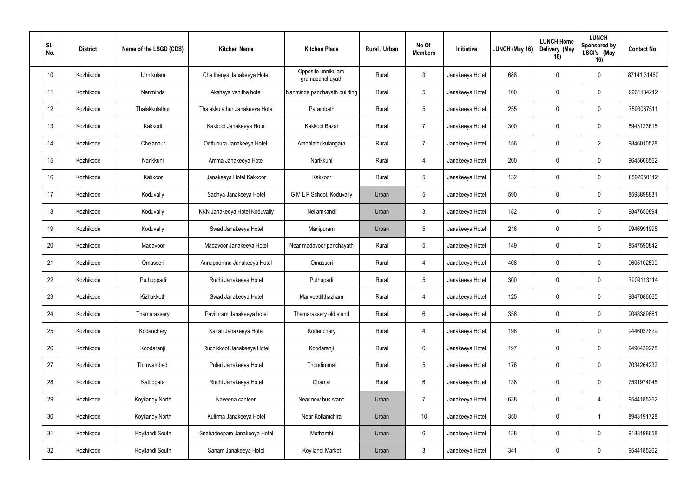| SI.<br>No. | <b>District</b> | Name of the LSGD (CDS) | <b>Kitchen Name</b>            | <b>Kitchen Place</b>                  | Rural / Urban | No Of<br><b>Members</b> | Initiative      | <b>LUNCH (May 16)</b> | <b>LUNCH Home</b><br>Delivery (May<br>16) | <b>LUNCH</b><br>Sponsored by<br>LSGI's (May<br>16) | <b>Contact No</b> |
|------------|-----------------|------------------------|--------------------------------|---------------------------------------|---------------|-------------------------|-----------------|-----------------------|-------------------------------------------|----------------------------------------------------|-------------------|
| 10         | Kozhikode       | Unnikulam              | Chaithanya Janakeeya Hotel     | Opposite unnikulam<br>gramapanchayath | Rural         | $\mathbf{3}$            | Janakeeya Hotel | 688                   | $\Omega$                                  | $\bf{0}$                                           | 87141 31460       |
| 11         | Kozhikode       | Nanminda               | Akshaya vanitha hotel          | Nanminda panchayath building          | Rural         | $5\phantom{.0}$         | Janakeeya Hotel | 160                   | $\mathbf 0$                               | $\mathbf 0$                                        | 9961184212        |
| 12         | Kozhikode       | Thalakkulathur         | Thalakkulathur Janakeeya Hotel | Parambath                             | Rural         | 5                       | Janakeeya Hotel | 255                   | $\Omega$                                  | 0                                                  | 7593067511        |
| 13         | Kozhikode       | Kakkodi                | Kakkodi Janakeeya Hotel        | Kakkodi Bazar                         | Rural         | $\overline{7}$          | Janakeeya Hotel | 300                   | $\mathbf 0$                               | $\mathbf 0$                                        | 8943123615        |
| 14         | Kozhikode       | Chelannur              | Oottupura Janakeeya Hotel      | Ambalathukulangara                    | Rural         | $\overline{7}$          | Janakeeya Hotel | 156                   | $\theta$                                  | $\overline{2}$                                     | 9846010528        |
| 15         | Kozhikode       | Narikkuni              | Amma Janakeeya Hotel           | Narikkuni                             | Rural         | $\overline{4}$          | Janakeeya Hotel | 200                   | $\Omega$                                  | $\mathbf 0$                                        | 9645606562        |
| 16         | Kozhikode       | Kakkoor                | Janakeeya Hotel Kakkoor        | Kakkoor                               | Rural         | $5\phantom{.0}$         | Janakeeya Hotel | 132                   | $\mathbf 0$                               | $\mathbf 0$                                        | 8592050112        |
| 17         | Kozhikode       | Koduvally              | Sadhya Janakeeya Hotel         | G M L P School, Koduvally             | Urban         | $5\phantom{.0}$         | Janakeeya Hotel | 590                   | $\Omega$                                  | $\mathbf{0}$                                       | 8593898831        |
| 18         | Kozhikode       | Koduvally              | KKN Janakeeya Hotel Koduvally  | Nellamkandi                           | Urban         | $\mathbf{3}$            | Janakeeya Hotel | 182                   | $\mathbf 0$                               | 0                                                  | 9847650894        |
| 19         | Kozhikode       | Koduvally              | Swad Janakeeya Hotel           | Manipuram                             | Urban         | 5                       | Janakeeya Hotel | 216                   | $\Omega$                                  | 0                                                  | 9946991995        |
| 20         | Kozhikode       | Madavoor               | Madavoor Janakeeya Hotel       | Near madavoor panchayath              | Rural         | $5\phantom{.0}$         | Janakeeya Hotel | 149                   | $\mathbf 0$                               | $\mathbf 0$                                        | 8547590842        |
| 21         | Kozhikode       | Omasseri               | Annapoornna Janakeeya Hotel    | Omasseri                              | Rural         | 4                       | Janakeeya Hotel | 408                   | $\Omega$                                  | 0                                                  | 9605102599        |
| 22         | Kozhikode       | Puthuppadi             | Ruchi Janakeeya Hotel          | Puthupadi                             | Rural         | $5\phantom{.0}$         | Janakeeya Hotel | 300                   | $\mathbf 0$                               | $\mathbf 0$                                        | 7909113114        |
| 23         | Kozhikode       | Kizhakkoth             | Swad Janakeeya Hotel           | Mariveettilthazham                    | Rural         | 4                       | Janakeeya Hotel | 125                   | $\mathbf 0$                               | $\mathbf 0$                                        | 9847086665        |
| 24         | Kozhikode       | Thamarassery           | Pavithram Janakeeya hotel      | Thamarassery old stand                | Rural         | $6\,$                   | Janakeeya Hotel | 358                   | $\mathbf 0$                               | $\mathbf 0$                                        | 9048389661        |
| 25         | Kozhikode       | Kodenchery             | Kairali Janakeeya Hotel        | Kodenchery                            | Rural         | $\overline{4}$          | Janakeeya Hotel | 198                   | $\mathbf 0$                               | $\mathbf 0$                                        | 9446037829        |
| 26         | Kozhikode       | Koodaranji             | Ruchikkoot Janakeeya Hotel     | Koodaranji                            | Rural         | $6\phantom{.0}$         | Janakeeya Hotel | 197                   | $\mathbf 0$                               | $\mathbf 0$                                        | 9496439278        |
| 27         | Kozhikode       | Thiruvambadi           | Pulari Janakeeya Hotel         | Thondimmal                            | Rural         | $5\,$                   | Janakeeya Hotel | 176                   | $\mathbf 0$                               | $\mathbf 0$                                        | 7034264232        |
| 28         | Kozhikode       | Kattippara             | Ruchi Janakeeya Hotel          | Chamal                                | Rural         | $6\phantom{.0}$         | Janakeeya Hotel | 138                   | $\mathbf 0$                               | $\mathbf 0$                                        | 7591974045        |
| 29         | Kozhikode       | Koyilandy North        | Naveena canteen                | Near new bus stand                    | Urban         | $\overline{7}$          | Janakeeya Hotel | 638                   | $\mathbf 0$                               | $\overline{4}$                                     | 9544185262        |
| $30\,$     | Kozhikode       | Koyilandy North        | Kulirma Janakeeya Hotel        | Near Kollamchira                      | Urban         | 10 <sup>°</sup>         | Janakeeya Hotel | 350                   | $\mathbf 0$                               |                                                    | 8943191728        |
| 31         | Kozhikode       | Koyilandi South        | Snehadeepam Janakeeya Hotel    | Muthambi                              | Urban         | $\boldsymbol{6}$        | Janakeeya Hotel | 138                   | $\mathbf 0$                               | $\mathbf 0$                                        | 9188198658        |
| 32         | Kozhikode       | Koyilandi South        | Sanam Janakeeya Hotel          | Koyilandi Market                      | Urban         | $\mathfrak{Z}$          | Janakeeya Hotel | 341                   | $\pmb{0}$                                 | $\mathbf 0$                                        | 9544185262        |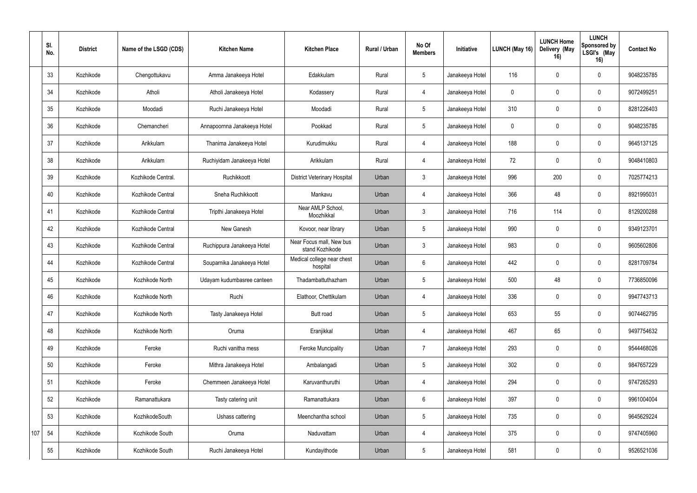|     | SI.<br>No. | <b>District</b> | Name of the LSGD (CDS) | <b>Kitchen Name</b>         | <b>Kitchen Place</b>                        | Rural / Urban | No Of<br><b>Members</b> | Initiative      | LUNCH (May 16) | <b>LUNCH Home</b><br>Delivery (May<br>16) | <b>LUNCH</b><br>Sponsored by<br>LSGI's (May<br>16) | <b>Contact No</b> |
|-----|------------|-----------------|------------------------|-----------------------------|---------------------------------------------|---------------|-------------------------|-----------------|----------------|-------------------------------------------|----------------------------------------------------|-------------------|
|     | 33         | Kozhikode       | Chengottukavu          | Amma Janakeeya Hotel        | Edakkulam                                   | Rural         | $5\phantom{.0}$         | Janakeeya Hotel | 116            | $\Omega$                                  | $\mathbf 0$                                        | 9048235785        |
|     | 34         | Kozhikode       | Atholi                 | Atholi Janakeeya Hotel      | Kodassery                                   | Rural         | 4                       | Janakeeya Hotel | $\mathbf 0$    | $\Omega$                                  | $\mathbf 0$                                        | 9072499251        |
|     | 35         | Kozhikode       | Moodadi                | Ruchi Janakeeya Hotel       | Moodadi                                     | Rural         | $5\overline{)}$         | Janakeeya Hotel | 310            | $\Omega$                                  | $\mathbf 0$                                        | 8281226403        |
|     | 36         | Kozhikode       | Chemancheri            | Annapoornna Janakeeya Hotel | Pookkad                                     | Rural         | $5\overline{)}$         | Janakeeya Hotel | $\mathbf 0$    | $\Omega$                                  | $\mathbf 0$                                        | 9048235785        |
|     | 37         | Kozhikode       | Arikkulam              | Thanima Janakeeya Hotel     | Kurudimukku                                 | Rural         | 4                       | Janakeeya Hotel | 188            | $\Omega$                                  | $\mathbf 0$                                        | 9645137125        |
|     | 38         | Kozhikode       | Arikkulam              | Ruchiyidam Janakeeya Hotel  | Arikkulam                                   | Rural         | 4                       | Janakeeya Hotel | 72             | $\Omega$                                  | $\mathbf 0$                                        | 9048410803        |
|     | 39         | Kozhikode       | Kozhikode Central.     | Ruchikkoott                 | <b>District Veterinary Hospital</b>         | Urban         | $\mathbf{3}$            | Janakeeya Hotel | 996            | 200                                       | $\mathbf 0$                                        | 7025774213        |
|     | 40         | Kozhikode       | Kozhikode Central      | Sneha Ruchikkoott           | Mankavu                                     | Urban         | $\overline{4}$          | Janakeeya Hotel | 366            | 48                                        | $\mathbf 0$                                        | 8921995031        |
|     | 41         | Kozhikode       | Kozhikode Central      | Tripthi Janakeeya Hotel     | Near AMLP School,<br>Moozhikkal             | Urban         | $\mathbf{3}$            | Janakeeya Hotel | 716            | 114                                       | $\mathbf 0$                                        | 8129200288        |
|     | 42         | Kozhikode       | Kozhikode Central      | New Ganesh                  | Kovoor, near library                        | Urban         | $5\phantom{.0}$         | Janakeeya Hotel | 990            | $\Omega$                                  | $\mathbf 0$                                        | 9349123701        |
|     | 43         | Kozhikode       | Kozhikode Central      | Ruchippura Janakeeya Hotel  | Near Focus mall, New bus<br>stand Kozhikode | Urban         | $\mathbf{3}$            | Janakeeya Hotel | 983            | $\overline{0}$                            | $\mathbf 0$                                        | 9605602806        |
|     | 44         | Kozhikode       | Kozhikode Central      | Souparnika Janakeeya Hotel  | Medical college near chest<br>hospital      | Urban         | $6\overline{6}$         | Janakeeya Hotel | 442            | $\Omega$                                  | $\mathbf 0$                                        | 8281709784        |
|     | 45         | Kozhikode       | Kozhikode North        | Udayam kudumbasree canteen  | Thadambattuthazham                          | Urban         | $5\phantom{.0}$         | Janakeeya Hotel | 500            | 48                                        | $\mathbf 0$                                        | 7736850096        |
|     | 46         | Kozhikode       | Kozhikode North        | Ruchi                       | Elathoor, Chettikulam                       | Urban         | 4                       | Janakeeya Hotel | 336            | $\overline{0}$                            | $\mathbf 0$                                        | 9947743713        |
|     | 47         | Kozhikode       | Kozhikode North        | Tasty Janakeeya Hotel       | Butt road                                   | Urban         | $5\phantom{.0}$         | Janakeeya Hotel | 653            | 55                                        | $\mathbf 0$                                        | 9074462795        |
|     | 48         | Kozhikode       | Kozhikode North        | Oruma                       | Eranjikkal                                  | Urban         | $\overline{4}$          | Janakeeya Hotel | 467            | 65                                        | $\mathbf 0$                                        | 9497754632        |
|     | 49         | Kozhikode       | Feroke                 | Ruchi vanitha mess          | <b>Feroke Muncipality</b>                   | Urban         | $\overline{7}$          | Janakeeya Hotel | 293            | $\overline{0}$                            | $\mathbf 0$                                        | 9544468026        |
|     | 50         | Kozhikode       | Feroke                 | Mithra Janakeeya Hotel      | Ambalangadi                                 | Urban         | $5\phantom{.0}$         | Janakeeya Hotel | 302            | $\overline{0}$                            | $\mathbf 0$                                        | 9847657229        |
|     | 51         | Kozhikode       | Feroke                 | Chemmeen Janakeeya Hotel    | Karuvanthuruthi                             | Urban         | $\overline{4}$          | Janakeeya Hotel | 294            | $\mathbf 0$                               | $\mathbf 0$                                        | 9747265293        |
|     | 52         | Kozhikode       | Ramanattukara          | Tasty catering unit         | Ramanattukara                               | Urban         | $6\overline{6}$         | Janakeeya Hotel | 397            | $\overline{0}$                            | $\mathbf 0$                                        | 9961004004        |
|     | 53         | Kozhikode       | KozhikodeSouth         | Ushass cattering            | Meenchantha school                          | Urban         | $5\phantom{.0}$         | Janakeeya Hotel | 735            | $\mathbf 0$                               | $\mathbf 0$                                        | 9645629224        |
| 107 | 54         | Kozhikode       | Kozhikode South        | Oruma                       | Naduvattam                                  | Urban         | $\overline{4}$          | Janakeeya Hotel | 375            | $\overline{0}$                            | $\mathbf 0$                                        | 9747405960        |
|     | 55         | Kozhikode       | Kozhikode South        | Ruchi Janakeeya Hotel       | Kundayithode                                | Urban         | $5\phantom{.0}$         | Janakeeya Hotel | 581            | $\boldsymbol{0}$                          | $\mathbf 0$                                        | 9526521036        |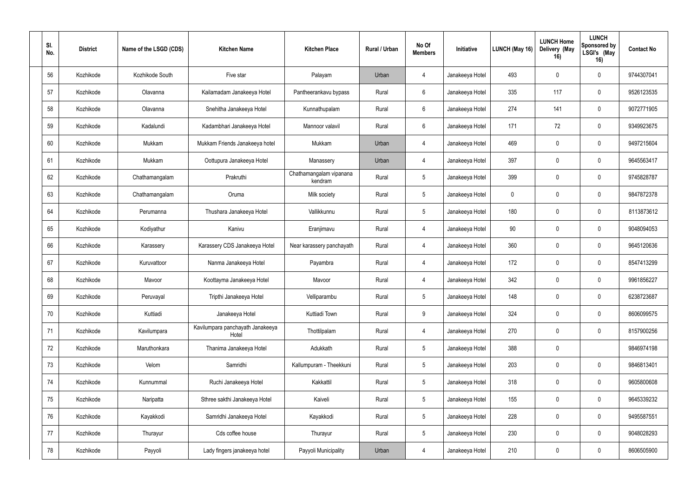| SI.<br>No. | <b>District</b> | Name of the LSGD (CDS) | <b>Kitchen Name</b>                       | <b>Kitchen Place</b>               | Rural / Urban | No Of<br><b>Members</b> | Initiative      | <b>LUNCH (May 16)</b> | <b>LUNCH Home</b><br>Delivery (May<br>16) | <b>LUNCH</b><br>Sponsored by<br>LSGI's (May<br>16) | <b>Contact No</b> |
|------------|-----------------|------------------------|-------------------------------------------|------------------------------------|---------------|-------------------------|-----------------|-----------------------|-------------------------------------------|----------------------------------------------------|-------------------|
| 56         | Kozhikode       | Kozhikode South        | Five star                                 | Palayam                            | Urban         | $\overline{4}$          | Janakeeya Hotel | 493                   | $\mathbf 0$                               | $\mathbf 0$                                        | 9744307041        |
| 57         | Kozhikode       | Olavanna               | Kailamadam Janakeeya Hotel                | Pantheerankavu bypass              | Rural         | $6\phantom{.}6$         | Janakeeya Hotel | 335                   | 117                                       | $\mathbf 0$                                        | 9526123535        |
| 58         | Kozhikode       | Olavanna               | Snehitha Janakeeya Hotel                  | Kunnathupalam                      | Rural         | $6\phantom{.}6$         | Janakeeya Hotel | 274                   | 141                                       | 0                                                  | 9072771905        |
| 59         | Kozhikode       | Kadalundi              | Kadambhari Janakeeya Hotel                | Mannoor valavil                    | Rural         | $6\phantom{.}6$         | Janakeeya Hotel | 171                   | 72                                        | $\mathbf 0$                                        | 9349923675        |
| 60         | Kozhikode       | Mukkam                 | Mukkam Friends Janakeeya hotel            | Mukkam                             | Urban         | 4                       | Janakeeya Hotel | 469                   | $\mathbf 0$                               | $\mathbf 0$                                        | 9497215604        |
| 61         | Kozhikode       | Mukkam                 | Oottupura Janakeeya Hotel                 | Manassery                          | Urban         | 4                       | Janakeeya Hotel | 397                   | $\Omega$                                  | $\mathbf 0$                                        | 9645563417        |
| 62         | Kozhikode       | Chathamangalam         | Prakruthi                                 | Chathamangalam vipanana<br>kendram | Rural         | $5\phantom{.0}$         | Janakeeya Hotel | 399                   | $\mathbf 0$                               | $\mathbf 0$                                        | 9745828787        |
| 63         | Kozhikode       | Chathamangalam         | Oruma                                     | Milk society                       | Rural         | $5\phantom{.0}$         | Janakeeya Hotel | $\mathbf 0$           | $\Omega$                                  | $\mathbf 0$                                        | 9847872378        |
| 64         | Kozhikode       | Perumanna              | Thushara Janakeeya Hotel                  | Vallikkunnu                        | Rural         | $5\phantom{.0}$         | Janakeeya Hotel | 180                   | 0                                         | 0                                                  | 8113873612        |
| 65         | Kozhikode       | Kodiyathur             | Kanivu                                    | Eranjimavu                         | Rural         | $\overline{4}$          | Janakeeya Hotel | 90                    | $\Omega$                                  | 0                                                  | 9048094053        |
| 66         | Kozhikode       | Karassery              | Karassery CDS Janakeeya Hotel             | Near karassery panchayath          | Rural         | $\overline{4}$          | Janakeeya Hotel | 360                   | $\mathbf 0$                               | $\mathbf 0$                                        | 9645120636        |
| 67         | Kozhikode       | Kuruvattoor            | Nanma Janakeeya Hotel                     | Payambra                           | Rural         | $\overline{4}$          | Janakeeya Hotel | 172                   | $\Omega$                                  | $\mathbf 0$                                        | 8547413299        |
| 68         | Kozhikode       | Mavoor                 | Koottayma Janakeeya Hotel                 | Mavoor                             | Rural         | $\overline{4}$          | Janakeeya Hotel | 342                   | $\Omega$                                  | $\mathbf 0$                                        | 9961856227        |
| 69         | Kozhikode       | Peruvayal              | Tripthi Janakeeya Hotel                   | Velliparambu                       | Rural         | $5\,$                   | Janakeeya Hotel | 148                   | $\pmb{0}$                                 | $\mathbf 0$                                        | 6238723687        |
| 70         | Kozhikode       | Kuttiadi               | Janakeeya Hotel                           | Kuttiadi Town                      | Rural         | $\boldsymbol{9}$        | Janakeeya Hotel | 324                   | $\mathbf 0$                               | $\mathbf 0$                                        | 8606099575        |
| 71         | Kozhikode       | Kavilumpara            | Kavilumpara panchayath Janakeeya<br>Hotel | Thottilpalam                       | Rural         | $\overline{4}$          | Janakeeya Hotel | 270                   | $\mathbf 0$                               | $\mathbf 0$                                        | 8157900256        |
| 72         | Kozhikode       | Maruthonkara           | Thanima Janakeeya Hotel                   | Adukkath                           | Rural         | $5\,$                   | Janakeeya Hotel | 388                   | $\mathbf 0$                               |                                                    | 9846974198        |
| 73         | Kozhikode       | Velom                  | Samridhi                                  | Kallumpuram - Theekkuni            | Rural         | $\sqrt{5}$              | Janakeeya Hotel | 203                   | $\mathbf 0$                               | $\mathbf 0$                                        | 9846813401        |
| 74         | Kozhikode       | Kunnummal              | Ruchi Janakeeya Hotel                     | Kakkattil                          | Rural         | $5\,$                   | Janakeeya Hotel | 318                   | $\mathbf 0$                               | $\mathbf 0$                                        | 9605800608        |
| 75         | Kozhikode       | Naripatta              | Sthree sakthi Janakeeya Hotel             | Kaiveli                            | Rural         | $5\phantom{.0}$         | Janakeeya Hotel | 155                   | $\mathbf 0$                               | $\mathbf 0$                                        | 9645339232        |
| 76         | Kozhikode       | Kayakkodi              | Samridhi Janakeeya Hotel                  | Kayakkodi                          | Rural         | $\sqrt{5}$              | Janakeeya Hotel | 228                   | $\mathbf 0$                               | $\mathbf 0$                                        | 9495587551        |
| 77         | Kozhikode       | Thurayur               | Cds coffee house                          | Thurayur                           | Rural         | $5\,$                   | Janakeeya Hotel | 230                   | $\mathbf 0$                               | $\mathbf 0$                                        | 9048028293        |
| 78         | Kozhikode       | Payyoli                | Lady fingers janakeeya hotel              | Payyoli Municipality               | Urban         | $\overline{4}$          | Janakeeya Hotel | 210                   | $\pmb{0}$                                 | $\overline{0}$                                     | 8606505900        |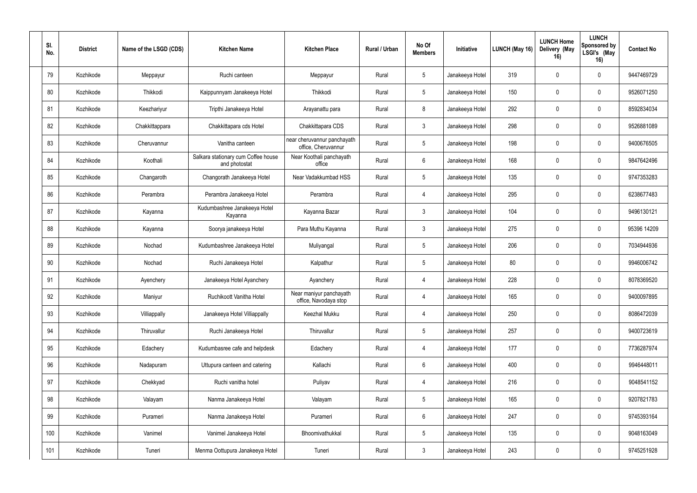| SI.<br>No. | <b>District</b> | Name of the LSGD (CDS) | <b>Kitchen Name</b>                                  | <b>Kitchen Place</b>                               | <b>Rural / Urban</b> | No Of<br><b>Members</b> | Initiative      | LUNCH (May 16) | <b>LUNCH Home</b><br>Delivery (May<br>16) | <b>LUNCH</b><br>Sponsored by<br>LSGI's (May<br>16) | <b>Contact No</b> |
|------------|-----------------|------------------------|------------------------------------------------------|----------------------------------------------------|----------------------|-------------------------|-----------------|----------------|-------------------------------------------|----------------------------------------------------|-------------------|
| 79         | Kozhikode       | Meppayur               | Ruchi canteen                                        | Meppayur                                           | Rural                | $5\phantom{.0}$         | Janakeeya Hotel | 319            | $\mathbf 0$                               | $\mathbf 0$                                        | 9447469729        |
| 80         | Kozhikode       | Thikkodi               | Kaippunnyam Janakeeya Hotel                          | Thikkodi                                           | Rural                | $5\,$                   | Janakeeya Hotel | 150            | $\mathbf 0$                               | $\mathbf 0$                                        | 9526071250        |
| 81         | Kozhikode       | Keezhariyur            | Tripthi Janakeeya Hotel                              | Arayanattu para                                    | Rural                | 8                       | Janakeeya Hotel | 292            | $\mathbf 0$                               | $\mathbf 0$                                        | 8592834034        |
| 82         | Kozhikode       | Chakkittappara         | Chakkittapara cds Hotel                              | Chakkittapara CDS                                  | Rural                | $\mathfrak{Z}$          | Janakeeya Hotel | 298            | $\mathbf 0$                               | $\mathbf 0$                                        | 9526881089        |
| 83         | Kozhikode       | Cheruvannur            | Vanitha canteen                                      | near cheruvannur panchayath<br>office, Cheruvannur | Rural                | $5\phantom{.0}$         | Janakeeya Hotel | 198            | $\mathbf 0$                               | $\mathbf 0$                                        | 9400676505        |
| 84         | Kozhikode       | Koothali               | Salkara stationary cum Coffee house<br>and photostat | Near Koothali panchayath<br>office                 | Rural                | $6\,$                   | Janakeeya Hotel | 168            | $\Omega$                                  | $\mathbf 0$                                        | 9847642496        |
| 85         | Kozhikode       | Changaroth             | Changorath Janakeeya Hotel                           | Near Vadakkumbad HSS                               | Rural                | $5\,$                   | Janakeeya Hotel | 135            | $\mathbf 0$                               | $\mathbf 0$                                        | 9747353283        |
| 86         | Kozhikode       | Perambra               | Perambra Janakeeya Hotel                             | Perambra                                           | Rural                | $\overline{4}$          | Janakeeya Hotel | 295            | $\mathbf 0$                               | $\mathbf 0$                                        | 6238677483        |
| 87         | Kozhikode       | Kayanna                | Kudumbashree Janakeeya Hotel<br>Kayanna              | Kayanna Bazar                                      | Rural                | $\mathfrak{Z}$          | Janakeeya Hotel | 104            | $\mathbf 0$                               | $\mathbf 0$                                        | 9496130121        |
| 88         | Kozhikode       | Kayanna                | Soorya janakeeya Hotel                               | Para Muthu Kayanna                                 | Rural                | $\mathfrak{Z}$          | Janakeeya Hotel | 275            | $\mathbf 0$                               | 0                                                  | 95396 14209       |
| 89         | Kozhikode       | Nochad                 | Kudumbashree Janakeeya Hotel                         | Muliyangal                                         | Rural                | $5\,$                   | Janakeeya Hotel | 206            | $\mathbf 0$                               | $\mathbf 0$                                        | 7034944936        |
| 90         | Kozhikode       | Nochad                 | Ruchi Janakeeya Hotel                                | Kalpathur                                          | Rural                | $5\phantom{.0}$         | Janakeeya Hotel | 80             | 0                                         | $\mathbf 0$                                        | 9946006742        |
| 91         | Kozhikode       | Ayenchery              | Janakeeya Hotel Ayanchery                            | Ayanchery                                          | Rural                | $\overline{4}$          | Janakeeya Hotel | 228            | $\mathbf 0$                               | $\mathbf 0$                                        | 8078369520        |
| 92         | Kozhikode       | Maniyur                | Ruchikoott Vanitha Hotel                             | Near maniyur panchayath<br>office, Navodaya stop   | Rural                | $\overline{4}$          | Janakeeya Hotel | 165            | $\mathbf 0$                               | $\mathbf 0$                                        | 9400097895        |
| 93         | Kozhikode       | Villiappally           | Janakeeya Hotel Villiappally                         | Keezhal Mukku                                      | Rural                | $\overline{4}$          | Janakeeya Hotel | 250            | $\mathbf 0$                               | $\mathbf 0$                                        | 8086472039        |
| 94         | Kozhikode       | Thiruvallur            | Ruchi Janakeeya Hotel                                | Thiruvallur                                        | Rural                | $5\,$                   | Janakeeya Hotel | 257            | $\mathbf 0$                               | $\mathbf 0$                                        | 9400723619        |
| 95         | Kozhikode       | Edachery               | Kudumbasree cafe and helpdesk                        | Edachery                                           | Rural                | $\overline{4}$          | Janakeeya Hotel | 177            | $\mathbf 0$                               | $\mathbf 0$                                        | 7736287974        |
| 96         | Kozhikode       | Nadapuram              | Uttupura canteen and catering                        | Kallachi                                           | Rural                | $6\,$                   | Janakeeya Hotel | 400            | $\mathbf 0$                               | $\mathbf 0$                                        | 9946448011        |
| 97         | Kozhikode       | Chekkyad               | Ruchi vanitha hotel                                  | Puliyav                                            | Rural                | $\overline{4}$          | Janakeeya Hotel | 216            | $\mathbf 0$                               | $\mathbf 0$                                        | 9048541152        |
| 98         | Kozhikode       | Valayam                | Nanma Janakeeya Hotel                                | Valayam                                            | Rural                | $5\,$                   | Janakeeya Hotel | 165            | $\mathbf 0$                               | $\mathbf 0$                                        | 9207821783        |
| 99         | Kozhikode       | Purameri               | Nanma Janakeeya Hotel                                | Purameri                                           | Rural                | $6\,$                   | Janakeeya Hotel | 247            | $\mathbf 0$                               | $\mathbf 0$                                        | 9745393164        |
| 100        | Kozhikode       | Vanimel                | Vanimel Janakeeya Hotel                              | Bhoomivathukkal                                    | Rural                | $5\,$                   | Janakeeya Hotel | 135            | $\mathbf 0$                               | $\mathbf 0$                                        | 9048163049        |
| 101        | Kozhikode       | Tuneri                 | Menma Oottupura Janakeeya Hotel                      | Tuneri                                             | Rural                | $\mathfrak{Z}$          | Janakeeya Hotel | 243            | $\pmb{0}$                                 | $\mathbf 0$                                        | 9745251928        |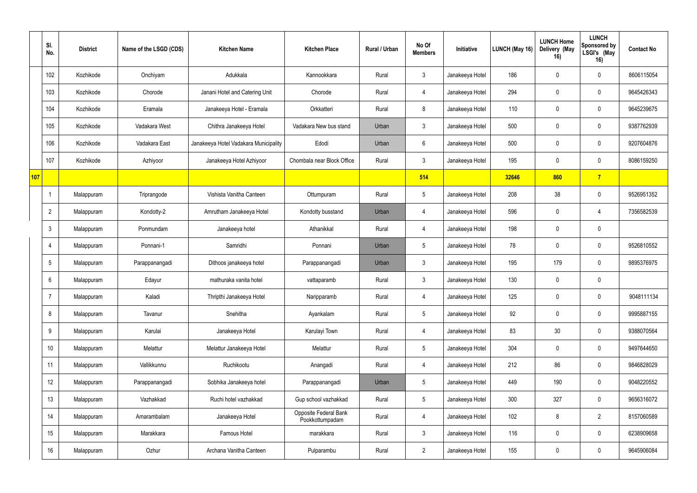|     | SI.<br>No.       | <b>District</b> | Name of the LSGD (CDS) | <b>Kitchen Name</b>                   | <b>Kitchen Place</b>                     | Rural / Urban | No Of<br><b>Members</b> | Initiative      | LUNCH (May 16) | <b>LUNCH Home</b><br>Delivery (May<br>16) | <b>LUNCH</b><br>Sponsored by<br>LSGI's (May<br>16) | <b>Contact No</b> |
|-----|------------------|-----------------|------------------------|---------------------------------------|------------------------------------------|---------------|-------------------------|-----------------|----------------|-------------------------------------------|----------------------------------------------------|-------------------|
|     | 102              | Kozhikode       | Onchiyam               | Adukkala                              | Kannookkara                              | Rural         | $\mathbf{3}$            | Janakeeya Hotel | 186            | $\Omega$                                  | $\mathbf 0$                                        | 8606115054        |
|     | 103              | Kozhikode       | Chorode                | Janani Hotel and Catering Unit        | Chorode                                  | Rural         | 4                       | Janakeeya Hotel | 294            | $\Omega$                                  | $\mathbf 0$                                        | 9645426343        |
|     | 104              | Kozhikode       | Eramala                | Janakeeya Hotel - Eramala             | Orkkatteri                               | Rural         | 8                       | Janakeeya Hotel | 110            |                                           | $\mathbf 0$                                        | 9645239675        |
|     | 105              | Kozhikode       | Vadakara West          | Chithra Janakeeya Hotel               | Vadakara New bus stand                   | Urban         | $\mathbf{3}$            | Janakeeya Hotel | 500            | $\Omega$                                  | $\mathbf 0$                                        | 9387762939        |
|     | 106              | Kozhikode       | Vadakara East          | Janakeeya Hotel Vadakara Municipality | Edodi                                    | Urban         | $6\overline{6}$         | Janakeeya Hotel | 500            | $\Omega$                                  | $\mathbf 0$                                        | 9207604876        |
|     | 107              | Kozhikode       | Azhiyoor               | Janakeeya Hotel Azhiyoor              | Chombala near Block Office               | Rural         | 3                       | Janakeeya Hotel | 195            | $\Omega$                                  | $\mathbf 0$                                        | 8086159250        |
| 107 |                  |                 |                        |                                       |                                          |               | 514                     |                 | 32646          | 860                                       | 7 <sup>1</sup>                                     |                   |
|     |                  | Malappuram      | Triprangode            | Vishista Vanitha Canteen              | Ottumpuram                               | Rural         | $5\overline{)}$         | Janakeeya Hotel | 208            | 38                                        | $\mathbf 0$                                        | 9526951352        |
|     | $\overline{2}$   | Malappuram      | Kondotty-2             | Amrutham Janakeeya Hotel              | Kondotty busstand                        | Urban         | 4                       | Janakeeya Hotel | 596            | 0                                         | 4                                                  | 7356582539        |
|     | 3                | Malappuram      | Ponmundam              | Janakeeya hotel                       | Athanikkal                               | Rural         | 4                       | Janakeeya Hotel | 198            |                                           | $\mathbf 0$                                        |                   |
|     | 4                | Malappuram      | Ponnani-1              | Samridhi                              | Ponnani                                  | Urban         | 5 <sup>5</sup>          | Janakeeya Hotel | 78             | $\mathbf 0$                               | $\mathbf 0$                                        | 9526810552        |
|     | 5                | Malappuram      | Parappanangadi         | Dithoos janakeeya hotel               | Parappanangadi                           | Urban         | $\mathbf{3}$            | Janakeeya Hotel | 195            | 179                                       | $\mathbf 0$                                        | 9895376975        |
|     | 6                | Malappuram      | Edayur                 | mathuraka vanita hotel                | vattaparamb                              | Rural         | $\mathfrak{Z}$          | Janakeeya Hotel | 130            | 0                                         | $\mathbf 0$                                        |                   |
|     | $\overline{7}$   | Malappuram      | Kaladi                 | Thripthi Janakeeya Hotel              | Naripparamb                              | Rural         | 4                       | Janakeeya Hotel | 125            | $\overline{0}$                            | $\mathbf 0$                                        | 9048111134        |
|     | 8                | Malappuram      | Tavanur                | Snehitha                              | Ayankalam                                | Rural         | $5\phantom{.0}$         | Janakeeya Hotel | 92             | $\mathbf 0$                               | $\mathbf 0$                                        | 9995887155        |
|     | 9                | Malappuram      | Karulai                | Janakeeya Hotel                       | Karulayi Town                            | Rural         | $\overline{4}$          | Janakeeya Hotel | 83             | 30 <sup>°</sup>                           | $\mathbf 0$                                        | 9388070564        |
|     | 10 <sup>°</sup>  | Malappuram      | Melattur               | Melattur Janakeeya Hotel              | Melattur                                 | Rural         | $5\phantom{.0}$         | Janakeeya Hotel | 304            | $\mathbf 0$                               | $\mathbf 0$                                        | 9497644650        |
|     | 11               | Malappuram      | Vallikkunnu            | Ruchikootu                            | Anangadi                                 | Rural         | $\overline{4}$          | Janakeeya Hotel | 212            | 86                                        | $\mathbf 0$                                        | 9846828029        |
|     | 12 <sup>°</sup>  | Malappuram      | Parappanangadi         | Sobhika Janakeeya hotel               | Parappanangadi                           | Urban         | $5\phantom{.0}$         | Janakeeya Hotel | 449            | 190                                       | $\mathbf 0$                                        | 9048220552        |
|     | 13 <sup>°</sup>  | Malappuram      | Vazhakkad              | Ruchi hotel vazhakkad                 | Gup school vazhakkad                     | Rural         | $5\phantom{.0}$         | Janakeeya Hotel | 300            | 327                                       | $\mathbf 0$                                        | 9656316072        |
|     | 14               | Malappuram      | Amarambalam            | Janakeeya Hotel                       | Opposite Federal Bank<br>Pookkottumpadam | Rural         | $\overline{4}$          | Janakeeya Hotel | 102            | 8                                         | $2^{\circ}$                                        | 8157060589        |
|     | 15 <sub>15</sub> | Malappuram      | Marakkara              | Famous Hotel                          | marakkara                                | Rural         | $\mathbf{3}$            | Janakeeya Hotel | 116            | $\overline{0}$                            | $\mathbf 0$                                        | 6238909658        |
|     | 16               | Malappuram      | Ozhur                  | Archana Vanitha Canteen               | Pulparambu                               | Rural         | $\overline{2}$          | Janakeeya Hotel | 155            | 0                                         | $\mathbf 0$                                        | 9645906084        |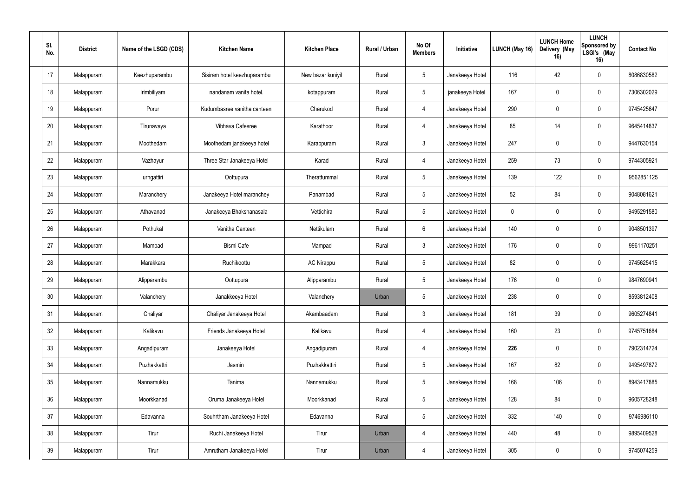| SI.<br>No. | <b>District</b> | Name of the LSGD (CDS) | <b>Kitchen Name</b>         | <b>Kitchen Place</b> | Rural / Urban | No Of<br><b>Members</b> | Initiative      | LUNCH (May 16) | <b>LUNCH Home</b><br>Delivery (May<br>16) | <b>LUNCH</b><br>Sponsored by<br>LSGI's (May<br>16) | <b>Contact No</b> |
|------------|-----------------|------------------------|-----------------------------|----------------------|---------------|-------------------------|-----------------|----------------|-------------------------------------------|----------------------------------------------------|-------------------|
| 17         | Malappuram      | Keezhuparambu          | Sisiram hotel keezhuparambu | New bazar kuniyil    | Rural         | $5\phantom{.0}$         | Janakeeya Hotel | 116            | 42                                        | $\mathbf 0$                                        | 8086830582        |
| 18         | Malappuram      | Irimbiliyam            | nandanam vanita hotel.      | kotappuram           | Rural         | $5\phantom{.0}$         | janakeeya Hotel | 167            | $\mathbf 0$                               | $\mathbf 0$                                        | 7306302029        |
| 19         | Malappuram      | Porur                  | Kudumbasree vanitha canteen | Cherukod             | Rural         | $\overline{4}$          | Janakeeya Hotel | 290            | $\mathbf 0$                               | $\boldsymbol{0}$                                   | 9745425647        |
| 20         | Malappuram      | Tirunavaya             | Vibhava Cafesree            | Karathoor            | Rural         | $\overline{4}$          | Janakeeya Hotel | 85             | 14                                        | $\mathbf 0$                                        | 9645414837        |
| 21         | Malappuram      | Moothedam              | Moothedam janakeeya hotel   | Karappuram           | Rural         | $\mathbf{3}$            | Janakeeya Hotel | 247            | $\theta$                                  | $\mathbf 0$                                        | 9447630154        |
| 22         | Malappuram      | Vazhayur               | Three Star Janakeeya Hotel  | Karad                | Rural         | $\overline{4}$          | Janakeeya Hotel | 259            | 73                                        | $\mathbf 0$                                        | 9744305921        |
| 23         | Malappuram      | urngattiri             | Oottupura                   | Therattummal         | Rural         | $5\,$                   | Janakeeya Hotel | 139            | 122                                       | $\mathbf 0$                                        | 9562851125        |
| 24         | Malappuram      | Maranchery             | Janakeeya Hotel maranchey   | Panambad             | Rural         | $5\phantom{.0}$         | Janakeeya Hotel | 52             | 84                                        | $\mathbf 0$                                        | 9048081621        |
| 25         | Malappuram      | Athavanad              | Janakeeya Bhakshanasala     | Vettichira           | Rural         | $5\phantom{.0}$         | Janakeeya Hotel | $\mathbf 0$    | 0                                         | 0                                                  | 9495291580        |
| 26         | Malappuram      | Pothukal               | Vanitha Canteen             | Nettikulam           | Rural         | $6\phantom{.}6$         | Janakeeya Hotel | 140            | 0                                         | 0                                                  | 9048501397        |
| 27         | Malappuram      | Mampad                 | <b>Bismi Cafe</b>           | Mampad               | Rural         | $\mathbf{3}$            | Janakeeya Hotel | 176            | $\mathbf 0$                               | $\mathbf 0$                                        | 9961170251        |
| 28         | Malappuram      | Marakkara              | Ruchikoottu                 | <b>AC Nirappu</b>    | Rural         | 5                       | Janakeeya Hotel | 82             | $\Omega$                                  | $\mathbf 0$                                        | 9745625415        |
| 29         | Malappuram      | Alipparambu            | Oottupura                   | Alipparambu          | Rural         | $5\phantom{.0}$         | Janakeeya Hotel | 176            | $\mathbf 0$                               | $\mathbf 0$                                        | 9847690941        |
| $30\,$     | Malappuram      | Valanchery             | Janakkeeya Hotel            | Valanchery           | Urban         | $5\,$                   | Janakeeya Hotel | 238            | $\mathbf 0$                               | $\mathbf 0$                                        | 8593812408        |
| 31         | Malappuram      | Chaliyar               | Chaliyar Janakeeya Hotel    | Akambaadam           | Rural         | $\mathfrak{Z}$          | Janakeeya Hotel | 181            | 39                                        | $\mathbf 0$                                        | 9605274841        |
| 32         | Malappuram      | Kalikavu               | Friends Janakeeya Hotel     | Kalikavu             | Rural         | $\overline{4}$          | Janakeeya Hotel | 160            | 23                                        | $\mathbf 0$                                        | 9745751684        |
| 33         | Malappuram      | Angadipuram            | Janakeeya Hotel             | Angadipuram          | Rural         | $\overline{4}$          | Janakeeya Hotel | 226            | $\mathbf 0$                               | $\mathbf 0$                                        | 7902314724        |
| 34         | Malappuram      | Puzhakkattri           | Jasmin                      | Puzhakkattiri        | Rural         | $5\,$                   | Janakeeya Hotel | 167            | 82                                        | $\mathbf 0$                                        | 9495497872        |
| 35         | Malappuram      | Nannamukku             | Tanima                      | Nannamukku           | Rural         | $5\,$                   | Janakeeya Hotel | 168            | 106                                       | $\mathbf 0$                                        | 8943417885        |
| 36         | Malappuram      | Moorkkanad             | Oruma Janakeeya Hotel       | Moorkkanad           | Rural         | $5\,$                   | Janakeeya Hotel | 128            | 84                                        | $\mathbf 0$                                        | 9605728248        |
| 37         | Malappuram      | Edavanna               | Souhrtham Janakeeya Hotel   | Edavanna             | Rural         | $\sqrt{5}$              | Janakeeya Hotel | 332            | 140                                       | $\mathbf 0$                                        | 9746986110        |
| 38         | Malappuram      | Tirur                  | Ruchi Janakeeya Hotel       | Tirur                | Urban         | $\overline{4}$          | Janakeeya Hotel | 440            | 48                                        | $\mathbf 0$                                        | 9895409528        |
| 39         | Malappuram      | Tirur                  | Amrutham Janakeeya Hotel    | Tirur                | Urban         | $\overline{4}$          | Janakeeya Hotel | 305            | $\pmb{0}$                                 | $\mathbf 0$                                        | 9745074259        |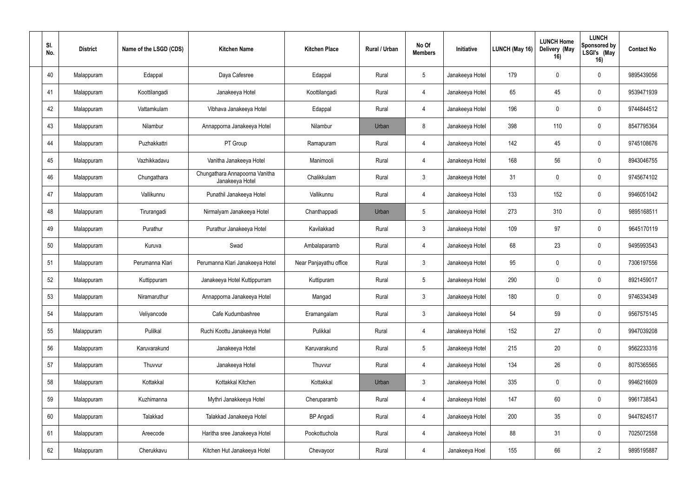| SI.<br>No. | <b>District</b> | Name of the LSGD (CDS) | <b>Kitchen Name</b>                               | <b>Kitchen Place</b>   | Rural / Urban | No Of<br><b>Members</b> | Initiative      | LUNCH (May 16) | <b>LUNCH Home</b><br>Delivery (May<br>16) | <b>LUNCH</b><br>Sponsored by<br>LSGI's (May<br>16) | <b>Contact No</b> |
|------------|-----------------|------------------------|---------------------------------------------------|------------------------|---------------|-------------------------|-----------------|----------------|-------------------------------------------|----------------------------------------------------|-------------------|
| 40         | Malappuram      | Edappal                | Daya Cafesree                                     | Edappal                | Rural         | $5\phantom{.0}$         | Janakeeya Hotel | 179            | $\Omega$                                  | $\mathbf 0$                                        | 9895439056        |
| 41         | Malappuram      | Koottilangadi          | Janakeeya Hotel                                   | Koottilangadi          | Rural         | $\overline{4}$          | Janakeeya Hotel | 65             | 45                                        | $\mathbf 0$                                        | 9539471939        |
| 42         | Malappuram      | Vattamkulam            | Vibhava Janakeeya Hotel                           | Edappal                | Rural         | $\overline{4}$          | Janakeeya Hotel | 196            | $\Omega$                                  | 0                                                  | 9744844512        |
| 43         | Malappuram      | Nilambur               | Annapporna Janakeeya Hotel                        | Nilambur               | Urban         | 8                       | Janakeeya Hotel | 398            | 110                                       | $\mathbf 0$                                        | 8547795364        |
| 44         | Malappuram      | Puzhakkattri           | PT Group                                          | Ramapuram              | Rural         | $\overline{4}$          | Janakeeya Hotel | 142            | 45                                        | $\mathbf 0$                                        | 9745108676        |
| 45         | Malappuram      | Vazhikkadavu           | Vanitha Janakeeya Hotel                           | Manimooli              | Rural         | $\overline{4}$          | Janakeeya Hotel | 168            | 56                                        | $\mathbf 0$                                        | 8943046755        |
| 46         | Malappuram      | Chungathara            | Chungathara Annapoorna Vanitha<br>Janakeeya Hotel | Chalikkulam            | Rural         | $\mathbf{3}$            | Janakeeya Hotel | 31             | $\Omega$                                  | $\mathbf 0$                                        | 9745674102        |
| 47         | Malappuram      | Vallikunnu             | Punathil Janakeeya Hotel                          | Vallikunnu             | Rural         | 4                       | Janakeeya Hotel | 133            | 152                                       | $\mathbf 0$                                        | 9946051042        |
| 48         | Malappuram      | Tirurangadi            | Nirmalyam Janakeeya Hotel                         | Chanthappadi           | Urban         | $5\phantom{.0}$         | Janakeeya Hotel | 273            | 310                                       | $\overline{0}$                                     | 9895168511        |
| 49         | Malappuram      | Purathur               | Purathur Janakeeya Hotel                          | Kavilakkad             | Rural         | $\mathbf{3}$            | Janakeeya Hotel | 109            | 97                                        | 0                                                  | 9645170119        |
| 50         | Malappuram      | Kuruva                 | Swad                                              | Ambalaparamb           | Rural         | $\overline{4}$          | Janakeeya Hotel | 68             | 23                                        | $\mathbf 0$                                        | 9495993543        |
| 51         | Malappuram      | Perumanna Klari        | Perumanna Klari Janakeeya Hotel                   | Near Panjayathu office | Rural         | $\mathbf{3}$            | Janakeeya Hotel | 95             | $\Omega$                                  | $\mathbf 0$                                        | 7306197556        |
| 52         | Malappuram      | Kuttippuram            | Janakeeya Hotel Kuttippurram                      | Kuttipuram             | Rural         | $5\phantom{.0}$         | Janakeeya Hotel | 290            | $\Omega$                                  | $\mathbf 0$                                        | 8921459017        |
| 53         | Malappuram      | Niramaruthur           | Annapporna Janakeeya Hotel                        | Mangad                 | Rural         | $\mathfrak{Z}$          | Janakeeya Hotel | 180            | $\mathbf 0$                               | $\mathbf 0$                                        | 9746334349        |
| 54         | Malappuram      | Veliyancode            | Cafe Kudumbashree                                 | Eramangalam            | Rural         | $\mathfrak{Z}$          | Janakeeya Hotel | 54             | 59                                        | $\mathbf 0$                                        | 9567575145        |
| 55         | Malappuram      | Pulilkal               | Ruchi Koottu Janakeeya Hotel                      | Pulikkal               | Rural         | $\overline{4}$          | Janakeeya Hotel | 152            | 27                                        | $\overline{0}$                                     | 9947039208        |
| 56         | Malappuram      | Karuvarakund           | Janakeeya Hotel                                   | Karuvarakund           | Rural         | $5\,$                   | Janakeeya Hotel | 215            | 20                                        | $\mathbf 0$                                        | 9562233316        |
| 57         | Malappuram      | Thuvvur                | Janakeeya Hotel                                   | Thuvvur                | Rural         | $\overline{4}$          | Janakeeya Hotel | 134            | 26                                        | $\mathbf 0$                                        | 8075365565        |
| 58         | Malappuram      | Kottakkal              | Kottakkal Kitchen                                 | Kottakkal              | Urban         | $\mathfrak{Z}$          | Janakeeya Hotel | 335            | $\mathbf 0$                               | $\mathbf 0$                                        | 9946216609        |
| 59         | Malappuram      | Kuzhimanna             | Mythri Janakkeeya Hotel                           | Cheruparamb            | Rural         | $\overline{4}$          | Janakeeya Hotel | 147            | 60                                        | $\mathbf 0$                                        | 9961738543        |
| 60         | Malappuram      | Talakkad               | Talakkad Janakeeya Hotel                          | <b>BP</b> Angadi       | Rural         | $\overline{4}$          | Janakeeya Hotel | 200            | 35                                        | $\mathbf 0$                                        | 9447824517        |
| 61         | Malappuram      | Areecode               | Haritha sree Janakeeya Hotel                      | Pookottuchola          | Rural         | $\overline{4}$          | Janakeeya Hotel | 88             | 31                                        | $\mathbf 0$                                        | 7025072558        |
| 62         | Malappuram      | Cherukkavu             | Kitchen Hut Janakeeya Hotel                       | Chevayoor              | Rural         | $\overline{4}$          | Janakeeya Hoel  | 155            | 66                                        | $2^{\circ}$                                        | 9895195887        |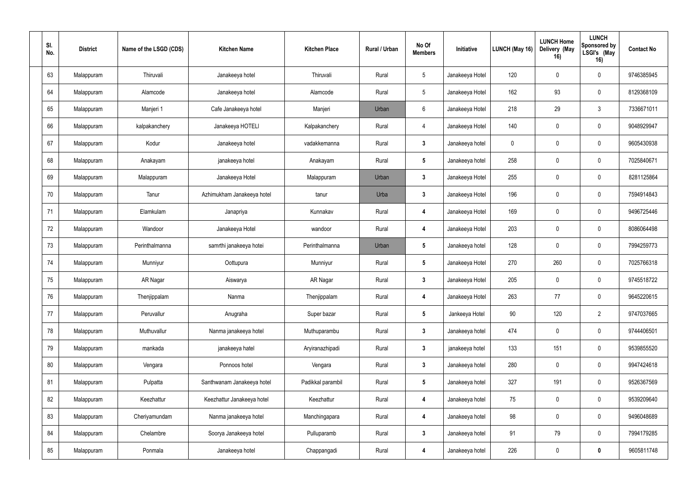| SI.<br>No. | <b>District</b> | Name of the LSGD (CDS) | <b>Kitchen Name</b>        | <b>Kitchen Place</b> | <b>Rural / Urban</b> | No Of<br><b>Members</b> | Initiative      | LUNCH (May 16) | <b>LUNCH Home</b><br>Delivery (May<br>16) | <b>LUNCH</b><br>Sponsored by<br>LSGI's (May<br>16) | <b>Contact No</b> |
|------------|-----------------|------------------------|----------------------------|----------------------|----------------------|-------------------------|-----------------|----------------|-------------------------------------------|----------------------------------------------------|-------------------|
| 63         | Malappuram      | Thiruvali              | Janakeeya hotel            | Thiruvali            | Rural                | $5\phantom{.0}$         | Janakeeya Hotel | 120            | $\Omega$                                  | $\mathbf 0$                                        | 9746385945        |
| 64         | Malappuram      | Alamcode               | Janakeeya hotel            | Alamcode             | Rural                | $5\,$                   | Janakeeya Hotel | 162            | 93                                        | $\mathbf 0$                                        | 8129368109        |
| 65         | Malappuram      | Manjeri 1              | Cafe Janakeeya hotel       | Manjeri              | Urban                | $6\phantom{.}6$         | Janakeeya Hotel | 218            | 29                                        | 3                                                  | 7336671011        |
| 66         | Malappuram      | kalpakanchery          | Janakeeya HOTELI           | Kalpakanchery        | Rural                | $\overline{4}$          | Janakeeya Hotel | 140            | $\mathbf 0$                               | $\mathbf 0$                                        | 9048929947        |
| 67         | Malappuram      | Kodur                  | Janakeeya hotel            | vadakkemanna         | Rural                | $\mathbf{3}$            | Janakeeya hotel | $\mathbf 0$    | $\mathbf 0$                               | $\mathbf 0$                                        | 9605430938        |
| 68         | Malappuram      | Anakayam               | janakeeya hotel            | Anakayam             | Rural                | $5\phantom{.0}$         | Janakeeya hotel | 258            | $\mathbf 0$                               | $\mathbf 0$                                        | 7025840671        |
| 69         | Malappuram      | Malappuram             | Janakeeya Hotel            | Malappuram           | Urban                | $\mathbf{3}$            | Janakeeya Hotel | 255            | $\mathbf 0$                               | $\mathbf 0$                                        | 8281125864        |
| 70         | Malappuram      | Tanur                  | Azhimukham Janakeeya hotel | tanur                | Urba                 | $\mathbf{3}$            | Janakeeya Hotel | 196            | $\Omega$                                  | $\mathbf 0$                                        | 7594914843        |
| 71         | Malappuram      | Elamkulam              | Janapriya                  | Kunnakav             | Rural                | 4                       | Janakeeya Hotel | 169            | $\mathbf 0$                               | 0                                                  | 9496725446        |
| 72         | Malappuram      | Wandoor                | Janakeeya Hotel            | wandoor              | Rural                | 4                       | Janakeeya Hotel | 203            | $\mathbf 0$                               | 0                                                  | 8086064498        |
| 73         | Malappuram      | Perinthalmanna         | samrthi janakeeya hotei    | Perinthalmanna       | Urban                | $5\phantom{.0}$         | Janakeeya hotel | 128            | $\mathbf 0$                               | $\mathbf 0$                                        | 7994259773        |
| 74         | Malappuram      | Munniyur               | Oottupura                  | Munniyur             | Rural                | $5\phantom{.0}$         | Janakeeya Hotel | 270            | 260                                       | $\mathbf 0$                                        | 7025766318        |
| 75         | Malappuram      | AR Nagar               | Aiswarya                   | AR Nagar             | Rural                | $\mathbf{3}$            | Janakeeya Hotel | 205            | $\mathbf 0$                               | 0                                                  | 9745518722        |
| 76         | Malappuram      | Thenjippalam           | Nanma                      | Thenjippalam         | Rural                | $\boldsymbol{4}$        | Janakeeya Hotel | 263            | 77                                        | 0                                                  | 9645220615        |
| 77         | Malappuram      | Peruvallur             | Anugraha                   | Super bazar          | Rural                | $5\phantom{.0}$         | Jankeeya Hotel  | 90             | 120                                       | $2^{\circ}$                                        | 9747037665        |
| 78         | Malappuram      | Muthuvallur            | Nanma janakeeya hotel      | Muthuparambu         | Rural                | $\mathbf{3}$            | Janakeeya hotel | 474            | $\mathbf 0$                               | $\mathbf 0$                                        | 9744406501        |
| 79         | Malappuram      | mankada                | janakeeya hatel            | Aryiranazhipadi      | Rural                | $\mathbf{3}$            | janakeeya hotel | 133            | 151                                       | $\mathbf 0$                                        | 9539855520        |
| $80\,$     | Malappuram      | Vengara                | Ponnoos hotel              | Vengara              | Rural                | $\mathbf{3}$            | Janakeeya hotel | 280            | $\mathbf 0$                               | $\mathbf 0$                                        | 9947424618        |
| 81         | Malappuram      | Pulpatta               | Santhwanam Janakeeya hotel | Padikkal parambil    | Rural                | $5\phantom{.0}$         | Janakeeya hotel | 327            | 191                                       | $\mathbf 0$                                        | 9526367569        |
| 82         | Malappuram      | Keezhattur             | Keezhattur Janakeeya hotel | Keezhattur           | Rural                | $\overline{\mathbf{4}}$ | Janakeeya hotel | 75             | $\mathbf 0$                               | $\mathbf 0$                                        | 9539209640        |
| 83         | Malappuram      | Cheriyamundam          | Nanma janakeeya hotel      | Manchingapara        | Rural                | $\overline{\mathbf{4}}$ | Janakeeya hotel | 98             | $\mathbf 0$                               | $\mathbf 0$                                        | 9496048689        |
| 84         | Malappuram      | Chelambre              | Soorya Janakeeya hotel     | Pulluparamb          | Rural                | $\mathbf{3}$            | Janakeeya hotel | 91             | 79                                        | $\mathbf 0$                                        | 7994179285        |
| 85         | Malappuram      | Ponmala                | Janakeeya hotel            | Chappangadi          | Rural                | $\overline{\mathbf{4}}$ | Janakeeya hotel | 226            | $\boldsymbol{0}$                          | $\bm{0}$                                           | 9605811748        |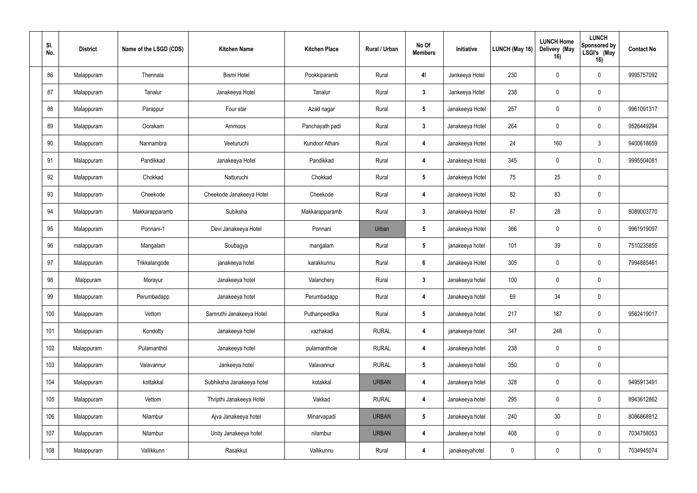| SI.<br>No. | <b>District</b> | Name of the LSGD (CDS) | <b>Kitchen Name</b>       | <b>Kitchen Place</b> | Rural / Urban | No Of<br><b>Members</b> | Initiative      | <b>LUNCH (May 16)</b> | <b>LUNCH Home</b><br>Delivery (May<br>16) | <b>LUNCH</b><br>Sponsored by<br>LSGI's (May<br>16) | <b>Contact No</b> |
|------------|-----------------|------------------------|---------------------------|----------------------|---------------|-------------------------|-----------------|-----------------------|-------------------------------------------|----------------------------------------------------|-------------------|
| 86         | Malappuram      | Thennala               | <b>Bismi Hotel</b>        | Pookkiparamb         | Rural         | 4!                      | Jankeeya Hotel  | 230                   | $\Omega$                                  | $\mathbf 0$                                        | 9995757092        |
| 87         | Malappuram      | Tanalur                | Janakeeya Hotel           | Tanalur              | Rural         | $\mathbf{3}$            | Jankeeya Hotel  | 238                   | $\mathbf 0$                               | $\mathbf 0$                                        |                   |
| 88         | Malappuram      | Parappur               | Four star                 | Azad nagar           | Rural         | $5\phantom{.0}$         | Janakeeya Hotel | 257                   | 0                                         | 0                                                  | 9961091317        |
| 89         | Malappuram      | Oorakam                | Ammoos                    | Panchayath padi      | Rural         | $\mathbf{3}$            | Janakeeya Hotel | 264                   | $\mathbf 0$                               | $\mathbf 0$                                        | 9526449294        |
| 90         | Malappuram      | Nannambra              | Veeturuchi                | Kundoor Athani       | Rural         | 4                       | Janakeeya Hotel | 24                    | 160                                       | 3                                                  | 9400618659        |
| 91         | Malappuram      | Pandikkad              | Janakeeya Hotel           | Pandikkad            | Rural         | 4                       | Janakeeya Hotel | 345                   | $\Omega$                                  | $\mathbf 0$                                        | 9995504081        |
| 92         | Malappuram      | Chokkad                | Natturuchi                | Chokkad              | Rural         | $5\phantom{.0}$         | Janakeeya Hotel | 75                    | 25                                        | $\mathbf 0$                                        |                   |
| 93         | Malappuram      | Cheekode               | Cheekode Janakeeya Hotel  | Cheekode             | Rural         | 4                       | Janakeeya Hotel | 82                    | 83                                        | $\mathbf 0$                                        |                   |
| 94         | Malappuram      | Makkarapparamb         | Subiksha                  | Makkarapparamb       | Rural         | $\mathbf{3}$            | Janakeeya Hotel | 87                    | 28                                        | $\mathbf 0$                                        | 8089003770        |
| 95         | Malappuram      | Ponnani-1              | Devi Janakeeya Hotel      | Ponnani              | Urban         | $5\phantom{.0}$         | Janakeeya Hotel | 366                   | 0                                         | 0                                                  | 9961919097        |
| 96         | malappuram      | Mangalam               | Soubagya                  | mangalam             | Rural         | $5\phantom{.0}$         | janakeeya hotel | 101                   | 39                                        | $\mathbf 0$                                        | 7510235855        |
| 97         | Malappuram      | Trikkalangode          | janakeeya hotel           | karakkunnu           | Rural         | 6                       | Janakeeya Hotel | 305                   | $\Omega$                                  | $\mathbf 0$                                        | 7994885461        |
| 98         | Malppuram       | Morayur                | Janakeeya hotel           | Valanchery           | Rural         | $\mathbf{3}$            | Janakeeya hotel | 100                   | 0                                         | $\mathbf 0$                                        |                   |
| 99         | Malappuram      | Perumbadapp            | Janakeeya hotel           | Perumbadapp          | Rural         | $\boldsymbol{4}$        | Janakeeya hotel | 69                    | 34                                        | $\mathbf 0$                                        |                   |
| 100        | Malappuram      | Vettom                 | Samruthi Janakeeya Hotel  | Puthanpeedika        | Rural         | $5\phantom{.0}$         | Janakeeya hotel | 217                   | 187                                       | $\mathbf 0$                                        | 9562419017        |
| 101        | Malappuram      | Kondotty               | Janakeeya hotel           | vazhakad             | <b>RURAL</b>  | $\boldsymbol{4}$        | janakeeya hotel | 347                   | 248                                       | $\mathbf 0$                                        |                   |
| 102        | Malappuram      | Pulamanthol            | Janakeeya hotel           | pulamanthole         | <b>RURAL</b>  | $\overline{\mathbf{4}}$ | Janakeeya hotel | 238                   | $\pmb{0}$                                 | $\bf{0}$                                           |                   |
| 103        | Malappuram      | Valavannur             | Jankeeya hotel            | Valavannur           | <b>RURAL</b>  | $5\phantom{.0}$         | Janakeeya hotel | 350                   | $\mathbf 0$                               | $\mathbf 0$                                        |                   |
| 104        | Malappuram      | kottakkal              | Subhiksha Janakeeya hotel | kotakkal             | <b>URBAN</b>  | $\boldsymbol{4}$        | Janakeeya hotel | 328                   | $\mathbf 0$                               | $\mathbf 0$                                        | 9495913491        |
| 105        | Malappuram      | Vettom                 | Thripthi Janakeeya Hotel  | Vakkad               | <b>RURAL</b>  | $\boldsymbol{4}$        | Janakeeya hotel | 295                   | $\pmb{0}$                                 | $\mathbf 0$                                        | 8943612862        |
| 106        | Malappuram      | Nilambur               | Ajva Janakeeya hotel      | Minarvapadi          | <b>URBAN</b>  | $5\phantom{.0}$         | Janakeeya hotel | 240                   | 30 <sup>°</sup>                           | $\mathbf 0$                                        | 8086868912        |
| 107        | Malappuram      | Nilambur               | Unity Janakeeya hotel     | nilambur             | <b>URBAN</b>  | $\boldsymbol{4}$        | Janakeeya hotel | 408                   | $\mathbf 0$                               | $\mathbf 0$                                        | 7034758053        |
| 108        | Malappuram      | Vallikkunn             | Rasakkut                  | Vallikunnu           | Rural         | $\overline{\mathbf{4}}$ | janakeeyahotel  | $\pmb{0}$             | $\pmb{0}$                                 | $\mathbf 0$                                        | 7034945074        |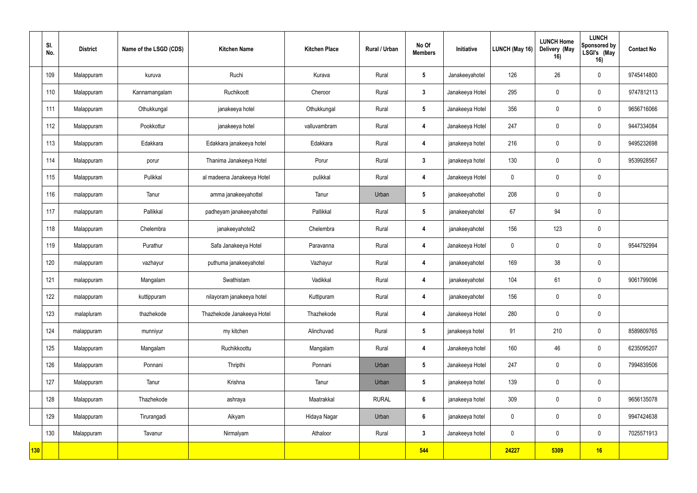|                  | SI.<br>No. | <b>District</b> | Name of the LSGD (CDS) | <b>Kitchen Name</b>        | <b>Kitchen Place</b> | Rural / Urban | No Of<br><b>Members</b> | Initiative      | LUNCH (May 16)   | <b>LUNCH Home</b><br>Delivery (May<br>16) | <b>LUNCH</b><br>Sponsored by<br>LSGI's (May<br>16) | <b>Contact No</b> |
|------------------|------------|-----------------|------------------------|----------------------------|----------------------|---------------|-------------------------|-----------------|------------------|-------------------------------------------|----------------------------------------------------|-------------------|
|                  | 109        | Malappuram      | kuruva                 | Ruchi                      | Kurava               | Rural         | $5\phantom{.0}$         | Janakeeyahotel  | 126              | 26 <sup>°</sup>                           | $\mathbf 0$                                        | 9745414800        |
|                  | 110        | Malappuram      | Kannamangalam          | Ruchikoott                 | Cheroor              | Rural         | $\mathbf{3}$            | Janakeeya Hotel | 295              | $\mathbf 0$                               | $\mathbf 0$                                        | 9747812113        |
|                  | 111        | Malappuram      | Othukkungal            | janakeeya hotel            | Othukkungal          | Rural         | $5\phantom{.0}$         | Janakeeya Hotel | 356              | $\mathbf{0}$                              | $\mathbf 0$                                        | 9656716066        |
|                  | 112        | Malappuram      | Pookkottur             | janakeeya hotel            | valluvambram         | Rural         | 4                       | Janakeeya Hotel | 247              | $\Omega$                                  | $\mathbf 0$                                        | 9447334084        |
|                  | 113        | Malappuram      | Edakkara               | Edakkara janakeeya hotel   | Edakkara             | Rural         | $\overline{4}$          | janakeeya hotel | 216              | $\theta$                                  | $\mathbf 0$                                        | 9495232698        |
|                  | 114        | Malappuram      | porur                  | Thanima Janakeeya Hotel    | Porur                | Rural         | $\mathbf{3}$            | janakeeya hotel | 130              | 0                                         | $\mathbf 0$                                        | 9539928567        |
|                  | 115        | Malappuram      | Pulikkal               | al madeena Janakeeya Hotel | pulikkal             | Rural         | 4                       | Janakeeya Hotel | $\boldsymbol{0}$ | $\mathbf 0$                               | $\mathbf 0$                                        |                   |
|                  | 116        | malappuram      | Tanur                  | amma janakeeyahottel       | Tanur                | Urban         | $5\phantom{.0}$         | janakeeyahottel | 208              | 0                                         | $\mathbf 0$                                        |                   |
|                  | 117        | malappuram      | Pallikkal              | padheyam janakeeyahottel   | Pallikkal            | Rural         | $5\phantom{.0}$         | janakeeyahotel  | 67               | 94                                        | $\mathbf 0$                                        |                   |
|                  | 118        | Malappuram      | Chelembra              | janakeeyahotel2            | Chelembra            | Rural         | 4                       | janakeeyahotel  | 156              | 123                                       | $\mathbf 0$                                        |                   |
|                  | 119        | Malappuram      | Purathur               | Safa Janakeeya Hotel       | Paravanna            | Rural         | 4                       | Janakeeya Hotel | $\mathbf 0$      | $\theta$                                  | $\mathbf 0$                                        | 9544792994        |
|                  | 120        | malappuram      | vazhayur               | puthuma janakeeyahotel     | Vazhayur             | Rural         | $\overline{4}$          | janakeeyahotel  | 169              | 38                                        | $\mathbf 0$                                        |                   |
|                  | 121        | malappuram      | Mangalam               | Swathistam                 | Vadikkal             | Rural         | 4                       | janakeeyahotel  | 104              | 61                                        | $\mathbf 0$                                        | 9061799096        |
|                  | 122        | malappuram      | kuttippuram            | nilayoram janakeeya hotel  | Kuttipuram           | Rural         | $\overline{\mathbf{4}}$ | janakeeyahotel  | 156              | $\overline{0}$                            | $\mathbf 0$                                        |                   |
|                  | 123        | malapluram      | thazhekode             | Thazhekode Janakeeya Hotel | Thazhekode           | Rural         | $\overline{\mathbf{4}}$ | Janakeeya Hotel | 280              | $\mathbf 0$                               | $\mathbf 0$                                        |                   |
|                  | 124        | malappuram      | munniyur               | my kitchen                 | Alinchuvad           | Rural         | $5\phantom{.0}$         | janakeeya hotel | 91               | 210                                       | $\mathbf 0$                                        | 8589809765        |
|                  | 125        | Malappuram      | Mangalam               | Ruchikkoottu               | Mangalam             | Rural         | $\overline{\mathbf{4}}$ | Janakeeya hotel | 160              | 46                                        | $\mathbf 0$                                        | 6235095207        |
|                  | 126        | Malappuram      | Ponnani                | Thripthi                   | Ponnani              | Urban         | $5\phantom{.0}$         | Janakeeya Hotel | 247              | $\mathbf 0$                               | $\mathbf 0$                                        | 7994839506        |
|                  | 127        | Malappuram      | Tanur                  | Krishna                    | Tanur                | Urban         | $5\phantom{.0}$         | janakeeya hotel | 139              | $\mathbf 0$                               | $\mathbf 0$                                        |                   |
|                  | 128        | Malappuram      | Thazhekode             | ashraya                    | Maatrakkal           | <b>RURAL</b>  | $6\phantom{a}$          | janakeeya hotel | 309              | $\mathbf 0$                               | $\mathbf 0$                                        | 9656135078        |
|                  | 129        | Malappuram      | Tirurangadi            | Aikyam                     | Hidaya Nagar         | Urban         | $6\phantom{a}$          | janakeeya hotel | $\pmb{0}$        | $\pmb{0}$                                 | $\mathbf 0$                                        | 9947424638        |
|                  | 130        | Malappuram      | Tavanur                | Nirmalyam                  | Athaloor             | Rural         | $\mathbf{3}$            | Janakeeya hotel | $\pmb{0}$        | $\mathbf 0$                               | $\mathbf 0$                                        | 7025571913        |
| <mark>130</mark> |            |                 |                        |                            |                      |               | 544                     |                 | 24227            | 5309                                      | 16                                                 |                   |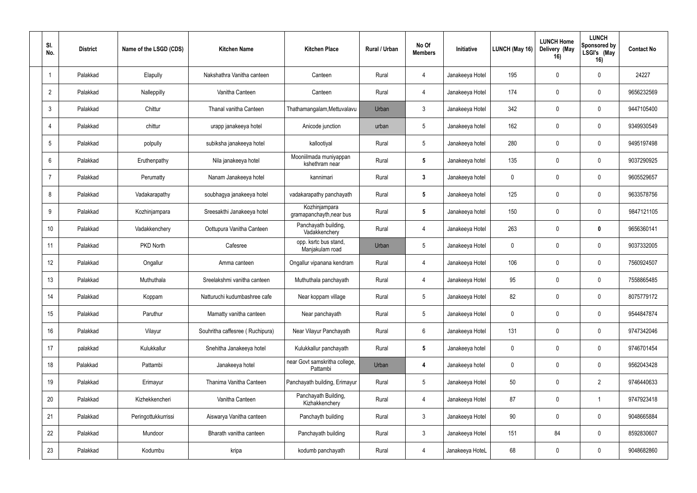| SI.<br>No.      | <b>District</b> | Name of the LSGD (CDS) | <b>Kitchen Name</b>             | <b>Kitchen Place</b>                      | Rural / Urban | No Of<br><b>Members</b> | Initiative      | LUNCH (May 16) | <b>LUNCH Home</b><br>Delivery (May<br>16) | <b>LUNCH</b><br>Sponsored by<br>LSGI's (May<br>16) | <b>Contact No</b> |
|-----------------|-----------------|------------------------|---------------------------------|-------------------------------------------|---------------|-------------------------|-----------------|----------------|-------------------------------------------|----------------------------------------------------|-------------------|
| $\overline{1}$  | Palakkad        | Elapully               | Nakshathra Vanitha canteen      | Canteen                                   | Rural         | $\overline{4}$          | Janakeeya Hotel | 195            | $\Omega$                                  | $\mathbf{0}$                                       | 24227             |
| $\overline{2}$  | Palakkad        | Nalleppilly            | Vanitha Canteen                 | Canteen                                   | Rural         | 4                       | Janakeeya Hotel | 174            | $\Omega$                                  | $\mathbf 0$                                        | 9656232569        |
| $\mathbf{3}$    | Palakkad        | Chittur                | Thanal vanitha Canteen          | Thathamangalam, Mettuvalavu               | Urban         | $\mathbf{3}$            | Janakeeya Hotel | 342            | $\Omega$                                  | $\mathbf 0$                                        | 9447105400        |
| $\overline{4}$  | Palakkad        | chittur                | urapp janakeeya hotel           | Anicode junction                          | urban         | $5\overline{)}$         | Janakeeya hotel | 162            | $\Omega$                                  | $\mathbf 0$                                        | 9349930549        |
| $5\phantom{.0}$ | Palakkad        | polpully               | subiksha janakeeya hotel        | kallootiyal                               | Rural         | $5\phantom{.0}$         | Janakeeya hotel | 280            | $\Omega$                                  | $\mathbf 0$                                        | 9495197498        |
| 6               | Palakkad        | Eruthenpathy           | Nila janakeeya hotel            | Mooniilmada muniyappan<br>kshethram near  | Rural         | $5\phantom{.0}$         | Janakeeya hotel | 135            | $\Omega$                                  | $\mathbf 0$                                        | 9037290925        |
| $\overline{7}$  | Palakkad        | Perumatty              | Nanam Janakeeya hotel           | kannimari                                 | Rural         | $\mathbf{3}$            | Janakeeya hotel | $\mathbf 0$    | $\Omega$                                  | $\mathbf 0$                                        | 9605529657        |
| 8               | Palakkad        | Vadakarapathy          | soubhagya janakeeya hotel       | vadakarapathy panchayath                  | Rural         | $5\overline{)}$         | Janakeeya hotel | 125            | $\Omega$                                  | $\mathbf{0}$                                       | 9633578756        |
| 9               | Palakkad        | Kozhinjampara          | Sreesakthi Janakeeya hotel      | Kozhinjampara<br>gramapanchayth, near bus | Rural         | $5\overline{)}$         | Janakeeya hotel | 150            | $\Omega$                                  | $\mathbf 0$                                        | 9847121105        |
| 10              | Palakkad        | Vadakkenchery          | Oottupura Vanitha Canteen       | Panchayath building,<br>Vadakkenchery     | Rural         | 4                       | Janakeeya Hotel | 263            | $\Omega$                                  | 0                                                  | 9656360141        |
| 11              | Palakkad        | PKD North              | Cafesree                        | opp. ksrtc bus stand,<br>Manjakulam road  | Urban         | $5\phantom{.0}$         | Janakeeya Hotel | $\mathbf 0$    | $\Omega$                                  | $\mathbf 0$                                        | 9037332005        |
| 12              | Palakkad        | Ongallur               | Amma canteen                    | Ongallur vipanana kendram                 | Rural         | $\overline{4}$          | Janakeeya Hotel | 106            |                                           | $\mathbf 0$                                        | 7560924507        |
| 13              | Palakkad        | Muthuthala             | Sreelakshmi vanitha canteen     | Muthuthala panchayath                     | Rural         | 4                       | Janakeeya Hotel | 95             | $\Omega$                                  | $\mathbf 0$                                        | 7558865485        |
| 14              | Palakkad        | Koppam                 | Natturuchi kudumbashree cafe    | Near koppam village                       | Rural         | $5\,$                   | Janakeeya Hotel | 82             | $\mathbf 0$                               | $\mathbf 0$                                        | 8075779172        |
| 15              | Palakkad        | Paruthur               | Mamatty vanitha canteen         | Near panchayath                           | Rural         | $5\phantom{.0}$         | Janakeeya Hotel | $\mathbf 0$    | $\mathbf 0$                               | $\mathbf 0$                                        | 9544847874        |
| 16              | Palakkad        | Vilayur                | Souhritha caffesree (Ruchipura) | Near Vilayur Panchayath                   | Rural         | $6\overline{6}$         | Janakeeya Hotel | 131            | $\mathbf 0$                               | $\mathbf 0$                                        | 9747342046        |
| 17              | palakkad        | Kulukkallur            | Snehitha Janakeeya hotel        | Kulukkallur panchayath                    | Rural         | $5\phantom{.0}$         | Janakeeya hotel | $\pmb{0}$      | $\mathbf 0$                               | $\mathbf 0$                                        | 9746701454        |
| 18              | Palakkad        | Pattambi               | Janakeeya hotel                 | near Govt samskritha college,<br>Pattambi | Urban         | 4                       | Janakeeya hotel | $\pmb{0}$      | $\mathbf 0$                               | $\mathbf 0$                                        | 9562043428        |
| 19              | Palakkad        | Erimayur               | Thanima Vanitha Canteen         | Panchayath building, Erimayur             | Rural         | $5\phantom{.0}$         | Janakeeya Hotel | $50\,$         | 0                                         | $2^{\circ}$                                        | 9746440633        |
| $20\,$          | Palakkad        | Kizhekkencheri         | Vanitha Canteen                 | Panchayath Building,<br>Kizhakkenchery    | Rural         | $\overline{4}$          | Janakeeya Hotel | 87             | $\mathbf 0$                               | -1                                                 | 9747923418        |
| 21              | Palakkad        | Peringottukkurrissi    | Aiswarya Vanitha canteen        | Panchayth building                        | Rural         | $\mathbf{3}$            | Janakeeya Hotel | $90\,$         | $\mathbf 0$                               | $\mathbf 0$                                        | 9048665884        |
| 22              | Palakkad        | Mundoor                | Bharath vanitha canteen         | Panchayath building                       | Rural         | $\mathbf{3}$            | Janakeeya Hotel | 151            | 84                                        | $\mathbf 0$                                        | 8592830607        |
| 23              | Palakkad        | Kodumbu                | kripa                           | kodumb panchayath                         | Rural         | $\overline{4}$          | Janakeeya HoteL | 68             | $\boldsymbol{0}$                          | $\mathbf 0$                                        | 9048682860        |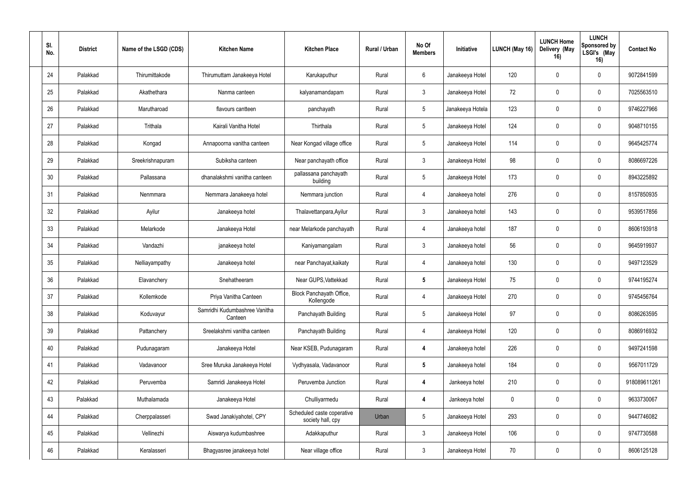| SI.<br>No. | <b>District</b> | Name of the LSGD (CDS) | <b>Kitchen Name</b>                      | <b>Kitchen Place</b>                            | <b>Rural / Urban</b> | No Of<br><b>Members</b> | Initiative       | LUNCH (May 16) | <b>LUNCH Home</b><br>Delivery (May<br>16) | <b>LUNCH</b><br>Sponsored by<br>LSGI's (May<br>16) | <b>Contact No</b> |
|------------|-----------------|------------------------|------------------------------------------|-------------------------------------------------|----------------------|-------------------------|------------------|----------------|-------------------------------------------|----------------------------------------------------|-------------------|
| 24         | Palakkad        | Thirumittakode         | Thirumuttam Janakeeya Hotel              | Karukaputhur                                    | Rural                | $6\phantom{.}6$         | Janakeeya Hotel  | 120            | $\mathbf 0$                               | $\mathbf 0$                                        | 9072841599        |
| 25         | Palakkad        | Akathethara            | Nanma canteen                            | kalyanamandapam                                 | Rural                | $\mathbf{3}$            | Janakeeya Hotel  | 72             | $\mathbf 0$                               | $\overline{0}$                                     | 7025563510        |
| 26         | Palakkad        | Marutharoad            | flavours cantteen                        | panchayath                                      | Rural                | $\sqrt{5}$              | Janakeeya Hotela | 123            | $\mathbf 0$                               | $\mathbf 0$                                        | 9746227966        |
| 27         | Palakkad        | Trithala               | Kairali Vanitha Hotel                    | Thirthala                                       | Rural                | $5\phantom{.0}$         | Janakeeya Hotel  | 124            | $\mathbf 0$                               | $\mathbf 0$                                        | 9048710155        |
| 28         | Palakkad        | Kongad                 | Annapoorna vanitha canteen               | Near Kongad village office                      | Rural                | $5\phantom{.0}$         | Janakeeya Hotel  | 114            | $\mathbf 0$                               | $\overline{0}$                                     | 9645425774        |
| 29         | Palakkad        | Sreekrishnapuram       | Subiksha canteen                         | Near panchayath office                          | Rural                | $\mathfrak{Z}$          | Janakeeya Hotel  | 98             | $\Omega$                                  | $\mathbf 0$                                        | 8086697226        |
| 30         | Palakkad        | Pallassana             | dhanalakshmi vanitha canteen             | pallassana panchayath<br>building               | Rural                | $5\phantom{.0}$         | Janakeeya Hotel  | 173            | $\mathbf 0$                               | $\mathbf 0$                                        | 8943225892        |
| 31         | Palakkad        | Nenmmara               | Nemmara Janakeeya hotel                  | Nemmara junction                                | Rural                | $\overline{4}$          | Janakeeya hotel  | 276            | $\mathbf 0$                               | $\mathbf 0$                                        | 8157850935        |
| 32         | Palakkad        | Ayilur                 | Janakeeya hotel                          | Thalavettanpara, Ayilur                         | Rural                | $\mathbf{3}$            | Janakeeya hotel  | 143            | $\mathbf 0$                               | $\overline{0}$                                     | 9539517856        |
| 33         | Palakkad        | Melarkode              | Janakeeya Hotel                          | near Melarkode panchayath                       | Rural                | 4                       | Janakeeya hotel  | 187            | $\mathbf 0$                               | $\overline{0}$                                     | 8606193918        |
| 34         | Palakkad        | Vandazhi               | janakeeya hotel                          | Kaniyamangalam                                  | Rural                | $\mathbf{3}$            | Janakeeya hotel  | 56             | $\mathbf 0$                               | $\mathbf 0$                                        | 9645919937        |
| 35         | Palakkad        | Nelliayampathy         | Janakeeya hotel                          | near Panchayat, kaikaty                         | Rural                | $\overline{4}$          | Janakeeya hotel  | 130            | $\mathbf 0$                               | $\overline{0}$                                     | 9497123529        |
| 36         | Palakkad        | Elavanchery            | Snehatheeram                             | Near GUPS, Vattekkad                            | Rural                | $5\phantom{.0}$         | Janakeeya Hotel  | 75             | $\mathbf 0$                               | $\overline{0}$                                     | 9744195274        |
| 37         | Palakkad        | Kollemkode             | Priya Vanitha Canteen                    | Block Panchayath Office,<br>Kollengode          | Rural                | 4                       | Janakeeya Hotel  | 270            | $\mathbf 0$                               | $\mathbf 0$                                        | 9745456764        |
| 38         | Palakkad        | Koduvayur              | Samridhi Kudumbashree Vanitha<br>Canteen | Panchayath Building                             | Rural                | $5\phantom{.0}$         | Janakeeya Hotel  | 97             | $\mathbf 0$                               | $\mathbf 0$                                        | 8086263595        |
| 39         | Palakkad        | Pattanchery            | Sreelakshmi vanitha canteen              | Panchayath Building                             | Rural                | $\overline{4}$          | Janakeeya Hotel  | 120            | $\mathbf 0$                               | $\mathbf 0$                                        | 8086916932        |
| 40         | Palakkad        | Pudunagaram            | Janakeeya Hotel                          | Near KSEB, Pudunagaram                          | Rural                | $\overline{\mathbf{4}}$ | Janakeeya hotel  | 226            | $\mathbf 0$                               | $\overline{0}$                                     | 9497241598        |
| 41         | Palakkad        | Vadavanoor             | Sree Muruka Janakeeya Hotel              | Vydhyasala, Vadavanoor                          | Rural                | $5\phantom{.0}$         | Janakeeya hotel  | 184            | $\mathbf 0$                               | $\mathbf 0$                                        | 9567011729        |
| 42         | Palakkad        | Peruvemba              | Samridi Janakeeya Hotel                  | Peruvemba Junction                              | Rural                | $\boldsymbol{4}$        | Jankeeya hotel   | 210            | $\mathbf 0$                               | $\mathbf 0$                                        | 918089611261      |
| 43         | Palakkad        | Muthalamada            | Janakeeya Hotel                          | Chulliyarmedu                                   | Rural                | $\boldsymbol{4}$        | Jankeeya hotel   | $\pmb{0}$      | $\mathbf 0$                               | $\mathbf 0$                                        | 9633730067        |
| 44         | Palakkad        | Cherppalasseri         | Swad Janakiyahotel, CPY                  | Scheduled caste coperative<br>society hall, cpy | Urban                | $\sqrt{5}$              | Janakeeya Hotel  | 293            | $\mathbf 0$                               | $\mathbf 0$                                        | 9447746082        |
| 45         | Palakkad        | Vellinezhi             | Aiswarya kudumbashree                    | Adakkaputhur                                    | Rural                | $\mathbf{3}$            | Janakeeya Hotel  | 106            | $\mathbf 0$                               | $\mathbf 0$                                        | 9747730588        |
| 46         | Palakkad        | Keralasseri            | Bhagyasree janakeeya hotel               | Near village office                             | Rural                | $\mathfrak{Z}$          | Janakeeya Hotel  | 70             | $\mathbf 0$                               | $\mathbf 0$                                        | 8606125128        |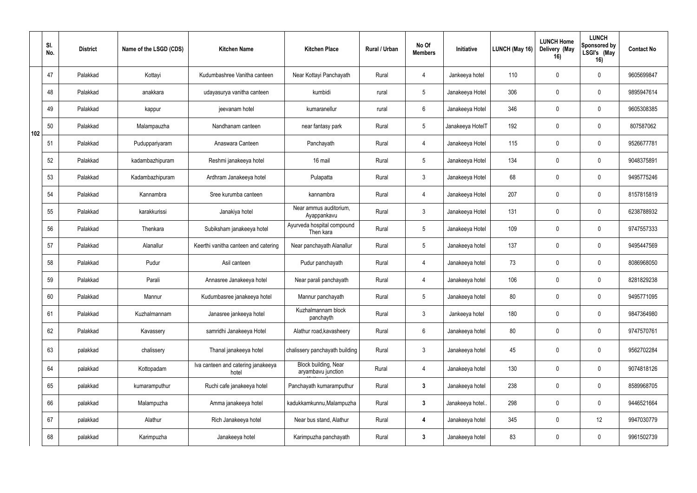|     | SI.<br>No. | <b>District</b> | Name of the LSGD (CDS) | <b>Kitchen Name</b>                         | <b>Kitchen Place</b>                       | Rural / Urban | No Of<br><b>Members</b> | Initiative       | LUNCH (May 16) | <b>LUNCH Home</b><br>Delivery (May<br>16) | <b>LUNCH</b><br>Sponsored by<br>LSGI's (May<br>16) | <b>Contact No</b> |
|-----|------------|-----------------|------------------------|---------------------------------------------|--------------------------------------------|---------------|-------------------------|------------------|----------------|-------------------------------------------|----------------------------------------------------|-------------------|
|     | 47         | Palakkad        | Kottayi                | Kudumbashree Vanitha canteen                | Near Kottayi Panchayath                    | Rural         | 4                       | Jankeeya hotel   | 110            |                                           | $\mathbf 0$                                        | 9605699847        |
|     | 48         | Palakkad        | anakkara               | udayasurya vanitha canteen                  | kumbidi                                    | rural         | $5\overline{)}$         | Janakeeya Hotel  | 306            | $\mathbf{0}$                              | $\mathbf 0$                                        | 9895947614        |
|     | 49         | Palakkad        | kappur                 | jeevanam hotel                              | kumaranellur                               | rural         | $6\phantom{.}6$         | Janakeeya Hotel  | 346            | $\Omega$                                  | $\mathbf 0$                                        | 9605308385        |
| 102 | 50         | Palakkad        | Malampauzha            | Nandhanam canteen                           | near fantasy park                          | Rural         | $5\overline{)}$         | Janakeeya HotelT | 192            | $\Omega$                                  | $\mathbf 0$                                        | 807587062         |
|     | 51         | Palakkad        | Puduppariyaram         | Anaswara Canteen                            | Panchayath                                 | Rural         | $\overline{4}$          | Janakeeya Hotel  | 115            | $\Omega$                                  | $\mathbf 0$                                        | 9526677781        |
|     | 52         | Palakkad        | kadambazhipuram        | Reshmi janakeeya hotel                      | 16 mail                                    | Rural         | $5\phantom{.0}$         | Janakeeya Hotel  | 134            | $\Omega$                                  | $\mathbf 0$                                        | 9048375891        |
|     | 53         | Palakkad        | Kadambazhipuram        | Ardhram Janakeeya hotel                     | Pulapatta                                  | Rural         | $\mathbf{3}$            | Janakeeya Hotel  | 68             | $\Omega$                                  | $\mathbf 0$                                        | 9495775246        |
|     | 54         | Palakkad        | Kannambra              | Sree kurumba canteen                        | kannambra                                  | Rural         | $\overline{4}$          | Janakeeya Hotel  | 207            |                                           | $\mathbf 0$                                        | 8157815819        |
|     | 55         | Palakkad        | karakkurissi           | Janakiya hotel                              | Near ammus auditorium,<br>Ayappankavu      | Rural         | $\mathbf{3}$            | Janakeeya Hotel  | 131            | $\Omega$                                  | $\mathbf 0$                                        | 6238788932        |
|     | 56         | Palakkad        | Thenkara               | Subiksham janakeeya hotel                   | Ayurveda hospital compound<br>Then kara    | Rural         | $5\phantom{.0}$         | Janakeeya Hotel  | 109            |                                           | $\mathbf 0$                                        | 9747557333        |
|     | 57         | Palakkad        | Alanallur              | Keerthi vanitha canteen and catering        | Near panchayath Alanallur                  | Rural         | $5\phantom{.0}$         | Janakeeya hotel  | 137            | $\Omega$                                  | $\mathbf 0$                                        | 9495447569        |
|     | 58         | Palakkad        | Pudur                  | Asil canteen                                | Pudur panchayath                           | Rural         | $\overline{4}$          | Janakeeya hotel  | 73             | $\Omega$                                  | $\mathbf 0$                                        | 8086968050        |
|     | 59         | Palakkad        | Parali                 | Annasree Janakeeya hotel                    | Near parali panchayath                     | Rural         | 4                       | Janakeeya hotel  | 106            | $\Omega$                                  | $\mathbf 0$                                        | 8281829238        |
|     | 60         | Palakkad        | Mannur                 | Kudumbasree janakeeya hotel                 | Mannur panchayath                          | Rural         | $5\phantom{.0}$         | Janakeeya hotel  | 80             | $\mathbf 0$                               | $\mathbf 0$                                        | 9495771095        |
|     | 61         | Palakkad        | Kuzhalmannam           | Janasree jankeeya hotel                     | Kuzhalmannam block<br>panchayth            | Rural         | $\mathbf{3}$            | Jankeeya hotel   | 180            | $\mathbf 0$                               | $\mathbf 0$                                        | 9847364980        |
|     | 62         | Palakkad        | Kavassery              | samridhi Janakeeya Hotel                    | Alathur road, kavasheery                   | Rural         | $6\overline{6}$         | Janakeeya hotel  | 80             | $\boldsymbol{0}$                          | $\mathbf 0$                                        | 9747570761        |
|     | 63         | palakkad        | chalissery             | Thanal janakeeya hotel                      | chalissery panchayath building             | Rural         | $\mathbf{3}$            | Janakeeya hotel  | 45             | 0                                         | $\mathbf 0$                                        | 9562702284        |
|     | 64         | palakkad        | Kottopadam             | Iva canteen and catering janakeeya<br>hotel | Block building, Near<br>aryambavu junction | Rural         | $\overline{4}$          | Janakeeya hotel  | 130            | $\overline{0}$                            | $\mathbf 0$                                        | 9074818126        |
|     | 65         | palakkad        | kumaramputhur          | Ruchi cafe janakeeya hotel                  | Panchayath kumaramputhur                   | Rural         | $\mathbf{3}$            | Janakeeya hotel  | 238            | $\mathbf 0$                               | $\mathbf 0$                                        | 8589968705        |
|     | 66         | palakkad        | Malampuzha             | Amma janakeeya hotel                        | kadukkamkunnu, Malampuzha                  | Rural         | $\mathbf{3}$            | Janakeeya hotel  | 298            | 0                                         | $\mathbf 0$                                        | 9446521664        |
|     | 67         | palakkad        | Alathur                | Rich Janakeeya hotel                        | Near bus stand, Alathur                    | Rural         | $\overline{\mathbf{4}}$ | Janakeeya hotel  | 345            | $\mathbf 0$                               | 12                                                 | 9947030779        |
|     | 68         | palakkad        | Karimpuzha             | Janakeeya hotel                             | Karimpuzha panchayath                      | Rural         | $\mathbf{3}$            | Janakeeya hotel  | 83             | $\boldsymbol{0}$                          | $\mathbf 0$                                        | 9961502739        |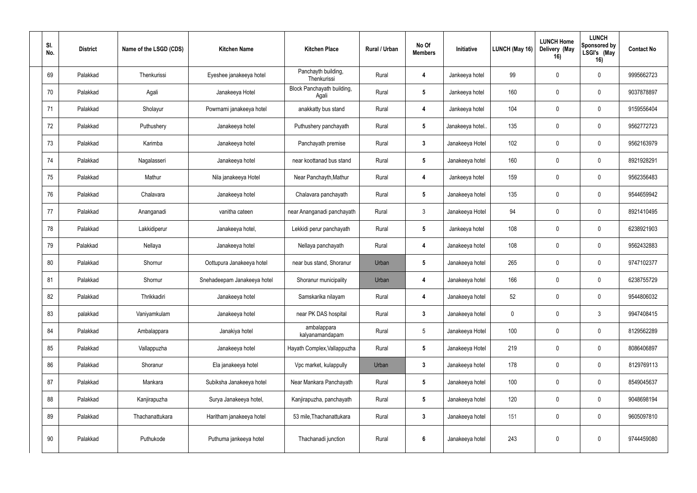| SI.<br>No. | <b>District</b> | Name of the LSGD (CDS) | <b>Kitchen Name</b>         | <b>Kitchen Place</b>                | <b>Rural / Urban</b> | No Of<br><b>Members</b> | Initiative      | LUNCH (May 16) | <b>LUNCH Home</b><br>Delivery (May<br>16) | <b>LUNCH</b><br>Sponsored by<br>LSGI's (May<br>16) | <b>Contact No</b> |
|------------|-----------------|------------------------|-----------------------------|-------------------------------------|----------------------|-------------------------|-----------------|----------------|-------------------------------------------|----------------------------------------------------|-------------------|
| 69         | Palakkad        | Thenkurissi            | Eyeshee janakeeya hotel     | Panchayth building,<br>Thenkurissi  | Rural                | 4                       | Jankeeya hotel  | 99             | $\mathbf 0$                               | $\mathbf 0$                                        | 9995662723        |
| 70         | Palakkad        | Agali                  | Janakeeya Hotel             | Block Panchayath building,<br>Agali | Rural                | $5\phantom{.0}$         | Jankeeya hotel  | 160            | $\mathbf 0$                               | $\mathbf 0$                                        | 9037878897        |
| 71         | Palakkad        | Sholayur               | Powrnami janakeeya hotel    | anakkatty bus stand                 | Rural                | 4                       | Jankeeya hotel  | 104            | $\mathbf 0$                               | $\overline{0}$                                     | 9159556404        |
| 72         | Palakkad        | Puthushery             | Janakeeya hotel             | Puthushery panchayath               | Rural                | $5\phantom{.0}$         | Janakeeya hotel | 135            | $\mathbf 0$                               | $\mathbf 0$                                        | 9562772723        |
| 73         | Palakkad        | Karimba                | Janakeeya hotel             | Panchayath premise                  | Rural                | $\mathbf{3}$            | Janakeeya Hotel | 102            | $\mathbf{0}$                              | $\mathbf 0$                                        | 9562163979        |
| 74         | Palakkad        | Nagalasseri            | Janakeeya hotel             | near koottanad bus stand            | Rural                | $5\phantom{.0}$         | Janakeeya hotel | 160            | $\Omega$                                  | $\mathbf 0$                                        | 8921928291        |
| 75         | Palakkad        | Mathur                 | Nila janakeeya Hotel        | Near Panchayth, Mathur              | Rural                | 4                       | Jankeeya hotel  | 159            | $\mathbf 0$                               | $\overline{0}$                                     | 9562356483        |
| 76         | Palakkad        | Chalavara              | Janakeeya hotel             | Chalavara panchayath                | Rural                | $5\phantom{.0}$         | Janakeeya hotel | 135            | $\Omega$                                  | $\mathbf 0$                                        | 9544659942        |
| 77         | Palakkad        | Ananganadi             | vanitha cateen              | near Ananganadi panchayath          | Rural                | $\mathbf{3}$            | Janakeeya Hotel | 94             | $\mathbf 0$                               | $\mathbf 0$                                        | 8921410495        |
| 78         | Palakkad        | Lakkidiperur           | Janakeeya hotel,            | Lekkidi perur panchayath            | Rural                | $5\phantom{.0}$         | Jankeeya hotel  | 108            | $\mathbf 0$                               | 0                                                  | 6238921903        |
| 79         | Palakkad        | Nellaya                | Janakeeya hotel             | Nellaya panchayath                  | Rural                | $\boldsymbol{4}$        | Janakeeya hotel | 108            | $\mathbf 0$                               | $\mathbf 0$                                        | 9562432883        |
| 80         | Palakkad        | Shornur                | Oottupura Janakeeya hotel   | near bus stand, Shoranur            | Urban                | $5\phantom{.0}$         | Janakeeya hotel | 265            | $\Omega$                                  | $\mathbf 0$                                        | 9747102377        |
| 81         | Palakkad        | Shornur                | Snehadeepam Janakeeya hotel | Shoranur municipality               | Urban                | $\boldsymbol{4}$        | Janakeeya hotel | 166            | $\mathbf 0$                               | $\mathbf 0$                                        | 6238755729        |
| 82         | Palakkad        | Thrikkadiri            | Janakeeya hotel             | Samskarika nilayam                  | Rural                | 4                       | Janakeeya hotel | 52             | $\mathbf 0$                               | $\mathbf 0$                                        | 9544806032        |
| 83         | palakkad        | Vaniyamkulam           | Janakeeya hotel             | near PK DAS hospital                | Rural                | $\mathbf{3}$            | Janakeeya hotel | $\pmb{0}$      | $\mathbf 0$                               | 3 <sup>1</sup>                                     | 9947408415        |
| 84         | Palakkad        | Ambalappara            | Janakiya hotel              | ambalappara<br>kalyanamandapam      | Rural                | $5\,$                   | Janakeeya Hotel | 100            | $\mathbf 0$                               | $\mathbf 0$                                        | 8129562289        |
| 85         | Palakkad        | Vallappuzha            | Janakeeya hotel             | Hayath Complex, Vallappuzha         | Rural                | $5\phantom{.0}$         | Janakeeya Hotel | 219            | $\mathbf 0$                               | $\overline{0}$                                     | 8086406897        |
| 86         | Palakkad        | Shoranur               | Ela janakeeya hotel         | Vpc market, kulappully              | Urban                | $\mathbf{3}$            | Janakeeya hotel | 178            | $\mathbf 0$                               | $\mathbf 0$                                        | 8129769113        |
| 87         | Palakkad        | Mankara                | Subiksha Janakeeya hotel    | Near Mankara Panchayath             | Rural                | $5\phantom{.0}$         | Janakeeya hotel | 100            | $\mathbf 0$                               | $\mathbf 0$                                        | 8549045637        |
| 88         | Palakkad        | Kanjirapuzha           | Surya Janakeeya hotel,      | Kanjirapuzha, panchayath            | Rural                | $5\phantom{.0}$         | Janakeeya hotel | 120            | $\mathbf 0$                               | $\mathbf 0$                                        | 9048698194        |
| 89         | Palakkad        | Thachanattukara        | Haritham janakeeya hotel    | 53 mile, Thachanattukara            | Rural                | $\mathbf{3}$            | Janakeeya hotel | 151            | $\mathbf 0$                               | $\mathbf 0$                                        | 9605097810        |
| 90         | Palakkad        | Puthukode              | Puthuma jankeeya hotel      | Thachanadi junction                 | Rural                | $\boldsymbol{6}$        | Janakeeya hotel | 243            | $\mathbf 0$                               | $\overline{0}$                                     | 9744459080        |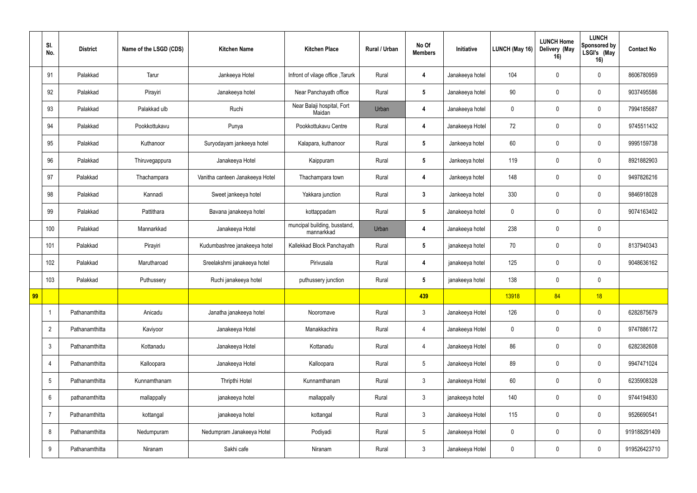|    | SI.<br>No.     | <b>District</b> | Name of the LSGD (CDS) | <b>Kitchen Name</b>             | <b>Kitchen Place</b>                       | Rural / Urban | No Of<br><b>Members</b> | Initiative      | <b>LUNCH (May 16)</b> | <b>LUNCH Home</b><br>Delivery (May<br>16) | <b>LUNCH</b><br>Sponsored by<br>LSGI's (May<br>16) | <b>Contact No</b> |
|----|----------------|-----------------|------------------------|---------------------------------|--------------------------------------------|---------------|-------------------------|-----------------|-----------------------|-------------------------------------------|----------------------------------------------------|-------------------|
|    | 91             | Palakkad        | Tarur                  | Jankeeya Hotel                  | Infront of vilage office, Tarurk           | Rural         | $\overline{4}$          | Janakeeya hotel | 104                   | $\Omega$                                  | $\mathbf 0$                                        | 8606780959        |
|    | 92             | Palakkad        | Pirayiri               | Janakeeya hotel                 | Near Panchayath office                     | Rural         | $5\overline{)}$         | Janakeeya hotel | 90                    | $\Omega$                                  | $\mathbf 0$                                        | 9037495586        |
|    | 93             | Palakkad        | Palakkad ulb           | Ruchi                           | Near Balaji hospital, Fort<br>Maidan       | Urban         | $\overline{4}$          | Janakeeya hotel | $\mathbf 0$           |                                           | $\mathbf 0$                                        | 7994185687        |
|    | 94             | Palakkad        | Pookkottukavu          | Punya                           | Pookkottukavu Centre                       | Rural         | $\overline{4}$          | Janakeeya Hotel | 72                    | $\Omega$                                  | $\mathbf 0$                                        | 9745511432        |
|    | 95             | Palakkad        | Kuthanoor              | Suryodayam jankeeya hotel       | Kalapara, kuthanoor                        | Rural         | $5\phantom{.0}$         | Jankeeya hotel  | 60                    | $\Omega$                                  | $\mathbf 0$                                        | 9995159738        |
|    | 96             | Palakkad        | Thiruvegappura         | Janakeeya Hotel                 | Kaippuram                                  | Rural         | $5\phantom{.0}$         | Jankeeya hotel  | 119                   |                                           | $\mathbf 0$                                        | 8921882903        |
|    | 97             | Palakkad        | Thachampara            | Vanitha canteen Janakeeya Hotel | Thachampara town                           | Rural         | $\overline{4}$          | Jankeeya hotel  | 148                   | $\mathbf{0}$                              | $\mathbf 0$                                        | 9497826216        |
|    | 98             | Palakkad        | Kannadi                | Sweet jankeeya hotel            | Yakkara junction                           | Rural         | $\mathbf{3}$            | Jankeeya hotel  | 330                   | $\Omega$                                  | $\mathbf 0$                                        | 9846918028        |
|    | 99             | Palakkad        | Pattithara             | Bavana janakeeya hotel          | kottappadam                                | Rural         | $5\phantom{.0}$         | Janakeeya hotel | $\mathbf 0$           |                                           | $\mathbf 0$                                        | 9074163402        |
|    | 100            | Palakkad        | Mannarkkad             | Janakeeya Hotel                 | muncipal building, busstand,<br>mannarkkad | Urban         | 4                       | Janakeeya hotel | 238                   |                                           | $\mathbf 0$                                        |                   |
|    | 101            | Palakkad        | Pirayiri               | Kudumbashree janakeeya hotel    | Kallekkad Block Panchayath                 | Rural         | $5\phantom{.0}$         | janakeeya hotel | 70                    | $\mathbf{0}$                              | $\mathbf 0$                                        | 8137940343        |
|    | 102            | Palakkad        | Marutharoad            | Sreelakshmi janakeeya hotel     | Pirivusala                                 | Rural         | $\overline{4}$          | janakeeya hotel | 125                   |                                           | $\mathbf 0$                                        | 9048636162        |
|    | 103            | Palakkad        | Puthussery             | Ruchi janakeeya hotel           | puthussery junction                        | Rural         | $5\phantom{.0}$         | janakeeya hotel | 138                   | 0                                         | $\mathbf 0$                                        |                   |
| 99 |                |                 |                        |                                 |                                            |               | 439                     |                 | 13918                 | 84                                        | 18                                                 |                   |
|    | $\overline{1}$ | Pathanamthitta  | Anicadu                | Janatha janakeeya hotel         | Nooromave                                  | Rural         | $\mathbf{3}$            | Janakeeya Hotel | 126                   | $\mathbf 0$                               | $\mathbf 0$                                        | 6282875679        |
|    | $\overline{2}$ | Pathanamthitta  | Kaviyoor               | Janakeeya Hotel                 | Manakkachira                               | Rural         | $\overline{4}$          | Janakeeya Hotel | $\mathbf 0$           | $\mathbf{0}$                              | $\mathbf 0$                                        | 9747886172        |
|    | $\mathfrak{Z}$ | Pathanamthitta  | Kottanadu              | Janakeeya Hotel                 | Kottanadu                                  | Rural         | $\overline{4}$          | Janakeeya Hotel | 86                    | 0                                         | $\mathbf 0$                                        | 6282382608        |
|    | 4              | Pathanamthitta  | Kalloopara             | Janakeeya Hotel                 | Kalloopara                                 | Rural         | $5\phantom{.0}$         | Janakeeya Hotel | 89                    | $\mathbf 0$                               | $\mathbf 0$                                        | 9947471024        |
|    | $\sqrt{5}$     | Pathanamthitta  | Kunnamthanam           | Thripthi Hotel                  | Kunnamthanam                               | Rural         | $\mathbf{3}$            | Janakeeya Hotel | 60                    | 0                                         | $\mathbf 0$                                        | 6235908328        |
|    | $6\,$          | pathanamthitta  | mallappally            | janakeeya hotel                 | mallappally                                | Rural         | $\mathbf{3}$            | janakeeya hotel | 140                   | $\mathbf 0$                               | $\mathbf 0$                                        | 9744194830        |
|    | $\overline{7}$ | Pathanamthitta  | kottangal              | janakeeya hotel                 | kottangal                                  | Rural         | $\mathfrak{Z}$          | Janakeeya Hotel | 115                   | 0                                         | $\mathbf 0$                                        | 9526690541        |
|    | 8              | Pathanamthitta  | Nedumpuram             | Nedumpram Janakeeya Hotel       | Podiyadi                                   | Rural         | $5\phantom{.0}$         | Janakeeya Hotel | $\mathbf 0$           | $\mathbf 0$                               | $\mathbf 0$                                        | 919188291409      |
|    | 9              | Pathanamthitta  | Niranam                | Sakhi cafe                      | Niranam                                    | Rural         | $\mathbf{3}$            | Janakeeya Hotel | $\pmb{0}$             | $\boldsymbol{0}$                          | $\mathbf 0$                                        | 919526423710      |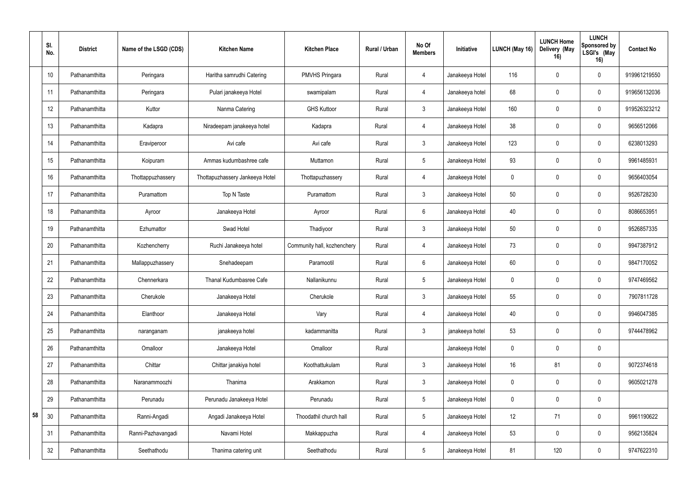|    | SI.<br>No.      | <b>District</b> | Name of the LSGD (CDS) | <b>Kitchen Name</b>             | <b>Kitchen Place</b>        | Rural / Urban | No Of<br><b>Members</b> | Initiative      | <b>LUNCH (May 16)</b> | <b>LUNCH Home</b><br>Delivery (May<br>16) | <b>LUNCH</b><br>Sponsored by<br>LSGI's (May<br>16) | <b>Contact No</b> |
|----|-----------------|-----------------|------------------------|---------------------------------|-----------------------------|---------------|-------------------------|-----------------|-----------------------|-------------------------------------------|----------------------------------------------------|-------------------|
|    | 10 <sup>1</sup> | Pathanamthitta  | Peringara              | Haritha samrudhi Catering       | <b>PMVHS Pringara</b>       | Rural         | 4                       | Janakeeya Hotel | 116                   | 0                                         | $\mathbf 0$                                        | 919961219550      |
|    | 11              | Pathanamthitta  | Peringara              | Pulari janakeeya Hotel          | swamipalam                  | Rural         | 4                       | Janakeeya hotel | 68                    | $\mathbf 0$                               | 0                                                  | 919656132036      |
|    | 12              | Pathanamthitta  | Kuttor                 | Nanma Catering                  | <b>GHS Kuttoor</b>          | Rural         | $\mathbf{3}$            | Janakeeya Hotel | 160                   | $\Omega$                                  | $\mathbf 0$                                        | 919526323212      |
|    | 13              | Pathanamthitta  | Kadapra                | Niradeepam janakeeya hotel      | Kadapra                     | Rural         | 4                       | Janakeeya Hotel | 38                    | $\Omega$                                  | $\mathbf 0$                                        | 9656512066        |
|    | 14              | Pathanamthitta  | Eraviperoor            | Avi cafe                        | Avi cafe                    | Rural         | $\mathbf{3}$            | Janakeeya Hotel | 123                   | $\Omega$                                  | $\mathbf 0$                                        | 6238013293        |
|    | 15              | Pathanamthitta  | Koipuram               | Ammas kudumbashree cafe         | Muttamon                    | Rural         | 5 <sup>5</sup>          | Janakeeya Hotel | 93                    |                                           | 0                                                  | 9961485931        |
|    | 16              | Pathanamthitta  | Thottappuzhassery      | Thottapuzhassery Jankeeya Hotel | Thottapuzhassery            | Rural         | 4                       | Janakeeya Hotel | $\mathbf 0$           | $\mathbf 0$                               | $\mathbf 0$                                        | 9656403054        |
|    | 17              | Pathanamthitta  | Puramattom             | Top N Taste                     | Puramattom                  | Rural         | $\mathbf{3}$            | Janakeeya Hotel | 50                    | $\Omega$                                  | $\mathbf 0$                                        | 9526728230        |
|    | 18              | Pathanamthitta  | Ayroor                 | Janakeeya Hotel                 | Ayroor                      | Rural         | $6\overline{6}$         | Janakeeya Hotel | 40                    |                                           | 0                                                  | 8086653951        |
|    | 19              | Pathanamthitta  | Ezhumattor             | Swad Hotel                      | Thadiyoor                   | Rural         | $\mathbf{3}$            | Janakeeya Hotel | 50                    |                                           | 0                                                  | 9526857335        |
|    | 20              | Pathanamthitta  | Kozhencherry           | Ruchi Janakeeya hotel           | Community hall, kozhenchery | Rural         | 4                       | Janakeeya Hotel | 73                    | $\mathbf 0$                               | $\mathbf 0$                                        | 9947387912        |
|    | 21              | Pathanamthitta  | Mallappuzhassery       | Snehadeepam                     | Paramootil                  | Rural         | $6\overline{6}$         | Janakeeya Hotel | 60                    | $\Omega$                                  | $\mathbf 0$                                        | 9847170052        |
|    | 22              | Pathanamthitta  | Chennerkara            | Thanal Kudumbasree Cafe         | Nallanikunnu                | Rural         | $5\overline{)}$         | Janakeeya Hotel | $\mathbf 0$           | $\Omega$                                  | 0                                                  | 9747469562        |
|    | 23              | Pathanamthitta  | Cherukole              | Janakeeya Hotel                 | Cherukole                   | Rural         | $\mathbf{3}$            | Janakeeya Hotel | 55                    | $\pmb{0}$                                 | $\mathbf 0$                                        | 7907811728        |
|    | 24              | Pathanamthitta  | Elanthoor              | Janakeeya Hotel                 | Vary                        | Rural         | $\overline{4}$          | Janakeeya Hotel | 40                    | $\mathbf 0$                               | $\mathbf 0$                                        | 9946047385        |
|    | 25              | Pathanamthitta  | naranganam             | janakeeya hotel                 | kadammanitta                | Rural         | $\mathbf{3}$            | janakeeya hotel | 53                    | $\mathbf 0$                               | $\mathbf 0$                                        | 9744478962        |
|    | 26              | Pathanamthitta  | Omalloor               | Janakeeya Hotel                 | Omalloor                    | Rural         |                         | Janakeeya Hotel | $\mathbf 0$           | $\mathbf 0$                               | $\mathbf 0$                                        |                   |
|    | 27              | Pathanamthitta  | Chittar                | Chittar janakiya hotel          | Koothattukulam              | Rural         | $\mathfrak{Z}$          | Janakeeya Hotel | 16                    | 81                                        | $\mathbf 0$                                        | 9072374618        |
|    | 28              | Pathanamthitta  | Naranammoozhi          | Thanima                         | Arakkamon                   | Rural         | $\mathbf{3}$            | Janakeeya Hotel | $\mathbf 0$           | 0                                         | $\mathbf 0$                                        | 9605021278        |
|    | 29              | Pathanamthitta  | Perunadu               | Perunadu Janakeeya Hotel        | Perunadu                    | Rural         | $5\phantom{.0}$         | Janakeeya Hotel | $\pmb{0}$             | $\mathbf 0$                               | $\mathbf 0$                                        |                   |
| 58 | $30\,$          | Pathanamthitta  | Ranni-Angadi           | Angadi Janakeeya Hotel          | Thoodathil church hall      | Rural         | $5\phantom{.0}$         | Janakeeya Hotel | 12                    | 71                                        | $\mathbf 0$                                        | 9961190622        |
|    | 31              | Pathanamthitta  | Ranni-Pazhavangadi     | Navami Hotel                    | Makkappuzha                 | Rural         | $\overline{4}$          | Janakeeya Hotel | 53                    | $\mathbf 0$                               | $\mathbf 0$                                        | 9562135824        |
|    | 32              | Pathanamthitta  | Seethathodu            | Thanima catering unit           | Seethathodu                 | Rural         | $5\overline{)}$         | Janakeeya Hotel | 81                    | 120                                       | $\bf{0}$                                           | 9747622310        |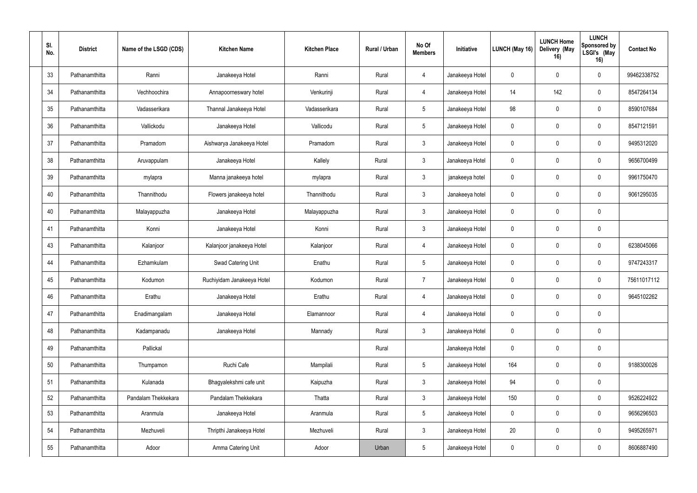| SI.<br>No. | <b>District</b> | Name of the LSGD (CDS) | <b>Kitchen Name</b>        | <b>Kitchen Place</b> | Rural / Urban | No Of<br><b>Members</b> | Initiative      | <b>LUNCH (May 16)</b> | <b>LUNCH Home</b><br>Delivery (May<br>16) | <b>LUNCH</b><br>Sponsored by<br>LSGI's (May<br>16) | <b>Contact No</b> |
|------------|-----------------|------------------------|----------------------------|----------------------|---------------|-------------------------|-----------------|-----------------------|-------------------------------------------|----------------------------------------------------|-------------------|
| 33         | Pathanamthitta  | Ranni                  | Janakeeya Hotel            | Ranni                | Rural         | $\overline{4}$          | Janakeeya Hotel | $\mathbf 0$           | $\Omega$                                  | $\mathbf 0$                                        | 99462338752       |
| 34         | Pathanamthitta  | Vechhoochira           | Annapoorneswary hotel      | Venkurinji           | Rural         | $\overline{4}$          | Janakeeya Hotel | 14                    | 142                                       | $\mathbf 0$                                        | 8547264134        |
| 35         | Pathanamthitta  | Vadasserikara          | Thannal Janakeeya Hotel    | Vadasserikara        | Rural         | $5\phantom{.0}$         | Janakeeya Hotel | 98                    | $\Omega$                                  | $\mathbf 0$                                        | 8590107684        |
| 36         | Pathanamthitta  | Vallickodu             | Janakeeya Hotel            | Vallicodu            | Rural         | $5\overline{)}$         | Janakeeya Hotel | $\pmb{0}$             | $\Omega$                                  | $\mathbf 0$                                        | 8547121591        |
| 37         | Pathanamthitta  | Pramadom               | Aishwarya Janakeeya Hotel  | Pramadom             | Rural         | $\mathbf{3}$            | Janakeeya Hotel | $\boldsymbol{0}$      | $\Omega$                                  | $\mathbf 0$                                        | 9495312020        |
| 38         | Pathanamthitta  | Aruvappulam            | Janakeeya Hotel            | Kallely              | Rural         | $\mathbf{3}$            | Janakeeya Hotel | $\pmb{0}$             |                                           | $\mathbf 0$                                        | 9656700499        |
| 39         | Pathanamthitta  | mylapra                | Manna janakeeya hotel      | mylapra              | Rural         | $\mathbf{3}$            | janakeeya hotel | $\pmb{0}$             | $\Omega$                                  | $\mathbf 0$                                        | 9961750470        |
| 40         | Pathanamthitta  | Thannithodu            | Flowers janakeeya hotel    | Thannithodu          | Rural         | $\mathbf{3}$            | Janakeeya hotel | $\mathbf 0$           | $\Omega$                                  | $\mathbf 0$                                        | 9061295035        |
| 40         | Pathanamthitta  | Malayappuzha           | Janakeeya Hotel            | Malayappuzha         | Rural         | $\mathbf{3}$            | Janakeeya Hotel | $\boldsymbol{0}$      | $\Omega$                                  | $\mathbf 0$                                        |                   |
| 41         | Pathanamthitta  | Konni                  | Janakeeya Hotel            | Konni                | Rural         | $\mathbf{3}$            | Janakeeya Hotel | $\boldsymbol{0}$      | $\Omega$                                  | $\mathbf 0$                                        |                   |
| 43         | Pathanamthitta  | Kalanjoor              | Kalanjoor janakeeya Hotel  | Kalanjoor            | Rural         | $\overline{4}$          | Janakeeya Hotel | $\pmb{0}$             | $\Omega$                                  | $\mathbf 0$                                        | 6238045066        |
| 44         | Pathanamthitta  | Ezhamkulam             | Swad Catering Unit         | Enathu               | Rural         | $5\phantom{.0}$         | Janakeeya Hotel | $\boldsymbol{0}$      | $\Omega$                                  | $\mathbf 0$                                        | 9747243317        |
| 45         | Pathanamthitta  | Kodumon                | Ruchiyidam Janakeeya Hotel | Kodumon              | Rural         | $\overline{7}$          | Janakeeya Hotel | $\pmb{0}$             | $\Omega$                                  | $\mathbf 0$                                        | 75611017112       |
| 46         | Pathanamthitta  | Erathu                 | Janakeeya Hotel            | Erathu               | Rural         | $\overline{4}$          | Janakeeya Hotel | $\pmb{0}$             | $\mathbf 0$                               | $\mathbf 0$                                        | 9645102262        |
| 47         | Pathanamthitta  | Enadimangalam          | Janakeeya Hotel            | Elamannoor           | Rural         | $\overline{4}$          | Janakeeya Hotel | $\pmb{0}$             | $\mathbf 0$                               | $\mathbf 0$                                        |                   |
| 48         | Pathanamthitta  | Kadampanadu            | Janakeeya Hotel            | Mannady              | Rural         | 3 <sup>1</sup>          | Janakeeya Hotel | $\mathbf 0$           | $\mathbf 0$                               | $\mathbf 0$                                        |                   |
| 49         | Pathanamthitta  | Pallickal              |                            |                      | Rural         |                         | Janakeeya Hotel | $\pmb{0}$             | $\overline{0}$                            | $\mathbf 0$                                        |                   |
| $50\,$     | Pathanamthitta  | Thumpamon              | Ruchi Cafe                 | Mampilali            | Rural         | $5\phantom{.0}$         | Janakeeya Hotel | 164                   | $\mathbf 0$                               | $\mathbf 0$                                        | 9188300026        |
| 51         | Pathanamthitta  | Kulanada               | Bhagyalekshmi cafe unit    | Kaipuzha             | Rural         | $\mathbf{3}$            | Janakeeya Hotel | 94                    | $\mathbf 0$                               | $\mathbf 0$                                        |                   |
| 52         | Pathanamthitta  | Pandalam Thekkekara    | Pandalam Thekkekara        | Thatta               | Rural         | 3 <sup>1</sup>          | Janakeeya Hotel | 150                   | $\mathbf 0$                               | $\mathbf 0$                                        | 9526224922        |
| 53         | Pathanamthitta  | Aranmula               | Janakeeya Hotel            | Aranmula             | Rural         | $5\overline{)}$         | Janakeeya Hotel | $\mathbf 0$           | $\mathbf 0$                               | $\mathbf 0$                                        | 9656296503        |
| 54         | Pathanamthitta  | Mezhuveli              | Thripthi Janakeeya Hotel   | Mezhuveli            | Rural         | $\mathbf{3}$            | Janakeeya Hotel | $20\,$                | 0                                         | $\mathbf 0$                                        | 9495265971        |
| 55         | Pathanamthitta  | Adoor                  | Amma Catering Unit         | Adoor                | Urban         | $5\,$                   | Janakeeya Hotel | $\pmb{0}$             | $\overline{0}$                            | $\mathbf 0$                                        | 8606887490        |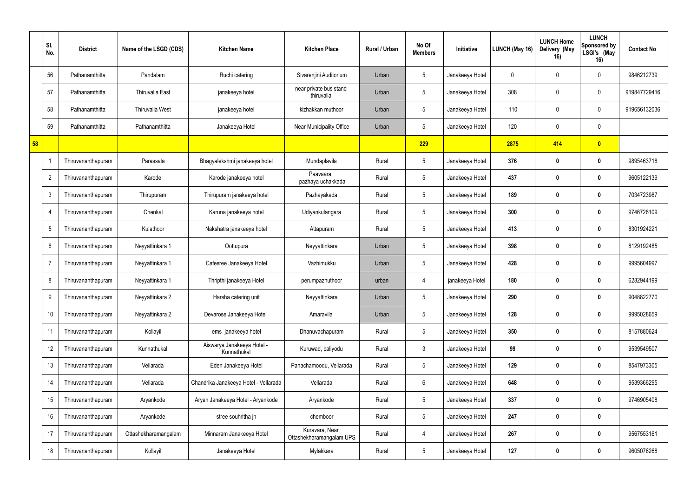|    | SI.<br>No.      | <b>District</b>    | Name of the LSGD (CDS) | <b>Kitchen Name</b>                       | <b>Kitchen Place</b>                       | <b>Rural / Urban</b> | No Of<br><b>Members</b> | Initiative      | LUNCH (May 16) | <b>LUNCH Home</b><br>Delivery (May<br>16) | <b>LUNCH</b><br>Sponsored by<br>LSGI's (May<br>16) | <b>Contact No</b> |
|----|-----------------|--------------------|------------------------|-------------------------------------------|--------------------------------------------|----------------------|-------------------------|-----------------|----------------|-------------------------------------------|----------------------------------------------------|-------------------|
|    | 56              | Pathanamthitta     | Pandalam               | Ruchi catering                            | Sivarenjini Auditorium                     | Urban                | $5\phantom{.0}$         | Janakeeya Hotel | $\mathbf 0$    |                                           | $\mathbf 0$                                        | 9846212739        |
|    | 57              | Pathanamthitta     | <b>Thiruvalla East</b> | janakeeya hotel                           | near private bus stand<br>thiruvalla       | Urban                | $5\overline{)}$         | Janakeeya Hotel | 308            | $\Omega$                                  | $\mathbf 0$                                        | 919847729416      |
|    | 58              | Pathanamthitta     | <b>Thiruvalla West</b> | janakeeya hotel                           | kizhakkan muthoor                          | Urban                | $5\phantom{.0}$         | Janakeeya Hotel | 110            | $\Omega$                                  | $\mathbf 0$                                        | 919656132036      |
|    | 59              | Pathanamthitta     | Pathanamthitta         | Janakeeya Hotel                           | Near Municipality Office                   | Urban                | $5\overline{)}$         | Janakeeya Hotel | 120            | $\Omega$                                  | $\mathbf 0$                                        |                   |
| 58 |                 |                    |                        |                                           |                                            |                      | 229                     |                 | 2875           | 414                                       | $\overline{\mathbf{0}}$                            |                   |
|    | $\mathbf{1}$    | Thiruvananthapuram | Parassala              | Bhagyalekshmi janakeeya hotel             | Mundaplavila                               | Rural                | $5\phantom{.0}$         | Janakeeya Hotel | 376            |                                           | $\mathbf{0}$                                       | 9895463718        |
|    | $\overline{2}$  | Thiruvananthapuram | Karode                 | Karode janakeeya hotel                    | Paavaara,<br>pazhaya uchakkada             | Rural                | $5\phantom{.0}$         | Janakeeya Hotel | 437            | $\mathbf{0}$                              | 0                                                  | 9605122139        |
|    | $\mathbf{3}$    | Thiruvananthapuram | Thirupuram             | Thirupuram janakeeya hotel                | Pazhayakada                                | Rural                | $5\overline{)}$         | Janakeeya Hotel | 189            | n                                         | $\mathbf{0}$                                       | 7034723987        |
|    | $\overline{4}$  | Thiruvananthapuram | Chenkal                | Karuna janakeeya hotel                    | Udiyankulangara                            | Rural                | $5\overline{)}$         | Janakeeya Hotel | 300            | 0                                         | 0                                                  | 9746726109        |
|    | $5\phantom{.0}$ | Thiruvananthapuram | Kulathoor              | Nakshatra janakeeya hotel                 | Attapuram                                  | Rural                | $5\phantom{.0}$         | Janakeeya Hotel | 413            |                                           | 0                                                  | 8301924221        |
|    | $6\phantom{.}6$ | Thiruvananthapuram | Neyyattinkara 1        | Oottupura                                 | Neyyattinkara                              | Urban                | $5\overline{)}$         | Janakeeya Hotel | 398            | $\mathbf{0}$                              | $\boldsymbol{0}$                                   | 8129192485        |
|    | $\overline{7}$  | Thiruvananthapuram | Neyyattinkara 1        | Cafesree Janakeeya Hotel                  | Vazhimukku                                 | Urban                | $5\overline{)}$         | Janakeeya Hotel | 428            |                                           | 0                                                  | 9995604997        |
|    | 8               | Thiruvananthapuram | Neyyattinkara 1        | Thripthi janakeeya Hotel                  | perumpazhuthoor                            | urban                | 4                       | janakeeya Hotel | 180            |                                           | $\mathbf 0$                                        | 6282944199        |
|    | 9               | Thiruvananthapuram | Neyyattinkara 2        | Harsha catering unit                      | Neyyattinkara                              | Urban                | 5                       | Janakeeya Hotel | 290            | 0                                         | $\boldsymbol{0}$                                   | 9048822770        |
|    | 10              | Thiruvananthapuram | Neyyattinkara 2        | Devarose Janakeeya Hotel                  | Amaravila                                  | Urban                | $5\phantom{.0}$         | Janakeeya Hotel | 128            | $\mathbf 0$                               | $\mathbf 0$                                        | 9995028659        |
|    | 11              | Thiruvananthapuram | Kollayil               | ems janakeeya hotel                       | Dhanuvachapuram                            | Rural                | $5\phantom{.0}$         | Janakeeya Hotel | 350            | 0                                         | $\mathbf 0$                                        | 8157880624        |
|    | 12              | Thiruvananthapuram | Kunnathukal            | Aiswarya Janakeeya Hotel -<br>Kunnathukal | Kuruwad, paliyodu                          | Rural                | $\mathbf{3}$            | Janakeeya Hotel | 99             | $\mathbf{0}$                              | $\mathbf 0$                                        | 9539549507        |
|    | 13              | Thiruvananthapuram | Vellarada              | Eden Janakeeya Hotel                      | Panachamoodu, Vellarada                    | Rural                | $5\overline{)}$         | Janakeeya Hotel | 129            | 0                                         | $\mathbf 0$                                        | 8547973305        |
|    | 14              | Thiruvananthapuram | Vellarada              | Chandrika Janakeeya Hotel - Vellarada     | Vellarada                                  | Rural                | $6\overline{6}$         | Janakeeya Hotel | 648            | 0                                         | $\mathbf 0$                                        | 9539366295        |
|    | 15              | Thiruvananthapuram | Aryankode              | Aryan Janakeeya Hotel - Aryankode         | Aryankode                                  | Rural                | $5\phantom{.0}$         | Janakeeya Hotel | 337            | 0                                         | $\mathbf 0$                                        | 9746905408        |
|    | 16              | Thiruvananthapuram | Aryankode              | stree souhritha jh                        | chemboor                                   | Rural                | $5\overline{)}$         | Janakeeya Hotel | 247            | 0                                         | $\mathbf 0$                                        |                   |
|    | 17              | Thiruvananthapuram | Ottashekharamangalam   | Minnaram Janakeeya Hotel                  | Kuravara, Near<br>Ottashekharamangalam UPS | Rural                | $\overline{4}$          | Janakeeya Hotel | 267            | 0                                         | $\mathbf 0$                                        | 9567553161        |
|    | 18              | Thiruvananthapuram | Kollayil               | Janakeeya Hotel                           | Mylakkara                                  | Rural                | $5\phantom{.0}$         | Janakeeya Hotel | 127            | 0                                         | $\mathbf 0$                                        | 9605076268        |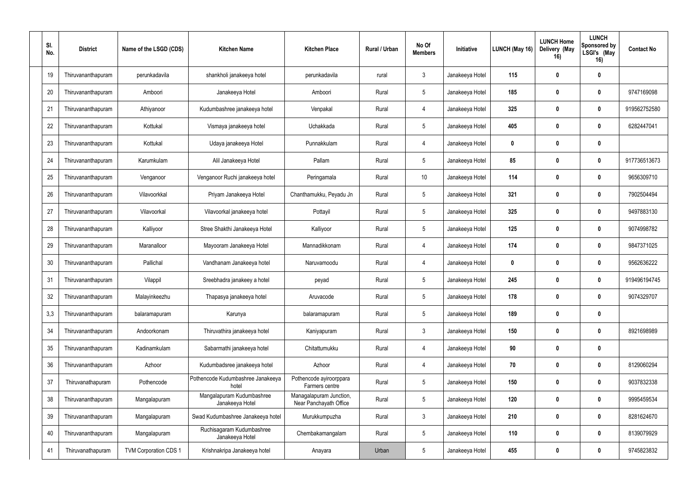| SI.<br>No. | <b>District</b>    | Name of the LSGD (CDS)       | <b>Kitchen Name</b>                          | <b>Kitchen Place</b>                              | <b>Rural / Urban</b> | No Of<br><b>Members</b> | Initiative      | LUNCH (May 16)   | <b>LUNCH Home</b><br>Delivery (May<br>16) | <b>LUNCH</b><br>Sponsored by<br>LSGI's (May<br>16) | <b>Contact No</b> |
|------------|--------------------|------------------------------|----------------------------------------------|---------------------------------------------------|----------------------|-------------------------|-----------------|------------------|-------------------------------------------|----------------------------------------------------|-------------------|
| 19         | Thiruvananthapuram | perunkadavila                | shankholi janakeeya hotel                    | perunkadavila                                     | rural                | $\mathbf{3}$            | Janakeeya Hotel | 115              | 0                                         | $\mathbf 0$                                        |                   |
| 20         | Thiruvananthapuram | Amboori                      | Janakeeya Hotel                              | Amboori                                           | Rural                | $5\phantom{.0}$         | Janakeeya Hotel | 185              | $\mathbf{0}$                              | $\mathbf 0$                                        | 9747169098        |
| 21         | Thiruvananthapuram | Athiyanoor                   | Kudumbashree janakeeya hotel                 | Venpakal                                          | Rural                | $\overline{4}$          | Janakeeya Hotel | 325              | $\mathbf{0}$                              | $\mathbf 0$                                        | 919562752580      |
| 22         | Thiruvananthapuram | Kottukal                     | Vismaya janakeeya hotel                      | Uchakkada                                         | Rural                | $5\phantom{.0}$         | Janakeeya Hotel | 405              | $\mathbf{0}$                              | $\mathbf 0$                                        | 6282447041        |
| 23         | Thiruvananthapuram | Kottukal                     | Udaya janakeeya Hotel                        | Punnakkulam                                       | Rural                | $\overline{4}$          | Janakeeya Hotel | $\boldsymbol{0}$ |                                           | $\mathbf 0$                                        |                   |
| 24         | Thiruvananthapuram | Karumkulam                   | Alil Janakeeya Hotel                         | Pallam                                            | Rural                | 5                       | Janakeeya Hotel | 85               |                                           | $\bf{0}$                                           | 917736513673      |
| 25         | Thiruvananthapuram | Venganoor                    | Venganoor Ruchi janakeeya hotel              | Peringamala                                       | Rural                | 10 <sup>°</sup>         | Janakeeya Hotel | 114              | $\mathbf{0}$                              | $\mathbf 0$                                        | 9656309710        |
| 26         | Thiruvananthapuram | Vilavoorkkal                 | Priyam Janakeeya Hotel                       | Chanthamukku, Peyadu Jn                           | Rural                | $5\phantom{.0}$         | Janakeeya Hotel | 321              | 0                                         | $\mathbf{0}$                                       | 7902504494        |
| 27         | Thiruvananthapuram | Vilavoorkal                  | Vilavoorkal janakeeya hotel                  | Pottayil                                          | Rural                | $5\phantom{.0}$         | Janakeeya Hotel | 325              | $\mathbf{0}$                              | $\mathbf 0$                                        | 9497883130        |
| 28         | Thiruvananthapuram | Kalliyoor                    | Stree Shakthi Janakeeya Hotel                | Kalliyoor                                         | Rural                | $5\phantom{.0}$         | Janakeeya Hotel | 125              | n                                         | $\mathbf 0$                                        | 9074998782        |
| 29         | Thiruvananthapuram | Maranalloor                  | Mayooram Janakeeya Hotel                     | Mannadikkonam                                     | Rural                | $\overline{4}$          | Janakeeya Hotel | 174              | $\mathbf{0}$                              | $\mathbf 0$                                        | 9847371025        |
| 30         | Thiruvananthapuram | Pallichal                    | Vandhanam Janakeeya hotel                    | Naruvamoodu                                       | Rural                | $\overline{4}$          | Janakeeya Hotel | $\boldsymbol{0}$ |                                           | $\mathbf 0$                                        | 9562636222        |
| 31         | Thiruvananthapuram | Vilappil                     | Sreebhadra janakeey a hotel                  | peyad                                             | Rural                | $5\overline{)}$         | Janakeeya Hotel | 245              | 0                                         | 0                                                  | 919496194745      |
| 32         | Thiruvananthapuram | Malayinkeezhu                | Thapasya janakeeya hotel                     | Aruvacode                                         | Rural                | $\overline{5}$          | Janakeeya Hotel | 178              | 0                                         | $\mathbf{0}$                                       | 9074329707        |
| 3,3        | Thiruvananthapuram | balaramapuram                | Karunya                                      | balaramapuram                                     | Rural                | $5\,$                   | Janakeeya Hotel | 189              | $\mathbf{0}$                              | $\mathbf 0$                                        |                   |
| 34         | Thiruvananthapuram | Andoorkonam                  | Thiruvathira janakeeya hotel                 | Kaniyapuram                                       | Rural                | $\mathbf{3}$            | Janakeeya Hotel | 150              | n                                         | $\mathbf 0$                                        | 8921698989        |
| 35         | Thiruvananthapuram | Kadinamkulam                 | Sabarmathi janakeeya hotel                   | Chitattumukku                                     | Rural                | $\overline{4}$          | Janakeeya Hotel | 90               | $\mathbf{0}$                              | $\mathbf 0$                                        |                   |
| 36         | Thiruvananthapuram | Azhoor                       | Kudumbadsree janakeeya hotel                 | Azhoor                                            | Rural                | $\overline{4}$          | Janakeeya Hotel | 70               | n                                         | $\mathbf 0$                                        | 8129060294        |
| 37         | Thiruvanathapuram  | Pothencode                   | Pothencode Kudumbashree Janakeeya<br>hotel   | Pothencode ayiroorppara<br>Farmers centre         | Rural                | $5\phantom{.0}$         | Janakeeya Hotel | 150              | n                                         | $\mathbf 0$                                        | 9037832338        |
| 38         | Thiruvananthapuram | Mangalapuram                 | Mangalapuram Kudumbashree<br>Janakeeya Hotel | Managalapuram Junction,<br>Near Panchayath Office | Rural                | $5\phantom{.0}$         | Janakeeya Hotel | 120              | $\mathbf{0}$                              | $\mathbf 0$                                        | 9995459534        |
| 39         | Thiruvananthapuram | Mangalapuram                 | Swad Kudumbashree Janakeeya hotel            | Murukkumpuzha                                     | Rural                | $\mathbf{3}$            | Janakeeya Hotel | 210              | 0                                         | 0                                                  | 8281624670        |
| 40         | Thiruvananthapuram | Mangalapuram                 | Ruchisagaram Kudumbashree<br>Janakeeya Hotel | Chembakamangalam                                  | Rural                | $5\,$                   | Janakeeya Hotel | 110              | 0                                         | $\mathbf 0$                                        | 8139079929        |
| 41         | Thiruvanathapuram  | <b>TVM Corporation CDS 1</b> | Krishnakripa Janakeeya hotel                 | Anayara                                           | Urban                | $5\phantom{.0}$         | Janakeeya Hotel | 455              | 0                                         | $\mathbf 0$                                        | 9745823832        |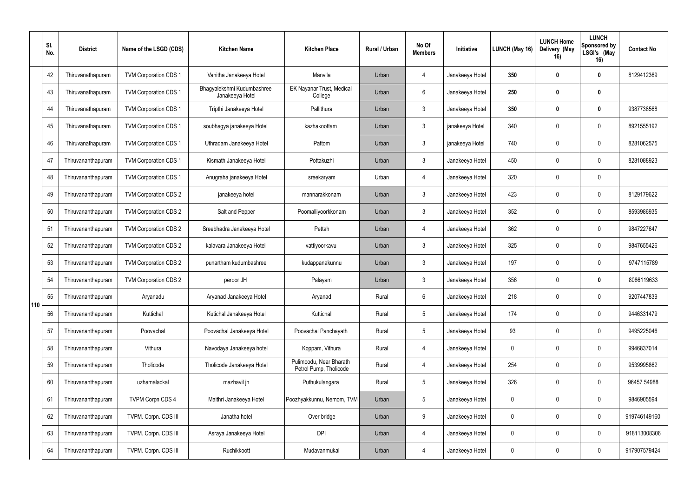|     | SI.<br>No. | <b>District</b>    | Name of the LSGD (CDS)       | <b>Kitchen Name</b>                           | <b>Kitchen Place</b>                              | Rural / Urban | No Of<br><b>Members</b> | Initiative      | <b>LUNCH (May 16)</b> | <b>LUNCH Home</b><br>Delivery (May<br>16) | <b>LUNCH</b><br>Sponsored by<br>LSGI's (May<br>16) | <b>Contact No</b> |
|-----|------------|--------------------|------------------------------|-----------------------------------------------|---------------------------------------------------|---------------|-------------------------|-----------------|-----------------------|-------------------------------------------|----------------------------------------------------|-------------------|
|     | 42         | Thiruvanathapuram  | <b>TVM Corporation CDS 1</b> | Vanitha Janakeeya Hotel                       | Manvila                                           | Urban         | 4                       | Janakeeya Hotel | 350                   | $\mathbf{0}$                              | $\bf{0}$                                           | 8129412369        |
|     | 43         | Thiruvanathapuram  | <b>TVM Corporation CDS 1</b> | Bhagyalekshmi Kudumbashree<br>Janakeeya Hotel | EK Nayanar Trust, Medical<br>College              | Urban         | $6\overline{6}$         | Janakeeya Hotel | 250                   | $\mathbf{0}$                              | $\mathbf 0$                                        |                   |
|     | 44         | Thiruvanathapuram  | <b>TVM Corporation CDS 1</b> | Tripthi Janakeeya Hotel                       | Pallithura                                        | Urban         | $\mathbf{3}$            | Janakeeya Hotel | 350                   |                                           | 0                                                  | 9387738568        |
|     | 45         | Thiruvanathapuram  | <b>TVM Corporation CDS 1</b> | soubhagya janakeeya Hotel                     | kazhakoottam                                      | Urban         | $\mathbf{3}$            | janakeeya Hotel | 340                   | $\Omega$                                  | $\mathbf 0$                                        | 8921555192        |
|     | 46         | Thiruvanathapuram  | <b>TVM Corporation CDS 1</b> | Uthradam Janakeeya Hotel                      | Pattom                                            | Urban         | $\mathbf{3}$            | janakeeya Hotel | 740                   |                                           | $\mathbf 0$                                        | 8281062575        |
|     | 47         | Thiruvananthapuram | <b>TVM Corporation CDS 1</b> | Kismath Janakeeya Hotel                       | Pottakuzhi                                        | Urban         | $\mathbf{3}$            | Janakeeya Hotel | 450                   |                                           | $\Omega$                                           | 8281088923        |
|     | 48         | Thiruvananthapuram | <b>TVM Corporation CDS 1</b> | Anugraha janakeeya Hotel                      | sreekaryam                                        | Urban         | 4                       | Janakeeya Hotel | 320                   | $\Omega$                                  | $\mathbf 0$                                        |                   |
|     | 49         | Thiruvananthapuram | <b>TVM Corporation CDS 2</b> | janakeeya hotel                               | mannarakkonam                                     | Urban         | $\mathbf{3}$            | Janakeeya Hotel | 423                   | $\Omega$                                  | $\mathbf 0$                                        | 8129179622        |
|     | 50         | Thiruvananthapuram | <b>TVM Corporation CDS 2</b> | Salt and Pepper                               | Poomalliyoorkkonam                                | Urban         | $\mathbf{3}$            | Janakeeya Hotel | 352                   |                                           | $\mathbf 0$                                        | 8593986935        |
|     | 51         | Thiruvananthapuram | <b>TVM Corporation CDS 2</b> | Sreebhadra Janakeeya Hotel                    | Pettah                                            | Urban         | 4                       | Janakeeya Hotel | 362                   |                                           | 0                                                  | 9847227647        |
|     | 52         | Thiruvananthapuram | <b>TVM Corporation CDS 2</b> | kalavara Janakeeya Hotel                      | vattiyoorkavu                                     | Urban         | 3                       | Janakeeya Hotel | 325                   | $\Omega$                                  | $\mathbf 0$                                        | 9847655426        |
|     | 53         | Thiruvananthapuram | <b>TVM Corporation CDS 2</b> | punartham kudumbashree                        | kudappanakunnu                                    | Urban         | $\mathbf{3}$            | Janakeeya Hotel | 197                   |                                           | $\mathbf 0$                                        | 9747115789        |
|     | 54         | Thiruvananthapuram | <b>TVM Corporation CDS 2</b> | peroor JH                                     | Palayam                                           | Urban         | $\mathbf{3}$            | Janakeeya Hotel | 356                   |                                           | $\bf{0}$                                           | 8086119633        |
| 110 | 55         | Thiruvananthapuram | Aryanadu                     | Aryanad Janakeeya Hotel                       | Aryanad                                           | Rural         | $6\phantom{.}6$         | Janakeeya Hotel | 218                   | 0                                         | $\mathbf 0$                                        | 9207447839        |
|     | 56         | Thiruvananthapuram | Kuttichal                    | Kutichal Janakeeya Hotel                      | Kuttichal                                         | Rural         | $5\phantom{.0}$         | Janakeeya Hotel | 174                   | 0                                         | $\mathbf 0$                                        | 9446331479        |
|     | 57         | Thiruvananthapuram | Poovachal                    | Poovachal Janakeeya Hotel                     | Poovachal Panchayath                              | Rural         | $5\phantom{.0}$         | Janakeeya Hotel | 93                    | $\Omega$                                  | $\mathbf 0$                                        | 9495225046        |
|     | 58         | Thiruvananthapuram | Vithura                      | Navodaya Janakeeya hotel                      | Koppam, Vithura                                   | Rural         | $\overline{4}$          | Janakeeya Hotel | $\mathbf 0$           | 0                                         | $\mathbf 0$                                        | 9946837014        |
|     | 59         | Thiruvananthapuram | Tholicode                    | Tholicode Janakeeya Hotel                     | Pulimoodu, Near Bharath<br>Petrol Pump, Tholicode | Rural         | 4                       | Janakeeya Hotel | 254                   | $\mathbf 0$                               | $\mathbf 0$                                        | 9539995862        |
|     | 60         | Thiruvananthapuram | uzhamalackal                 | mazhavil jh                                   | Puthukulangara                                    | Rural         | 5                       | Janakeeya Hotel | 326                   | $\Omega$                                  | $\mathbf 0$                                        | 96457 54988       |
|     | 61         | Thiruvananthapuram | TVPM Corpn CDS 4             | Maithri Janakeeya Hotel                       | Poozhyakkunnu, Nemom, TVM                         | Urban         | $5\phantom{.0}$         | Janakeeya Hotel | $\mathbf 0$           | $\Omega$                                  | $\mathbf 0$                                        | 9846905594        |
|     | 62         | Thiruvananthapuram | TVPM. Corpn. CDS III         | Janatha hotel                                 | Over bridge                                       | Urban         | 9                       | Janakeeya Hotel | $\mathbf 0$           |                                           | $\mathbf 0$                                        | 919746149160      |
|     | 63         | Thiruvananthapuram | TVPM. Corpn. CDS III         | Asraya Janakeeya Hotel                        | <b>DPI</b>                                        | Urban         | 4                       | Janakeeya Hotel | $\mathbf 0$           | 0                                         | $\mathbf 0$                                        | 918113008306      |
|     | 64         | Thiruvananthapuram | TVPM. Corpn. CDS III         | Ruchikkoott                                   | Mudavanmukal                                      | Urban         | 4                       | Janakeeya Hotel | $\boldsymbol{0}$      | $\boldsymbol{0}$                          | $\mathbf 0$                                        | 917907579424      |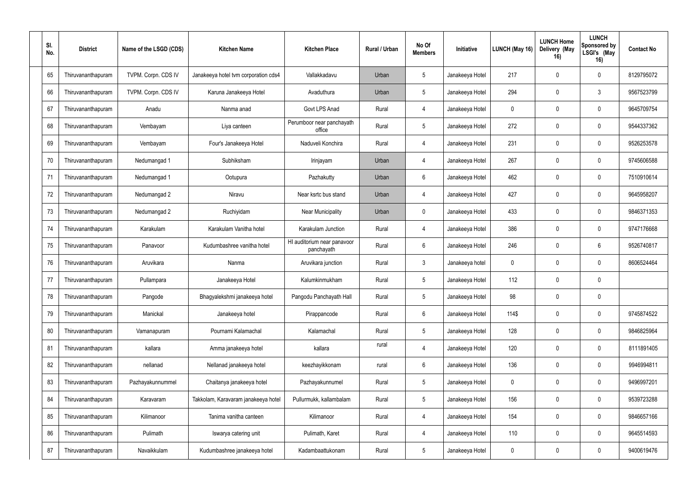| SI.<br>No. | <b>District</b>    | Name of the LSGD (CDS) | <b>Kitchen Name</b>                  | <b>Kitchen Place</b>                      | <b>Rural / Urban</b> | No Of<br><b>Members</b> | Initiative      | LUNCH (May 16) | <b>LUNCH Home</b><br>Delivery (May<br>16) | <b>LUNCH</b><br>Sponsored by<br>LSGI's (May<br>16) | <b>Contact No</b> |
|------------|--------------------|------------------------|--------------------------------------|-------------------------------------------|----------------------|-------------------------|-----------------|----------------|-------------------------------------------|----------------------------------------------------|-------------------|
| 65         | Thiruvananthapuram | TVPM. Corpn. CDS IV    | Janakeeya hotel tvm corporation cds4 | Vallakkadavu                              | Urban                | 5                       | Janakeeya Hotel | 217            | $\Omega$                                  | $\mathbf 0$                                        | 8129795072        |
| 66         | Thiruvananthapuram | TVPM. Corpn. CDS IV    | Karuna Janakeeya Hotel               | Avaduthura                                | Urban                | $5\phantom{.0}$         | Janakeeya Hotel | 294            | 0                                         | 3                                                  | 9567523799        |
| 67         | Thiruvananthapuram | Anadu                  | Nanma anad                           | Govt LPS Anad                             | Rural                | $\overline{4}$          | Janakeeya Hotel | $\pmb{0}$      | $\Omega$                                  | 0                                                  | 9645709754        |
| 68         | Thiruvananthapuram | Vembayam               | Liya canteen                         | Perumboor near panchayath<br>office       | Rural                | 5                       | Janakeeya Hotel | 272            | $\Omega$                                  | $\mathbf 0$                                        | 9544337362        |
| 69         | Thiruvananthapuram | Vembayam               | Four's Janakeeya Hotel               | Naduveli Konchira                         | Rural                | 4                       | Janakeeya Hotel | 231            | $\Omega$                                  | $\mathbf 0$                                        | 9526253578        |
| 70         | Thiruvananthapuram | Nedumangad 1           | Subhiksham                           | Irinjayam                                 | Urban                | 4                       | Janakeeya Hotel | 267            | $\Omega$                                  | 0                                                  | 9745606588        |
| 71         | Thiruvananthapuram | Nedumangad 1           | Ootupura                             | Pazhakutty                                | Urban                | $6\phantom{.}6$         | Janakeeya Hotel | 462            | $\Omega$                                  | $\mathbf 0$                                        | 7510910614        |
| 72         | Thiruvananthapuram | Nedumangad 2           | Niravu                               | Near ksrtc bus stand                      | Urban                | 4                       | Janakeeya Hotel | 427            | $\Omega$                                  | $\mathbf 0$                                        | 9645958207        |
| 73         | Thiruvananthapuram | Nedumangad 2           | Ruchiyidam                           | <b>Near Municipality</b>                  | Urban                | $\overline{0}$          | Janakeeya Hotel | 433            | 0                                         | 0                                                  | 9846371353        |
| 74         | Thiruvananthapuram | Karakulam              | Karakulam Vanitha hotel              | Karakulam Junction                        | Rural                | 4                       | Janakeeya Hotel | 386            | $\Omega$                                  | 0                                                  | 9747176668        |
| 75         | Thiruvananthapuram | Panavoor               | Kudumbashree vanitha hotel           | HI auditorium near panavoor<br>panchayath | Rural                | 6                       | Janakeeya Hotel | 246            | $\Omega$                                  | 6                                                  | 9526740817        |
| 76         | Thiruvananthapuram | Aruvikara              | Nanma                                | Aruvikara junction                        | Rural                | $\mathbf{3}$            | Janakeeya hotel | $\mathbf 0$    |                                           | $\mathbf 0$                                        | 8606524464        |
| 77         | Thiruvananthapuram | Pullampara             | Janakeeya Hotel                      | Kalumkinmukham                            | Rural                | $5\phantom{.0}$         | Janakeeya Hotel | 112            | 0                                         | 0                                                  |                   |
| 78         | Thiruvananthapuram | Pangode                | Bhagyalekshmi janakeeya hotel        | Pangodu Panchayath Hall                   | Rural                | $5\,$                   | Janakeeya Hotel | 98             | $\mathbf 0$                               | 0                                                  |                   |
| 79         | Thiruvananthapuram | Manickal               | Janakeeya hotel                      | Pirappancode                              | Rural                | $6\,$                   | Janakeeya Hotel | 114\$          | $\mathbf 0$                               | $\mathbf 0$                                        | 9745874522        |
| 80         | Thiruvananthapuram | Vamanapuram            | Pournami Kalamachal                  | Kalamachal                                | Rural                | $\sqrt{5}$              | Janakeeya Hotel | 128            | $\mathbf 0$                               | $\mathbf 0$                                        | 9846825964        |
| 81         | Thiruvananthapuram | kallara                | Amma janakeeya hotel                 | kallara                                   | rural                | $\overline{4}$          | Janakeeya Hotel | 120            | $\mathbf 0$                               | $\mathbf 0$                                        | 8111891405        |
| 82         | Thiruvananthapuram | nellanad               | Nellanad janakeeya hotel             | keezhayikkonam                            | rural                | $6\,$                   | Janakeeya Hotel | 136            | $\mathbf 0$                               | $\mathbf 0$                                        | 9946994811        |
| 83         | Thiruvananthapuram | Pazhayakunnummel       | Chaitanya janakeeya hotel            | Pazhayakunnumel                           | Rural                | $5\,$                   | Janakeeya Hotel | $\pmb{0}$      | 0                                         | $\mathbf 0$                                        | 9496997201        |
| 84         | Thiruvananthapuram | Karavaram              | Takkolam, Karavaram janakeeya hotel  | Pullurmukk, kallambalam                   | Rural                | $5\,$                   | Janakeeya Hotel | 156            | $\mathbf 0$                               | $\mathbf 0$                                        | 9539723288        |
| 85         | Thiruvananthapuram | Kilimanoor             | Tanima vanitha canteen               | Kilimanoor                                | Rural                | 4                       | Janakeeya Hotel | 154            | 0                                         | $\mathbf 0$                                        | 9846657166        |
| 86         | Thiruvananthapuram | Pulimath               | Iswarya catering unit                | Pulimath, Karet                           | Rural                | 4                       | Janakeeya Hotel | 110            | $\mathbf 0$                               | $\mathbf 0$                                        | 9645514593        |
| 87         | Thiruvananthapuram | Navaikkulam            | Kudumbashree janakeeya hotel         | Kadambaattukonam                          | Rural                | $\sqrt{5}$              | Janakeeya Hotel | $\pmb{0}$      | $\boldsymbol{0}$                          | $\mathbf 0$                                        | 9400619476        |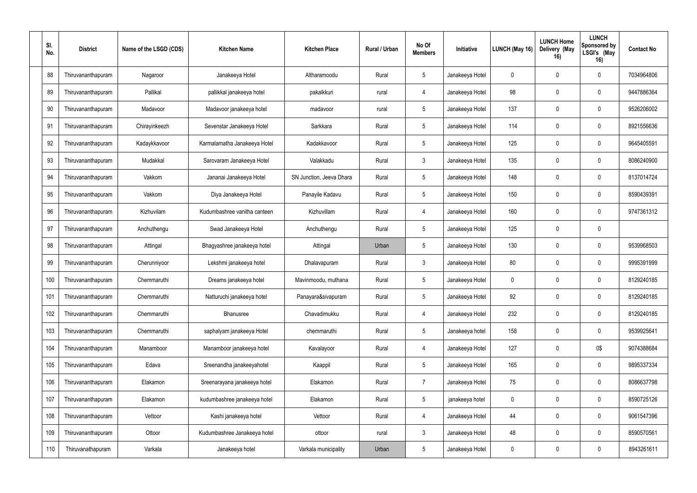| SI.<br>No. | <b>District</b>    | Name of the LSGD (CDS) | <b>Kitchen Name</b>          | <b>Kitchen Place</b>     | Rural / Urban | No Of<br><b>Members</b> | Initiative      | LUNCH (May 16) | <b>LUNCH Home</b><br>Delivery (May<br>16) | <b>LUNCH</b><br>Sponsored by<br>LSGI's (May<br>16) | <b>Contact No</b> |
|------------|--------------------|------------------------|------------------------------|--------------------------|---------------|-------------------------|-----------------|----------------|-------------------------------------------|----------------------------------------------------|-------------------|
| 88         | Thiruvananthapuram | Nagaroor               | Janakeeya Hotel              | Altharamoodu             | Rural         | $5\phantom{.0}$         | Janakeeya Hotel | $\mathbf 0$    | $\Omega$                                  | $\mathbf 0$                                        | 7034964806        |
| 89         | Thiruvananthapuram | Pallikal               | pallikkal janakeeya hotel    | pakalkkuri               | rural         | $\overline{4}$          | Janakeeya Hotel | 98             | $\Omega$                                  | 0                                                  | 9447886364        |
| 90         | Thiruvananthapuram | Madavoor               | Madavoor janakeeya hotel     | madavoor                 | rural         | 5                       | Janakeeya Hotel | 137            | $\Omega$                                  | 0                                                  | 9526206002        |
| 91         | Thiruvananthapuram | Chirayinkeezh          | Sevenstar Janakeeya Hotel    | Sarkkara                 | Rural         | $5\phantom{.0}$         | Janakeeya Hotel | 114            | $\Omega$                                  | $\mathbf 0$                                        | 8921556636        |
| 92         | Thiruvananthapuram | Kadaykkavoor           | Karmalamatha Janakeeya Hotel | Kadakkavoor              | Rural         | $5\phantom{.0}$         | Janakeeya Hotel | 125            | $\Omega$                                  | 0                                                  | 9645405591        |
| 93         | Thiruvananthapuram | Mudakkal               | Sarovaram Janakeeya Hotel    | Valakkadu                | Rural         | $\mathbf{3}$            | Janakeeya Hotel | 135            | 0                                         | 0                                                  | 8086240900        |
| 94         | Thiruvananthapuram | Vakkom                 | Jananai Janakeeya Hotel      | SN Junction, Jeeva Dhara | Rural         | 5                       | Janakeeya Hotel | 148            | $\Omega$                                  | $\mathbf 0$                                        | 8137014724        |
| 95         | Thiruvananthapuram | Vakkom                 | Diya Janakeeya Hotel         | Panayile Kadavu          | Rural         | $5\phantom{.0}$         | Janakeeya Hotel | 150            | $\Omega$                                  | $\mathbf 0$                                        | 8590439391        |
| 96         | Thiruvananthapuram | Kizhuvilam             | Kudumbashree vanitha canteen | Kizhuvillam              | Rural         | 4                       | Janakeeya Hotel | 160            | $\Omega$                                  | 0                                                  | 9747361312        |
| 97         | Thiruvananthapuram | Anchuthengu            | Swad Janakeeya Hotel         | Anchuthengu              | Rural         | $5\phantom{.0}$         | Janakeeya Hotel | 125            | $\Omega$                                  | 0                                                  |                   |
| 98         | Thiruvananthapuram | Attingal               | Bhagyashree janakeeya hotel  | Attingal                 | Urban         | 5                       | Janakeeya Hotel | 130            | $\mathbf{0}$                              | 0                                                  | 9539968503        |
| 99         | Thiruvananthapuram | Cherunniyoor           | Lekshmi janakeeya hotel      | Dhalavapuram             | Rural         | $\mathbf{3}$            | Janakeeya Hotel | 80             | $\Omega$                                  | 0                                                  | 9995391999        |
| 100        | Thiruvananthapuram | Chemmaruthi            | Dreams janakeeya hotel       | Mavinmoodu, muthana      | Rural         | $5\phantom{.0}$         | Janakeeya Hotel | 0              | $\Omega$                                  | $\mathbf 0$                                        | 8129240185        |
| 101        | Thiruvananthapuram | Chemmaruthi            | Natturuchi janakeeya hotel   | Panayara&sivapuram       | Rural         | 5                       | Janakeeya Hotel | 92             | $\mathbf 0$                               | 0                                                  | 8129240185        |
| 102        | Thiruvananthapuram | Chemmaruthi            | Bhanusree                    | Chavadimukku             | Rural         | $\overline{4}$          | Janakeeya Hotel | 232            | $\mathbf 0$                               | 0                                                  | 8129240185        |
| 103        | Thiruvananthapuram | Chemmaruthi            | saphalyam janakeeya Hotel    | chemmaruthi              | Rural         | $5\phantom{.0}$         | Janakeeya hotel | 158            | $\mathbf 0$                               | $\overline{0}$                                     | 9539925641        |
| 104        | Thiruvananthapuram | Manamboor              | Manamboor janakeeya hotel    | Kavalayoor               | Rural         | $\overline{4}$          | Janakeeya Hotel | 127            | $\mathbf 0$                               | $0\$                                               | 9074388684        |
| 105        | Thiruvananthapuram | Edava                  | Sreenandha janakeeyahotel    | Kaappil                  | Rural         | $5\phantom{.0}$         | Janakeeya Hotel | 165            | $\mathbf 0$                               | $\bf{0}$                                           | 9895337334        |
| 106        | Thiruvananthapuram | Elakamon               | Sreenarayana janakeeya hotel | Elakamon                 | Rural         | $\overline{7}$          | Janakeeya Hotel | 75             | $\mathbf 0$                               | $\bf{0}$                                           | 8086637798        |
| 107        | Thiruvananthapuram | Elakamon               | kudumbashree janakeeya hotel | Elakamon                 | Rural         | $5\phantom{.0}$         | janakeeya hotel | $\pmb{0}$      | $\mathbf 0$                               | $\overline{0}$                                     | 8590725126        |
| 108        | Thiruvananthapuram | Vettoor                | Kashi janakeeya hotel        | Vettoor                  | Rural         | $\overline{4}$          | Janakeeya Hotel | 44             | $\mathbf 0$                               | $\mathbf 0$                                        | 9061547396        |
| 109        | Thiruvananthapuram | Ottoor                 | Kudumbashree Janakeeya hotel | ottoor                   | rural         | $\mathbf{3}$            | Janakeeya Hotel | 48             | $\mathbf 0$                               | $\overline{0}$                                     | 8590570561        |
| 110        | Thiruvanathapuram  | Varkala                | Janakeeya hotel              | Varkala municipality     | Urban         | $\overline{5}$          | Janakeeya Hotel | $\pmb{0}$      | $\mathbf 0$                               | $\overline{0}$                                     | 8943261611        |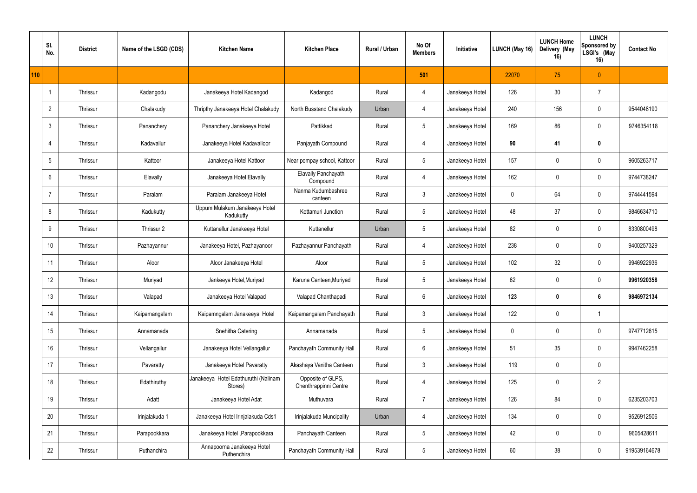|     | SI.<br>No.              | <b>District</b> | Name of the LSGD (CDS) | <b>Kitchen Name</b>                             | <b>Kitchen Place</b>                       | Rural / Urban | No Of<br><b>Members</b> | Initiative      | LUNCH (May 16) | <b>LUNCH Home</b><br>Delivery (May<br>16) | <b>LUNCH</b><br>Sponsored by<br>LSGI's (May<br>16) | <b>Contact No</b> |
|-----|-------------------------|-----------------|------------------------|-------------------------------------------------|--------------------------------------------|---------------|-------------------------|-----------------|----------------|-------------------------------------------|----------------------------------------------------|-------------------|
| 110 |                         |                 |                        |                                                 |                                            |               | 501                     |                 | 22070          | 75                                        | $\overline{0}$                                     |                   |
|     | $\overline{\mathbf{1}}$ | Thrissur        | Kadangodu              | Janakeeya Hotel Kadangod                        | Kadangod                                   | Rural         | 4                       | Janakeeya Hotel | 126            | 30 <sup>°</sup>                           | $\overline{7}$                                     |                   |
|     | $\overline{2}$          | Thrissur        | Chalakudy              | Thripthy Janakeeya Hotel Chalakudy              | North Busstand Chalakudy                   | Urban         | 4                       | Janakeeya Hotel | 240            | 156                                       | 0                                                  | 9544048190        |
|     | $\mathbf{3}$            | Thrissur        | Pananchery             | Pananchery Janakeeya Hotel                      | Pattikkad                                  | Rural         | $5\phantom{.0}$         | Janakeeya Hotel | 169            | 86                                        | $\mathbf 0$                                        | 9746354118        |
|     | 4                       | Thrissur        | Kadavallur             | Janakeeya Hotel Kadavalloor                     | Panjayath Compound                         | Rural         | $\overline{4}$          | Janakeeya Hotel | 90             | 41                                        | $\mathbf 0$                                        |                   |
|     | 5                       | Thrissur        | Kattoor                | Janakeeya Hotel Kattoor                         | Near pompay school, Kattoor                | Rural         | $5\overline{)}$         | Janakeeya Hotel | 157            |                                           | 0                                                  | 9605263717        |
|     | 6                       | Thrissur        | Elavally               | Janakeeya Hotel Elavally                        | <b>Elavally Panchayath</b><br>Compound     | Rural         | 4                       | Janakeeya Hotel | 162            | $\Omega$                                  | 0                                                  | 9744738247        |
|     | $\overline{7}$          | Thrissur        | Paralam                | Paralam Janakeeya Hotel                         | Nanma Kudumbashree<br>canteen              | Rural         | $\mathbf{3}$            | Janakeeya Hotel | $\mathbf 0$    | 64                                        | $\mathbf 0$                                        | 9744441594        |
|     | 8                       | Thrissur        | Kadukutty              | Uppum Mulakum Janakeeya Hotel<br>Kadukutty      | Kottamuri Junction                         | Rural         | $5\overline{)}$         | Janakeeya Hotel | 48             | 37                                        | $\mathbf 0$                                        | 9846634710        |
|     | 9                       | Thrissur        | Thrissur 2             | Kuttanellur Janakeeya Hotel                     | Kuttanellur                                | Urban         | $5\overline{)}$         | Janakeeya Hotel | 82             |                                           | 0                                                  | 8330800498        |
|     | 10 <sup>°</sup>         | Thrissur        | Pazhayannur            | Janakeeya Hotel, Pazhayanoor                    | Pazhayannur Panchayath                     | Rural         | 4                       | Janakeeya Hotel | 238            | $\mathbf{0}$                              | $\mathbf 0$                                        | 9400257329        |
|     | 11                      | Thrissur        | Aloor                  | Aloor Janakeeya Hotel                           | Aloor                                      | Rural         | $5\overline{)}$         | Janakeeya Hotel | 102            | 32                                        | $\mathbf 0$                                        | 9946922936        |
|     | 12                      | Thrissur        | Muriyad                | Jankeeya Hotel, Muriyad                         | Karuna Canteen, Muriyad                    | Rural         | $5\overline{)}$         | Janakeeya Hotel | 62             |                                           | 0                                                  | 9961920358        |
|     | 13                      | Thrissur        | Valapad                | Janakeeya Hotel Valapad                         | Valapad Chanthapadi                        | Rural         | $6\phantom{.}6$         | Janakeeya Hotel | 123            | $\mathbf 0$                               | 6                                                  | 9846972134        |
|     | 14                      | Thrissur        | Kaipamangalam          | Kaipamngalam Janakeeya Hotel                    | Kaipamangalam Panchayath                   | Rural         | $\mathbf{3}$            | Janakeeya Hotel | 122            | $\boldsymbol{0}$                          | $\mathbf{1}$                                       |                   |
|     | 15                      | Thrissur        | Annamanada             | Snehitha Catering                               | Annamanada                                 | Rural         | $5\phantom{.0}$         | Janakeeya Hotel | $\mathbf 0$    | $\mathbf 0$                               | $\mathbf 0$                                        | 9747712615        |
|     | 16                      | Thrissur        | Vellangallur           | Janakeeya Hotel Vellangallur                    | Panchayath Community Hall                  | Rural         | $6\phantom{.0}$         | Janakeeya Hotel | 51             | $35\,$                                    | $\mathbf 0$                                        | 9947462258        |
|     | 17                      | Thrissur        | Pavaratty              | Janakeeya Hotel Pavaratty                       | Akashaya Vanitha Canteen                   | Rural         | $\mathfrak{Z}$          | Janakeeya Hotel | 119            | $\mathbf 0$                               | $\mathbf 0$                                        |                   |
|     | 18                      | Thrissur        | Edathiruthy            | Janakeeya Hotel Edathuruthi (Nalinam<br>Stores) | Opposite of GLPS,<br>Chenthrappinni Centre | Rural         | $\overline{4}$          | Janakeeya Hotel | 125            | $\mathbf 0$                               | $\overline{2}$                                     |                   |
|     | 19                      | Thrissur        | Adatt                  | Janakeeya Hotel Adat                            | Muthuvara                                  | Rural         | $\overline{7}$          | Janakeeya Hotel | 126            | 84                                        | $\mathbf 0$                                        | 6235203703        |
|     | 20                      | Thrissur        | Irinjalakuda 1         | Janakeeya Hotel Irinjalakuda Cds1               | Irinjalakuda Muncipality                   | Urban         | $\overline{4}$          | Janakeeya Hotel | 134            | $\mathbf 0$                               | $\mathbf 0$                                        | 9526912506        |
|     | 21                      | Thrissur        | Parapookkara           | Janakeeya Hotel , Parapookkara                  | Panchayath Canteen                         | Rural         | $5\phantom{.0}$         | Janakeeya Hotel | 42             | $\mathbf 0$                               | $\mathbf 0$                                        | 9605428611        |
|     | 22                      | Thrissur        | Puthanchira            | Annapoorna Janakeeya Hotel<br>Puthenchira       | Panchayath Community Hall                  | Rural         | $5\phantom{.0}$         | Janakeeya Hotel | 60             | 38                                        | $\mathbf 0$                                        | 919539164678      |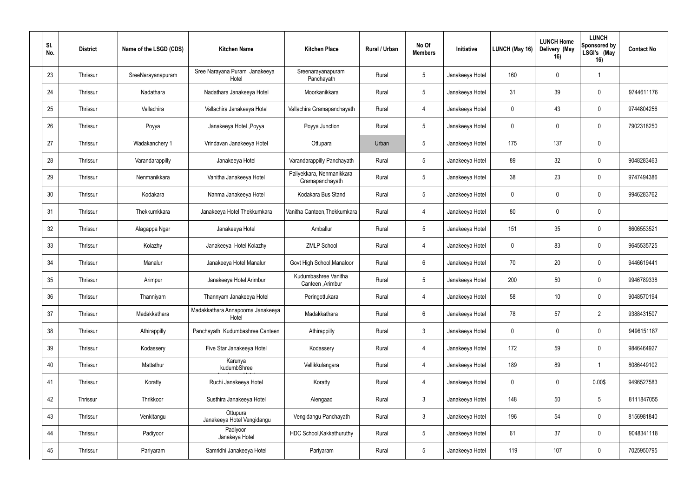| SI.<br>No. | <b>District</b> | Name of the LSGD (CDS) | <b>Kitchen Name</b>                        | <b>Kitchen Place</b>                         | <b>Rural / Urban</b> | No Of<br><b>Members</b> | Initiative      | LUNCH (May 16) | <b>LUNCH Home</b><br>Delivery (May<br>16) | <b>LUNCH</b><br>Sponsored by<br>LSGI's (May<br>16) | <b>Contact No</b> |
|------------|-----------------|------------------------|--------------------------------------------|----------------------------------------------|----------------------|-------------------------|-----------------|----------------|-------------------------------------------|----------------------------------------------------|-------------------|
| 23         | Thrissur        | SreeNarayanapuram      | Sree Narayana Puram Janakeeya<br>Hotel     | Sreenarayanapuram<br>Panchayath              | Rural                | $5\phantom{.0}$         | Janakeeya Hotel | 160            | $\mathbf 0$                               |                                                    |                   |
| 24         | Thrissur        | Nadathara              | Nadathara Janakeeya Hotel                  | Moorkanikkara                                | Rural                | $5\overline{)}$         | Janakeeya Hotel | 31             | 39                                        | $\mathbf 0$                                        | 9744611176        |
| 25         | Thrissur        | Vallachira             | Vallachira Janakeeya Hotel                 | Vallachira Gramapanchayath                   | Rural                | $\overline{4}$          | Janakeeya Hotel | $\mathbf 0$    | 43                                        | 0                                                  | 9744804256        |
| 26         | Thrissur        | Poyya                  | Janakeeya Hotel, Poyya                     | Poyya Junction                               | Rural                | $5\overline{)}$         | Janakeeya Hotel | $\mathbf 0$    | $\Omega$                                  | $\mathbf 0$                                        | 7902318250        |
| 27         | Thrissur        | Wadakanchery 1         | Vrindavan Janakeeya Hotel                  | Ottupara                                     | Urban                | $5\phantom{.0}$         | Janakeeya Hotel | 175            | 137                                       | 0                                                  |                   |
| 28         | Thrissur        | Varandarappilly        | Janakeeya Hotel                            | Varandarappilly Panchayath                   | Rural                | $5\phantom{.0}$         | Janakeeya Hotel | 89             | 32                                        | $\mathbf 0$                                        | 9048283463        |
| 29         | Thrissur        | Nenmanikkara           | Vanitha Janakeeya Hotel                    | Paliyekkara, Nenmanikkara<br>Gramapanchayath | Rural                | $5\phantom{.0}$         | Janakeeya Hotel | 38             | 23                                        | $\mathbf 0$                                        | 9747494386        |
| 30         | Thrissur        | Kodakara               | Nanma Janakeeya Hotel                      | Kodakara Bus Stand                           | Rural                | $5\overline{)}$         | Janakeeya Hotel | $\mathbf 0$    | $\cup$                                    | $\mathbf 0$                                        | 9946283762        |
| 31         | Thrissur        | Thekkumkkara           | Janakeeya Hotel Thekkumkara                | Vanitha Canteen, Thekkumkara                 | Rural                | $\overline{4}$          | Janakeeya Hotel | 80             | $\Omega$                                  | $\boldsymbol{0}$                                   |                   |
| 32         | Thrissur        | Alagappa Ngar          | Janakeeya Hotel                            | Amballur                                     | Rural                | $5\phantom{.0}$         | Janakeeya Hotel | 151            | 35                                        | 0                                                  | 8606553521        |
| 33         | Thrissur        | Kolazhy                | Janakeeya Hotel Kolazhy                    | <b>ZMLP School</b>                           | Rural                | $\overline{4}$          | Janakeeya Hotel | $\mathbf 0$    | 83                                        | $\mathbf 0$                                        | 9645535725        |
| 34         | Thrissur        | Manalur                | Janakeeya Hotel Manalur                    | Govt High School, Manaloor                   | Rural                | $6\phantom{.}6$         | Janakeeya Hotel | 70             | 20                                        | $\mathbf 0$                                        | 9446619441        |
| 35         | Thrissur        | Arimpur                | Janakeeya Hotel Arimbur                    | Kudumbashree Vanitha<br>Canteen , Arimbur    | Rural                | $5\phantom{.0}$         | Janakeeya Hotel | 200            | 50                                        | $\mathbf 0$                                        | 9946789338        |
| 36         | Thrissur        | Thanniyam              | Thannyam Janakeeya Hotel                   | Peringottukara                               | Rural                | 4                       | Janakeeya Hotel | 58             | 10                                        | $\mathbf 0$                                        | 9048570194        |
| 37         | Thrissur        | Madakkathara           | Madakkathara Annapoorna Janakeeya<br>Hotel | Madakkathara                                 | Rural                | $6\,$                   | Janakeeya Hotel | 78             | 57                                        | $\overline{2}$                                     | 9388431507        |
| 38         | Thrissur        | Athirappilly           | Panchayath Kudumbashree Canteen            | Athirappilly                                 | Rural                | $\mathfrak{Z}$          | Janakeeya Hotel | $\pmb{0}$      | $\mathbf 0$                               | $\overline{0}$                                     | 9496151187        |
| 39         | Thrissur        | Kodassery              | Five Star Janakeeya Hotel                  | Kodassery                                    | Rural                | $\overline{4}$          | Janakeeya Hotel | 172            | 59                                        | $\mathbf 0$                                        | 9846464927        |
| 40         | Thrissur        | Mattathur              | Karunya<br>kudumbShree                     | Vellikkulangara                              | Rural                | $\overline{4}$          | Janakeeya Hotel | 189            | 89                                        |                                                    | 8086449102        |
| 41         | Thrissur        | Koratty                | Ruchi Janakeeya Hotel                      | Koratty                                      | Rural                | $\overline{4}$          | Janakeeya Hotel | $\pmb{0}$      | $\mathbf 0$                               | 0.00\$                                             | 9496527583        |
| 42         | Thrissur        | Thrikkoor              | Susthira Janakeeya Hotel                   | Alengaad                                     | Rural                | $\mathbf{3}$            | Janakeeya Hotel | 148            | 50                                        | $5\phantom{.0}$                                    | 8111847055        |
| 43         | Thrissur        | Venkitangu             | Ottupura<br>Janakeeya Hotel Vengidangu     | Vengidangu Panchayath                        | Rural                | $\mathfrak{Z}$          | Janakeeya Hotel | 196            | 54                                        | $\mathbf 0$                                        | 8156981840        |
| 44         | Thrissur        | Padiyoor               | Padiyoor<br>Janakeya Hotel                 | HDC School, Kakkathuruthy                    | Rural                | $5\,$                   | Janakeeya Hotel | 61             | 37                                        | $\mathbf 0$                                        | 9048341118        |
| 45         | Thrissur        | Pariyaram              | Samridhi Janakeeya Hotel                   | Pariyaram                                    | Rural                | $5\,$                   | Janakeeya Hotel | 119            | 107                                       | $\mathbf 0$                                        | 7025950795        |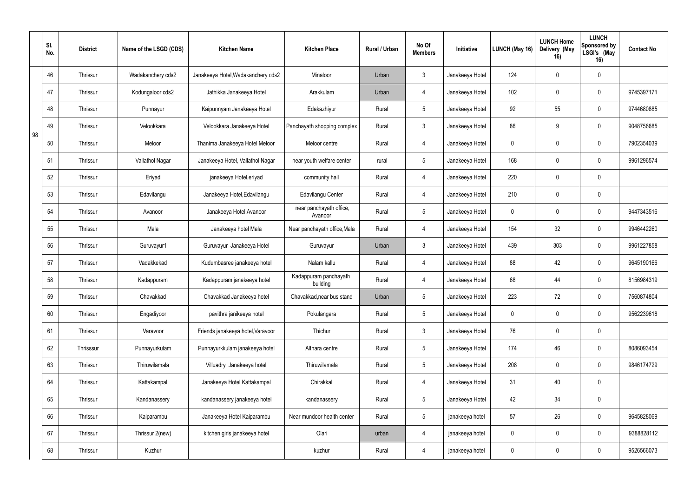|    | SI.<br>No. | <b>District</b> | Name of the LSGD (CDS) | <b>Kitchen Name</b>                | <b>Kitchen Place</b>               | Rural / Urban | No Of<br><b>Members</b> | Initiative      | LUNCH (May 16) | <b>LUNCH Home</b><br>Delivery (May<br>16) | <b>LUNCH</b><br>Sponsored by<br>LSGI's (May<br>16) | <b>Contact No</b> |
|----|------------|-----------------|------------------------|------------------------------------|------------------------------------|---------------|-------------------------|-----------------|----------------|-------------------------------------------|----------------------------------------------------|-------------------|
|    | 46         | Thrissur        | Wadakanchery cds2      | Janakeeya Hotel, Wadakanchery cds2 | Minaloor                           | Urban         | $\mathfrak{Z}$          | Janakeeya Hotel | 124            | $\Omega$                                  | $\mathbf 0$                                        |                   |
|    | 47         | Thrissur        | Kodungaloor cds2       | Jathikka Janakeeya Hotel           | Arakkulam                          | Urban         | $\overline{4}$          | Janakeeya Hotel | 102            |                                           | 0                                                  | 9745397171        |
|    | 48         | Thrissur        | Punnayur               | Kaipunnyam Janakeeya Hotel         | Edakazhiyur                        | Rural         | $5\phantom{.0}$         | Janakeeya Hotel | 92             | 55                                        | 0                                                  | 9744680885        |
| 98 | 49         | Thrissur        | Velookkara             | Velookkara Janakeeya Hotel         | Panchayath shopping complex        | Rural         | $\mathbf{3}$            | Janakeeya Hotel | 86             | 9                                         | $\mathbf 0$                                        | 9048756685        |
|    | 50         | Thrissur        | Meloor                 | Thanima Janakeeya Hotel Meloor     | Meloor centre                      | Rural         | $\overline{4}$          | Janakeeya Hotel | $\mathbf 0$    |                                           | $\mathbf 0$                                        | 7902354039        |
|    | 51         | Thrissur        | Vallathol Nagar        | Janakeeya Hotel, Vallathol Nagar   | near youth welfare center          | rural         | $5\overline{)}$         | Janakeeya Hotel | 168            |                                           | 0                                                  | 9961296574        |
|    | 52         | Thrissur        | Eriyad                 | janakeeya Hotel, eriyad            | community hall                     | Rural         | $\overline{4}$          | Janakeeya Hotel | 220            | $\Omega$                                  | 0                                                  |                   |
|    | 53         | Thrissur        | Edavilangu             | Janakeeya Hotel, Edavilangu        | Edavilangu Center                  | Rural         | 4                       | Janakeeya Hotel | 210            | $\Omega$                                  | $\mathbf 0$                                        |                   |
|    | 54         | Thrissur        | Avanoor                | Janakeeya Hotel, Avanoor           | near panchayath office,<br>Avanoor | Rural         | $5\overline{)}$         | Janakeeya Hotel | $\mathbf 0$    |                                           | $\mathbf 0$                                        | 9447343516        |
|    | 55         | Thrissur        | Mala                   | Janakeeya hotel Mala               | Near panchayath office, Mala       | Rural         | 4                       | Janakeeya Hotel | 154            | 32 <sub>2</sub>                           | 0                                                  | 9946442260        |
|    | 56         | Thrissur        | Guruvayur1             | Guruvayur Janakeeya Hotel          | Guruvayur                          | Urban         | $\mathbf{3}$            | Janakeeya Hotel | 439            | 303                                       | $\mathbf 0$                                        | 9961227858        |
|    | 57         | Thrissur        | Vadakkekad             | Kudumbasree janakeeya hotel        | Nalam kallu                        | Rural         | $\overline{4}$          | Janakeeya Hotel | 88             | 42                                        | $\mathbf 0$                                        | 9645190166        |
|    | 58         | Thrissur        | Kadappuram             | Kadappuram janakeeya hotel         | Kadappuram panchayath<br>building  | Rural         | $\overline{4}$          | Janakeeya Hotel | 68             | 44                                        | 0                                                  | 8156984319        |
|    | 59         | Thrissur        | Chavakkad              | Chavakkad Janakeeya hotel          | Chavakkad, near bus stand          | Urban         | $5\phantom{.0}$         | Janakeeya Hotel | 223            | 72                                        | 0                                                  | 7560874804        |
|    | 60         | Thrissur        | Engadiyoor             | pavithra janikeeya hotel           | Pokulangara                        | Rural         | $5\phantom{.0}$         | Janakeeya Hotel | $\pmb{0}$      | $\pmb{0}$                                 | $\bf{0}$                                           | 9562239618        |
|    | 61         | Thrissur        | Varavoor               | Friends janakeeya hotel, Varavoor  | Thichur                            | Rural         | $\mathbf{3}$            | Janakeeya Hotel | 76             | $\mathbf 0$                               | $\mathbf 0$                                        |                   |
|    | 62         | Thrisssur       | Punnayurkulam          | Punnayurkkulam janakeeya hotel     | Althara centre                     | Rural         | $5\phantom{.0}$         | Janakeeya Hotel | 174            | 46                                        | $\mathbf 0$                                        | 8086093454        |
|    | 63         | Thrissur        | Thiruwilamala          | Villuadry Janakeeya hotel          | Thiruwilamala                      | Rural         | $5\phantom{.0}$         | Janakeeya Hotel | 208            | $\mathbf 0$                               | $\mathbf 0$                                        | 9846174729        |
|    | 64         | Thrissur        | Kattakampal            | Janakeeya Hotel Kattakampal        | Chirakkal                          | Rural         | $\overline{4}$          | Janakeeya Hotel | 31             | 40                                        | $\mathbf 0$                                        |                   |
|    | 65         | Thrissur        | Kandanassery           | kandanassery janakeeya hotel       | kandanassery                       | Rural         | $5\phantom{.0}$         | Janakeeya Hotel | 42             | 34                                        | $\mathbf 0$                                        |                   |
|    | 66         | Thrissur        | Kaiparambu             | Janakeeya Hotel Kaiparambu         | Near mundoor health center         | Rural         | $5\overline{)}$         | janakeeya hotel | 57             | 26                                        | $\mathbf 0$                                        | 9645828069        |
|    | 67         | Thrissur        | Thrissur 2(new)        | kitchen girls janakeeya hotel      | Olari                              | urban         | $\overline{4}$          | janakeeya hotel | $\pmb{0}$      | $\mathbf 0$                               | $\mathbf 0$                                        | 9388828112        |
|    | 68         | Thrissur        | Kuzhur                 |                                    | kuzhur                             | Rural         | $\overline{4}$          | janakeeya hotel | $\pmb{0}$      | $\mathbf 0$                               | $\mathbf 0$                                        | 9526566073        |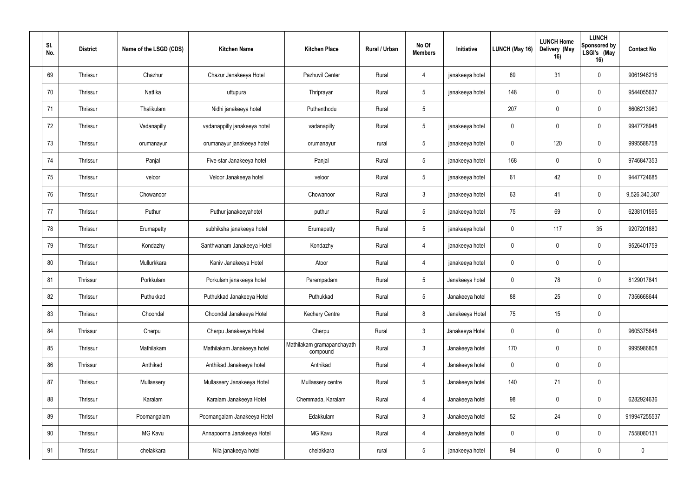| SI.<br>No. | <b>District</b> | Name of the LSGD (CDS) | <b>Kitchen Name</b>          | <b>Kitchen Place</b>                   | Rural / Urban | No Of<br><b>Members</b> | Initiative      | LUNCH (May 16)   | <b>LUNCH Home</b><br>Delivery (May<br>16) | <b>LUNCH</b><br>Sponsored by<br>LSGI's (May<br>16) | <b>Contact No</b> |
|------------|-----------------|------------------------|------------------------------|----------------------------------------|---------------|-------------------------|-----------------|------------------|-------------------------------------------|----------------------------------------------------|-------------------|
| 69         | Thrissur        | Chazhur                | Chazur Janakeeya Hotel       | Pazhuvil Center                        | Rural         | $\overline{4}$          | janakeeya hotel | 69               | 31                                        | $\mathbf 0$                                        | 9061946216        |
| 70         | Thrissur        | Nattika                | uttupura                     | Thriprayar                             | Rural         | $5\phantom{.0}$         | janakeeya hotel | 148              | $\mathbf 0$                               | $\mathbf 0$                                        | 9544055637        |
| 71         | Thrissur        | Thalikulam             | Nidhi janakeeya hotel        | Puthenthodu                            | Rural         | 5                       |                 | 207              | $\Omega$                                  | $\overline{0}$                                     | 8606213960        |
| 72         | Thrissur        | Vadanapilly            | vadanappilly janakeeya hotel | vadanapilly                            | Rural         | $5\overline{)}$         | janakeeya hotel | $\mathbf 0$      | $\Omega$                                  | $\mathbf 0$                                        | 9947728948        |
| 73         | Thrissur        | orumanayur             | orumanayur janakeeya hotel   | orumanayur                             | rural         | $5\phantom{.0}$         | janakeeya hotel | $\mathbf 0$      | 120                                       | $\mathbf 0$                                        | 9995588758        |
| 74         | Thrissur        | Panjal                 | Five-star Janakeeya hotel    | Panjal                                 | Rural         | $5\phantom{.0}$         | janakeeya hotel | 168              | $\Omega$                                  | $\mathbf 0$                                        | 9746847353        |
| 75         | Thrissur        | veloor                 | Veloor Janakeeya hotel       | veloor                                 | Rural         | $5\phantom{.0}$         | janakeeya hotel | 61               | 42                                        | $\mathbf 0$                                        | 9447724685        |
| 76         | Thrissur        | Chowanoor              |                              | Chowanoor                              | Rural         | $\mathbf{3}$            | janakeeya hotel | 63               | 41                                        | $\mathbf 0$                                        | 9,526,340,307     |
| 77         | Thrissur        | Puthur                 | Puthur janakeeyahotel        | puthur                                 | Rural         | $5\phantom{.0}$         | janakeeya hotel | 75               | 69                                        | $\mathbf 0$                                        | 6238101595        |
| 78         | Thrissur        | Erumapetty             | subhiksha janakeeya hotel    | Erumapetty                             | Rural         | $5\phantom{.0}$         | janakeeya hotel | $\mathbf 0$      | 117                                       | 35                                                 | 9207201880        |
| 79         | Thrissur        | Kondazhy               | Santhwanam Janakeeya Hotel   | Kondazhy                               | Rural         | $\overline{4}$          | janakeeya hotel | $\boldsymbol{0}$ | $\Omega$                                  | $\mathbf 0$                                        | 9526401759        |
| 80         | Thrissur        | Mullurkkara            | Kaniv Janakeeya Hotel        | Atoor                                  | Rural         | $\overline{4}$          | janakeeya hotel | $\mathbf 0$      | $\Omega$                                  | 0                                                  |                   |
| 81         | Thrissur        | Porkkulam              | Porkulam janakeeya hotel     | Parempadam                             | Rural         | $5\phantom{.0}$         | Janakeeya hotel | $\mathbf 0$      | 78                                        | $\mathbf 0$                                        | 8129017841        |
| 82         | Thrissur        | Puthukkad              | Puthukkad Janakeeya Hotel    | Puthukkad                              | Rural         | $5\phantom{.0}$         | Janakeeya hotel | 88               | 25                                        | $\mathbf 0$                                        | 7356668644        |
| 83         | Thrissur        | Choondal               | Choondal Janakeeya Hotel     | Kechery Centre                         | Rural         | 8                       | Janakeeya Hotel | 75               | 15                                        | $\mathbf 0$                                        |                   |
| 84         | Thrissur        | Cherpu                 | Cherpu Janakeeya Hotel       | Cherpu                                 | Rural         | 3 <sup>1</sup>          | Janakeeya Hotel | $\pmb{0}$        | $\mathbf 0$                               | $\mathbf 0$                                        | 9605375648        |
| 85         | Thrissur        | Mathilakam             | Mathilakam Janakeeya hotel   | Mathilakam gramapanchayath<br>compound | Rural         | 3 <sup>1</sup>          | Janakeeya hotel | 170              | $\mathbf 0$                               | $\mathbf 0$                                        | 9995986808        |
| 86         | Thrissur        | Anthikad               | Anthikad Janakeeya hotel     | Anthikad                               | Rural         | $\overline{4}$          | Janakeeya hotel | $\pmb{0}$        | $\mathbf 0$                               | $\mathbf 0$                                        |                   |
| 87         | Thrissur        | Mullassery             | Mullassery Janakeeya Hotel   | Mullassery centre                      | Rural         | $5\overline{)}$         | Janakeeya hotel | 140              | 71                                        | $\overline{0}$                                     |                   |
| 88         | Thrissur        | Karalam                | Karalam Janakeeya Hotel      | Chemmada, Karalam                      | Rural         | $\overline{4}$          | Janakeeya hotel | 98               | $\mathbf 0$                               | $\mathbf 0$                                        | 6282924636        |
| 89         | Thrissur        | Poomangalam            | Poomangalam Janakeeya Hotel  | Edakkulam                              | Rural         | $\mathbf{3}$            | Janakeeya hotel | 52               | 24                                        | $\mathbf 0$                                        | 919947255537      |
| $90\,$     | Thrissur        | MG Kavu                | Annapoorna Janakeeya Hotel   | MG Kavu                                | Rural         | $\overline{4}$          | Janakeeya hotel | $\pmb{0}$        | $\mathbf 0$                               | $\mathbf 0$                                        | 7558080131        |
| 91         | Thrissur        | chelakkara             | Nila janakeeya hotel         | chelakkara                             | rural         | $5\overline{)}$         | janakeeya hotel | 94               | $\mathbf 0$                               | $\overline{0}$                                     | $\boldsymbol{0}$  |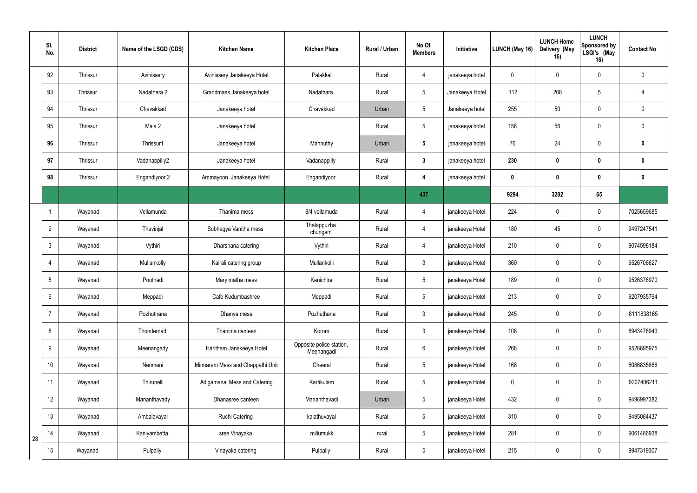|    | SI.<br>No.      | <b>District</b> | Name of the LSGD (CDS) | <b>Kitchen Name</b>              | <b>Kitchen Place</b>                   | Rural / Urban | No Of<br><b>Members</b> | Initiative      | <b>LUNCH (May 16)</b> | <b>LUNCH Home</b><br>Delivery (May<br>16) | <b>LUNCH</b><br>Sponsored by<br>LSGI's (May<br>16) | <b>Contact No</b> |
|----|-----------------|-----------------|------------------------|----------------------------------|----------------------------------------|---------------|-------------------------|-----------------|-----------------------|-------------------------------------------|----------------------------------------------------|-------------------|
|    | 92              | Thrissur        | Avinissery             | Avinissery Janakeeya Hotel       | Palakkal                               | Rural         | $\overline{4}$          | janakeeya hotel | $\mathbf 0$           | $\Omega$                                  | $\boldsymbol{0}$                                   | $\mathbf 0$       |
|    | 93              | Thrissur        | Nadathara 2            | Grandmaas Janakeeya hotel        | Nadathara                              | Rural         | $5\phantom{.0}$         | Janakeeya Hotel | 112                   | 208                                       | $5\phantom{.0}$                                    |                   |
|    | 94              | Thrissur        | Chavakkad              | Janakeeya hotel                  | Chavakkad                              | Urban         | $5\phantom{.0}$         | Janakeeya hotel | 255                   | 50                                        | $\mathbf 0$                                        | $\Omega$          |
|    | 95              | Thrissur        | Mala 2                 | Janakeeya hotel                  |                                        | Rural         | $5\phantom{.0}$         | janakeeya hotel | 158                   | 56                                        | $\mathbf 0$                                        | $\overline{0}$    |
|    | 96              | Thrissur        | Thrissur1              | Janakeeya hotel                  | Mannuthy                               | Urban         | $5\phantom{.0}$         | janakeeya hotel | 76                    | 24                                        | $\boldsymbol{0}$                                   | $\mathbf{0}$      |
|    | 97              | Thrissur        | Vadanappilly2          | Janakeeya hotel                  | Vadanappilly                           | Rural         | $\mathbf{3}$            | janakeeya hotel | 230                   | $\mathbf{0}$                              | 0                                                  | $\mathbf{0}$      |
|    | 98              | Thrissur        | Engandiyoor 2          | Ammayoon Janakeeya Hotel         | Engandiyoor                            | Rural         | 4                       | janakeeya hotel | $\boldsymbol{0}$      | $\mathbf{0}$                              | 0                                                  | $\mathbf 0$       |
|    |                 |                 |                        |                                  |                                        |               | 437                     |                 | 9294                  | 3202                                      | 65                                                 |                   |
|    |                 | Wayanad         | Vellamunda             | Thanima mess                     | 8/4 vellamuda                          | Rural         | 4                       | janakeeya Hotel | 224                   | $\mathbf 0$                               | $\mathbf 0$                                        | 7025659685        |
|    | $\overline{2}$  | Wayanad         | Thavinjal              | Sobhagya Vanitha mess            | Thalappuzha<br>chungam                 | Rural         | 4                       | janakeeya Hotel | 180                   | 45                                        | 0                                                  | 9497247541        |
|    | $\mathbf{3}$    | Wayanad         | Vythiri                | Dharshana catering               | Vythiri                                | Rural         | $\overline{4}$          | janakeeya Hotel | 210                   | $\mathbf 0$                               | $\mathbf 0$                                        | 9074598184        |
|    | 4               | Wayanad         | Mullankolly            | Kairali catering group           | Mullankolli                            | Rural         | $\mathbf{3}$            | janakeeya Hotel | 360                   | $\Omega$                                  | $\mathbf 0$                                        | 9526706627        |
|    | $5\phantom{.0}$ | Wayanad         | Poothadi               | Mary matha mess                  | Kenichira                              | Rural         | $5\phantom{.0}$         | janakeeya Hotel | 189                   | $\mathbf 0$                               | $\mathbf 0$                                        | 9526376970        |
|    | 6               | Wayanad         | Meppadi                | Cafe Kudumbashree                | Meppadi                                | Rural         | $5\,$                   | janakeeya Hotel | 213                   | $\mathbf 0$                               | $\mathbf 0$                                        | 9207935764        |
|    | $\overline{7}$  | Wayanad         | Pozhuthana             | Dhanya mess                      | Pozhuthana                             | Rural         | $3\overline{3}$         | janakeeya Hotel | 245                   | $\mathbf 0$                               | $\mathbf 0$                                        | 8111838165        |
|    | 8               | Wayanad         | Thondernad             | Thanima canteen                  | Korom                                  | Rural         | $3\overline{3}$         | janakeeya Hotel | 108                   | $\mathbf 0$                               | $\mathbf 0$                                        | 8943476943        |
|    | 9               | Wayanad         | Meenangady             | Haritham Janakeeya Hotel         | Opposite police station,<br>Meenangadi | Rural         | $6\overline{6}$         | janakeeya Hotel | 268                   | $\mathbf 0$                               | $\mathbf 0$                                        | 9526895975        |
|    | 10 <sup>°</sup> | Wayanad         | Nenmeni                | Minnaram Mess and Chappathi Unit | Cheeral                                | Rural         | $5\phantom{.0}$         | janakeeya Hotel | 168                   | $\mathbf 0$                               | $\overline{0}$                                     | 8086835886        |
|    | 11              | Wayanad         | Thirunelli             | Adigamanai Mess and Catering     | Kartikulam                             | Rural         | $5\phantom{.0}$         | janakeeya Hotel | $\mathbf 0$           | $\mathbf 0$                               | $\mathbf 0$                                        | 9207406211        |
|    | 12 <sup>°</sup> | Wayanad         | Mananthavady           | Dhanasree canteen                | Mananthavadi                           | Urban         | $5\phantom{.0}$         | janakeeya Hotel | 432                   | $\mathbf 0$                               | $\mathbf 0$                                        | 9496997382        |
|    | 13              | Wayanad         | Ambalavayal            | Ruchi Catering                   | kalathuvayal                           | Rural         | $5\phantom{.0}$         | janakeeya Hotel | 310                   | $\mathbf 0$                               | $\mathbf 0$                                        | 9495084437        |
| 28 | 14              | Wayanad         | Kaniyambetta           | sree Vinayaka                    | millumukk                              | rural         | $5\phantom{.0}$         | janakeeya Hotel | 281                   | $\mathbf 0$                               | $\mathbf 0$                                        | 9061486938        |
|    | 15              | Wayanad         | Pulpally               | Vinayaka catering                | Pulpally                               | Rural         | $5\phantom{.0}$         | janakeeya Hotel | 215                   | $\boldsymbol{0}$                          | $\overline{0}$                                     | 9947319307        |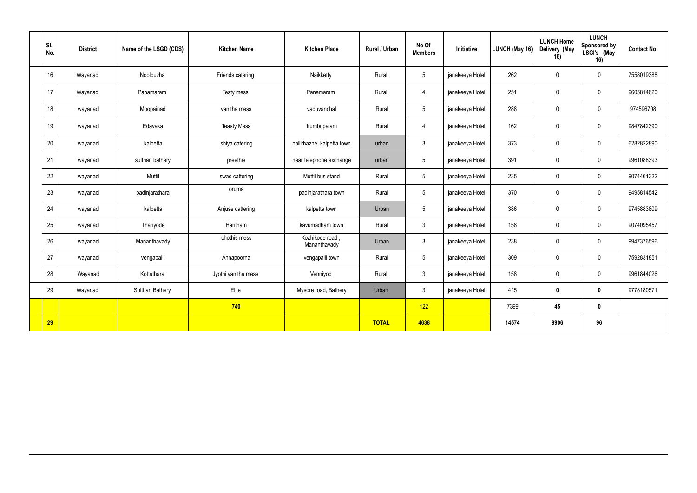| SI.<br>No. | <b>District</b> | Name of the LSGD (CDS) | <b>Kitchen Name</b> | <b>Kitchen Place</b>            | Rural / Urban | No Of<br><b>Members</b> | Initiative      | LUNCH (May 16) | <b>LUNCH Home</b><br>Delivery (May<br>16) | <b>LUNCH</b><br>Sponsored by<br>LSGI's (May<br>16) | <b>Contact No</b> |
|------------|-----------------|------------------------|---------------------|---------------------------------|---------------|-------------------------|-----------------|----------------|-------------------------------------------|----------------------------------------------------|-------------------|
| 16         | Wayanad         | Noolpuzha              | Friends catering    | Naikketty                       | Rural         | 5                       | janakeeya Hotel | 262            | $\mathbf 0$                               | $\mathbf 0$                                        | 7558019388        |
| 17         | Wayanad         | Panamaram              | Testy mess          | Panamaram                       | Rural         | 4                       | janakeeya Hotel | 251            | $\mathbf 0$                               | $\mathbf 0$                                        | 9605814620        |
| 18         | wayanad         | Moopainad              | vanitha mess        | vaduvanchal                     | Rural         | 5                       | janakeeya Hotel | 288            | $\mathbf 0$                               | $\mathbf 0$                                        | 974596708         |
| 19         | wayanad         | Edavaka                | <b>Teasty Mess</b>  | Irumbupalam                     | Rural         | $\overline{4}$          | janakeeya Hotel | 162            | $\mathbf 0$                               | $\mathbf 0$                                        | 9847842390        |
| 20         | wayanad         | kalpetta               | shiya catering      | pallithazhe, kalpetta town      | urban         | $\mathbf{3}$            | janakeeya Hotel | 373            | $\mathbf 0$                               | $\mathbf 0$                                        | 6282822890        |
| 21         | wayanad         | sulthan bathery        | preethis            | near telephone exchange         | urban         | 5                       | janakeeya Hotel | 391            | $\mathbf 0$                               | $\mathbf 0$                                        | 9961088393        |
| 22         | wayanad         | Muttil                 | swad cattering      | Muttil bus stand                | Rural         | 5                       | janakeeya Hotel | 235            | $\mathbf 0$                               | $\mathbf 0$                                        | 9074461322        |
| 23         | wayanad         | padinjarathara         | oruma               | padinjarathara town             | Rural         | $5\overline{)}$         | janakeeya Hotel | 370            | $\mathbf 0$                               | $\mathbf 0$                                        | 9495814542        |
| 24         | wayanad         | kalpetta               | Anjuse cattering    | kalpetta town                   | Urban         | 5                       | janakeeya Hotel | 386            | $\mathbf 0$                               | $\mathbf 0$                                        | 9745883809        |
| 25         | wayanad         | Thariyode              | Haritham            | kavumadham town                 | Rural         | 3                       | janakeeya Hotel | 158            | $\mathbf 0$                               | $\mathbf 0$                                        | 9074095457        |
| 26         | wayanad         | Mananthavady           | chothis mess        | Kozhikode road,<br>Mananthavady | Urban         | $\mathfrak{Z}$          | janakeeya Hotel | 238            | $\mathbf{0}$                              | $\mathbf 0$                                        | 9947376596        |
| 27         | wayanad         | vengapalli             | Annapoorna          | vengapalli town                 | Rural         | 5                       | janakeeya Hotel | 309            | $\mathbf{0}$                              | $\mathbf 0$                                        | 7592831851        |
| 28         | Wayanad         | Kottathara             | Jyothi vanitha mess | Venniyod                        | Rural         | $\mathbf{3}$            | janakeeya Hotel | 158            | $\mathbf 0$                               | $\mathbf 0$                                        | 9961844026        |
| 29         | Wayanad         | Sulthan Bathery        | Elite               | Mysore road, Bathery            | Urban         | $\mathbf{3}$            | janakeeya Hotel | 415            | $\mathbf 0$                               | $\mathbf 0$                                        | 9778180571        |
|            |                 |                        | 740                 |                                 |               | 122                     |                 | 7399           | 45                                        | $\mathbf 0$                                        |                   |
| 29         |                 |                        |                     |                                 | <b>TOTAL</b>  | 4638                    |                 | 14574          | 9906                                      | 96                                                 |                   |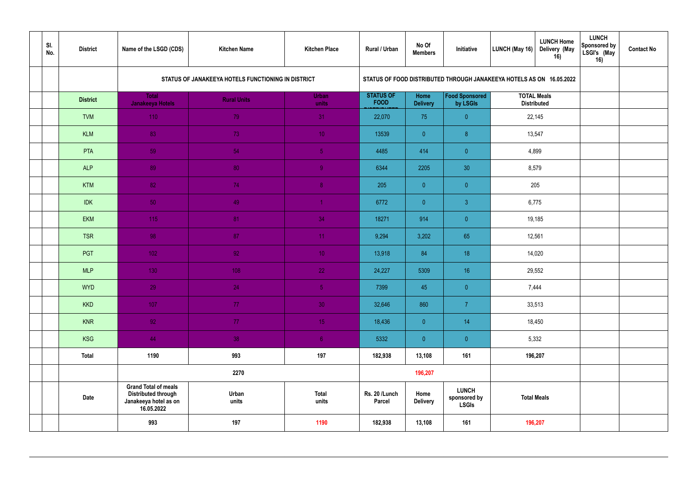| SI.<br>No. | <b>District</b>                                                                                          | Name of the LSGD (CDS)                  | <b>Kitchen Name</b>                                | <b>Kitchen Place</b>  | Rural / Urban                   | No Of<br><b>Members</b> | Initiative                                   | <b>LUNCH Home</b><br>Delivery (May<br>LUNCH (May 16)<br>16)          | <b>LUNCH</b><br>Sponsored by<br>LSGI's (May<br>16) | <b>Contact No</b> |
|------------|----------------------------------------------------------------------------------------------------------|-----------------------------------------|----------------------------------------------------|-----------------------|---------------------------------|-------------------------|----------------------------------------------|----------------------------------------------------------------------|----------------------------------------------------|-------------------|
|            |                                                                                                          |                                         | STATUS OF JANAKEEYA HOTELS FUNCTIONING IN DISTRICT |                       |                                 |                         |                                              | STATUS OF FOOD DISTRIBUTED THROUGH JANAKEEYA HOTELS AS ON 16.05.2022 |                                                    |                   |
|            | <b>District</b>                                                                                          | <b>Total</b><br><b>Janakeeya Hotels</b> | <b>Rural Units</b>                                 | <b>Urban</b><br>units | <b>STATUS OF</b><br><b>FOOD</b> | Home<br><b>Delivery</b> | Food Sponsored<br>by LSGIs                   | <b>TOTAL Meals</b><br><b>Distributed</b>                             |                                                    |                   |
|            | <b>TVM</b>                                                                                               | 110                                     | 79                                                 | 31 <sup>°</sup>       | 22,070                          | 75                      | $\overline{0}$                               | 22,145                                                               |                                                    |                   |
|            | <b>KLM</b>                                                                                               | 83                                      | 73                                                 | 10 <sub>1</sub>       | 13539                           | $\overline{0}$          | 8 <sup>°</sup>                               | 13,547                                                               |                                                    |                   |
|            | PTA                                                                                                      | 59                                      | 54                                                 | 5 <sub>1</sub>        | 4485                            | 414                     | $\overline{0}$                               | 4,899                                                                |                                                    |                   |
|            | <b>ALP</b>                                                                                               | 89                                      | 80                                                 | 9 <sup>°</sup>        | 6344                            | 2205                    | 30 <sup>°</sup>                              | 8,579                                                                |                                                    |                   |
|            | <b>KTM</b>                                                                                               | 82                                      | 74                                                 | 8 <sup>°</sup>        | 205                             | $\overline{0}$          | $\overline{0}$                               | 205                                                                  |                                                    |                   |
|            | <b>IDK</b>                                                                                               | 50 <sub>1</sub>                         | 49                                                 | $\overline{1}$        | 6772                            | $\overline{0}$          | $\mathbf{3}$                                 | 6,775                                                                |                                                    |                   |
|            | <b>EKM</b>                                                                                               | 115                                     | 81                                                 | 34                    | 18271                           | 914                     | $\overline{0}$                               | 19,185                                                               |                                                    |                   |
|            | <b>TSR</b>                                                                                               | 98                                      | 87                                                 | 11                    | 9,294                           | 3,202                   | 65                                           | 12,561                                                               |                                                    |                   |
|            | PGT                                                                                                      | 102 <sub>1</sub>                        | 92 <sub>1</sub>                                    | 10 <sup>°</sup>       | 13,918                          | 84                      | 18                                           | 14,020                                                               |                                                    |                   |
|            | <b>MLP</b>                                                                                               | 130                                     | 108                                                | 22                    | 24,227                          | 5309                    | 16                                           | 29,552                                                               |                                                    |                   |
|            | <b>WYD</b>                                                                                               | 29                                      | 24                                                 | 5 <sub>1</sub>        | 7399                            | 45                      | $\pmb{0}$                                    | 7,444                                                                |                                                    |                   |
|            | <b>KKD</b>                                                                                               | 107                                     | 77                                                 | 30 <sup>°</sup>       | 32,646                          | 860                     | $\overline{7}$                               | 33,513                                                               |                                                    |                   |
|            | <b>KNR</b>                                                                                               | 92 <sub>1</sub>                         | 77 <sub>1</sub>                                    | 15                    | 18,436                          | $\overline{0}$          | 14                                           | 18,450                                                               |                                                    |                   |
|            | KSG                                                                                                      | 44                                      | 38                                                 | 6 <sup>1</sup>        | 5332                            | $\overline{0}$          | $\overline{0}$                               | 5,332                                                                |                                                    |                   |
|            | <b>Total</b>                                                                                             | 1190                                    | 993                                                | 197                   | 182,938                         | 13,108                  | 161                                          | 196,207                                                              |                                                    |                   |
|            |                                                                                                          |                                         | 2270                                               |                       |                                 | 196,207                 |                                              |                                                                      |                                                    |                   |
|            | <b>Grand Total of meals</b><br><b>Distributed through</b><br>Date<br>Janakeeya hotel as on<br>16.05.2022 |                                         | Urban<br>units                                     | <b>Total</b><br>units | Rs. 20 /Lunch<br>Parcel         | Home<br><b>Delivery</b> | <b>LUNCH</b><br>sponsored by<br><b>LSGIs</b> | <b>Total Meals</b>                                                   |                                                    |                   |
|            |                                                                                                          | 993                                     | 197                                                | 1190                  | 182,938                         | 13,108                  | 161                                          | 196,207                                                              |                                                    |                   |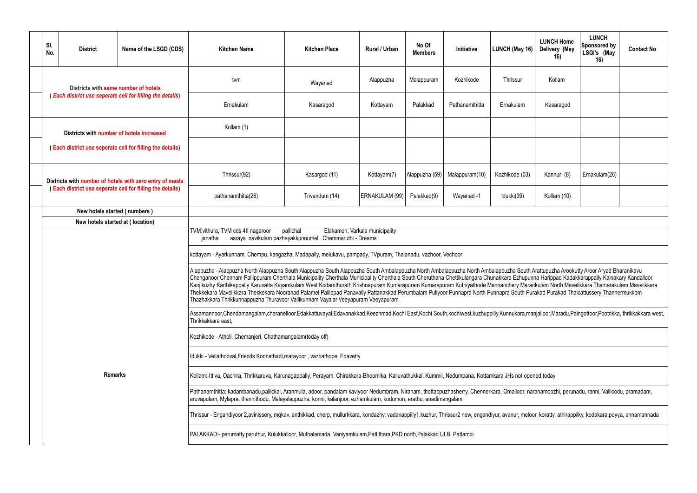| 6)                                 | <b>LUNCH Home</b><br>Delivery (May<br>16)                                                                                                                                                                       | <b>LUNCH</b><br>Sponsored by<br>LSGI's (May<br>16) | <b>Contact No</b>                                           |  |  |  |  |  |  |  |  |  |
|------------------------------------|-----------------------------------------------------------------------------------------------------------------------------------------------------------------------------------------------------------------|----------------------------------------------------|-------------------------------------------------------------|--|--|--|--|--|--|--|--|--|
|                                    | Kollam                                                                                                                                                                                                          |                                                    |                                                             |  |  |  |  |  |  |  |  |  |
|                                    | Kasaragod                                                                                                                                                                                                       |                                                    |                                                             |  |  |  |  |  |  |  |  |  |
|                                    |                                                                                                                                                                                                                 |                                                    |                                                             |  |  |  |  |  |  |  |  |  |
|                                    |                                                                                                                                                                                                                 |                                                    |                                                             |  |  |  |  |  |  |  |  |  |
| 3)<br>Kannur- (8)<br>Ernakulam(26) |                                                                                                                                                                                                                 |                                                    |                                                             |  |  |  |  |  |  |  |  |  |
| Kollam (10)                        |                                                                                                                                                                                                                 |                                                    |                                                             |  |  |  |  |  |  |  |  |  |
|                                    |                                                                                                                                                                                                                 |                                                    |                                                             |  |  |  |  |  |  |  |  |  |
|                                    |                                                                                                                                                                                                                 |                                                    |                                                             |  |  |  |  |  |  |  |  |  |
|                                    |                                                                                                                                                                                                                 |                                                    |                                                             |  |  |  |  |  |  |  |  |  |
|                                    | th Arattupuzha Arookutty Aroor Aryad Bharanikavu<br>unna Harippad Kadakkarappally Kainakary Kandalloor<br>irarikulam North Mavelikkara Thamarakulam Mavelikkara<br>Purakad Purakad Thaicattussery Thannermukkom |                                                    |                                                             |  |  |  |  |  |  |  |  |  |
|                                    |                                                                                                                                                                                                                 |                                                    | manjalloor,Maradu,Paingottoor,Pootrikka, thrikkakkara west, |  |  |  |  |  |  |  |  |  |
|                                    |                                                                                                                                                                                                                 |                                                    |                                                             |  |  |  |  |  |  |  |  |  |
|                                    |                                                                                                                                                                                                                 |                                                    |                                                             |  |  |  |  |  |  |  |  |  |
|                                    | pened today                                                                                                                                                                                                     |                                                    |                                                             |  |  |  |  |  |  |  |  |  |
|                                    | naranamoozhi, perunadu, ranni, Vallicodu, pramadam,                                                                                                                                                             |                                                    |                                                             |  |  |  |  |  |  |  |  |  |
|                                    | loor, koratty, athirappilky, kodakara,poyya, annamannada                                                                                                                                                        |                                                    |                                                             |  |  |  |  |  |  |  |  |  |
|                                    |                                                                                                                                                                                                                 |                                                    |                                                             |  |  |  |  |  |  |  |  |  |

|  | SI.<br>No.                                                                                                                                            | <b>District</b> | Name of the LSGD (CDS)                                                                                                                                                                                                                                                                                         | <b>Kitchen Name</b>                                                                                                                                                                                                                                                                                                                                                                                                                                                                                                                                                                                                                                                                                                                                                                                                                                     | <b>Kitchen Place</b> | Rural / Urban  | No Of<br><b>Members</b> | Initiative     | LUNCH (May 16) | <b>LUNCH Home</b><br>Delivery (May<br>16) | <b>LUNCH</b><br>Sponsored by<br>LSGI's (May<br>16) | <b>Contact No</b> |  |
|--|-------------------------------------------------------------------------------------------------------------------------------------------------------|-----------------|----------------------------------------------------------------------------------------------------------------------------------------------------------------------------------------------------------------------------------------------------------------------------------------------------------------|---------------------------------------------------------------------------------------------------------------------------------------------------------------------------------------------------------------------------------------------------------------------------------------------------------------------------------------------------------------------------------------------------------------------------------------------------------------------------------------------------------------------------------------------------------------------------------------------------------------------------------------------------------------------------------------------------------------------------------------------------------------------------------------------------------------------------------------------------------|----------------------|----------------|-------------------------|----------------|----------------|-------------------------------------------|----------------------------------------------------|-------------------|--|
|  |                                                                                                                                                       |                 | Districts with same number of hotels                                                                                                                                                                                                                                                                           | tvm                                                                                                                                                                                                                                                                                                                                                                                                                                                                                                                                                                                                                                                                                                                                                                                                                                                     | Wayanad              | Alappuzha      | Malappuram              | Kozhikode      | Thrissur       | Kollam                                    |                                                    |                   |  |
|  |                                                                                                                                                       |                 | (Each district use seperate cell for filling the details)                                                                                                                                                                                                                                                      | Ernakulam                                                                                                                                                                                                                                                                                                                                                                                                                                                                                                                                                                                                                                                                                                                                                                                                                                               | Kasaragod            | Kottayam       | Palakkad                | Pathanamthitta | Ernakulam      | Kasaragod                                 |                                                    |                   |  |
|  |                                                                                                                                                       |                 | Districts with number of hotels increased                                                                                                                                                                                                                                                                      | Kollam (1)                                                                                                                                                                                                                                                                                                                                                                                                                                                                                                                                                                                                                                                                                                                                                                                                                                              |                      |                |                         |                |                |                                           |                                                    |                   |  |
|  | (Each district use seperate cell for filling the details)                                                                                             |                 |                                                                                                                                                                                                                                                                                                                |                                                                                                                                                                                                                                                                                                                                                                                                                                                                                                                                                                                                                                                                                                                                                                                                                                                         |                      |                |                         |                |                |                                           |                                                    |                   |  |
|  | Districts with number of hotels with zero entry of meals<br>(Each district use seperate cell for filling the details)<br>New hotels started (numbers) |                 |                                                                                                                                                                                                                                                                                                                | Thrissur(92)                                                                                                                                                                                                                                                                                                                                                                                                                                                                                                                                                                                                                                                                                                                                                                                                                                            | Kasargod (11)        | Kottayam(7)    | Alappuzha (59)          | Malappuram(10) | Kozhikode (03) | Kannur- (8)                               | Ernakulam(26)                                      |                   |  |
|  |                                                                                                                                                       |                 |                                                                                                                                                                                                                                                                                                                | pathanamthitta(26)                                                                                                                                                                                                                                                                                                                                                                                                                                                                                                                                                                                                                                                                                                                                                                                                                                      | Trivandum (14)       | ERNAKULAM (99) | Palakkad(9)             | Wayanad -1     | Idukki(39)     | Kollam (10)                               |                                                    |                   |  |
|  |                                                                                                                                                       |                 |                                                                                                                                                                                                                                                                                                                |                                                                                                                                                                                                                                                                                                                                                                                                                                                                                                                                                                                                                                                                                                                                                                                                                                                         |                      |                |                         |                |                |                                           |                                                    |                   |  |
|  |                                                                                                                                                       |                 | New hotels started at (location)                                                                                                                                                                                                                                                                               |                                                                                                                                                                                                                                                                                                                                                                                                                                                                                                                                                                                                                                                                                                                                                                                                                                                         |                      |                |                         |                |                |                                           |                                                    |                   |  |
|  |                                                                                                                                                       |                 |                                                                                                                                                                                                                                                                                                                | TVM: vithura, TVM cds 4II nagaroor<br>pallichal<br>Elakamon, Varkala municipality<br>Chemmaruthi - Dreams<br>asraya navikulam pazhayakkunnumel<br>janatha                                                                                                                                                                                                                                                                                                                                                                                                                                                                                                                                                                                                                                                                                               |                      |                |                         |                |                |                                           |                                                    |                   |  |
|  |                                                                                                                                                       |                 |                                                                                                                                                                                                                                                                                                                | kottayam - Ayarkunnam, Chempu, kangazha, Madapally, melukavu, pampady, TVpuram, Thalanadu, vazhoor, Vechoor                                                                                                                                                                                                                                                                                                                                                                                                                                                                                                                                                                                                                                                                                                                                             |                      |                |                         |                |                |                                           |                                                    |                   |  |
|  |                                                                                                                                                       |                 |                                                                                                                                                                                                                                                                                                                | Alappuzha - Alappuzha North Alappuzha South Alappuzha South Alappuzha South Ambalappuzha North Ambalappuzha South Arattupuzha Arookutty Aroor Aryad Bharanikavu<br>Chenganoor Chennam Pallippuram Cherthala Municipality Cherthala Municipality Cherthala South Cheruthana Chettikulangara Chunakkara Ezhupunna Harippad Kadakkarappally Kainakary Kandalloor<br>Kanjikuzhy Karthikappally Karuvatta Kayamkulam West Kodamthurath Krishnapuram Kumarapuram Kuthiyathode Mannanchery Mararikulam North Mavelikkara Thamarakulam Mavelikkara Mavelikkara Mavelikkara Mavelikkara<br>Thekkekara Mavelikkara Thekkekara Nooranad Palamel Pallippad Panavally Pattanakkad Perumbalam Puliyoor Punnapra North Punnapra South Purakad Purakad Thaicattussery Thannermukkom<br>Thazhakkara Thrikkunnappuzha Thuravoor Vallikunnam Vayalar Veeyapuram Veeyapuram |                      |                |                         |                |                |                                           |                                                    |                   |  |
|  |                                                                                                                                                       |                 |                                                                                                                                                                                                                                                                                                                | Assamannoor,Chendamangalam,cheranelloor,Edakkattuvayal,Edavanakkad,Keezhmad,Kochi East,Kochi South,kochiwest,kuzhuppilly,Kunnukara,manjalloor,Maradu,Paingottoor,Pootrikka, thrikkakkara west,<br>Thrikkakkara east,                                                                                                                                                                                                                                                                                                                                                                                                                                                                                                                                                                                                                                    |                      |                |                         |                |                |                                           |                                                    |                   |  |
|  | <b>Remarks</b>                                                                                                                                        |                 |                                                                                                                                                                                                                                                                                                                | Kozhikode - Atholi, Chemanjeri, Chathamangalam(today off)                                                                                                                                                                                                                                                                                                                                                                                                                                                                                                                                                                                                                                                                                                                                                                                               |                      |                |                         |                |                |                                           |                                                    |                   |  |
|  |                                                                                                                                                       |                 |                                                                                                                                                                                                                                                                                                                | Idukki - Vellathooval, Friends Konnathadi, marayoor, vazhathope, Edavetty                                                                                                                                                                                                                                                                                                                                                                                                                                                                                                                                                                                                                                                                                                                                                                               |                      |                |                         |                |                |                                           |                                                    |                   |  |
|  |                                                                                                                                                       |                 |                                                                                                                                                                                                                                                                                                                | Kollam:-Ittiva, Oachira, Thrikkaruva, Karunagappally, Perayam, Chirakkara-Bhoomika, Kalluvathukkal, Kummil, Nedumpana, Kottamkara JHs not opened today                                                                                                                                                                                                                                                                                                                                                                                                                                                                                                                                                                                                                                                                                                  |                      |                |                         |                |                |                                           |                                                    |                   |  |
|  |                                                                                                                                                       |                 | Pathanamthitta: kadambanadu,pallickal, Aranmula, adoor, pandalam kaviyoor Nedumbram, Niranam, thottappuzhasherry, Chennerkara, Omalloor, naranamoozhi, perunadu, ranni, Vallicodu, pramadam,<br>aruvapulam, Mylapra, thannithodu, Malayalappuzha, konni, kalanjoor, ezhamkulam, kodumon, erathu, enadimangalam |                                                                                                                                                                                                                                                                                                                                                                                                                                                                                                                                                                                                                                                                                                                                                                                                                                                         |                      |                |                         |                |                |                                           |                                                    |                   |  |
|  |                                                                                                                                                       |                 | Thrissur - Engandiyoor 2,avinissery, mgkav, anthikkad, cherp, mullurkkara, kondazhy, vadanappilly1,kuzhur, Thrissur2 new, engandiyur, avanur, meloor, koratty, athirappilky, kodakara,poyya, annamannada                                                                                                       |                                                                                                                                                                                                                                                                                                                                                                                                                                                                                                                                                                                                                                                                                                                                                                                                                                                         |                      |                |                         |                |                |                                           |                                                    |                   |  |
|  |                                                                                                                                                       |                 | PALAKKAD:- perumatty,paruthur, Kulukkalloor, Muthalamada, Vaniyamkulam,Pattithara,PKD north,Palakkad ULB, Pattambi                                                                                                                                                                                             |                                                                                                                                                                                                                                                                                                                                                                                                                                                                                                                                                                                                                                                                                                                                                                                                                                                         |                      |                |                         |                |                |                                           |                                                    |                   |  |